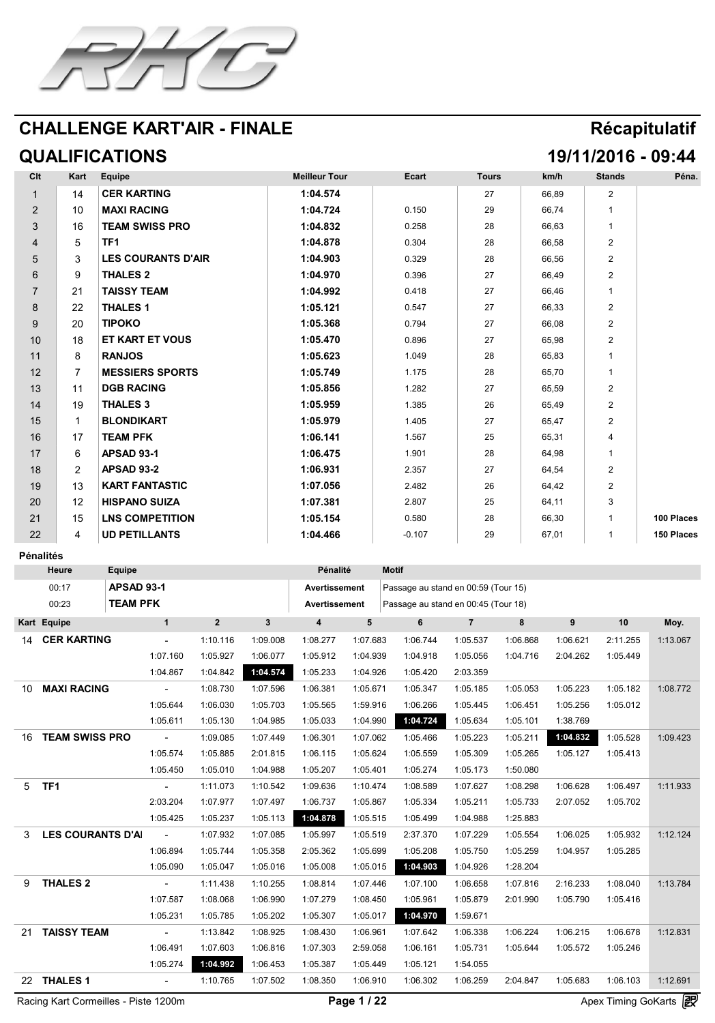

# **QUALIFICATIONS 19/11/2016 - 09:44**

| CIt                                          | Kart                        | <b>Equipe</b>                 |                    |          |          | <b>Meilleur Tour</b> |          | Ecart                               | <b>Tours</b> |          | km/h     | <b>Stands</b>                                                                                                                                             | Péna.             |
|----------------------------------------------|-----------------------------|-------------------------------|--------------------|----------|----------|----------------------|----------|-------------------------------------|--------------|----------|----------|-----------------------------------------------------------------------------------------------------------------------------------------------------------|-------------------|
|                                              |                             | CER KARTING                   |                    |          |          | 1:04.574             |          |                                     | 27           |          | 66,89    |                                                                                                                                                           |                   |
|                                              | 10                          | MAXI RACING                   |                    |          |          | 1:04.724             |          | 0.150                               | 29           |          | 66,74    |                                                                                                                                                           |                   |
| $\mathbf{\Omega}$<br>$\overline{\mathbf{v}}$ | 16                          |                               | TEAM SWISS PRO     |          |          | 1:04.832             |          | 0.258                               | 28           |          | 66,63    |                                                                                                                                                           |                   |
| 4                                            |                             | TF1                           |                    |          |          | 1:04.878             |          | 0.304                               | 28           |          | 66,58    |                                                                                                                                                           |                   |
|                                              |                             |                               | LES COURANTS D'AIR |          |          | 1:04.903             |          | 0.329                               | 28           |          | 66,56    |                                                                                                                                                           |                   |
|                                              | $\mathbf{O}$                | THALES 2                      |                    |          |          | 1:04.970             |          | 0.396                               | 27           |          | 66,49    |                                                                                                                                                           |                   |
|                                              | 21                          | TAISSY TEAM                   |                    |          |          | 1:04.992             |          | 0.418                               | 27           |          | 66,46    |                                                                                                                                                           |                   |
| $\bullet$<br>$\mathbf O$                     | 22                          | THALES 1                      |                    |          |          | 1:05.121             |          | 0.547                               | 27           |          | 66,33    |                                                                                                                                                           |                   |
|                                              | 20                          | TIPOKO                        |                    |          |          | 1:05.368             |          | 0.794                               | 27           |          | 66,08    |                                                                                                                                                           |                   |
| 10                                           | 18                          |                               | ET KART ET VOUS    |          |          | 1:05.470             |          | 0.896                               | 27           |          | 65,98    |                                                                                                                                                           |                   |
|                                              |                             | RANJOS                        |                    |          |          | 1:05.623             |          | 1.049                               | 28           |          | 65,83    |                                                                                                                                                           |                   |
| 12<br>$\overline{L}$                         |                             |                               | MESSIERS SPORTS    |          |          | 1:05.749             |          | 1.175                               | 28           |          | 65,70    |                                                                                                                                                           |                   |
| 12                                           |                             | DGB RACING                    |                    |          |          | 1:05.856             |          | 1.282                               | 27           |          | 65,59    |                                                                                                                                                           |                   |
| 14                                           | 19                          | THALES 3                      |                    |          |          | 1:05.959             |          | 1.385                               | 26           |          | 65,49    |                                                                                                                                                           |                   |
| 15                                           |                             | BLONDIKART                    |                    |          |          | 1:05.979             |          | 1.405                               | 27           |          | 65,47    |                                                                                                                                                           |                   |
| 16                                           |                             | TEAM PFK                      |                    |          |          | 1:06.141             |          | 1.567                               | つに<br>LU     |          | 65,31    |                                                                                                                                                           |                   |
| 17                                           |                             | <b>APSAD 93-1</b>             |                    |          |          | 1:06.475             |          | 1.901                               | 28           |          | 64,98    |                                                                                                                                                           |                   |
| 18                                           |                             | <b>APSAD 93-2</b>             |                    |          |          | 1:06.931             |          | 2.357                               | 27           |          | 64,54    |                                                                                                                                                           |                   |
| 19                                           |                             |                               | I KART FANTASTIC   |          |          | 1:07.056             |          | 2.482                               | 26           |          | 64,42    |                                                                                                                                                           |                   |
| 20                                           | $\bigcap$<br>$\blacksquare$ |                               | HISPANO SUIZA      |          |          | 1:07.381             |          | 2.807                               | 25           |          | 64,11    |                                                                                                                                                           |                   |
| 21                                           | 15<br>I U                   |                               | LNS COMPETITION    |          |          | 1:05.154             |          | 0.580                               | 28           |          | 66,30    |                                                                                                                                                           | 100 Places        |
| 22                                           |                             |                               | UD PETILLANTS      |          |          | 1:04.466             |          | $-0.107$                            | 29           |          | 67,01    |                                                                                                                                                           | <b>150 Places</b> |
|                                              |                             |                               |                    |          |          |                      |          |                                     |              |          |          |                                                                                                                                                           |                   |
|                                              | Pénalités<br><b>Heure</b>   |                               |                    |          |          | <b>Pénalité</b>      |          | <b>Motif</b>                        |              |          |          |                                                                                                                                                           |                   |
|                                              |                             | <b>Equipe</b>                 |                    |          |          |                      |          |                                     |              |          |          |                                                                                                                                                           |                   |
|                                              | 00:17                       | <b>APSAD 93-1</b><br>TEAM PFK |                    |          |          | Avertissement        |          | Passage au stand en 00:59 (Tour 15) |              |          |          |                                                                                                                                                           |                   |
|                                              | 00:23                       |                               |                    |          |          | Avertissement        |          | Passage au stand en 00:45 (Tour 18) |              |          |          |                                                                                                                                                           |                   |
|                                              | Kart Equipe                 |                               |                    |          |          |                      |          | $\boldsymbol{\mathsf{b}}$           |              |          | Q        | 10                                                                                                                                                        | Moy.              |
| 14                                           | <b>CER KARTING</b>          |                               |                    | 1:10.116 | 1:09.008 | 1:08.277             | 1:07.683 | 1:06.744                            | 1:05.537     | 1:06.868 | 1:06.621 | 2:11.255                                                                                                                                                  | 1:13.067          |
|                                              |                             |                               | 1:07.160           | 1:05.927 | 1:06.077 | 1:05.912             | 1:04.939 | 1:04.918                            | 1:05.056     | 1:04.716 | 2:04.262 | 1:05.449                                                                                                                                                  |                   |
|                                              |                             |                               | 1:04.867           | 1:04.842 | 1:04.574 | 1:05.233             | 1:04.926 | 1:05.420                            | 2:03.359     |          |          |                                                                                                                                                           |                   |
| 10                                           | MAXI RACING                 |                               | $\mathbf{r}$       | 1:08.730 | 1:07.596 | 1:06.381             | 1:05.671 | 1:05.347                            | 1:05.185     | 1:05.053 | 1:05.223 | 1:05.182                                                                                                                                                  | 1:08.772          |
|                                              |                             |                               | 1:05.644           | 1:06.030 | 1:05.703 | 1:05.565             | 1:59.916 | 1:06.266                            | 1:05.445     | 1:06.451 | 1:05.256 | 1:05.012                                                                                                                                                  |                   |
|                                              |                             |                               | 1:05.61            | 1:05.130 | 1:04.985 | 1:05.033             | 1:04.990 | <b>YHO4.724</b>                     | 1:05.634     | 1:05.101 | 1:38.769 |                                                                                                                                                           |                   |
| 16                                           | TEAM SWISS PRO              |                               | $\sim$             | 1:09.085 | 1:07.449 | 1:06.301             | 1:07.062 | 1:05.466                            | 1:05.223     | 1:05.211 | 1:04.832 | 1:05.528                                                                                                                                                  | 1:09.423          |
|                                              |                             |                               | 1:05.574           | 1:05.885 | 2:01.815 | 1:06.115             | 1:05.624 | 1:05.559                            | 1:05.309     | 1:05.265 | 1:05.127 | 1:05.413                                                                                                                                                  |                   |
|                                              |                             |                               | 1:05.450           | 1:05.010 | 1:04.988 | 1:05.207             | 1:05.401 | 1:05.274                            | 1:05.173     | 1:50.080 |          |                                                                                                                                                           |                   |
|                                              | 5 TF1                       |                               | $\sim$             | 1:11.073 | 1:10.542 | 1:09.636             | 1:10.474 | 1:08.589                            | 1:07.627     | 1:08.298 | 1:06.628 | 1:06.497                                                                                                                                                  | 1:11.933          |
|                                              |                             |                               | 2:03.204           | 1:07.977 | 1:07.497 | 1:06.737             | 1:05.867 | 1:05.334                            | 1:05.211     | 1:05.733 | 2:07.052 | 1:05.702                                                                                                                                                  |                   |
|                                              |                             |                               | 1:05.425           | 1:05.237 |          | 1:05.113 1:04.878    | 1:05.515 | 1:05.499                            | 1:04.988     | 1:25.883 |          |                                                                                                                                                           |                   |
|                                              | LES COURANTS D'AI           |                               | $\sim 100$         | 1:07.932 | 1:07.085 | 1:05.997             | 1:05.519 | 2:37.370                            | 1:07.229     | 1:05.554 | 1:06.025 | 1:05.932                                                                                                                                                  | 1:12.124          |
|                                              |                             |                               | 1:06.894           | 1:05.744 | 1:05.358 | 2:05.362             | 1:05.699 | 1:05.208                            | 1:05.750     | 1:05.259 | 1:04.957 | 1:05.285                                                                                                                                                  |                   |
|                                              |                             |                               | 1:05.090           | 1:05.047 | 1:05.016 | 1:05.008             | 1:05.015 | 1:04.903                            | 1:04.926     | 1:28.204 |          |                                                                                                                                                           |                   |
| $\mathbf Q$                                  | THALES 2                    |                               | $\sim$             | 1:11.438 | 1:10.255 | 1:08.814             | 1:07.446 | 1:07.100                            | 1:06.658     | 1:07.816 | 2:16.233 | 1:08.040                                                                                                                                                  | 1:13.784          |
|                                              |                             |                               | 1:07.587           | 1:08.068 | 1:06.990 | 1:07.279             | 1:08.450 | 1:05.961                            | 1:05.879     | 2:01.990 | 1:05.790 | 1:05.416                                                                                                                                                  |                   |
|                                              |                             |                               | 1:05.231           | 1:05.785 | 1:05.202 | 1:05.307             | 1:05.017 | 1:04.970                            | 1:59.671     |          |          |                                                                                                                                                           |                   |
| 21                                           | TAISSY TEAM                 |                               | $\sim$             | 1:13.842 | 1:08.925 | 1:08.430             | 1:06.961 | 1:07.642                            | 1:06.338     | 1:06.224 | 1:06.215 | 1:06.678                                                                                                                                                  | 1:12.831          |
|                                              |                             |                               | 1:06.491           | 1:07.603 | 1:06.816 | 1:07.303             | 2:59.058 | 1:06.161                            | 1:05.731     | 1:05.644 | 1:05.572 | 1:05.246                                                                                                                                                  |                   |
|                                              |                             |                               | 1:05.274           | 1:04.992 | 1:06.453 | 1:05.387             | 1:05.449 | 1:05.121                            | 1:54.055     |          |          |                                                                                                                                                           |                   |
| $\Omega$<br>22                               | THALES 1                    |                               |                    | 1:10.765 | 1:07.502 | 1:08.350             | 1:06.910 | 1:06.302                            | 1:06.259     | 2:04.847 | 1:05.683 | 1:06.103                                                                                                                                                  | 1:12.691          |
|                                              | $\sum_{n=1}^{\infty}$       |                               |                    |          |          |                      | $\Gamma$ |                                     |              |          |          | $\Lambda_{\text{max}}$ $\mathbf{T}_{\text{max}}$ $\Lambda_{\text{max}}$ $\Lambda_{\text{max}}$ $\Lambda_{\text{max}}$ $\left[\mathbf{Z}\mathbf{P}\right]$ |                   |

Racing Kart Cormeilles - Piste 1200m **Page 1 / 22** Apex Timing GoKarts (Ex

![](_page_0_Picture_8.jpeg)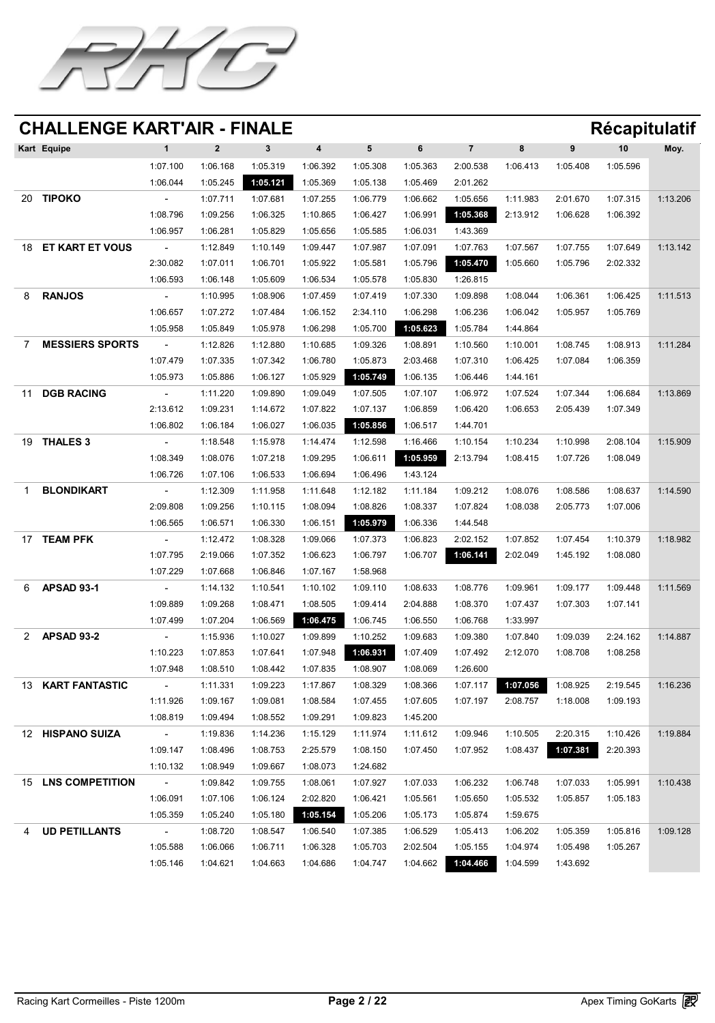![](_page_1_Picture_0.jpeg)

|                          | Kart Equipe            |                          |          |                   |                            |          | 6        |                                                          |          | 9                 | 10       | Moy.     |
|--------------------------|------------------------|--------------------------|----------|-------------------|----------------------------|----------|----------|----------------------------------------------------------|----------|-------------------|----------|----------|
|                          |                        | 1:07.100                 | 1:06.168 | 1:05.319          | 1:06.392                   | 1:05.308 | 1:05.363 | 2:00.538                                                 | 1:06.413 | 1:05.408          | 1:05.596 |          |
|                          |                        | 1:06.044                 | 1:05.245 | 1:05.121          | 1:05.369                   | 1:05.138 | 1:05.469 | 2:01.262                                                 |          |                   |          |          |
| 20                       | TIPOKO                 |                          | 1:07.711 | 1:07.681          | 1:07.255                   | 1:06.779 | 1:06.662 | 1:05.656                                                 | 1:11.983 | 2:01.670          | 1:07.315 | 1:13.206 |
|                          |                        | 1:08.796                 | 1:09.256 | 1:06.325          | 1:10.865                   | 1:06.427 | 1:06.991 | 1:05.368                                                 | 2:13.912 | 1:06.628          | 1:06.392 |          |
|                          |                        | 1:06.957                 | 1:06.281 | 1:05.829          | 1:05.656                   | 1:05.585 | 1:06.031 | 1:43.369                                                 |          |                   |          |          |
| 18                       | ET KART ET VOUS        | $\blacksquare$           | 1:12.849 | 1:10.149          | 1:09.447                   | 1:07.987 | 1:07.091 | 1:07.763                                                 | 1:07.567 | 1:07.755          | 1:07.649 | 1:13.142 |
|                          |                        | 2:30.082                 | 1:07.011 | 1:06.701          | 1:05.922                   | 1:05.581 | 1:05.796 | 1:05.470                                                 | 1:05.660 | 1:05.796          | 2:02.332 |          |
|                          |                        | 1:06.593                 | 1:06.148 | 1:05.609          | 1:06.534                   | 1:05.578 | 1:05.830 | 1:26.815                                                 |          |                   |          |          |
|                          | <b>RANJOS</b>          |                          | 1:10.995 | 1:08.906          | 1:07.459                   | 1:07.419 | 1:07.330 | 1:09.898                                                 | 1:08.044 | 1:06.361          | 1:06.425 | 1:11.513 |
|                          |                        | 1:06.657                 | 1:07.272 | 1:07.484          | 1:06.152                   | 2:34.110 | 1:06.298 | 1:06.236                                                 | 1:06.042 | 1:05.957          | 1:05.769 |          |
|                          |                        | 1:05.958                 | 1:05.849 | 1:05.978          | 1:06.298                   | 1:05.700 | 1:05.623 | 1:05.784                                                 | 1:44.864 |                   |          |          |
| $\overline{\phantom{a}}$ | <b>MESSIERS SPORTS</b> | $\overline{\phantom{a}}$ | 1:12.826 | 1:12.880 1:10.685 |                            |          |          | 1:09.326    1:08.891    1:10.560    1:10.001    1:08.745 |          |                   | 1:08.913 | 1:11.284 |
|                          |                        | 1:07.479                 | 1:07.335 | 1:07.342          | 1:06.780                   | 1:05.873 | 2:03.468 | 1:07.310                                                 | 1:06.425 | 1:07.084          | 1:06.359 |          |
|                          |                        | 1:05.973                 | 1:05.886 | 1:06.127          | 1:05.929                   | 1:05.749 | 1:06.135 | 1:06.446                                                 | 1:44.161 |                   |          |          |
|                          | DGB RACING             | $\blacksquare$           | 1:11.220 | 1:09.890          | 1:09.049                   | 1:07.505 | 1:07.107 | 1:06.972                                                 | 1:07.524 | 1:07.344          | 1:06.684 | 1:13.869 |
|                          |                        | 2:13.612                 | 1:09.231 | 1:14.672          | 1:07.822                   | 1:07.137 | 1:06.859 | 1:06.420                                                 | 1:06.653 | 2:05.439          | 1:07.349 |          |
|                          |                        | 1:06.802                 | 1:06.184 | 1:06.027          | 1:06.035                   | 1:05.856 | 1:06.517 | 1:44.701                                                 |          |                   |          |          |
| 19                       | THALES 3               | $\sim$                   | 1:18.548 | 1:15.978          | 1:14.474                   | 1:12.598 | 1:16.466 | 1:10.154                                                 | 1:10.234 | 1:10.998          | 2:08.104 | 1:15.909 |
|                          |                        | 1:08.349                 | 1:08.076 | 1:07.218          | 1:09.295                   | 1:06.611 | 1:05.959 | 2:13.794                                                 | 1:08.415 | 1:07.726          | 1:08.049 |          |
|                          |                        | 1:06.726                 | 1:07.106 | 1:06.533          | 1:06.694                   | 1:06.496 | 1:43.124 |                                                          |          |                   |          |          |
|                          | BLONDIKART             | $\blacksquare$           | 1:12.309 | 1:11.958          | 1:11.648                   | 1:12.182 | 1:11.184 | 1:09.212                                                 | 1:08.076 | 1:08.586          | 1:08.637 | 1:14.590 |
|                          |                        | 2:09.808                 | 1:09.256 | 1:10.115          | 1:08.094                   | 1:08.826 | 1:08.337 | 1:07.824                                                 | 1:08.038 | 2:05.773          | 1:07.006 |          |
|                          |                        | 1:06.565                 | 1:06.571 | 1:06.330          | 1:06.151                   | 1:05.979 | 1:06.336 | 1:44.548                                                 |          |                   |          |          |
|                          | <b>TEAM PFK</b>        | $\overline{\phantom{a}}$ | 1:12.472 | 1:08.328          | 1:09.066                   | 1:07.373 | 1:06.823 | 2:02.152                                                 | 1:07.852 | 1:07.454          | 1:10.379 | 1:18.982 |
|                          |                        | 1:07.795                 | 2:19.066 | 1:07.352          | 1:06.623                   | 1:06.797 | 1:06.707 | 1:06.141                                                 | 2:02.049 | 1:45.192          | 1:08.080 |          |
|                          |                        | 1:07.229                 | 1:07.668 | 1:06.846          | 1:07.167                   | 1:58.968 |          |                                                          |          |                   |          |          |
|                          | <b>APSAD 93-1</b>      | $\sim$                   | 1:14.132 | 1:10.541          | 1:10.102                   | 1:09.110 | 1:08.633 | 1:08.776                                                 | 1:09.961 | 1:09.177          | 1:09.448 | 1:11.569 |
|                          |                        | 1:09.889                 | 1:09.268 | 1:08.471          | 1:08.505                   | 1:09.414 | 2:04.888 | 1:08.370                                                 | 1:07.437 | 1:07.303          | 1:07.141 |          |
|                          |                        | 1:07.499                 | 1:07.204 | 1:06.569          | 1:06.475                   | 1:06.745 | 1:06.550 | 1:06.768                                                 | 1:33.997 |                   |          |          |
|                          | <b>APSAD 93-2</b>      | $\blacksquare$           | 1:15.936 | 1:10.027          | 1:09.899                   | 1:10.252 | 1:09.683 | 1:09.380                                                 | 1:07.840 | 1:09.039          | 2:24.162 | 1:14.887 |
|                          |                        | 1:10.223                 | 1:07.853 | 1:07.641          | 1:07.948                   | 1:06.931 | 1:07.409 | 1:07.492                                                 | 2:12.070 | 1:08.708          | 1:08.258 |          |
|                          |                        | 1:07.948                 | 1:08.510 | 1:08.442          | 1:07.835                   | 1:08.907 | 1:08.069 | 1:26.600                                                 |          |                   |          |          |
| 13                       | KART FANTASTIC         | $\overline{\phantom{a}}$ | 1:11.331 | 1:09.223          | 1:17.867                   | 1:08.329 | 1:08.366 | 1:07.117                                                 | 1:07.056 | 1:08.925          | 2:19.545 | 1:16.236 |
|                          |                        | 1:11.926                 | 1:09.167 | 1:09.081          | 1:08.584                   | 1:07.455 | 1:07.605 | 1:07.197                                                 | 2:08.757 | 1:18.008          | 1:09.193 |          |
|                          |                        | 1:08.819                 | 1:09.494 | 1:08.552          | 1:09.291                   | 1:09.823 | 1:45.200 |                                                          |          |                   |          |          |
| 12 <sup>7</sup>          | <b>HISPANO SUIZA</b>   | $\sim$                   | 1:19.836 | 1:14.236          | 1:15.129                   | 1:11.974 | 1:11.612 | 1:09.946                                                 | 1:10.505 | 2:20.315          | 1:10.426 | 1:19.884 |
|                          |                        | 1:09.147                 | 1:08.496 | 1:08.753          | 2:25.579                   | 1:08.150 | 1:07.450 | 1:07.952                                                 | 1:08.437 | 1:07.381 2:20.393 |          |          |
|                          |                        | 1:10.132                 | 1:08.949 | 1:09.667          | 1:08.073                   | 1:24.682 |          |                                                          |          |                   |          |          |
| 15                       | LNS COMPETITION        | $\blacksquare$           | 1:09.842 | 1:09.755          | 1:08.061                   | 1:07.927 | 1:07.033 | 1:06.232                                                 | 1:06.748 | 1:07.033          | 1:05.991 | 1:10.438 |
|                          |                        | 1:06.091                 | 1:07.106 | 1:06.124          | 2:02.820                   | 1:06.421 | 1:05.561 | 1:05.650                                                 | 1:05.532 | 1:05.857          | 1:05.183 |          |
|                          |                        | 1:05.359                 | 1:05.240 |                   | 1:05.180 1:05.154 1:05.206 |          | 1:05.173 | 1:05.874                                                 | 1:59.675 |                   |          |          |
|                          | UD PETILLANTS          |                          | 1:08.720 | 1:08.547          | 1:06.540                   | 1:07.385 | 1:06.529 | 1:05.413                                                 | 1:06.202 | 1:05.359          | 1:05.816 | 1:09.128 |
|                          |                        | 1:05.588                 | 1:06.066 | 1:06.711          | 1:06.328                   | 1:05.703 | 2:02.504 | 1:05.155                                                 | 1:04.974 | 1:05.498          | 1:05.267 |          |
|                          |                        | 1:05.146                 | 1:04.621 | 1:04.663          | 1:04.686                   | 1:04.747 | 1:04.662 | 1:04.466                                                 | 1:04.599 | 1:43.692          |          |          |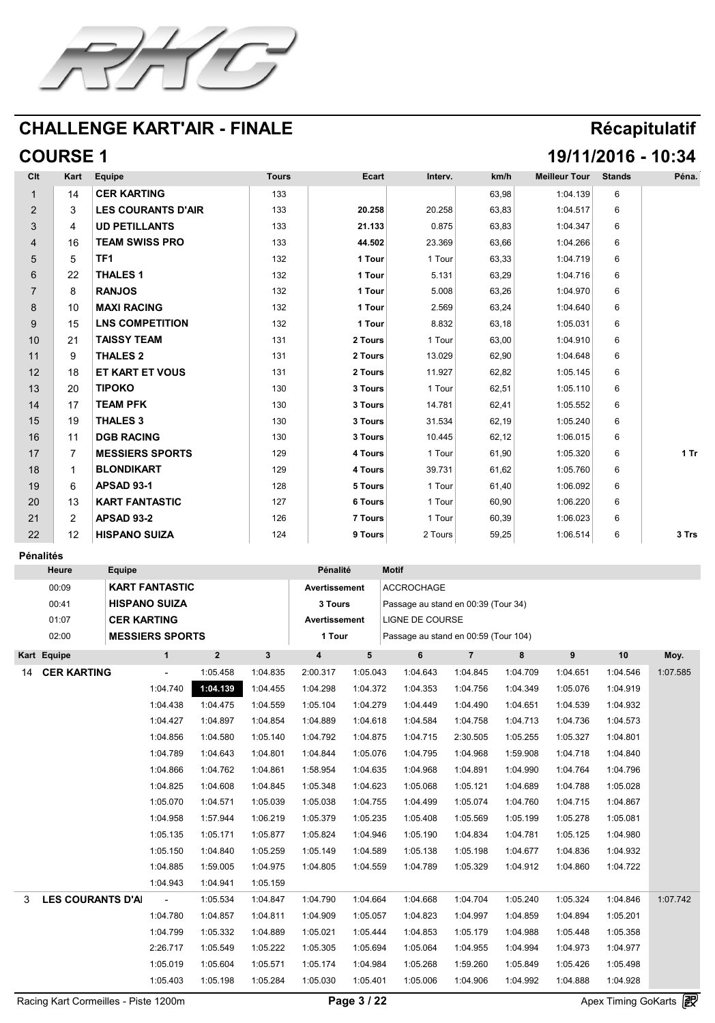![](_page_2_Picture_0.jpeg)

# **COURSE 1 19/11/2016 - 10:34**

| CIt                           | Kart                                                                           | <b>Equipe</b>          | <b>Tours</b> | Ecart                                     | Interv. | km/h  | <b>Meilleur Tour</b> | Stands | Péna. |
|-------------------------------|--------------------------------------------------------------------------------|------------------------|--------------|-------------------------------------------|---------|-------|----------------------|--------|-------|
|                               | 14                                                                             | CER KARTING            | 133          |                                           |         | 63,98 | 1:04.139             |        |       |
| $\sqrt{2}$                    |                                                                                | LES COURANTS D'AIR     | 133          | 20.258                                    | 20.258  | 63,83 | 1:04.517             |        |       |
| $\boldsymbol{\bigcup}$        | $\overline{\mathcal{L}}$                                                       | UD PETILLANTS          | 133          | 21.133                                    | 0.875   | 63,83 | 1:04.347             |        |       |
|                               | 16                                                                             | TEAM SWISS PRO         | 133          | 44.502                                    | 23.369  | 63,66 | 1:04.266             |        |       |
| $\boldsymbol{\cup}$           |                                                                                | TF1                    | 132          | <b>Tour</b>                               | Tour    | 63,33 | 1:04.719             |        |       |
| $\mathbf O$                   | 22                                                                             | THALES 1               | 132          | Tour                                      | 5.131   | 63,29 | 1:04.716             |        |       |
|                               |                                                                                | RANJOS                 | 132          | 1 Tour                                    | 5.008   | 63,26 | 1:04.970             |        |       |
| $\blacksquare$<br>$\mathbf O$ | $\overline{1}$<br>10                                                           | MAXI RACING            | 132          | $\overline{a}$ and $\overline{a}$<br>Tour | 2.569   | 63,24 | 1:04.640             |        |       |
| $\boldsymbol{\cup}$           | 15                                                                             | LNS COMPETITION        | 132          | <b>Tour</b>                               | 8.832   | 63,18 | 1:05.031             |        |       |
| 10                            | $\bigcap$<br>$\sqrt{2}$                                                        | TAISSY TEAM            | 131          | 2 Tours                                   | Tour    | 63,00 | 1:04.910             |        |       |
| 11                            |                                                                                | THALES 2               | 131          | 2 Tours                                   | 13.029  | 62,90 | 1:04.648             |        |       |
| 12                            | 18                                                                             | ET KART ET VOUS        | 131          | 2 Tours                                   | 11.927  | 62,82 | 1:05.145             | 6      |       |
| 13                            | 20                                                                             | TIPOKO                 | 130          | 3 Tours                                   | Tour    | 62,51 | 1:05.110             |        |       |
| 14                            |                                                                                | <b>TEAM PFK</b>        | 130          | 3 Tours                                   | 14.781  | 62,41 | 1:05.552             |        |       |
| 15                            | 19                                                                             | THALES 3               | 130          | 3 Tours                                   | 31.534  | 62,19 | 1:05.240             |        |       |
| 16                            | $\blacktriangleleft$ $\blacktriangleleft$<br>and the state of the state of the | DGB RACING             | 130          | 3 Tours                                   | 10.445  | 62,12 | 1:06.015             |        |       |
| 17                            |                                                                                | <b>MESSIERS SPORTS</b> | 129          | 4 Tours                                   | Tour    | 61,90 | 1:05.320             |        | 1 Tr  |
| 18                            |                                                                                | BLONDIKART             | 129          | 4 Tours                                   | 39.731  | 61,62 | 1:05.760             |        |       |
| 19                            |                                                                                | <b>APSAD 93-1</b>      | 128          | <b>5 Tours</b>                            | Tour    | 61,40 | 1:06.092             |        |       |
| 20                            | 13                                                                             | KART FANTASTIC         | 127          | <b>6 Tours</b>                            | Tour    | 60,90 | 1:06.220             |        |       |

| $\bigcap$<br>$\overline{\phantom{a}}$ |                                          | <b>APSAD 93-2</b> | 126<br>$\sim$ $\sim$ $\sim$ | 7 Tours | <b>l</b> our | 60,39 | 1:06.023 |       |
|---------------------------------------|------------------------------------------|-------------------|-----------------------------|---------|--------------|-------|----------|-------|
| $\Omega$<br>$\sqrt{2}$                | $\overline{\phantom{a}}$<br>$\mathsf{L}$ | HISPANO SUIZA     | 124                         | a Tours | <b>Tours</b> | 59,25 | 1:06.514 | 3 Trs |

#### **Pénalités**

|          | <b>Heure</b>       | <b>Equipe</b>                                                                   |                            |                   |          | <b>Pénalité</b> |                     | <b>Motif</b>                         |          |          |          |                                              |                                                                   |
|----------|--------------------|---------------------------------------------------------------------------------|----------------------------|-------------------|----------|-----------------|---------------------|--------------------------------------|----------|----------|----------|----------------------------------------------|-------------------------------------------------------------------|
|          | 00:09              |                                                                                 | KART FANTASTIC             |                   |          | Avertissement   |                     | ACCROCHAGE                           |          |          |          |                                              |                                                                   |
|          | 00:41              |                                                                                 | <b>HISPANO SUIZA</b>       |                   |          | 3 Tours         |                     | Passage au stand en 00:39 (Tour 34)  |          |          |          |                                              |                                                                   |
|          | 01:07              |                                                                                 | <b>CER KARTING</b>         |                   |          | Avertissement   |                     | LIGNE DE COURSE                      |          |          |          |                                              |                                                                   |
|          | 02:00              |                                                                                 | MESSIERS SPORTS            |                   |          | <b>1 Tour</b>   |                     | Passage au stand en 00:59 (Tour 104) |          |          |          |                                              |                                                                   |
|          | Kart Equipe        |                                                                                 |                            |                   |          |                 |                     |                                      |          |          |          | 10                                           | Moy.                                                              |
| 14       | <b>CER KARTING</b> |                                                                                 | $\mathcal{L}_{\text{max}}$ | 1:05.458          | 1:04.835 | 2:00.317        | 1:05.043            | 1:04.643                             | 1:04.845 | 1:04.709 | 1:04.651 | 1:04.546                                     | 1:07.585                                                          |
|          |                    |                                                                                 | 1:04.740                   | <b>YE04.139</b>   | 1:04.455 | 1:04.298        | 1:04.372            | 1:04.353                             | 1:04.756 | 1:04.349 | 1:05.076 | 1:04.919                                     |                                                                   |
|          |                    |                                                                                 | 1:04.438                   | 1:04.475          | 1:04.559 | 1:05.104        | 1:04.279            | 1:04.449                             | 1:04.490 | 1:04.651 | 1:04.539 | 1:04.932                                     |                                                                   |
|          |                    |                                                                                 | 1:04.427                   | 1:04.897          | 1:04.854 | 1:04.889        | 1:04.618            | 1:04.584                             | 1:04.758 | 1:04.713 | 1:04.736 | 1:04.573                                     |                                                                   |
|          |                    |                                                                                 | 1:04.856                   | 1:04.580          | 1:05.140 | 1:04.792        | 1:04.875            | 1:04.715                             | 2:30.505 | 1:05.255 | 1:05.327 | 1:04.801                                     |                                                                   |
|          |                    |                                                                                 | 1:04.789                   | 1:04.643          | 1:04.801 | 1:04.844        | 1:05.076            | 1:04.795                             | 1:04.968 | 1:59.908 | 1:04.718 | 1:04.840                                     |                                                                   |
|          |                    |                                                                                 | 1:04.866                   | 1:04.762          | 1:04.861 | 1:58.954        | 1:04.635            | 1:04.968                             | 1:04.891 | 1:04.990 | 1:04.764 | 1:04.796                                     |                                                                   |
|          |                    |                                                                                 | 1:04.825                   | 1:04.608          | 1:04.845 | 1:05.348        | 1:04.623            | 1:05.068                             | 1:05.121 | 1:04.689 | 1:04.788 | 1:05.028                                     |                                                                   |
|          |                    |                                                                                 | 1:05.070                   | 1:04.571          | 1:05.039 | 1:05.038        | 1:04.755            | 1:04.499                             | 1:05.074 | 1:04.760 | 1:04.715 | 1:04.867                                     |                                                                   |
|          |                    |                                                                                 | 1:04.958                   | 1:57.944          | 1:06.219 | 1:05.379        | 1:05.235            | 1:05.408                             | 1:05.569 | 1:05.199 | 1:05.278 | 1:05.081                                     |                                                                   |
|          |                    |                                                                                 |                            | 1:05.135 1:05.171 | 1:05.877 |                 |                     |                                      |          |          | 1:05.125 | 1:04.980                                     |                                                                   |
|          |                    |                                                                                 | 1:05.150                   | 1:04.840          | 1:05.259 | 1:05.149        | 1:04.589            | 1:05.138                             | 1:05.198 | 1:04.677 | 1:04.836 | 1:04.932                                     |                                                                   |
|          |                    |                                                                                 | 1:04.885                   | 1:59.005          | 1:04.975 | 1:04.805        | 1:04.559            | 1:04.789                             | 1:05.329 | 1:04.912 | 1:04.860 | 1:04.722                                     |                                                                   |
|          |                    |                                                                                 | 1:04.943                   | 1:04.941          | 1:05.159 |                 |                     |                                      |          |          |          |                                              |                                                                   |
| $\Omega$ | LES COURANTS D'AI  |                                                                                 | <b>Service Contract</b>    | 1:05.534          | 1:04.847 | 1:04.790        | 1:04.664            | 1:04.668                             | 1:04.704 | 1:05.240 | 1:05.324 | 1:04.846                                     | 1:07.742                                                          |
|          |                    |                                                                                 | 1:04.780                   | 1:04.857          | 1:04.811 | 1:04.909        | 1:05.057            | 1:04.823                             | 1:04.997 | 1:04.859 | 1:04.894 | 1:05.201                                     |                                                                   |
|          |                    |                                                                                 | 1:04.799                   | 1:05.332          | 1:04.889 | 1:05.021        | 1:05.444            | 1:04.853                             | 1:05.179 | 1:04.988 | 1:05.448 | 1:05.358                                     |                                                                   |
|          |                    |                                                                                 | 2:26.717                   | 1:05.549          | 1:05.222 | 1:05.305        | 1:05.694            | 1:05.064                             | 1:04.955 | 1:04.994 | 1:04.973 | 1:04.977                                     |                                                                   |
|          |                    |                                                                                 | 1:05.019                   | 1:05.604          | 1:05.571 | 1:05.174        | 1:04.984            | 1:05.268                             | 1:59.260 | 1:05.849 | 1:05.426 | 1:05.498                                     |                                                                   |
|          |                    |                                                                                 | 1:05.403                   | 1:05.198          | 1:05.284 | 1:05.030        | 1:05.401            | 1:05.006                             | 1:04.906 | 1:04.992 | 1:04.888 | 1:04.928                                     |                                                                   |
|          | $\blacksquare$     | $\begin{array}{c} \bullet & \bullet & \bullet \\ \end{array}$<br>$\blacksquare$ | $\overline{A}$             |                   |          | $\blacksquare$  | $\bigcap$ $\bigcap$ |                                      |          |          |          | <b>Program and Contract Contract Service</b> | 170 L<br>$\begin{array}{ccc} \mathbf{A} & \mathbf{I} \end{array}$ |

Racing Kart Cormeilles - Piste 1200m **Page 3 / 22** Apex Timing GoKarts (and Apex Timing Apex Timing Apex Timing Apex Timing Apex Timing Apex 1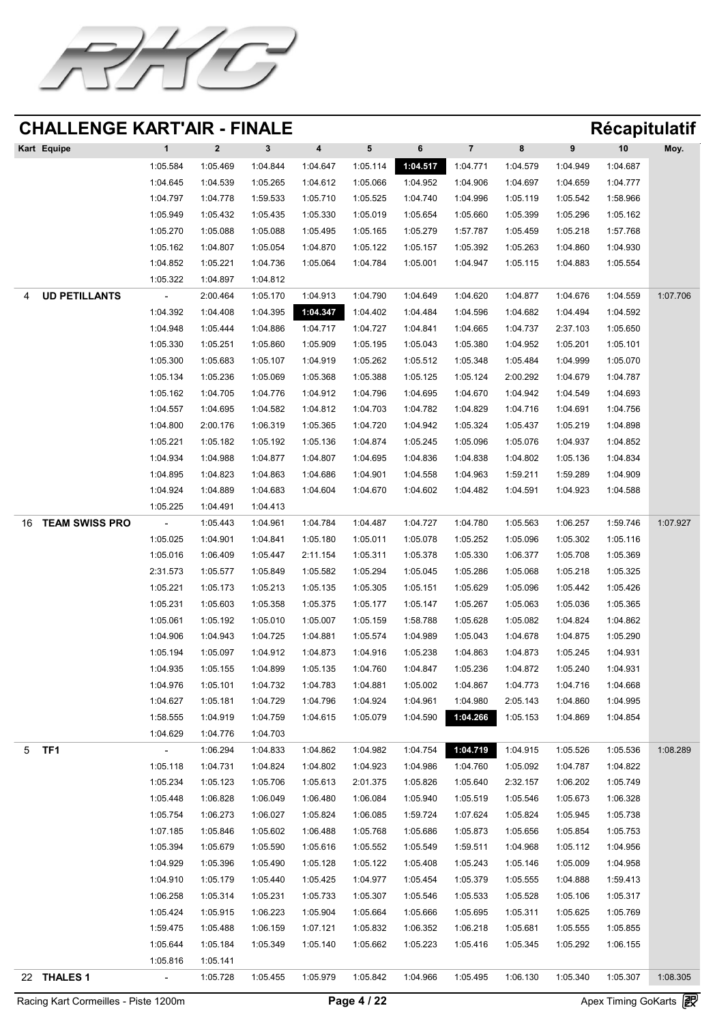![](_page_3_Picture_0.jpeg)

| Kart Equipe |          |          |          | 4        |          |          |          |          | 9        | 10       | Moy. |
|-------------|----------|----------|----------|----------|----------|----------|----------|----------|----------|----------|------|
|             | 1:05.584 | 1:05.469 | 1:04.844 | 1:04.647 | 1:05.114 | 1:04.517 | 1:04.771 | 1:04.579 | 1:04.949 | 1:04.687 |      |
|             | 1:04.645 | 1:04.539 | 1:05.265 | 1:04.612 | 1:05.066 | 1:04.952 | 1:04.906 | 1:04.697 | 1:04.659 | 1:04.777 |      |
|             | 1:04.797 | 1:04.778 | 1:59.533 | 1:05.710 | 1:05.525 | 1:04.740 | 1:04.996 | 1:05.119 | 1:05.542 | 1:58.966 |      |
|             | 1:05.949 | 1:05.432 | 1:05.435 | 1:05.330 | 1:05.019 | 1:05.654 | 1:05.660 | 1:05.399 | 1:05.296 | 1:05.162 |      |
|             | 1:05.270 | 1:05.088 | 1:05.088 | 1:05.495 | 1:05.165 | 1:05.279 | 1:57.787 | 1:05.459 | 1:05.218 | 1:57.768 |      |
|             | 1:05.162 | 1:04.807 | 1:05.054 | 1:04.870 | 1:05.122 | 1:05.157 | 1:05.392 | 1:05.263 | 1:04.860 | 1:04.930 |      |

1:04.852 1:05.221 1:04.736 1:05.064 1:04.784 1:05.001 1:04.947 1:05.115 1:04.883 1:05.554

1:05.322 1:04.897 1:04.812

|    | Racing Kart Cormeilles - Piste 1200m |                      |                      |                      |                      | Page 4 / 22          |                      |                            |                      |                      | Apex Timing GoKarts (27 |          |
|----|--------------------------------------|----------------------|----------------------|----------------------|----------------------|----------------------|----------------------|----------------------------|----------------------|----------------------|-------------------------|----------|
| 22 | THALES 1                             | $\sim$               | 1:05.728             | 1:05.455             | 1:05.979             | 1:05.842             | 1:04.966             | 1:05.495                   | 1:06.130             | 1:05.340             | 1:05.307                | 1:08.305 |
|    |                                      | 1:05.816             | 1:05.141             |                      |                      |                      |                      |                            |                      |                      |                         |          |
|    |                                      | 1:05.644             | 1:05.184             | 1:05.349             | 1:05.140             | 1:05.662             | 1:05.223             | 1:05.416                   | 1:05.345             | 1:05.292             | 1:06.155                |          |
|    |                                      | 1:59.475             | 1:05.488             | 1:06.159             | 1:07.121             | 1:05.832             | 1:06.352             | 1:06.218                   | 1:05.681             | 1:05.555             | 1:05.855                |          |
|    |                                      | 1:05.424             | 1:05.915             | 1:06.223             | 1:05.904             | 1:05.664             | 1:05.666             | 1:05.695                   | 1:05.311             | 1:05.625             | 1:05.769                |          |
|    |                                      | 1:06.258             | 1:05.314             | 1:05.231             | 1:05.733             | 1:05.307             | 1:05.546             | 1:05.533                   | 1:05.528             | 1:05.106             | 1:05.317                |          |
|    |                                      | 1:04.910             | 1:05.179             | 1:05.440             | 1:05.425             | 1:04.977             | 1:05.454             | 1:05.379                   | 1:05.555             | 1:04.888             | 1:59.413                |          |
|    |                                      | 1:04.929             | 1:05.396             | 1:05.490             | 1:05.128             | 1:05.122             | 1:05.408             | 1:05.243                   | 1:05.146             | 1:05.009             | 1:04.958                |          |
|    |                                      | 1:05.394             | 1:05.679             | 1:05.590             | 1:05.616             | 1:05.552             | 1:05.549             | 1:59.511                   | 1:04.968             | 1:05.112             | 1:04.956                |          |
|    |                                      | 1:07.185             | 1:05.846             | 1:05.602             | 1:06.488             | 1:05.768             | 1:05.686             | 1:05.873                   | 1:05.656             | 1:05.854             | 1:05.753                |          |
|    |                                      | 1:05.754             | 1:06.273             | 1:06.027             | 1:05.824             | 1:06.085             | 1:59.724             | 1:07.624                   | 1:05.824             | 1:05.945             | 1:05.738                |          |
|    |                                      | 1:05.448             | 1:06.828             | 1:06.049             | 1:06.480             | 1:06.084             | 1:05.940             | 1:05.519                   | 1:05.546             | 1:05.673             | 1:06.328                |          |
|    |                                      | 1:05.234             | 1:05.123             | 1:05.706             | 1:05.613             | 2:01.375             | 1:05.826             | 1:05.640                   | 2:32.157             | 1:06.202             | 1:05.749                |          |
|    |                                      | 1:05.118             | 1:04.731             | 1:04.824             | 1:04.802             | 1:04.923             | 1:04.986             | 1:04.760                   | 1:05.092             | 1:04.787             | 1:04.822                |          |
|    | 5 TF1                                | <b>Contract</b>      | 1:06.294             | 1:04.833             | 1:04.862             | 1:04.982             | 1:04.754             | 1:04.719                   | 1:04.915             | 1:05.526             | 1:05.536                | 1:08.289 |
|    |                                      | 1:04.629             | 1:04.776             | 1:04.703             |                      |                      |                      |                            |                      |                      |                         |          |
|    |                                      | 1:58.555             | 1:04.919             | 1:04.759             | 1:04.615 1:05.079    |                      |                      | 1:04.590 1:04.266 1:05.153 |                      | 1:04.869             | 1:04.854                |          |
|    |                                      | 1:04.627             | 1:05.181             | 1:04.729             | 1:04.796             | 1:04.924             | 1:04.961             | 1:04.980                   | 2:05.143             | 1:04.860             | 1:04.995                |          |
|    |                                      | 1:04.976             | 1:05.101             | 1:04.732             | 1:04.783             | 1:04.881             | 1:05.002             | 1:04.867                   | 1:04.773             | 1:04.716             | 1:04.668                |          |
|    |                                      | 1:04.935             | 1:05.155             | 1:04.899             | 1:05.135             | 1:04.760             | 1:04.847             | 1:05.236                   | 1:04.872             | 1:05.240             | 1:04.931                |          |
|    |                                      | 1:04.906<br>1:05.194 | 1:04.943<br>1:05.097 | 1:04.725<br>1:04.912 | 1:04.881<br>1:04.873 | 1:05.574<br>1:04.916 | 1:04.989<br>1:05.238 | 1:05.043<br>1:04.863       | 1:04.678<br>1:04.873 | 1:04.875<br>1:05.245 | 1:05.290<br>1:04.931    |          |
|    |                                      | 1:05.061             | 1:05.192             | 1:05.010             | 1:05.007             | 1:05.159             | 1:58.788             | 1:05.628                   | 1:05.082             | 1:04.824             | 1:04.862                |          |
|    |                                      | 1:05.231             | 1:05.603             | 1:05.358             | 1:05.375             | 1:05.177             | 1:05.147             | 1:05.267                   | 1:05.063             | 1:05.036             | 1:05.365                |          |
|    |                                      | 1:05.221             | 1:05.173             | 1:05.213             | 1:05.135             | 1:05.305             | 1:05.151             | 1:05.629                   | 1:05.096             | 1:05.442             | 1:05.426                |          |
|    |                                      | 2:31.573             | 1:05.577             | 1:05.849             | 1:05.582             | 1:05.294             | 1:05.045             | 1:05.286                   | 1:05.068             | 1:05.218             | 1:05.325                |          |
|    |                                      | 1:05.016             | 1:06.409             | 1:05.447             | 2:11.154             | 1:05.311             | 1:05.378             | 1:05.330                   | 1:06.377             | 1:05.708             | 1:05.369                |          |
|    |                                      | 1:05.025             | 1:04.901             | 1:04.841             | 1:05.180             | 1:05.011             | 1:05.078             | 1:05.252                   | 1:05.096             | 1:05.302             | 1:05.116                |          |
| 16 | TEAM SWISS PRO                       | $\sim$               | 1:05.443             | 1:04.961             | 1:04.784             | 1:04.487             | 1:04.727             | 1:04.780                   | 1:05.563             | 1:06.257             | 1:59.746                | 1:07.927 |
|    |                                      |                      |                      |                      |                      |                      |                      |                            |                      |                      |                         |          |

4 **UD PETILLANTS** - 2:00.464 1:05.170 1:04.913 1:04.790 1:04.649 1:04.620 1:04.877 1:04.676 1:04.559 1:07.706 1:04.392 1:04.408 1:04.395 **1:04.347** 1:04.402 1:04.484 1:04.596 1:04.682 1:04.494 1:04.592 1:04.948 1:05.444 1:04.886 1:04.717 1:04.727 1:04.841 1:04.665 1:04.737 2:37.103 1:05.650 1:05.330 1:05.251 1:05.860 1:05.909 1:05.195 1:05.043 1:05.380 1:04.952 1:05.201 1:05.101 1:05.300 1:05.683 1:05.107 1:04.919 1:05.262 1:05.512 1:05.348 1:05.484 1:04.999 1:05.070 1:05.134 1:05.236 1:05.069 1:05.368 1:05.388 1:05.125 1:05.124 2:00.292 1:04.679 1:04.787 1:05.162 1:04.705 1:04.776 1:04.912 1:04.796 1:04.695 1:04.670 1:04.942 1:04.549 1:04.693 1:04.557 1:04.695 1:04.582 1:04.812 1:04.703 1:04.782 1:04.829 1:04.716 1:04.691 1:04.756

1:04.800 2:00.176 1:06.319 1:05.365 1:04.720 1:04.942 1:05.324 1:05.437 1:05.219 1:04.898 1:05.221 1:05.182 1:05.192 1:05.136 1:04.874 1:05.245 1:05.096 1:05.076 1:04.937 1:04.852 1:04.934 1:04.988 1:04.877 1:04.807 1:04.695 1:04.836 1:04.838 1:04.802 1:05.136 1:04.834 1:04.895 1:04.823 1:04.863 1:04.686 1:04.901 1:04.558 1:04.963 1:59.211 1:59.289 1:04.909 1:04.924 1:04.889 1:04.683 1:04.604 1:04.670 1:04.602 1:04.482 1:04.591 1:04.923 1:04.588

1:05.225 1:04.491 1:04.413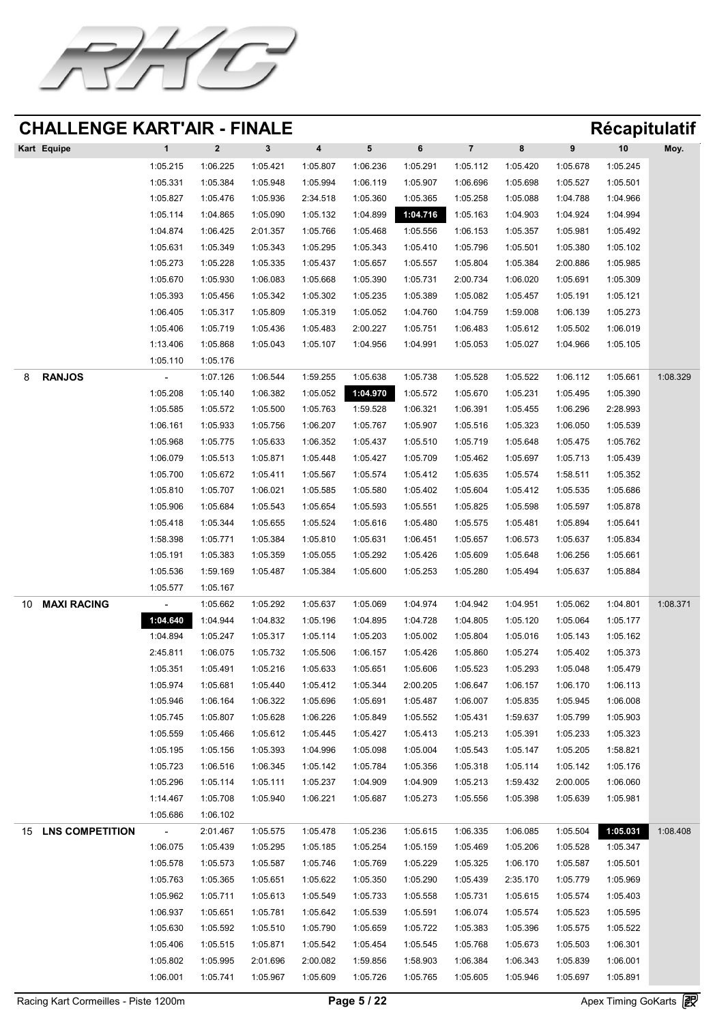![](_page_4_Picture_0.jpeg)

| Kart Equipe |          |          |          | 4        |          |          |          | 8        | 9        | 10       | Moy. |
|-------------|----------|----------|----------|----------|----------|----------|----------|----------|----------|----------|------|
|             | 1:05.215 | 1:06.225 | 1:05.421 | 1:05.807 | 1:06.236 | 1:05.291 | 1:05.112 | 1:05.420 | 1:05.678 | 1:05.245 |      |
|             | 1:05.331 | 1:05.384 | 1:05.948 | 1:05.994 | 1:06.119 | 1:05.907 | 1:06.696 | 1:05.698 | 1:05.527 | 1:05.501 |      |
|             | 1:05.827 | 1:05.476 | 1:05.936 | 2:34.518 | 1:05.360 | 1:05.365 | 1:05.258 | 1:05.088 | 1:04.788 | 1:04.966 |      |
|             | 1:05.114 | 1:04.865 | 1:05.090 | 1:05.132 | 1:04.899 | 1:04.716 | 1:05.163 | 1:04.903 | 1:04.924 | 1:04.994 |      |
|             | 1:04.874 | 1:06.425 | 2:01.357 | 1:05.766 | 1:05.468 | 1:05.556 | 1:06.153 | 1:05.357 | 1:05.981 | 1:05.492 |      |
|             | 1:05.631 | 1:05.349 | 1:05.343 | 1:05.295 | 1:05.343 | 1:05.410 | 1:05.796 | 1:05.501 | 1:05.380 | 1:05.102 |      |

|    |                    | 1:05.273       | 1:05.228 | 1:05.335 | 1:05.437 | 1:05.657          | 1:05.557 | 1:05.804 | 1:05.384 | 2:00.886 | 1:05.985 |          |
|----|--------------------|----------------|----------|----------|----------|-------------------|----------|----------|----------|----------|----------|----------|
|    |                    | 1:05.670       | 1:05.930 | 1:06.083 | 1:05.668 | 1:05.390          | 1:05.731 | 2:00.734 | 1:06.020 | 1:05.691 | 1:05.309 |          |
|    |                    | 1:05.393       | 1:05.456 | 1:05.342 | 1:05.302 | 1:05.235          | 1:05.389 | 1:05.082 | 1:05.457 | 1:05.191 | 1:05.121 |          |
|    |                    | 1:06.405       | 1:05.317 | 1:05.809 | 1:05.319 | 1:05.052          | 1:04.760 | 1:04.759 | 1:59.008 | 1:06.139 | 1:05.273 |          |
|    |                    | 1:05.406       | 1:05.719 | 1:05.436 | 1:05.483 | 2:00.227          | 1:05.751 | 1:06.483 | 1:05.612 | 1:05.502 | 1:06.019 |          |
|    |                    | 1:13.406       | 1:05.868 | 1:05.043 | 1:05.107 | 1:04.956          | 1:04.991 | 1:05.053 | 1:05.027 | 1:04.966 | 1:05.105 |          |
|    |                    | 1:05.110       | 1:05.176 |          |          |                   |          |          |          |          |          |          |
|    | <b>RANJOS</b>      |                | 1:07.126 | 1:06.544 | 1:59.255 | 1:05.638          | 1:05.738 | 1:05.528 | 1:05.522 | 1:06.112 | 1:05.661 | 1:08.329 |
|    |                    | 1:05.208       | 1:05.140 | 1:06.382 |          | 1:05.052 1:04.970 | 1:05.572 | 1:05.670 | 1:05.231 | 1:05.495 | 1:05.390 |          |
|    |                    | 1:05.585       | 1:05.572 | 1:05.500 | 1:05.763 | 1:59.528          | 1:06.321 | 1:06.391 | 1:05.455 | 1:06.296 | 2:28.993 |          |
|    |                    | 1:06.161       | 1:05.933 | 1:05.756 | 1:06.207 | 1:05.767          | 1:05.907 | 1:05.516 | 1:05.323 | 1:06.050 | 1:05.539 |          |
|    |                    | 1:05.968       | 1:05.775 | 1:05.633 | 1:06.352 | 1:05.437          | 1:05.510 | 1:05.719 | 1:05.648 | 1:05.475 | 1:05.762 |          |
|    |                    | 1:06.079       | 1:05.513 | 1:05.871 | 1:05.448 | 1:05.427          | 1:05.709 | 1:05.462 | 1:05.697 | 1:05.713 | 1:05.439 |          |
|    |                    | 1:05.700       | 1:05.672 | 1:05.411 | 1:05.567 | 1:05.574          | 1:05.412 | 1:05.635 | 1:05.574 | 1:58.511 | 1:05.352 |          |
|    |                    | 1:05.810       | 1:05.707 | 1:06.021 | 1:05.585 | 1:05.580          | 1:05.402 | 1:05.604 | 1:05.412 | 1:05.535 | 1:05.686 |          |
|    |                    | 1:05.906       | 1:05.684 | 1:05.543 | 1:05.654 | 1:05.593          | 1:05.551 | 1:05.825 | 1:05.598 | 1:05.597 | 1:05.878 |          |
|    |                    | 1:05.418       | 1:05.344 | 1:05.655 | 1:05.524 | 1:05.616          | 1:05.480 | 1:05.575 | 1:05.481 | 1:05.894 | 1:05.641 |          |
|    |                    | 1:58.398       | 1:05.771 | 1:05.384 | 1:05.810 | 1:05.631          | 1:06.451 | 1:05.657 | 1:06.573 | 1:05.637 | 1:05.834 |          |
|    |                    | 1:05.191       | 1:05.383 | 1:05.359 | 1:05.055 | 1:05.292          | 1:05.426 | 1:05.609 | 1:05.648 | 1:06.256 | 1:05.661 |          |
|    |                    | 1:05.536       | 1:59.169 | 1:05.487 | 1:05.384 | 1:05.600          | 1:05.253 | 1:05.280 | 1:05.494 | 1:05.637 | 1:05.884 |          |
|    |                    | 1:05.577       | 1:05.167 |          |          |                   |          |          |          |          |          |          |
| 10 | <b>MAXI RACING</b> | $\sim$         | 1:05.662 | 1:05.292 | 1:05.637 | 1:05.069          | 1:04.974 | 1:04.942 | 1:04.951 | 1:05.062 | 1:04.801 | 1:08.371 |
|    |                    | 1:04.640       | 1:04.944 | 1:04.832 | 1:05.196 | 1:04.895          | 1:04.728 | 1:04.805 | 1:05.120 | 1:05.064 | 1:05.177 |          |
|    |                    | 1:04.894       | 1:05.247 | 1:05.317 | 1:05.114 | 1:05.203          | 1:05.002 | 1:05.804 | 1:05.016 | 1:05.143 | 1:05.162 |          |
|    |                    | 2:45.811       | 1:06.075 | 1:05.732 | 1:05.506 | 1:06.157          | 1:05.426 | 1:05.860 | 1:05.274 | 1:05.402 | 1:05.373 |          |
|    |                    | 1:05.351       | 1:05.491 | 1:05.216 | 1:05.633 | 1:05.651          | 1:05.606 | 1:05.523 | 1:05.293 | 1:05.048 | 1:05.479 |          |
|    |                    | 1:05.974       | 1:05.681 | 1:05.440 | 1:05.412 | 1:05.344          | 2:00.205 | 1:06.647 | 1:06.157 | 1:06.170 | 1:06.113 |          |
|    |                    | 1:05.946       | 1:06.164 | 1:06.322 | 1:05.696 | 1:05.691          | 1:05.487 | 1:06.007 | 1:05.835 | 1:05.945 | 1:06.008 |          |
|    |                    | 1:05.745       | 1:05.807 | 1:05.628 | 1:06.226 | 1:05.849          | 1:05.552 | 1:05.431 | 1:59.637 | 1:05.799 | 1:05.903 |          |
|    |                    | 1:05.559       | 1:05.466 | 1:05.612 | 1:05.445 | 1:05.427          | 1:05.413 | 1:05.213 | 1:05.391 | 1:05.233 | 1:05.323 |          |
|    |                    | 1:05.195       | 1:05.156 | 1:05.393 | 1:04.996 | 1:05.098          | 1:05.004 | 1:05.543 | 1:05.147 | 1:05.205 | 1:58.821 |          |
|    |                    | 1:05.723       | 1:06.516 | 1:06.345 | 1:05.142 | 1:05.784          | 1:05.356 | 1:05.318 | 1:05.114 | 1:05.142 | 1:05.176 |          |
|    |                    | 1:05.296       | 1:05.114 | 1:05.111 | 1:05.237 | 1:04.909          | 1:04.909 | 1:05.213 | 1:59.432 | 2:00.005 | 1:06.060 |          |
|    |                    | 1:14.467       | 1:05.708 | 1:05.940 | 1:06.221 | 1:05.687          | 1:05.273 | 1:05.556 | 1:05.398 | 1:05.639 | 1:05.981 |          |
|    |                    | 1:05.686       | 1:06.102 |          |          |                   |          |          |          |          |          |          |
| 15 | LNS COMPETITION    | $\blacksquare$ | 2:01.467 | 1:05.575 | 1:05.478 | 1:05.236          | 1:05.615 | 1:06.335 | 1:06.085 | 1:05.504 | 1:05.031 | 1:08.408 |
|    |                    | 1:06.075       | 1:05.439 | 1:05.295 | 1:05.185 | 1:05.254          | 1:05.159 | 1:05.469 | 1:05.206 | 1:05.528 | 1:05.347 |          |
|    |                    | 1:05.578       | 1:05.573 | 1:05.587 | 1:05.746 | 1:05.769          | 1:05.229 | 1:05.325 | 1:06.170 | 1:05.587 | 1:05.501 |          |
|    |                    | 1:05.763       | 1:05.365 | 1:05.651 | 1:05.622 | 1:05.350          | 1:05.290 | 1:05.439 | 2:35.170 | 1:05.779 | 1:05.969 |          |
|    |                    | 1:05.962       | 1:05.711 | 1:05.613 | 1:05.549 | 1:05.733          | 1:05.558 | 1:05.731 | 1:05.615 | 1:05.574 | 1:05.403 |          |
|    |                    | 1:06.937       | 1:05.651 | 1:05.781 | 1:05.642 | 1:05.539          | 1:05.591 | 1:06.074 | 1:05.574 | 1:05.523 | 1:05.595 |          |
|    |                    | 1:05.630       | 1:05.592 | 1:05.510 | 1:05.790 | 1:05.659          | 1:05.722 | 1:05.383 | 1:05.396 | 1:05.575 | 1:05.522 |          |
|    |                    | 1:05.406       | 1:05.515 | 1:05.871 | 1:05.542 | 1:05.454          | 1:05.545 | 1:05.768 | 1:05.673 | 1:05.503 | 1:06.301 |          |
|    |                    | 1:05.802       | 1:05.995 | 2:01.696 | 2:00.082 | 1:59.856          | 1:58.903 | 1:06.384 | 1:06.343 | 1:05.839 | 1:06.001 |          |
|    |                    | 1:06.001       | 1:05.741 | 1:05.967 | 1:05.609 | 1:05.726          | 1:05.765 | 1:05.605 | 1:05.946 | 1:05.697 | 1:05.891 |          |

Racing Kart Cormeilles - Piste 1200m **Page 5 / 22** Apex Timing GoKarts **图**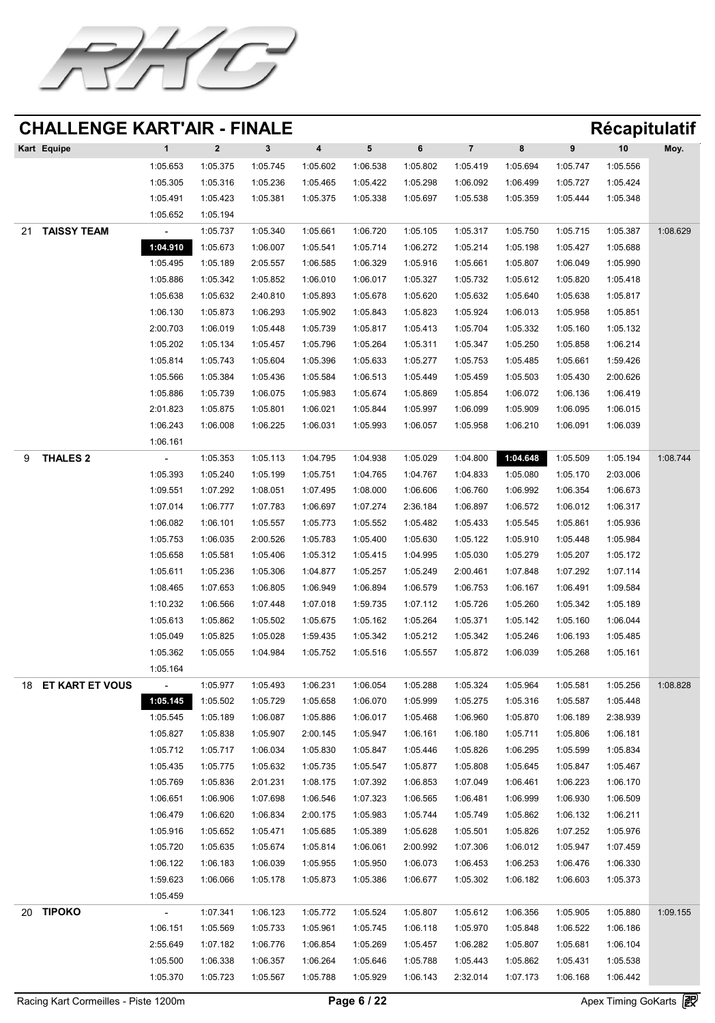![](_page_5_Picture_0.jpeg)

| Kart Equipe       |                |          |          |          |          | 6        |          |          |          | 10       | Moy.     |
|-------------------|----------------|----------|----------|----------|----------|----------|----------|----------|----------|----------|----------|
|                   | 1:05.653       | 1:05.375 | 1:05.745 | 1:05.602 | 1:06.538 | 1:05.802 | 1:05.419 | 1:05.694 | 1:05.747 | 1:05.556 |          |
|                   | 1:05.305       | 1:05.316 | 1:05.236 | 1:05.465 | 1:05.422 | 1:05.298 | 1:06.092 | 1:06.499 | 1:05.727 | 1:05.424 |          |
|                   | 1:05.491       | 1:05.423 | 1:05.381 | 1:05.375 | 1:05.338 | 1:05.697 | 1:05.538 | 1:05.359 | 1:05.444 | 1:05.348 |          |
|                   | 1:05.652       | 1:05.194 |          |          |          |          |          |          |          |          |          |
| TAISSY TEAM<br>21 | $\blacksquare$ | 1:05.737 | 1:05.340 | 1:05.661 | 1:06.720 | 1:05.105 | 1:05.317 | 1:05.750 | 1:05.715 | 1:05.387 | 1:08.629 |
|                   | 1:04.910       | 1:05.673 | 1:06.007 | 1:05.541 | 1:05.714 | 1:06.272 | 1:05.214 | 1:05.198 | 1:05.427 | 1:05.688 |          |

|    |                    | 1:05.495 | 1:05.189 | 2:05.557 | 1:06.585 | 1:06.329 | 1:05.916 | 1:05.661          | 1:05.807 | 1:06.049 | 1:05.990 |          |
|----|--------------------|----------|----------|----------|----------|----------|----------|-------------------|----------|----------|----------|----------|
|    |                    | 1:05.886 | 1:05.342 | 1:05.852 | 1:06.010 | 1:06.017 | 1:05.327 | 1:05.732          | 1:05.612 | 1:05.820 | 1:05.418 |          |
|    |                    | 1:05.638 | 1:05.632 | 2:40.810 | 1:05.893 | 1:05.678 | 1:05.620 | 1:05.632          | 1:05.640 | 1:05.638 | 1:05.817 |          |
|    |                    | 1:06.130 | 1:05.873 | 1:06.293 | 1:05.902 | 1:05.843 | 1:05.823 | 1:05.924          | 1:06.013 | 1:05.958 | 1:05.851 |          |
|    |                    | 2:00.703 | 1:06.019 | 1:05.448 | 1:05.739 | 1:05.817 | 1:05.413 | 1:05.704          | 1:05.332 | 1:05.160 | 1:05.132 |          |
|    |                    | 1:05.202 | 1:05.134 | 1:05.457 | 1:05.796 | 1:05.264 | 1:05.311 | 1:05.347          | 1:05.250 | 1:05.858 | 1:06.214 |          |
|    |                    | 1:05.814 | 1:05.743 | 1:05.604 | 1:05.396 | 1:05.633 | 1:05.277 | 1:05.753          | 1:05.485 | 1:05.661 | 1:59.426 |          |
|    |                    | 1:05.566 | 1:05.384 | 1:05.436 | 1:05.584 | 1:06.513 | 1:05.449 | 1:05.459          | 1:05.503 | 1:05.430 | 2:00.626 |          |
|    |                    | 1:05.886 | 1:05.739 | 1:06.075 | 1:05.983 | 1:05.674 | 1:05.869 | 1:05.854          | 1:06.072 | 1:06.136 | 1:06.419 |          |
|    |                    | 2:01.823 | 1:05.875 | 1:05.801 | 1:06.021 | 1:05.844 | 1:05.997 | 1:06.099          | 1:05.909 | 1:06.095 | 1:06.015 |          |
|    |                    | 1:06.243 | 1:06.008 | 1:06.225 | 1:06.031 | 1:05.993 | 1:06.057 | 1:05.958          | 1:06.210 | 1:06.091 | 1:06.039 |          |
|    |                    | 1:06.161 |          |          |          |          |          |                   |          |          |          |          |
|    | THALES 2           |          | 1:05.353 | 1:05.113 | 1:04.795 | 1:04.938 | 1:05.029 | 1:04.800          | 1:04.648 | 1:05.509 | 1:05.194 | 1:08.744 |
|    |                    | 1:05.393 | 1:05.240 | 1:05.199 | 1:05.751 | 1:04.765 | 1:04.767 | 1:04.833          | 1:05.080 | 1:05.170 | 2:03.006 |          |
|    |                    | 1:09.551 | 1:07.292 | 1:08.051 | 1:07.495 | 1:08.000 | 1:06.606 | 1:06.760          | 1:06.992 | 1:06.354 | 1:06.673 |          |
|    |                    | 1:07.014 | 1:06.777 | 1:07.783 | 1:06.697 | 1:07.274 | 2:36.184 | 1:06.897          | 1:06.572 | 1:06.012 | 1:06.317 |          |
|    |                    | 1:06.082 | 1:06.101 | 1:05.557 | 1:05.773 | 1:05.552 | 1:05.482 | 1:05.433          | 1:05.545 | 1:05.861 | 1:05.936 |          |
|    |                    | 1:05.753 | 1:06.035 | 2:00.526 | 1:05.783 | 1:05.400 | 1:05.630 | 1:05.122          | 1:05.910 | 1:05.448 | 1:05.984 |          |
|    |                    | 1:05.658 | 1:05.581 | 1:05.406 | 1:05.312 | 1:05.415 | 1:04.995 | 1:05.030          | 1:05.279 | 1:05.207 | 1:05.172 |          |
|    |                    | 1:05.611 | 1:05.236 | 1:05.306 | 1:04.877 | 1:05.257 | 1:05.249 | 2:00.461          | 1:07.848 | 1:07.292 | 1:07.114 |          |
|    |                    | 1:08.465 | 1:07.653 | 1:06.805 | 1:06.949 | 1:06.894 | 1:06.579 | 1:06.753          | 1:06.167 | 1:06.491 | 1:09.584 |          |
|    |                    | 1:10.232 | 1:06.566 | 1:07.448 | 1:07.018 | 1:59.735 | 1:07.112 | 1:05.726          | 1:05.260 | 1:05.342 | 1:05.189 |          |
|    |                    | 1:05.613 | 1:05.862 | 1:05.502 | 1:05.675 | 1:05.162 | 1:05.264 | 1:05.371          | 1:05.142 | 1:05.160 | 1:06.044 |          |
|    |                    | 1:05.049 | 1:05.825 | 1:05.028 | 1:59.435 | 1:05.342 | 1:05.212 | 1:05.342          | 1:05.246 | 1:06.193 | 1:05.485 |          |
|    |                    | 1:05.362 | 1:05.055 | 1:04.984 | 1:05.752 | 1:05.516 | 1:05.557 | 1:05.872          | 1:06.039 | 1:05.268 | 1:05.161 |          |
|    |                    | 1:05.164 |          |          |          |          |          |                   |          |          |          |          |
|    | 18 ET KART ET VOUS | $\sim$   | 1:05.977 | 1:05.493 | 1:06.231 | 1:06.054 | 1:05.288 | 1:05.324          | 1:05.964 | 1:05.581 | 1:05.256 | 1:08.828 |
|    |                    | 1:05.145 | 1:05.502 | 1:05.729 | 1:05.658 | 1:06.070 | 1:05.999 | 1:05.275          | 1:05.316 | 1:05.587 | 1:05.448 |          |
|    |                    | 1:05.545 | 1:05.189 | 1:06.087 | 1:05.886 | 1:06.017 | 1:05.468 | 1:06.960          | 1:05.870 | 1:06.189 | 2:38.939 |          |
|    |                    | 1:05.827 | 1:05.838 | 1:05.907 | 2:00.145 | 1:05.947 | 1:06.161 | 1:06.180          | 1:05.711 | 1:05.806 | 1:06.181 |          |
|    |                    | 1:05.712 | 1:05.717 | 1:06.034 | 1:05.830 | 1:05.847 | 1:05.446 | 1:05.826          | 1:06.295 | 1:05.599 | 1:05.834 |          |
|    |                    | 1:05.435 | 1:05.775 | 1:05.632 | 1:05.735 | 1:05.547 | 1:05.877 | 1:05.808          | 1:05.645 | 1:05.847 | 1:05.467 |          |
|    |                    | 1:05.769 | 1:05.836 | 2:01.231 | 1:08.175 | 1:07.392 | 1:06.853 | 1:07.049          | 1:06.461 | 1:06.223 | 1:06.170 |          |
|    |                    | 1:06.651 | 1:06.906 | 1:07.698 | 1:06.546 | 1:07.323 |          | 1:06.565 1:06.481 | 1:06.999 | 1:06.930 | 1:06.509 |          |
|    |                    | 1:06.479 | 1:06.620 | 1:06.834 | 2:00.175 | 1:05.983 | 1:05.744 | 1:05.749          | 1:05.862 | 1:06.132 | 1:06.211 |          |
|    |                    | 1:05.916 | 1:05.652 | 1:05.471 | 1:05.685 | 1:05.389 | 1:05.628 | 1:05.501          | 1:05.826 | 1:07.252 | 1:05.976 |          |
|    |                    | 1:05.720 | 1:05.635 | 1:05.674 | 1:05.814 | 1:06.061 | 2:00.992 | 1:07.306          | 1:06.012 | 1:05.947 | 1:07.459 |          |
|    |                    | 1:06.122 | 1:06.183 | 1:06.039 | 1:05.955 | 1:05.950 | 1:06.073 | 1:06.453          | 1:06.253 | 1:06.476 | 1:06.330 |          |
|    |                    | 1:59.623 | 1:06.066 | 1:05.178 | 1:05.873 | 1:05.386 | 1:06.677 | 1:05.302          | 1:06.182 | 1:06.603 | 1:05.373 |          |
|    |                    | 1:05.459 |          |          |          |          |          |                   |          |          |          |          |
| 20 | TIPOKO             | $\sim$   | 1:07.341 | 1:06.123 | 1:05.772 | 1:05.524 | 1:05.807 | 1:05.612          | 1:06.356 | 1:05.905 | 1:05.880 | 1:09.155 |
|    |                    | 1:06.151 | 1:05.569 | 1:05.733 | 1:05.961 | 1:05.745 | 1:06.118 | 1:05.970          | 1:05.848 | 1:06.522 | 1:06.186 |          |
|    |                    | 2:55.649 | 1:07.182 | 1:06.776 | 1:06.854 | 1:05.269 | 1:05.457 | 1:06.282          | 1:05.807 | 1:05.681 | 1:06.104 |          |
|    |                    |          |          |          |          |          |          |                   |          |          |          |          |
|    |                    | 1:05.500 | 1:06.338 | 1:06.357 | 1:06.264 | 1:05.646 | 1:05.788 | 1:05.443          | 1:05.862 | 1:05.431 | 1:05.538 |          |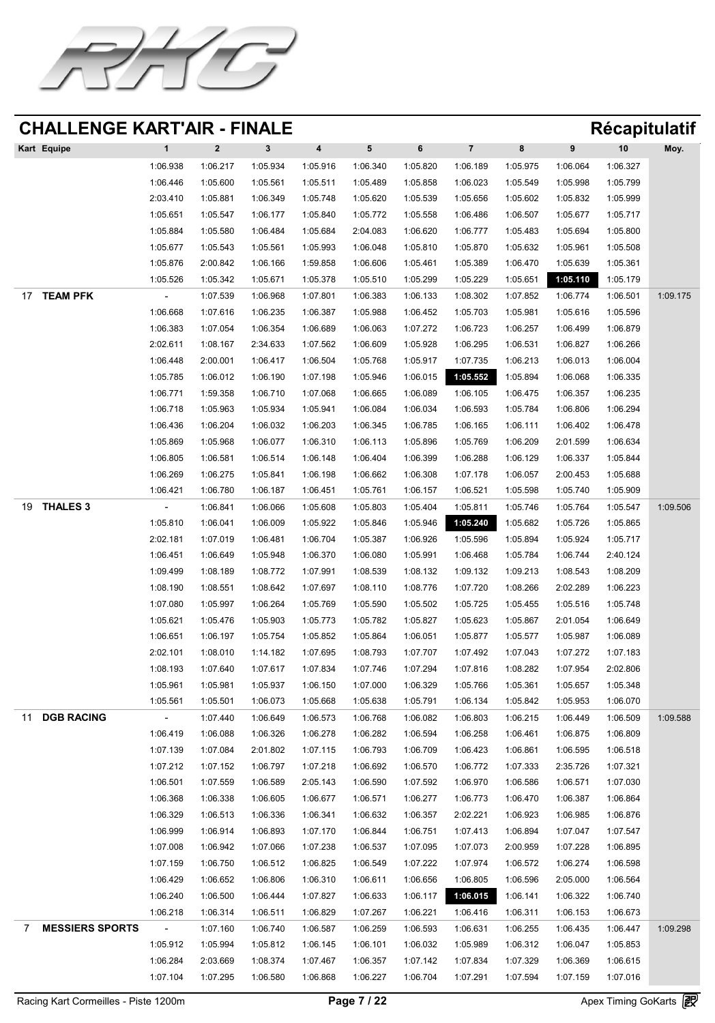![](_page_6_Picture_0.jpeg)

| Kart Equipe |          |          |          | 4        |          |          |          | 8        |          | 10       | Moy. |
|-------------|----------|----------|----------|----------|----------|----------|----------|----------|----------|----------|------|
|             | 1:06.938 | 1:06.217 | 1:05.934 | 1:05.916 | 1:06.340 | 1:05.820 | 1:06.189 | 1:05.975 | 1:06.064 | 1:06.327 |      |
|             | 1:06.446 | 1:05.600 | 1:05.561 | 1:05.511 | 1:05.489 | 1:05.858 | 1:06.023 | 1:05.549 | 1:05.998 | 1:05.799 |      |
|             | 2:03.410 | 1:05.881 | 1:06.349 | 1:05.748 | 1:05.620 | 1:05.539 | 1:05.656 | 1:05.602 | 1:05.832 | 1:05.999 |      |
|             | 1:05.651 | 1:05.547 | 1:06.177 | 1:05.840 | 1:05.772 | 1:05.558 | 1:06.486 | 1:06.507 | 1:05.677 | 1:05.717 |      |
|             | 1:05.884 | 1:05.580 | 1:06.484 | 1:05.684 | 2:04.083 | 1:06.620 | 1:06.777 | 1:05.483 | 1:05.694 | 1:05.800 |      |
|             | 1:05.677 | 1:05.543 | 1:05.561 | 1:05.993 | 1:06.048 | 1:05.810 | 1:05.870 | 1:05.632 | 1:05.961 | 1:05.508 |      |

|    |                        | 1:05.876 | 2:00.842 | 1:06.166 | 1:59.858 | 1:06.606 | 1:05.461 | 1:05.389 | 1:06.470 | 1:05.639 | 1:05.361 |          |
|----|------------------------|----------|----------|----------|----------|----------|----------|----------|----------|----------|----------|----------|
|    |                        | 1:05.526 | 1:05.342 | 1:05.671 | 1:05.378 | 1:05.510 | 1:05.299 | 1:05.229 | 1:05.651 | 1:05.110 | 1:05.179 |          |
|    | TEAM PFK               | $\sim$   | 1:07.539 | 1:06.968 | 1:07.801 | 1:06.383 | 1:06.133 | 1:08.302 | 1:07.852 | 1:06.774 | 1:06.501 | 1:09.175 |
|    |                        | 1:06.668 | 1:07.616 | 1:06.235 | 1:06.387 | 1:05.988 | 1:06.452 | 1:05.703 | 1:05.981 | 1:05.616 | 1:05.596 |          |
|    |                        | 1:06.383 | 1:07.054 | 1:06.354 | 1:06.689 | 1:06.063 | 1:07.272 | 1:06.723 | 1:06.257 | 1:06.499 | 1:06.879 |          |
|    |                        | 2:02.611 | 1:08.167 | 2:34.633 | 1:07.562 | 1:06.609 | 1:05.928 | 1:06.295 | 1:06.531 | 1:06.827 | 1:06.266 |          |
|    |                        | 1:06.448 | 2:00.001 | 1:06.417 | 1:06.504 | 1:05.768 | 1:05.917 | 1:07.735 | 1:06.213 | 1:06.013 | 1:06.004 |          |
|    |                        | 1:05.785 | 1:06.012 | 1:06.190 | 1:07.198 | 1:05.946 | 1:06.015 | 1:05.552 | 1:05.894 | 1:06.068 | 1:06.335 |          |
|    |                        | 1:06.771 | 1:59.358 | 1:06.710 | 1:07.068 | 1:06.665 | 1:06.089 | 1:06.105 | 1:06.475 | 1:06.357 | 1:06.235 |          |
|    |                        | 1:06.718 | 1:05.963 | 1:05.934 | 1:05.941 | 1:06.084 | 1:06.034 | 1:06.593 | 1:05.784 | 1:06.806 | 1:06.294 |          |
|    |                        | 1:06.436 | 1:06.204 | 1:06.032 | 1:06.203 | 1:06.345 | 1:06.785 | 1:06.165 | 1:06.111 | 1:06.402 | 1:06.478 |          |
|    |                        | 1:05.869 | 1:05.968 | 1:06.077 | 1:06.310 | 1:06.113 | 1:05.896 | 1:05.769 | 1:06.209 | 2:01.599 | 1:06.634 |          |
|    |                        | 1:06.805 | 1:06.581 | 1:06.514 | 1:06.148 | 1:06.404 | 1:06.399 | 1:06.288 | 1:06.129 | 1:06.337 | 1:05.844 |          |
|    |                        | 1:06.269 | 1:06.275 | 1:05.841 | 1:06.198 | 1:06.662 | 1:06.308 | 1:07.178 | 1:06.057 | 2:00.453 | 1:05.688 |          |
|    |                        | 1:06.421 | 1:06.780 | 1:06.187 | 1:06.451 | 1:05.761 | 1:06.157 | 1:06.521 | 1:05.598 | 1:05.740 | 1:05.909 |          |
| 19 | THALES 3               |          | 1:06.841 | 1:06.066 | 1:05.608 | 1:05.803 | 1:05.404 | 1:05.811 | 1:05.746 | 1:05.764 | 1:05.547 | 1:09.506 |
|    |                        | 1:05.810 | 1:06.041 | 1:06.009 | 1:05.922 | 1:05.846 | 1:05.946 | 1:05.240 | 1:05.682 | 1:05.726 | 1:05.865 |          |
|    |                        | 2:02.181 | 1:07.019 | 1:06.481 | 1:06.704 | 1:05.387 | 1:06.926 | 1:05.596 | 1:05.894 | 1:05.924 | 1:05.717 |          |
|    |                        | 1:06.451 | 1:06.649 | 1:05.948 | 1:06.370 | 1:06.080 | 1:05.991 | 1:06.468 | 1:05.784 | 1:06.744 | 2:40.124 |          |
|    |                        | 1:09.499 | 1:08.189 | 1:08.772 | 1:07.991 | 1:08.539 | 1:08.132 | 1:09.132 | 1:09.213 | 1:08.543 | 1:08.209 |          |
|    |                        | 1:08.190 | 1:08.551 | 1:08.642 | 1:07.697 | 1:08.110 | 1:08.776 | 1:07.720 | 1:08.266 | 2:02.289 | 1:06.223 |          |
|    |                        | 1:07.080 | 1:05.997 | 1:06.264 | 1:05.769 | 1:05.590 | 1:05.502 | 1:05.725 | 1:05.455 | 1:05.516 | 1:05.748 |          |
|    |                        | 1:05.621 | 1:05.476 | 1:05.903 | 1:05.773 | 1:05.782 | 1:05.827 | 1:05.623 | 1:05.867 | 2:01.054 | 1:06.649 |          |
|    |                        | 1:06.651 | 1:06.197 | 1:05.754 | 1:05.852 | 1:05.864 | 1:06.051 | 1:05.877 | 1:05.577 | 1:05.987 | 1:06.089 |          |
|    |                        | 2:02.101 | 1:08.010 | 1:14.182 | 1:07.695 | 1:08.793 | 1:07.707 | 1:07.492 | 1:07.043 | 1:07.272 | 1:07.183 |          |
|    |                        | 1:08.193 | 1:07.640 | 1:07.617 | 1:07.834 | 1:07.746 | 1:07.294 | 1:07.816 | 1:08.282 | 1:07.954 | 2:02.806 |          |
|    |                        | 1:05.961 | 1:05.981 | 1:05.937 | 1:06.150 | 1:07.000 | 1:06.329 | 1:05.766 | 1:05.361 | 1:05.657 | 1:05.348 |          |
|    |                        | 1:05.561 | 1:05.501 | 1:06.073 | 1:05.668 | 1:05.638 | 1:05.791 | 1:06.134 | 1:05.842 | 1:05.953 | 1:06.070 |          |
|    | DGB RACING             | $\sim$   | 1:07.440 | 1:06.649 | 1:06.573 | 1:06.768 | 1:06.082 | 1:06.803 | 1:06.215 | 1:06.449 | 1:06.509 | 1:09.588 |
|    |                        | 1:06.419 | 1:06.088 | 1:06.326 | 1:06.278 | 1:06.282 | 1:06.594 | 1:06.258 | 1:06.461 | 1:06.875 | 1:06.809 |          |
|    |                        | 1:07.139 | 1:07.084 | 2:01.802 | 1:07.115 | 1:06.793 | 1:06.709 | 1:06.423 | 1:06.861 | 1:06.595 | 1:06.518 |          |
|    |                        | 1:07.212 | 1:07.152 | 1:06.797 | 1:07.218 | 1:06.692 | 1:06.570 | 1:06.772 | 1:07.333 | 2:35.726 | 1:07.321 |          |
|    |                        | 1:06.501 | 1:07.559 | 1:06.589 | 2:05.143 | 1:06.590 | 1:07.592 | 1:06.970 | 1:06.586 | 1:06.571 | 1:07.030 |          |
|    |                        | 1:06.368 | 1:06.338 | 1:06.605 | 1:06.677 | 1:06.571 | 1:06.277 | 1:06.773 | 1:06.470 | 1:06.387 | 1:06.864 |          |
|    |                        | 1:06.329 | 1:06.513 | 1:06.336 | 1:06.341 | 1:06.632 | 1:06.357 | 2:02.221 | 1:06.923 | 1:06.985 | 1:06.876 |          |
|    |                        | 1:06.999 | 1:06.914 | 1:06.893 | 1:07.170 | 1:06.844 | 1:06.751 | 1:07.413 | 1:06.894 | 1:07.047 | 1:07.547 |          |
|    |                        | 1:07.008 | 1:06.942 | 1:07.066 | 1:07.238 | 1:06.537 | 1:07.095 | 1:07.073 | 2:00.959 | 1:07.228 | 1:06.895 |          |
|    |                        | 1:07.159 | 1:06.750 | 1:06.512 | 1:06.825 | 1:06.549 | 1:07.222 | 1:07.974 | 1:06.572 | 1:06.274 | 1:06.598 |          |
|    |                        | 1:06.429 | 1:06.652 | 1:06.806 | 1:06.310 | 1:06.611 | 1:06.656 | 1:06.805 | 1:06.596 | 2:05.000 | 1:06.564 |          |
|    |                        | 1:06.240 | 1:06.500 | 1:06.444 | 1:07.827 | 1:06.633 | 1:06.117 | 1:06.015 | 1:06.141 | 1:06.322 | 1:06.740 |          |
|    |                        | 1:06.218 | 1:06.314 | 1:06.511 | 1:06.829 | 1:07.267 | 1:06.221 | 1:06.416 | 1:06.311 | 1:06.153 | 1:06.673 |          |
|    | <b>MESSIERS SPORTS</b> | $\sim$   | 1:07.160 | 1:06.740 | 1:06.587 | 1:06.259 | 1:06.593 | 1:06.631 | 1:06.255 | 1:06.435 | 1:06.447 | 1:09.298 |
|    |                        | 1:05.912 | 1:05.994 | 1:05.812 | 1:06.145 | 1:06.101 | 1:06.032 | 1:05.989 | 1:06.312 | 1:06.047 | 1:05.853 |          |
|    |                        | 1:06.284 | 2:03.669 | 1:08.374 | 1:07.467 | 1:06.357 | 1:07.142 | 1:07.834 | 1:07.329 | 1:06.369 | 1:06.615 |          |
|    |                        | 1:07.104 | 1:07.295 | 1:06.580 | 1:06.868 | 1:06.227 | 1:06.704 | 1:07.291 | 1:07.594 | 1:07.159 | 1:07.016 |          |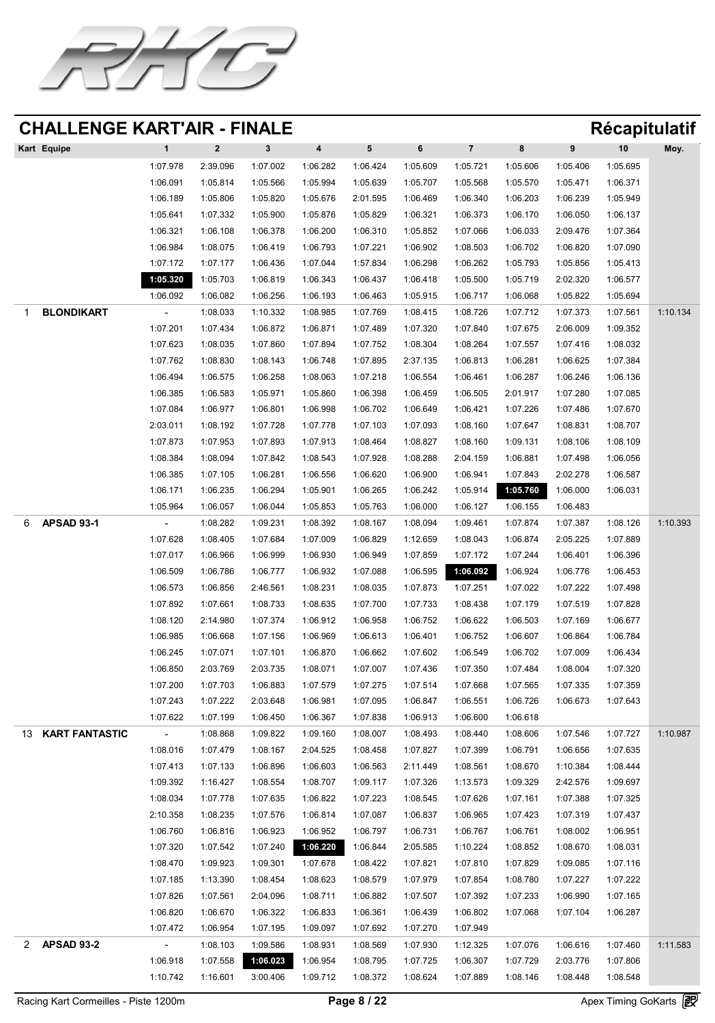![](_page_7_Picture_0.jpeg)

| <b>Kart Equipe</b> |          |          |          | $\overline{\mathbf{4}}$ | 5 <sup>1</sup> |          |          | 8        |          | 10       | Moy. |
|--------------------|----------|----------|----------|-------------------------|----------------|----------|----------|----------|----------|----------|------|
|                    | 1:07.978 | 2:39.096 | 1:07.002 | 1:06.282                | 1:06.424       | 1:05.609 | 1:05.721 | 1:05.606 | 1:05.406 | 1:05.695 |      |
|                    | 1:06.091 | 1:05.814 | 1:05.566 | 1:05.994                | 1:05.639       | 1:05.707 | 1:05.568 | 1:05.570 | 1:05.471 | 1:06.371 |      |
|                    | 1:06.189 | 1:05.806 | 1:05.820 | 1:05.676                | 2:01.595       | 1:06.469 | 1:06.340 | 1:06.203 | 1:06.239 | 1:05.949 |      |
|                    | 1:05.641 | 1:07.332 | 1:05.900 | 1:05.876                | 1:05.829       | 1:06.321 | 1:06.373 | 1:06.170 | 1:06.050 | 1:06.137 |      |
|                    | 1:06.321 | 1:06.108 | 1:06.378 | 1:06.200                | 1:06.310       | 1:05.852 | 1:07.066 | 1:06.033 | 2:09.476 | 1:07.364 |      |
|                    | 1:06.984 | 1:08.075 | 1:06.419 | 1:06.793                | 1:07.221       | 1:06.902 | 1:08.503 | 1:06.702 | 1:06.820 | 1:07.090 |      |

|                   | 1:07.172       | 1:07.177 | 1:06.436 | 1:07.044 | 1:57.834 | 1:06.298 | 1:06.262 | 1:05.793 | 1:05.856 | 1:05.413 |          |
|-------------------|----------------|----------|----------|----------|----------|----------|----------|----------|----------|----------|----------|
|                   | 1:05.320       | 1:05.703 | 1:06.819 | 1:06.343 | 1:06.437 | 1:06.418 | 1:05.500 | 1:05.719 | 2:02.320 | 1:06.577 |          |
|                   | 1:06.092       | 1:06.082 | 1:06.256 | 1:06.193 | 1:06.463 | 1:05.915 | 1:06.717 | 1:06.068 | 1:05.822 | 1:05.694 |          |
| BLONDIKART        | $\sim$         | 1:08.033 | 1:10.332 | 1:08.985 | 1:07.769 | 1:08.415 | 1:08.726 | 1:07.712 | 1:07.373 | 1:07.561 | 1:10.134 |
|                   | 1:07.201       | 1:07.434 | 1:06.872 | 1:06.871 | 1:07.489 | 1:07.320 | 1:07.840 | 1:07.675 | 2:06.009 | 1:09.352 |          |
|                   | 1:07.623       | 1:08.035 | 1:07.860 | 1:07.894 | 1:07.752 | 1:08.304 | 1:08.264 | 1:07.557 | 1:07.416 | 1:08.032 |          |
|                   | 1:07.762       | 1:08.830 | 1:08.143 | 1:06.748 | 1:07.895 | 2:37.135 | 1:06.813 | 1:06.281 | 1:06.625 | 1:07.384 |          |
|                   | 1:06.494       | 1:06.575 | 1:06.258 | 1:08.063 | 1:07.218 | 1:06.554 | 1:06.461 | 1:06.287 | 1:06.246 | 1:06.136 |          |
|                   | 1:06.385       | 1:06.583 | 1:05.971 | 1:05.860 | 1:06.398 | 1:06.459 | 1:06.505 | 2:01.917 | 1:07.280 | 1:07.085 |          |
|                   | 1:07.084       | 1:06.977 | 1:06.801 | 1:06.998 | 1:06.702 | 1:06.649 | 1:06.421 | 1:07.226 | 1:07.486 | 1:07.670 |          |
|                   | 2:03.011       | 1:08.192 | 1:07.728 | 1:07.778 | 1:07.103 | 1:07.093 | 1:08.160 | 1:07.647 | 1:08.831 | 1:08.707 |          |
|                   | 1:07.873       | 1:07.953 | 1:07.893 | 1:07.913 | 1:08.464 | 1:08.827 | 1:08.160 | 1:09.131 | 1:08.106 | 1:08.109 |          |
|                   | 1:08.384       | 1:08.094 | 1:07.842 | 1:08.543 | 1:07.928 | 1:08.288 | 2:04.159 | 1:06.881 | 1:07.498 | 1:06.056 |          |
|                   | 1:06.385       | 1:07.105 | 1:06.281 | 1:06.556 | 1:06.620 | 1:06.900 | 1:06.941 | 1:07.843 | 2:02.278 | 1:06.587 |          |
|                   | 1:06.171       | 1:06.235 | 1:06.294 | 1:05.901 | 1:06.265 | 1:06.242 | 1:05.914 | 1:05.760 | 1:06.000 | 1:06.031 |          |
|                   | 1:05.964       | 1:06.057 | 1:06.044 | 1:05.853 | 1:05.763 | 1:06.000 | 1:06.127 | 1:06.155 | 1:06.483 |          |          |
| <b>APSAD 93-1</b> |                | 1:08.282 | 1:09.231 | 1:08.392 | 1:08.167 | 1:08.094 | 1:09.461 | 1:07.874 | 1:07.387 | 1:08.126 | 1:10.393 |
|                   | 1:07.628       | 1:08.405 | 1:07.684 | 1:07.009 | 1:06.829 | 1:12.659 | 1:08.043 | 1:06.874 | 2:05.225 | 1:07.889 |          |
|                   | 1:07.017       | 1:06.966 | 1:06.999 | 1:06.930 | 1:06.949 | 1:07.859 | 1:07.172 | 1:07.244 | 1:06.401 | 1:06.396 |          |
|                   | 1:06.509       | 1:06.786 | 1:06.777 | 1:06.932 | 1:07.088 | 1:06.595 | 1:06.092 | 1:06.924 | 1:06.776 | 1:06.453 |          |
|                   | 1:06.573       | 1:06.856 | 2:46.561 | 1:08.231 | 1:08.035 | 1:07.873 | 1:07.251 | 1:07.022 | 1:07.222 | 1:07.498 |          |
|                   | 1:07.892       | 1:07.661 | 1:08.733 | 1:08.635 | 1:07.700 | 1:07.733 | 1:08.438 | 1:07.179 | 1:07.519 | 1:07.828 |          |
|                   | 1:08.120       | 2:14.980 | 1:07.374 | 1:06.912 | 1:06.958 | 1:06.752 | 1:06.622 | 1:06.503 | 1:07.169 | 1:06.677 |          |
|                   | 1:06.985       | 1:06.668 | 1:07.156 | 1:06.969 | 1:06.613 | 1:06.401 | 1:06.752 | 1:06.607 | 1:06.864 | 1:06.784 |          |
|                   | 1:06.245       | 1:07.071 | 1:07.101 | 1:06.870 | 1:06.662 | 1:07.602 | 1:06.549 | 1:06.702 | 1:07.009 | 1:06.434 |          |
|                   | 1:06.850       | 2:03.769 | 2:03.735 | 1:08.071 | 1:07.007 | 1:07.436 | 1:07.350 | 1:07.484 | 1:08.004 | 1:07.320 |          |
|                   | 1:07.200       | 1:07.703 | 1:06.883 | 1:07.579 | 1:07.275 | 1:07.514 | 1:07.668 | 1:07.565 | 1:07.335 | 1:07.359 |          |
|                   | 1:07.243       | 1:07.222 | 2:03.648 | 1:06.981 | 1:07.095 | 1:06.847 | 1:06.551 | 1:06.726 | 1:06.673 | 1:07.643 |          |
|                   | 1:07.622       | 1:07.199 | 1:06.450 | 1:06.367 | 1:07.838 | 1:06.913 | 1:06.600 | 1:06.618 |          |          |          |
| 13 KART FANTASTIC | $\sim$         | 1:08.868 | 1:09.822 | 1:09.160 | 1:08.007 | 1:08.493 | 1:08.440 | 1:08.606 | 1:07.546 | 1:07.727 | 1:10.987 |
|                   | 1:08.016       | 1:07.479 | 1:08.167 | 2:04.525 | 1:08.458 | 1:07.827 | 1:07.399 | 1:06.791 | 1:06.656 | 1:07.635 |          |
|                   | 1:07.413       | 1:07.133 | 1:06.896 | 1:06.603 | 1:06.563 | 2:11.449 | 1:08.561 | 1:08.670 | 1:10.384 | 1:08.444 |          |
|                   | 1:09.392       | 1:16.427 | 1:08.554 | 1:08.707 | 1:09.117 | 1:07.326 | 1:13.573 | 1:09.329 | 2:42.576 | 1:09.697 |          |
|                   | 1:08.034       | 1:07.778 | 1:07.635 | 1:06.822 | 1:07.223 | 1:08.545 | 1:07.626 | 1:07.161 | 1:07.388 | 1:07.325 |          |
|                   | 2:10.358       | 1:08.235 | 1:07.576 | 1:06.814 | 1:07.087 | 1:06.837 | 1:06.965 | 1:07.423 | 1:07.319 | 1:07.437 |          |
|                   | 1:06.760       | 1:06.816 | 1:06.923 | 1:06.952 | 1:06.797 | 1:06.731 | 1:06.767 | 1:06.761 | 1:08.002 | 1:06.951 |          |
|                   | 1:07.320       | 1:07.542 | 1:07.240 | 1:06.220 | 1:06.844 | 2:05.585 | 1:10.224 | 1:08.852 | 1:08.670 | 1:08.031 |          |
|                   | 1:08.470       | 1:09.923 | 1:09.301 | 1:07.678 | 1:08.422 | 1:07.821 | 1:07.810 | 1:07.829 | 1:09.085 | 1:07.116 |          |
|                   | 1:07.185       | 1:13.390 | 1:08.454 | 1:08.623 | 1:08.579 | 1:07.979 | 1:07.854 | 1:08.780 | 1:07.227 | 1:07.222 |          |
|                   | 1:07.826       | 1:07.561 | 2:04.096 | 1:08.711 | 1:06.882 | 1:07.507 | 1:07.392 | 1:07.233 | 1:06.990 | 1:07.165 |          |
|                   | 1:06.820       | 1:06.670 | 1:06.322 | 1:06.833 | 1:06.361 | 1:06.439 | 1:06.802 | 1:07.068 | 1:07.104 | 1:06.287 |          |
|                   | 1:07.472       | 1:06.954 | 1:07.195 | 1:09.097 | 1:07.692 | 1:07.270 | 1:07.949 |          |          |          |          |
| <b>APSAD 93-2</b> | $\blacksquare$ | 1:08.103 | 1:09.586 | 1:08.931 | 1:08.569 | 1:07.930 | 1:12.325 | 1:07.076 | 1:06.616 | 1:07.460 | 1:11.583 |
|                   | 1:06.918       | 1:07.558 | 1:06.023 | 1:06.954 | 1:08.795 | 1:07.725 | 1:06.307 | 1:07.729 | 2:03.776 | 1:07.806 |          |
|                   | 1:10.742       | 1:16.601 | 3:00.406 | 1:09.712 | 1:08.372 | 1:08.624 | 1:07.889 | 1:08.146 | 1:08.448 | 1:08.548 |          |

Racing Kart Cormeilles - Piste 1200m **Page 8 / 22** Apex Timing GoKarts **图**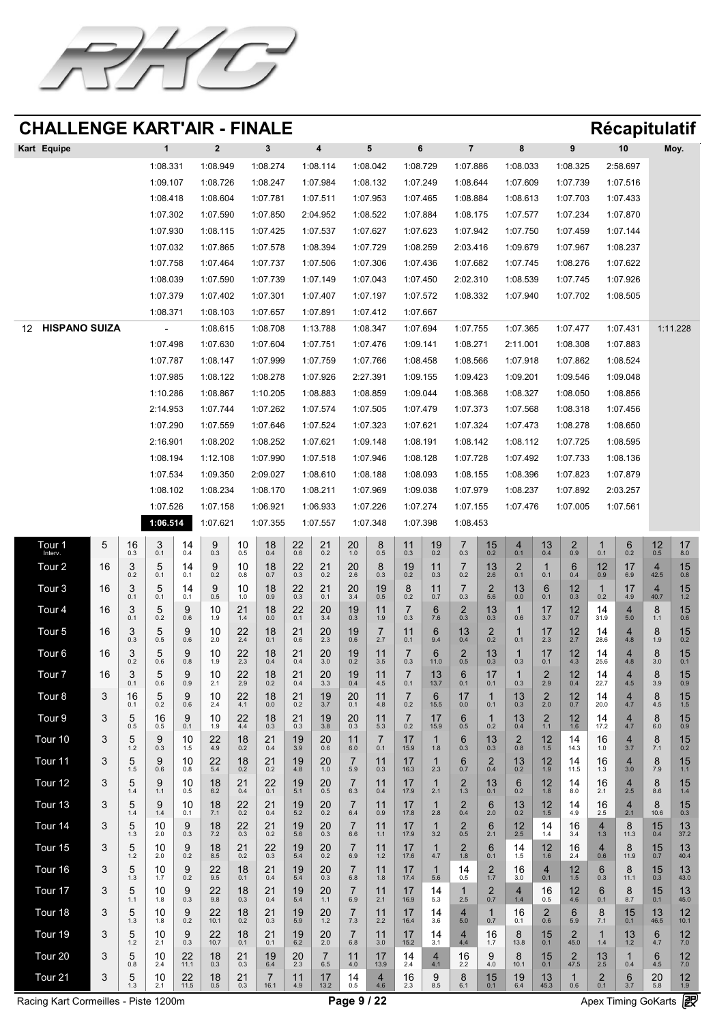![](_page_8_Picture_0.jpeg)

| <b>Kart Equipe</b> |          |          |          | 4        | 5 <sup>5</sup> | 6        |          | 8        |          | 10       | Moy. |
|--------------------|----------|----------|----------|----------|----------------|----------|----------|----------|----------|----------|------|
|                    | 1:08.331 | 1:08.949 | 1:08.274 | 1:08.114 | 1:08.042       | 1:08.729 | 1:07.886 | 1:08.033 | 1:08.325 | 2:58.697 |      |
|                    | 1:09.107 | 1:08.726 | 1:08.247 | 1:07.984 | 1:08.132       | 1:07.249 | 1:08.644 | 1:07.609 | 1:07.739 | 1:07.516 |      |
|                    | 1:08.418 | 1:08.604 | 1:07.781 | 1:07.511 | 1:07.953       | 1:07.465 | 1:08.884 | 1:08.613 | 1:07.703 | 1:07.433 |      |
|                    | 1:07.302 | 1:07.590 | 1:07.850 | 2:04.952 | 1:08.522       | 1:07.884 | 1:08.175 | 1:07.577 | 1:07.234 | 1:07.870 |      |
|                    | 1:07.930 | 1:08.115 | 1:07.425 | 1:07.537 | 1:07.627       | 1:07.623 | 1:07.942 | 1:07.750 | 1:07.459 | 1:07.144 |      |
|                    | 1:07.032 | 1:07.865 | 1:07.578 | 1:08.394 | 1:07.729       | 1:08.259 | 2:03.416 | 1:09.679 | 1:07.967 | 1:08.237 |      |

|                        | 1:07.758       | 1:07.464 | 1:07.737                                     | 1:07.506 | 1:07.306 | 1:07.436          | 1:07.682          | 1:07.745 | 1:08.276 | 1:07.622 |          |
|------------------------|----------------|----------|----------------------------------------------|----------|----------|-------------------|-------------------|----------|----------|----------|----------|
|                        | 1:08.039       | 1:07.590 | 1:07.739                                     | 1:07.149 | 1:07.043 | 1:07.450          | 2:02.310          | 1:08.539 | 1:07.745 | 1:07.926 |          |
|                        | 1:07.379       | 1:07.402 | 1:07.301                                     | 1:07.407 | 1:07.197 | 1:07.572          | 1:08.332          | 1:07.940 | 1:07.702 | 1:08.505 |          |
|                        | 1:08.371       | 1:08.103 | 1:07.657                                     | 1:07.891 | 1:07.412 | 1:07.667          |                   |          |          |          |          |
| 12 HISPANO SUIZA<br>12 | $\sim$ $ \sim$ |          | 1:08.615    1:08.708    1:13.788    1:08.347 |          |          | 1:07.694 1:07.755 |                   | 1:07.365 | 1:07.477 | 1:07.431 | 1:11.228 |
|                        | 1:07.498       | 1:07.630 | 1:07.604                                     | 1:07.751 | 1:07.476 | 1:09.141          | 1:08.271          | 2:11.001 | 1:08.308 | 1:07.883 |          |
|                        | 1:07.787       | 1:08.147 | 1:07.999                                     | 1:07.759 | 1:07.766 | 1:08.458          | 1:08.566          | 1:07.918 | 1:07.862 | 1:08.524 |          |
|                        | 1:07.985       | 1:08.122 | 1:08.278                                     | 1:07.926 | 2:27.391 | 1:09.155          | 1:09.423          | 1:09.201 | 1:09.546 | 1:09.048 |          |
|                        | 1:10.286       | 1:08.867 | 1:10.205                                     | 1:08.883 | 1:08.859 | 1:09.044          | 1:08.368          | 1:08.327 | 1:08.050 | 1:08.856 |          |
|                        | 2:14.953       | 1:07.744 | 1:07.262                                     | 1:07.574 | 1:07.505 | 1:07.479          | 1:07.373          | 1:07.568 | 1:08.318 | 1:07.456 |          |
|                        | 1:07.290       | 1:07.559 | 1:07.646                                     | 1:07.524 | 1:07.323 | 1:07.621          | 1:07.324          | 1:07.473 | 1:08.278 | 1:08.650 |          |
|                        | 2:16.901       | 1:08.202 | 1:08.252                                     | 1:07.621 | 1:09.148 | 1:08.191          | 1:08.142          | 1:08.112 | 1:07.725 | 1:08.595 |          |
|                        | 1:08.194       | 1:12.108 | 1:07.990                                     | 1:07.518 | 1:07.946 | 1:08.128          | 1:07.728 1:07.492 |          | 1:07.733 | 1:08.136 |          |
|                        | 1:07.534       | 1:09.350 | 2:09.027                                     | 1:08.610 | 1:08.188 | 1:08.093          | 1:08.155          | 1:08.396 | 1:07.823 | 1:07.879 |          |
|                        | 1:08.102       | 1:08.234 | 1:08.170                                     | 1:08.211 | 1:07.969 | 1:09.038          | 1:07.979          | 1:08.237 | 1:07.892 | 2:03.257 |          |
|                        | 1:07.526       | 1:07.158 | 1:06.921                                     | 1:06.933 | 1:07.226 | 1:07.274          | 1:07.155          | 1:07.476 | 1:07.005 | 1:07.561 |          |

**1:06.514** 1:07.621 1:07.355 1:07.557 1:07.348 1:07.398 1:08.453

| lour<br>Interv. | $\sqrt{2}$                                   | 16<br>0.3                        | $\mathbf \Omega$<br>0.1                                                | 0.4                                            | 0.3                                      | $\Lambda$<br>$\overline{\phantom{a}}$<br>0.5 | 18<br>0.4                   | 22<br>0.6      | 21<br>0.2            | 20<br>1.0                       | 0.5                                      | 0.3                                         | 10<br>I V<br>0.2                             | 0.3                             | 15<br>0.2                             | 0.1                                                | $\overline{1}$<br>$\overline{\mathcal{L}}$<br>0.4 | 0.9                                                                          | 0.1              | 0.2                   | 12<br>0.5          | 17<br>8.0  |
|-----------------|----------------------------------------------|----------------------------------|------------------------------------------------------------------------|------------------------------------------------|------------------------------------------|----------------------------------------------|-----------------------------|----------------|----------------------|---------------------------------|------------------------------------------|---------------------------------------------|----------------------------------------------|---------------------------------|---------------------------------------|----------------------------------------------------|---------------------------------------------------|------------------------------------------------------------------------------|------------------|-----------------------|--------------------|------------|
| Tour 2          | 16                                           | 0.2                              | h<br>0.1                                                               | 0.1                                            | $\blacktriangledown$<br>0.2              | $\Lambda$<br>$\overline{\phantom{a}}$<br>0.8 | 18<br>0.7                   | 22<br>0.3      | 21<br>0.2            | 20<br>2.6                       | 0.3                                      | 10<br>$\sqrt{2}$<br>0.2                     | 11<br>0.3                                    | 0.2                             | 13<br>2.6                             | $\mathbf{\Omega}$<br>0.1                           | 0.1                                               | <b>G</b><br>0.4                                                              | 12<br>0.9        | 6.9                   | 42.5               | 15<br>0.8  |
| <b>Tour 3</b>   | 16                                           | 0.1                              | h<br>0.1                                                               | 0.1                                            | $\bigcap$<br>$\blacktriangledown$<br>0.5 | $\Lambda$<br>$\sqrt{2}$<br>1.0               | 18<br>0.9                   | 22<br>0.3      | 21<br>0.1            | 20<br>3.4                       | 19<br>0.5                                | $\mathsf R$<br>$\blacktriangleright$<br>0.2 | $\begin{array}{c} 1 \\ 1 \end{array}$<br>0.7 | 0.3                             | $\mathbf{\Omega}$<br>5.6              | $\overline{12}$<br>$\overline{\phantom{a}}$<br>0.0 | $\mathsf{R}$<br>0.1                               | $\Lambda$ $\Omega$<br>$\sqrt{2}$<br>0.3                                      | 0.2              | $\overline{4}$<br>4.9 | 40.7               | 15<br>1.2  |
| Tour 4          | 16                                           | 0.1                              | 0.2                                                                    | $\mathbf \Omega$<br>0.6                        | 10<br>1.9                                | 21<br>1.4                                    | 18<br>0.0                   | 22<br>0.1      | 20<br>3.4            | 19<br>0.3                       | $\begin{array}{c} 1 \end{array}$<br>1.9  | 0.3                                         | 7.6                                          | 0.3                             | 1 2<br>$\overline{\mathsf{U}}$<br>0.3 | 0.6                                                | $\overline{1}$<br>3.7                             | $\Lambda$ $\Omega$<br>0.7                                                    | 14<br>31.9       | 5.0                   | 1.1                | 15<br>0.6  |
| Tour 5          | 16                                           | 0.3                              | $\overline{\phantom{0}}$<br>h<br>0.5                                   | $\mathbf{Q}$<br>0.6                            | 10<br>2.0                                | 22<br>2.4                                    | 18<br>0.1                   | 21<br>0.6      | 20<br>2.3            | 19<br>0.6                       | 2.7                                      | $\sqrt{0.1}$                                | 6<br>9.4                                     | 13<br>0.4                       | $\mathbf \Omega$<br>0.2               | 0.1                                                | $\overline{4}$<br>2.3                             | $\Lambda$<br>2.7                                                             | 14<br>28.6       | 4.8                   | 1.9                | 15<br>0.2  |
| Tour 6          | 16                                           | 0.2                              | $\overline{\phantom{0}}$<br>h<br>0.6                                   | $\mathbf Q$<br>0.8                             | 10<br>1.9                                | 22<br>2.3                                    | 18<br>0.4                   | 21<br>0.4      | 20<br>3.0            | 19<br>0.2                       | 11<br>3.5                                | $\rightarrow$<br>0.3                        | 11.0                                         | 0.5                             | 13<br>0.3                             | 0.3                                                | $\overline{4}$<br>0.1                             | $1^{\circ}$<br>4.3                                                           | 14<br>25.6       | 4.8                   | 3.0                | 15<br>0.1  |
| <b>Jour</b>     | 16                                           | $\sim$<br>0.1                    | $\overline{\phantom{0}}$<br>$\blacktriangleright$<br>0.6               | $\bigwedge$<br>Ч<br>$\boldsymbol{\cup}$<br>0.9 | 10<br>2.1                                | $\bigcap$<br>22<br>2.9                       | $\overline{1}$<br>18<br>0.2 | 21<br>0.4      | 20<br>3.3            | 19<br>0.4                       | $\boldsymbol{A}$ $\boldsymbol{A}$<br>4.5 | $\overline{\phantom{a}}$<br>0.1             | $\overline{A}$<br>17<br>I U<br>13.7          | $\mathbf{C}$<br>0.1             | $\mathbf{A}$<br>0.1                   | 0.3                                                | $\blacksquare$<br>2.9                             | $\overline{\phantom{a}}$<br><b>1</b> (<br>0.4                                | 14<br>22.7       | 4.5                   | $\bullet$<br>3.9   | 15<br>0.9  |
| Tour 8          | $\mathbf{R}$                                 | 16<br>0.1                        | $\blacktriangle$<br>0.2                                                | $\mathbf Q$<br>0.6                             | 10<br>2.4                                | 22<br>4.1                                    | 18<br>0.0                   | 21<br>0.2      | 19<br>3.7            | 20<br>0.1                       | $\begin{array}{c} 1 \end{array}$<br>4.8  | 0.2                                         | 15.5                                         | $\overline{\phantom{a}}$<br>0.0 | 0.1                                   | 12<br>I U<br>0.3                                   | 2.0                                               | 10<br>0.7                                                                    | 14<br>20.0       | $\sqrt{4.7}$          | 4.5                | 15<br>1.5  |
| Tour 9          |                                              | 0.5                              | 16<br>0.5                                                              | $\overline{Q}$<br>0.1                          | 10<br>1.9                                | 22<br>4.4                                    | 18<br>0.3                   | 21<br>0.3      | 19<br>3.8            | 20<br>0.3                       | $\begin{array}{c} 1 \end{array}$<br>5.3  | 0.2                                         | $\blacksquare$<br>15.9                       | 0.5                             | 0.2                                   | $\overline{4}$<br>0.4                              | 1.1                                               | $1^{\circ}$<br>1.6                                                           | 14<br>17.2       | 4.7                   | 6.0                | 15<br>0.9  |
| Tour 10         | $\mathbf{\Omega}$<br>$\overline{\mathbf{U}}$ | $\mathbf{\Gamma}$<br>1.2         | $\mathbf{\Omega}$<br>Y<br>0.3                                          | 10<br>1.5                                      | 22<br>4.9                                | 1 <sup>Q</sup><br>10<br>0.2                  | 21<br>$\angle$ 1<br>0.4     | 19<br>3.9      | 20<br>0.6            | 11<br>6.0                       | $\overline{\phantom{a}}$<br>0.1          | 17<br>15.9                                  | 1.8                                          | $\mathsf{R}$<br>0.3             | 12<br>I J<br>0.3                      | $\bigcap$<br>$\sqrt{2}$<br>0.8                     | $\sqrt{12}$<br>$\mathsf{L}$<br>1.5                | $\begin{array}{c} \n \overline{A} \n \end{array}$<br>$\overline{14}$<br>14.3 | 16<br>1.0        | 3.7                   | $\mathbf C$<br>7.1 | 15<br>0.2  |
| Tour 11         |                                              | $\overline{\phantom{0}}$<br>1.5/ | 0.6                                                                    | 10<br>0.8                                      | 22<br>5.4                                | 18<br>0.2                                    | 21<br>0.2                   | 19<br>4.8      | 20<br>1.0            | $\overline{\phantom{0}}$<br>5.9 | $\begin{array}{c} 1 \end{array}$<br>0.3  | 17<br>16.3                                  | 2.3                                          | 0.7                             | $\mathbf{\Omega}$<br>0.4              | 13<br>0.2                                          | 12<br>1.9                                         | 14<br>115                                                                    | 16<br>1.3        | 3.0                   | 7.9                | 15<br>1.1  |
| Tour 12         |                                              | 1.4                              | $\blacktriangleright$<br>1.1                                           | 10<br>0.5                                      | 18<br>6.2                                | 21<br>0.4                                    | 22<br>0.1                   | 19<br>5.1      | 20<br>0.5            | $\overline{\phantom{a}}$<br>6.3 | 0.4                                      | 17.9                                        | 2.1                                          | 1.3                             | 13<br>0.1                             | 0.2                                                | 1.8                                               | 14<br>8.0                                                                    | 16<br>2.1        | 2.5                   | 8.6                | 15<br>1.4  |
| Tour 13         |                                              | $\mathsf{\Gamma}$<br>1.4         | $\overline{.4}$                                                        | 10<br>0.1                                      | 18<br>7.1                                | 22<br>0.2                                    | 21<br>0.4                   | 19<br>5.2      | 20<br>0.2            | $\overline{\phantom{a}}$<br>6.4 | $\begin{array}{c} 1 \end{array}$<br>0.9  | 17<br>.<br>17.8                             | 2.8                                          | 0.4                             | <u>ြ</u><br>2.0                       | 13<br>0.2                                          | $\sqrt{2}$<br>$\mathsf{L}$<br>1.5                 | 14<br>4.9                                                                    | 16<br>2.5        | 2.1                   | 10.6               | 15<br>0.3  |
| Tour 14         |                                              | $\overline{\phantom{a}}$<br>1.3  | 10<br>2.0                                                              | 9<br>0.3                                       | 18<br>7.2                                | 22<br>0.3                                    | 21<br>0.2                   | 19<br>5.6      | 20<br>0.3            | $\overline{\phantom{0}}$<br>6.6 | 11<br>1.1                                | 17.9                                        | 3.2                                          | 0.5                             | 6<br>2.1                              | 12<br>2.5                                          | 14<br>1.4                                         | 16<br>3.4                                                                    | 1.3              | 11.3                  | 15<br>0.4          | 13<br>37.2 |
| Tour 15         |                                              | $\overline{\mathsf{L}}$<br>1.2   | 10<br>2.0                                                              | 9<br>0.2                                       | 18<br>8.5                                | 21<br>0.2                                    | 22<br>0.3                   | 19<br>5.4      | 20<br>0.2            | $\overline{\phantom{0}}$<br>6.9 | 1.2                                      | 17.6                                        | $\overline{4.7}$                             | 1.8                             | 6<br>0.1                              | $\overline{4}$<br>1.5                              | 12<br>1.6                                         | 16<br>2.4                                                                    | 0.6              | 8<br>11.9             | 15<br>0.7          | 13<br>40.4 |
| Tour 16         |                                              | $\sqrt{2}$<br>1.3                | 10<br>$\overline{\phantom{a}}$                                         | 9<br>0.2                                       | 22<br>9.5                                | 18<br>0.1                                    | 21<br>0.4                   | 19<br>5.4      | 20<br>0.3            | $\overline{\phantom{0}}$<br>6.8 | $11$<br>1.8                              | 47<br>17.4                                  | 5.6                                          | 14<br>0.5                       | $\mathbf{\Omega}$<br>1.7              | 16<br>3.0                                          | 0.1                                               | 12<br>1.5                                                                    | 6<br>0.3         | 8<br>11.1             | 15<br>0.3          | 13<br>43.0 |
| Tour 17         |                                              | $\overline{\mathsf{L}}$<br>1.1   | 10<br>1.8                                                              | 9<br>0.3                                       | 22<br>9.8                                | 18<br>0.3                                    | 21<br>0.4                   | 19<br>5.4      | 20<br>1.1            | $\rightarrow$<br>6.9            | 2.1                                      | 17<br>16.9                                  | 14<br>5.3                                    | 2.5                             | $\bigcap$<br>0.7                      | 1.4 <sub>1</sub>                                   | 16<br>0.5                                         | 12<br>4.6                                                                    | 6<br>0.1         | 8.7                   | 15<br>0.1          | 13<br>45.0 |
| Tour 18         |                                              | $\overline{\mathsf{K}}$<br>1.3   | 10<br>1.8                                                              | 9<br>0.2                                       | 22<br>10.1                               | 18<br>0.2                                    | 21<br>0.3                   | 19<br>5.9      | 20<br>$1.2$          | $\overline{\phantom{0}}$<br>7.3 | $\begin{array}{c} 1 \end{array}$<br>2.2  | $\overline{47}$<br>16.4                     | $\overline{4}$<br>3.6                        | 5.0                             | 0.7                                   | 16<br>0.1                                          | $\bigcap$<br>0.6                                  | 6<br>5.9                                                                     | 8<br>7.1         | 15<br>0.1             | 13<br>46.5         | 12<br>10.1 |
| Tour 19         |                                              | $\overline{\mathbf{r}}$<br>1.2   | $\begin{array}{c} 10 \\ 21 \end{array}$<br>$\mathsf{Z}$ . $\mathsf{I}$ | 9<br>0.3                                       | 22<br>10.7                               | 18<br>0.1                                    | 21<br>0.1                   | 19<br>6.2      | 20<br>2.0            | $\overline{\phantom{0}}$<br>6.8 | $\begin{array}{c} 1 \end{array}$<br>3.0  | $\overline{47}$<br>15.2                     | $\boxed{4}$<br>$21$<br>$\bigcup$ . I         | 4.4                             | 16<br>$\mathbf{I}$ . $\mathbf{I}$     | 13.8                                               | 15<br>0.1                                         | $\bigcap$<br>45.0                                                            | 1.4              | 13<br>$1.2$           | 6<br>4.7           | 12<br>7.0  |
| Tour 20         | $\bigcap$                                    | $\overline{\mathsf{L}}$<br>0.8   | 10<br>2.4                                                              | 22<br>11.1                                     | 18<br>0.3                                | 21<br>0.3                                    | 19<br>6.4                   | $20 \over 2.3$ | $\rightarrow$<br>6.5 | 11<br>4.0                       | $\sqrt{17}$<br>$\blacksquare$<br>13.9    | 14<br>2.4                                   | $\overline{\mathcal{A}}$<br>4.1              | 16<br>2.2                       | Q<br>4.0                              | 8<br>10.1                                          | 15<br>0.1                                         | $\bigcap$<br>47.5                                                            | 13<br>2.5        | 0.4                   | 6<br>4.5           | 12<br>7.0  |
| Tour 21         | $\bigcap$                                    | $\overline{\mathsf{L}}$<br>1.3   | 10<br>2.1                                                              | 22<br>11.5                                     | 18<br>0.5                                | $21$<br>$0.3$                                | 16.1                        | 11<br>4.9      | 17<br>13.2           | 14<br>0.5                       | 4<br>4.6                                 | 16<br>2.3                                   | $\mathsf{Q}$<br>8.5                          | $\overline{Q}$<br>6.1           | 15<br>$\boxed{0.1}$                   | 19<br>6.4                                          | 13<br>45.3                                        | 0.6                                                                          | $\bigcap$<br>0.1 | 6<br>$\boxed{3.7}$    | 20<br>5.8          | 12<br>1.9  |

Racing Kart Cormeilles - Piste 1200m **Page 9 / 22** Apex Timing GoKarts (PR)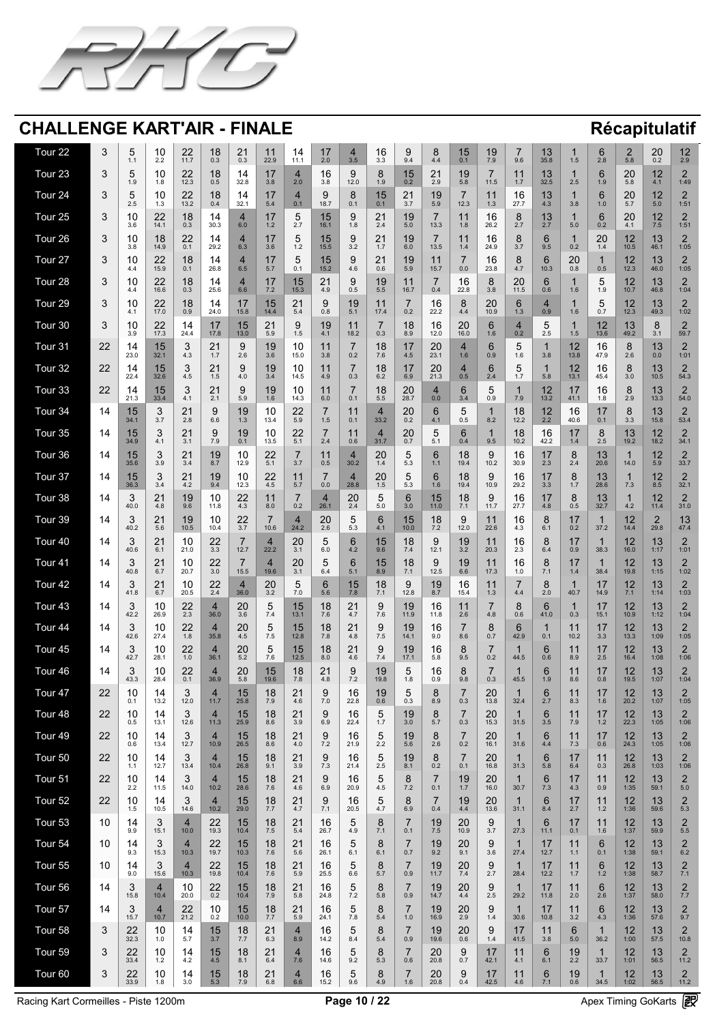![](_page_9_Picture_0.jpeg)

| Tour 22        |                                 | $\overline{\phantom{0}}$<br>$\bm{\mathsf{S}}$<br>$\overline{\mathbf{1}}$ | 1 <sup>0</sup><br>I U<br>2.2                              | 22<br>11.7                                        | 18<br>0.3                                         | 21<br>0.3                                   | 11<br>22.9                                                                           | 14<br>11.1                                             | $\sqrt{2}$<br>$\blacksquare$<br>2.0      | 3.5                                                                | 16<br>3.3                                     | 9.4                                                      | 4.4                                                      | 15<br>0.1                                      | 19<br>7.9                                       | 9.6                                                        | 13<br>35.8                                                                                                                                                                                                                                   | 1.5                                                          | 6<br>2.8                              | $\mathbf{\Omega}$<br>$\overline{\phantom{a}}$<br>5.8                | 20<br>0.2                                              | 12<br>2.9                                     |
|----------------|---------------------------------|--------------------------------------------------------------------------|-----------------------------------------------------------|---------------------------------------------------|---------------------------------------------------|---------------------------------------------|--------------------------------------------------------------------------------------|--------------------------------------------------------|------------------------------------------|--------------------------------------------------------------------|-----------------------------------------------|----------------------------------------------------------|----------------------------------------------------------|------------------------------------------------|-------------------------------------------------|------------------------------------------------------------|----------------------------------------------------------------------------------------------------------------------------------------------------------------------------------------------------------------------------------------------|--------------------------------------------------------------|---------------------------------------|---------------------------------------------------------------------|--------------------------------------------------------|-----------------------------------------------|
| Tour 23        |                                 | $\overline{\phantom{0}}$<br>$\mathbf 5$<br>1.9                           | $\Lambda$<br>I U<br>1.8                                   | 22<br>12.3                                        | 18<br>0.5                                         | 14<br>32.8                                  | 17<br>3.8                                                                            | 2.0                                                    | 16<br>3.8                                | 9<br>12.0                                                          | $\mathbf{Q}$<br>1.9                           | 15<br>0.2                                                | 21<br>$\leftarrow$<br>2.9                                | 19<br>5.8                                      | $\overline{\phantom{0}}$<br>11.5                | 1.7                                                        | 13<br>32.5                                                                                                                                                                                                                                   | 2.5                                                          | 6<br>1.9                              | 20<br>5.8                                                           | 12<br>4.1                                              | $\bigcap$<br>1:49                             |
| Tour 24        |                                 | $\overline{\phantom{0}}$<br>$\mathbf 5$<br>2.5                           | 1 <sub>0</sub><br>IU.<br>1 <sup>2</sup><br>$\blacksquare$ | 22<br>13.2                                        | 18<br>0.4                                         | 14<br>32.1                                  | 17<br>5.4                                                                            | 0.1                                                    | 9<br>18.7                                | 8<br>0.1                                                           | 15<br>0.1                                     | 21<br>$\mathbb{Z}$  <br>3.7                              | 19<br>5.9                                                | 12.3                                           | 11<br>1.3                                       | 16<br>27.7                                                 | 13<br>4.3                                                                                                                                                                                                                                    | 3.8                                                          | 6<br>1.0                              | 20<br>5.7                                                           | 12<br>5.0                                              | $\bigcap$<br>1:51                             |
| Tour 25        |                                 | 10<br>3.6                                                                | 22<br>14.1                                                | 18<br>0.3                                         | 30.3                                              | 6.0                                         | 1.2                                                                                  | $\overline{\mathbf{U}}$<br>2.7                         | $\overline{\mathsf{L}}$<br>16.1          | 9<br>1.8                                                           | 21<br>$\mathbb{Z}$<br>2.4                     | 19<br>5.0                                                | 13.3                                                     | 11<br>1.8                                      | 16<br>26.2                                      | 2.7                                                        | 13<br>2.7                                                                                                                                                                                                                                    | 5.0                                                          | 6<br>0.2                              | 20<br>4.1                                                           | 12<br>7.5                                              | $\bigcap$<br>1:51                             |
| Tour 26        |                                 | 10<br>3.8                                                                | 18<br>14.9                                                | 22<br>0.1                                         | 29.2                                              | 6.3                                         | 17<br>$\blacksquare$<br>3.6                                                          | $\blacktriangle$<br>$\overline{\mathbf{U}}$<br>1.2     | 15<br>15.5                               | 9<br>3.2                                                           | 21<br>1.7                                     | 19<br>6.0                                                | 13.5                                                     | $\overline{4}$<br>1.4                          | 16<br>24.9                                      | 8<br>3.7                                                   | 6<br>9.5                                                                                                                                                                                                                                     | 0.2                                                          | 20<br>1.4                             | 12<br>$\blacksquare$<br>10.5                                        | 13<br>46.1                                             | $\bigcap$<br>1:05                             |
| Tour 27        |                                 | 10<br>4.4                                                                | 22<br>15.9                                                | 18<br>0.1                                         | 26.8                                              | 6.5                                         | $\blacksquare$<br>5.7                                                                | $\overline{\mathbf{U}}$<br>0.1                         | 15<br>15.2                               | 9<br>4.6                                                           | 21<br>$\mathbb{Z}$<br>0.6                     | 19<br>5.9                                                | 11<br>15.7                                               | 0.0                                            | 16<br>23.8                                      | 8<br>4.7                                                   | 6<br>10.3                                                                                                                                                                                                                                    | 20<br>0.8                                                    | 0.5                                   | $\overline{17}$<br>$\blacksquare$<br>12.3                           | 13<br>46.0                                             | $\bigcap$<br>1:05                             |
| <b>Tour 28</b> |                                 | 10<br>4.4                                                                | 22<br>16.6                                                | 18<br>0.3                                         | 25.6                                              | 6.6                                         | $\overline{\phantom{a}}$ and $\overline{\phantom{a}}$<br>17<br>$\blacksquare$<br>7.2 | 15<br>15.3                                             | $\sim$ $\sim$ $\sim$ $\sim$<br>21<br>4.9 | 9<br>0.5                                                           | $\overline{a}$ $\overline{a}$<br>19<br>5.5    | <b><i>Property Associated</i></b><br>11<br>16.7          | 0.4                                                      | $\blacksquare$<br>16<br>22.8                   | $\overline{\phantom{a}}$<br>8<br>3.8            | 20<br>11.5                                                 | $\overline{\phantom{a}}$<br>6<br>0.6                                                                                                                                                                                                         | 1.6                                                          | $\overline{\phantom{0}}$<br>1.9       | $\overline{a}$ and $\overline{a}$<br>12<br>╹╺<br>10.7               | $\overline{a}$ and $\overline{a}$<br>13<br>46.8        | 1:04                                          |
| Tour 29        |                                 | 10<br>4.1                                                                | 22<br>17.0                                                | 18<br>0.9                                         | 24.0                                              | 17<br>15.8                                  | 15<br>14.4                                                                           | 21<br>5.4                                              | 0.8                                      | 19<br>$\sqrt{5.1/1}$                                               | 11<br>17.4                                    | 0.2                                                      | 16<br>22.2                                               | $\mathbf O$<br>4.4                             | 20<br>10.9                                      | 6<br>1.3                                                   | 0.9                                                                                                                                                                                                                                          | 1.6                                                          | 0.7                                   | 12<br>▘ <del></del><br>12.3                                         | 13<br>49.3                                             | $\bigcap$<br>1:02                             |
| Tour 30        |                                 | 10<br>3.9                                                                | 22<br>17.3                                                | 14<br>24.4                                        | $\overline{47}$<br>17.8                           | 15<br>13.0                                  | 21<br>5.9                                                                            | $\mathbf{Q}$<br>$\overline{\mathbf{v}}$<br>1.5         | 19<br>4.1                                | 18.2                                                               | 0.3                                           | 18<br>8.9                                                | 16<br>12.0                                               | 20<br>16.0                                     | 6<br>1.6                                        | 0.2                                                        | $\blacktriangleright$<br>$\blacktriangledown$<br>2.5                                                                                                                                                                                         | 1.5                                                          | 12<br>13.6                            | 13<br>49.2                                                          | $\mathcal{R}$<br>$\overline{\mathbf{v}}$<br>3.1        | 59.7                                          |
| Tour 31        | $\Omega$<br>22                  | $\overline{A}$<br>$\overline{14}$<br>23.0                                | 15<br><b>UD</b><br>32.1                                   | $\Omega$<br>$\overline{\mathbf{U}}$<br>4.3        | $\bigcap$<br>$\angle$ 1<br>$17$                   | 9<br>2.6                                    | 19<br>3.6                                                                            | 1 <sup>0</sup><br><u>IU</u><br>15.0                    | $\overline{11}$<br>3.8                   | $\overline{\phantom{a}}$<br>0.2                                    | 10<br><b>IO</b><br>7.6                        | 17<br>$\blacksquare$<br>4.5                              | 20<br>23.1                                               | 4<br>1.6                                       | $\mathbf{C}$<br>$\bigcup$<br>0.9                | $\overline{\phantom{0}}$<br>$\overline{\mathbf{v}}$<br>1.6 | 3.8                                                                                                                                                                                                                                          | 10<br>$\mathsf{L}$<br>13.8                                   | 1 <sup>C</sup><br>10<br>47.9          | $\overline{Q}$<br>$\mathbf O$<br>2.6                                | 12<br><u> 1 J</u><br>0.0                               | $\bigcap$<br>1:01                             |
| Tour 32        | 22                              | 22.4                                                                     | 15<br>32.6                                                | $\boldsymbol{\Omega}$<br>$\bullet$<br>4.5         | 21<br>1.5                                         | $\mathsf{Q}$<br>4.0                         | 19<br>3.4                                                                            | 10<br>14.5                                             | 4.9                                      | 0.3                                                                | 18<br>6.2                                     | 17<br>6.9                                                | 20<br>21.3                                               | 0.5                                            | $\overline{2.4}$                                | $\blacktriangleright$<br>17<br>$\blacksquare$              | 5.8                                                                                                                                                                                                                                          | 12<br>13.1                                                   | 16<br>45.4                            | 3.0                                                                 | 13<br>10.5                                             | $\bigcap$<br>54.3                             |
| Tour 33        | 22                              | 21.3                                                                     | 15<br>33.4                                                | $\overline{\mathbf{2}}$<br>$\bullet$<br>4.1       | 21<br>2.1                                         | $\mathbf Q$<br>$\blacktriangleright$<br>5.9 | 19<br>1.6                                                                            | 10<br>14.3                                             | 6.0                                      | 0.1                                                                | 18<br>5.5                                     | 20<br>28.7                                               | 0.0                                                      | 34                                             | 0.9                                             | 7.9                                                        | $\blacksquare$<br>13.2                                                                                                                                                                                                                       | $\blacksquare$<br>41.1                                       | 16<br>1.8                             | $\blacktriangledown$<br>2.9                                         | 13<br>13.3                                             | $\bigcap$<br>54.0                             |
| Tour 34        |                                 | 15<br>$\blacksquare$<br>34.1                                             | $\bigcirc$<br>$\overline{\phantom{a}}$<br>3.7             | $\mathbf{\Omega}$<br>$\sim$ $\blacksquare$<br>2.8 | $\Omega$<br>$\overline{\mathbf{v}}$<br>6.6        | 19<br>1.3                                   | 10<br>13.4                                                                           | つつ<br>$\leftarrow$ $\leftarrow$<br>5.9                 | 1.5                                      | $\blacksquare$<br>0.1                                              | 33.2                                          | 20<br>0.2                                                | $\blacksquare$<br>$\blacktriangledown$<br>$\sqrt{4.1}$   | $\bullet$<br>0.5                               | 8.2                                             | 18<br>$\blacksquare$<br>12.2                               | 12<br>2.2                                                                                                                                                                                                                                    | 16<br>$\overline{\phantom{a}}$<br>40.6                       | $\sqrt{1}$<br>$\blacksquare$<br>0.1   | $\overline{O}$<br>$\blacktriangledown$<br>3.3                       | 1 <sub>2</sub><br>$\overline{\phantom{a}}$<br>15.8     | $\bigcap$<br>$\sqrt{2}$<br>53.4               |
| Tour 35        |                                 | 15<br>34.9                                                               | $\sqrt{2}$<br>$\blacktriangleright$<br>4.1                | 21<br>3.1                                         | $\overline{\mathbf{v}}$<br>7.9                    | 19<br>0.1                                   | 10<br>13.5                                                                           | 22<br>5.1                                              | 2.4                                      | 0.6                                                                | 31.7                                          | 20<br>0.7                                                | $\overline{\phantom{0}}$<br>$\blacktriangleright$<br>5.1 | 6<br>0.4                                       | 9.5                                             | 18<br>10.2                                                 | 16<br>42.2                                                                                                                                                                                                                                   | $\overline{1}$<br>1.4                                        | $\mathbf O$<br>2.5                    | 13<br>19.2                                                          | $\blacksquare$<br>18.2                                 | $\bigcap$<br>34.1                             |
| Tour 36        | $\overline{4}$                  | 15<br>35.6                                                               | $\bigcap$<br>$\blacktriangleright$<br>3.9                 | 21<br>3.4                                         | 19<br>8.7                                         | 10<br>12.9                                  | 22<br>5.1                                                                            | 3.7                                                    | 0.5                                      | 30.2                                                               | 20<br>1.4                                     | 5.3                                                      | $\mathbf{\Omega}$<br>1.1                                 | 18<br>19.4                                     | $\overline{Q}$<br>$\blacktriangleright$<br>10.2 | 16<br>30.9                                                 | 17<br>2.3                                                                                                                                                                                                                                    | 2.4                                                          | 13<br>20.6                            | 14.0                                                                | 12<br>5.9                                              | $\bigcap$<br>33.7                             |
| Tour 37        |                                 | 15<br>36.3                                                               | $\bigcap$<br>$\overline{\phantom{a}}$<br>3.4              | 21<br>4.2                                         | 19<br>9.4                                         | 10<br>12.3                                  | 22<br>4.5                                                                            | 5.7                                                    | 0.0                                      | 28.8                                                               | 20<br><b>ト</b><br>$\mathsf{L}\cdot\mathsf{U}$ | $\Gamma$ $\Omega$                                        | <b>R</b><br>1.6                                          | 18<br>19.4                                     | 9<br>10.9                                       | 16<br>29.2                                                 | 17<br>3.3                                                                                                                                                                                                                                    |                                                              | 13<br>28.6                            | 7.3                                                                 | 8.5                                                    | $\bigcap$<br>32.1                             |
| Tour 38        | $\overline{4}$                  | $\bigcap$<br>$\bullet$<br>40.0                                           | 21<br>$\angle$<br>4.8                                     | 19<br>9.6                                         | 1 <sup>0</sup><br>$\overline{\mathbf{U}}$<br>11.8 | 22<br>4.3                                   | $\begin{array}{c} 1 \end{array}$<br>8.0                                              | 0.2                                                    | 26.1                                     | 20<br>2.4                                                          | 5.0                                           | 3.0                                                      | 15<br>11.0                                               | <b>1 O</b><br>O<br>7 <sub>1</sub>              | $\Omega$<br>$\blacktriangledown$<br>11.7        | 16<br>27.7                                                 | $\overline{4}$<br>$\blacksquare$<br>4.8                                                                                                                                                                                                      | 0.5                                                          | 13<br>32.7                            | 4.2                                                                 | $\blacksquare$<br>11.4                                 | $\bigcap$<br>31.0                             |
| Tour 39        | $\overline{4}$                  | $\bigcap$<br>$\blacktriangledown$<br>40.2                                | 21<br>5.6                                                 | 19<br>10.5                                        | 10<br>$\overline{\mathbf{U}}$<br>10.4             | 22<br>3.7                                   | 10.6                                                                                 | 24.2                                                   | 20<br>2.6                                | h<br>$\overline{\phantom{a}}$<br>5.3                               | <b>G</b><br>4.1                               | 15<br>10.0                                               | 18<br>7.2                                                | $\mathbf{O}$<br>12.0                           | $\begin{array}{c} 1 \end{array}$<br>22.6        | 16<br>4.3                                                  | 6.1                                                                                                                                                                                                                                          | $\overline{\phantom{0}}$<br>0.2                              | 37.2                                  | $\sqrt{2}$<br>14.4                                                  | $\leftarrow$<br>29.8                                   | 13<br>47.4                                    |
| Tour 40        |                                 | $\bigcap$<br>$\blacktriangledown$<br>40.6                                | 21<br>6.1                                                 | 10<br>21.0                                        | 22<br>$\bigcap$<br>J.J                            | 12.7                                        | 22.2                                                                                 | 20<br>$\bigcirc$ 4<br><b>J.I</b>                       | 6.0                                      | 4.2                                                                | 9.6                                           | 18<br>$\overline{7}$ $\overline{4}$<br>$\overline{1}$ .4 | Q.<br>12.1                                               | 19<br>20<br>J.Z                                | $\begin{array}{c} 1 \end{array}$<br>20.3        | 16<br>$\Omega$<br>$\mathsf{Z}$ .                           | $\mathsf{R}$<br>6.4                                                                                                                                                                                                                          | $\blacksquare$<br>0.9                                        | 38.3                                  | $\overline{17}$<br>$\overline{\phantom{a}}$<br>16.0                 | 12<br>I J<br>1:17                                      | $\bigcap$<br>1:01                             |
| Tour 41        | $\overline{4}$                  | $\bigcap$<br>$\blacktriangleright$<br>40.8                               | 21<br>$\overline{\phantom{a}}$<br>6.7                     | 10<br>20.7                                        | 22<br>3.0                                         | 15.5                                        | 19.6                                                                                 | 20<br>3.1                                              | 6.4                                      | 5.1                                                                | 15<br>8.9                                     | 18<br>7 <sub>1</sub>                                     | 12.5                                                     | 19<br>6.6                                      | 11<br>17.3                                      | 16<br>1.0                                                  | $\overline{O}$<br>7.1                                                                                                                                                                                                                        | $\overline{\phantom{0}}$<br>1.4                              | 38.4                                  | 17<br>19.8                                                          | $\sqrt{2}$<br>I J<br>1:15                              | $\bigcap$<br>1:02                             |
| Tour 42        | $\overline{4}$                  | $\bigcap$<br>$\blacktriangledown$<br>41.8                                | 21<br>6.7                                                 | 10<br>20.5                                        | 22<br>2.4                                         | 36.0                                        | 20<br>3.2                                                                            | $\bigcup$<br>7.0                                       | 5.6                                      | IV<br>7.8                                                          | 18<br>7.1                                     | 12.8                                                     | 19<br>8.7                                                | 16<br>15.4                                     | $\begin{array}{c} 1 \end{array}$<br>1.3         | 4.4                                                        | 2.0                                                                                                                                                                                                                                          | 40.7                                                         | 14.9                                  | 7.1                                                                 | $\sqrt{2}$<br>I J<br>1:14                              | 1:03                                          |
| Tour 43        |                                 | $\bigcap$<br>$\blacktriangleright$<br>42.2                               | $\Lambda$<br>TU T<br>26.9                                 | 22<br>2.3                                         | 36.0                                              | 20<br>3.6                                   | $\blacktriangleright$<br>$\boldsymbol{\cup}$<br>7.4                                  | 15<br>13.1                                             | 18<br>7.6                                | 2 <sup>1</sup><br>$\overline{4.7}$                                 | 7.6                                           | 19<br>11.9                                               | 16<br>11.8                                               | 11<br>2.6                                      | 4.8                                             | $\blacktriangleright$<br>0.6                               | 6<br>41.0                                                                                                                                                                                                                                    | 0.3                                                          | 15.1                                  | 17<br>10.9                                                          | 13<br>1:12                                             | $\bigcap$<br>1:04                             |
| Tour 44        | $\overline{4}$                  | $\bigcap$<br>$\blacktriangleright$<br>42.6                               | $\Lambda$<br>ZU Z<br>27.4                                 | 22<br>1.8                                         | 35.8                                              | 20<br>4.5                                   | $\overline{\mathbf{v}}$<br>7.5                                                       | 15<br>12.8                                             | 1 Q<br>1 O<br>7.8                        | $\bigcap$<br>$\leftarrow$<br>4.8                                   | 75<br><b>7.V</b>                              | 19<br>14.1                                               | 16<br>9.0                                                | 8.6                                            | 0.7                                             | 42.9                                                       | 0.1                                                                                                                                                                                                                                          | 10.2                                                         | 3.3                                   | $\boldsymbol{A}$<br>$\overline{\phantom{a}}$<br>13.3                | $\sqrt{2}$<br>I U<br>1:09                              | $\bigcap$<br>1:05                             |
| Tour 45        | $\overline{4}$                  | $\bigcap$<br>$\blacktriangledown$<br>42.7                                | $\Lambda$ $\Lambda$<br>$\sqrt{2}$<br>28.1                 | 22<br>1.0                                         | 36.1                                              | 20<br>5.2                                   | $\boldsymbol{\cup}$<br>7.6                                                           | 15<br>12.5                                             | 1 Q<br>107<br>8.0                        | $\bigcap$ 1<br>$\angle$<br>4.6                                     | 7.4                                           | 19<br>17.1                                               | 16<br>5.8                                                | 9.5                                            | 0.2                                             | 44.5                                                       | 0.6                                                                                                                                                                                                                                          | 8.9                                                          | 2.5                                   | $\boldsymbol{A}$<br>$\blacksquare$<br>16.4                          | $\overline{4}$<br>I U<br>1:08                          | $\bigcap$<br>1:06                             |
| Tour 46        |                                 | $\bigcap$<br>$\blacktriangledown$<br>43.3                                | $\Lambda$<br>ZU Z<br>28.4                                 | 22<br>0.1                                         | 36.9                                              | 20<br>5.8                                   | 15<br>19.6                                                                           | 18<br>7.8                                              | 21<br>4.8                                | $\mathbf{Q}$<br>$\overline{\phantom{0}}$<br>$79$<br>$\blacksquare$ | I V<br>19.8                                   | 1.8                                                      | 16<br>0.9                                                | 9.8                                            | 0.3                                             | 45.5                                                       | 1.9                                                                                                                                                                                                                                          | 8.6                                                          | $\overline{4}$<br>0.8                 | $\Lambda$<br>▘ <del></del><br>19.5                                  | $\overline{42}$<br>I U<br>1:07                         | $\bigcap$<br>1:04                             |
| Tour 47        | 22                              | 10<br>0.1                                                                | 13.2                                                      | $\bigcap$<br>$\bullet$<br>12.0                    | 11.7                                              | 15<br>25.8                                  | 18<br>7.9                                                                            | 21<br>4.6                                              | 7.0                                      | 16<br>22.8                                                         | 19<br>0.6                                     | 0.3                                                      | $\mathbf O$<br>$\blacktriangleright$<br>8.9              | 0.3                                            | 20<br>13.8                                      | 32.4                                                       | 2.7                                                                                                                                                                                                                                          | 8.3                                                          | 1.6                                   | 17<br>20.2                                                          | 13<br>1:07                                             | $\bigcap$<br>1:05                             |
| Tour 48        | 22                              | 10<br>0.5                                                                | 13.1                                                      | $\bigcap$<br>$\overline{\mathbf{v}}$<br>12.6      | 11.3                                              | 15<br>25.9                                  | 18<br>8.6                                                                            | 21<br>3.9                                              | 6.9                                      | 16<br>22.4                                                         | $17$                                          | 19<br>3.0                                                | $\mathbf O$<br>$\blacktriangleright$<br>5.7              | 0.3                                            | 20<br>15.3                                      | 31.5                                                       | 6<br>3.5                                                                                                                                                                                                                                     | 7.9                                                          | 17<br>1.2                             | 12<br>╹╺<br>22.3                                                    | 13<br>1:05                                             | $\bigcap$<br>1:06                             |
| Tour 49        | 22                              | 10<br>0.6                                                                | 13.4                                                      | $\bigcap$<br>$\bullet$<br>12.7                    | 10.9                                              | 15<br>26.5                                  | 18<br>8.6                                                                            | 21<br>4.0                                              | $\overline{\phantom{a}}$<br>7.2          | 16<br>21.9                                                         | 2.2                                           | 19<br>5.6                                                | $\mathbf O$<br>2.6                                       | 0.2                                            | 20<br>16.1                                      | 31.6                                                       | 6<br>4.4                                                                                                                                                                                                                                     | 7.3                                                          | 17<br>0.6                             | 12<br>24.3                                                          | 13<br>1:05                                             | $\bigcap$<br>1:06                             |
| Tour 50        | 22<br>$\leftarrow$ $\leftarrow$ | 10<br>11                                                                 | 12.7                                                      | $\bigcap$<br>$\blacktriangledown$<br>13.4         | 10.4                                              | 15<br>26.8                                  | 18<br>9.1                                                                            | 21<br>3.9                                              | 7.3                                      | 16<br>ZU Z<br>21.4                                                 | 2.5                                           | 19<br>8.1                                                | 0.2                                                      | $0.1\,$                                        | 20<br>16.8                                      | 31.3                                                       | 5.8                                                                                                                                                                                                                                          | 6.4                                                          | 0.3                                   | $\overline{17}$<br>26.8                                             | I U<br>1:03                                            | $\bigcap$<br>1:06                             |
| Tour 51        | 22                              | 10<br>2.2                                                                | 115                                                       | $\bigcap$<br>14.0                                 | 10.2                                              | 15<br>28.6                                  | 18<br>7.6                                                                            | 21<br>4.6                                              | 6.9                                      | 16<br>$\sqrt{2}$<br>20.9                                           | 4.5                                           | 7.2                                                      | 0.1                                                      | 19<br>1.7                                      | 20<br>16.0                                      | 30.7                                                       | 6<br>7.3                                                                                                                                                                                                                                     | 4.3                                                          | 0.9                                   | 12<br>1:35                                                          | 13<br>59.1                                             | $\bigcap$<br>5.0                              |
| Tour 52        | 22                              | 10<br>15<br><b>U.U</b>                                                   | 10.5                                                      | $\mathbf{\Omega}$<br>$\blacktriangledown$<br>14.6 | 10.2                                              | 15<br>29.0                                  | 18<br>7.7                                                                            | 21<br>$\sqrt{4.7}$                                     | 7 <sub>1</sub><br>$\mathbf{I}$ . T       | 16<br>20.5                                                         | $\sqrt{4.7}$                                  | 6.9                                                      | 0.4                                                      | 19<br>4.4                                      | 20<br>13.6                                      | 31.1                                                       | 6<br>8.4                                                                                                                                                                                                                                     | 2.7                                                          | 1.2                                   | 12<br>1:36                                                          | 13<br>59.6                                             | $\bigcap$<br>5.3                              |
| Tour 53        | 10                              | 9.9                                                                      | $\blacktriangleright$<br>15.1                             | 10.0                                              | $\sim$ $\sim$<br>22<br>19.3                       | 15<br>10.4                                  | $\overline{a}$ $\overline{a}$<br>18<br>7.5                                           | $\sim$ $\sim$ $\sim$ $\sim$ $\sim$ $\sim$<br>21<br>5.4 | $\blacksquare$<br>16<br>26.7             | h<br>$\blacktriangleright$<br>4.9                                  | 7.1                                           | 0.1                                                      | $\overline{a}$ $\overline{a}$<br>19<br>7.5               | $\sim$ $\sim$ $\sim$<br>20<br>10.9             | $\blacktriangleright$<br>3.7                    | 27.3                                                       | <u>and the second second in the second second in the second second second in the second second in the second second second in the second second in the second second second second second second second second second second sec</u><br>11.1 | $\overline{\phantom{a}}$ and $\overline{\phantom{a}}$<br>0.1 | 1.6                                   | $\mathbf{A}$ and $\mathbf{A}$<br>$\bigcap$<br>▘ <del></del><br>1:37 | $\overline{a}$ and $\overline{a}$<br>12<br>I J<br>59.9 | 5.5                                           |
| Tour 54        | 10                              | 9.3                                                                      | $\blacksquare$<br>$\overline{\phantom{0}}$<br>15.3        | 10.3                                              | 22<br>19.7                                        | 15<br>10.3                                  | 18<br>7.6                                                                            | 21<br>5.6                                              | 16<br>26.1                               | $\blacktriangleright$<br>6.1                                       | 6.1                                           | 0.7                                                      | 19<br>9.2                                                | 20<br>9.1                                      | $\blacktriangleright$<br>3.6                    | 27.4                                                       | $\overline{A}$<br>$\blacksquare$<br>12.7                                                                                                                                                                                                     |                                                              | 0.1                                   | 17<br>1:38                                                          | $\overline{12}$<br>I U<br>59.1                         | $\bigcap$<br>6.2                              |
| Tour 55        | 10                              | 9.0                                                                      | $\blacksquare$<br>$\blacktriangleright$<br>15.6           | 10.3                                              | 22<br>19.8                                        | 15<br>10.4                                  | 18<br>7.6                                                                            | 21<br>5.9                                              | 16<br>25.5                               | $\blacktriangleright$<br>$\overline{\phantom{0}}$<br>6.6           | 5.7                                           | 0.9                                                      | 19<br>11.7                                               | 20<br>7.4                                      | $\blacktriangleright$<br>2.7                    | 28.4                                                       | $\blacksquare$<br>12.2                                                                                                                                                                                                                       | $1\,7$                                                       | 1.2                                   | 17<br>1:38                                                          | 12<br>I J<br>58.7                                      | $\bigcap$<br>7.1                              |
| Tour 56        | 14                              | $\bigcap$<br>$\overline{\mathbf{v}}$<br>15.8                             | 10.4                                                      | 1 <sup>0</sup><br><b>IU</b><br>20.0               | $\Omega$<br>22<br>0.2                             | 15<br>10.4                                  | 10<br><b>IO</b><br>7.9                                                               | $\bigcap$<br>$\angle$ 1<br>5.8                         | 1 <sup>C</sup><br>10<br>24.8             | $\overline{\phantom{0}}$<br>$\overline{\mathsf{U}}$<br>7.2         | $\overline{O}$<br>5.8                         | 0.9                                                      | 10<br>19<br>14.7                                         | 20<br>4.4                                      | 9<br>2.5                                        | 29.2                                                       | 17<br>$\blacksquare$<br>11.8                                                                                                                                                                                                                 | $\begin{array}{c} 1 \end{array}$<br>2.0                      | $\mathbf{C}$<br>$\overline{U}$<br>2.6 | 10<br>$\overline{L}$<br>1:37                                        | 10<br><u> 1 J</u><br>58.0                              | $\bigcap$<br>7.7                              |
| Tour 57        | $\overline{4}$                  | $\blacktriangleright$<br>15.7                                            | 10.7                                                      | 22<br>21.2                                        | 1 <sup>0</sup><br>$\overline{\mathbf{U}}$<br>0.2  | 15<br>10.0                                  | 18<br>7.7                                                                            | 21<br>5.9                                              | 16<br>24.1                               | $\blacktriangleright$<br>$\overline{\mathsf{v}}$<br>7.8            | 5.4                                           | 1.0                                                      | 19<br>16.9                                               | 20<br>2.9                                      | $\blacktriangleright$<br>1.4                    | 30.6                                                       | $\overline{4}$ $\overline{7}$<br>$\blacksquare$<br>10.8                                                                                                                                                                                      | 3.2                                                          | 4.3                                   | 12<br>1:36                                                          | 12<br>I J<br>57.6                                      | $\bigcap$<br>9.7                              |
| Tour 58        |                                 | 22<br>32.3                                                               | 10<br>1.0                                                 | 14<br>5.7                                         | 15<br>3.7                                         | 18<br>7.7                                   | 21<br>6.3                                                                            | 8.9                                                    | 16<br>14.2                               | h<br>$\overline{\mathbf{v}}$<br>8.4                                | 5.4                                           | 0.9                                                      | 19<br>19.6                                               | 20<br>0.6                                      | $\Omega$<br>$\blacktriangleright$<br>1.4        | 41.5                                                       | 11<br>3.8                                                                                                                                                                                                                                    | 5.0                                                          | 36.2                                  | 17<br>$\blacksquare$<br>1:00                                        | 13<br>57.5                                             | $\bigcap$<br>10.8                             |
| Tour 59        | $\mathbf{\Omega}$<br>$\bullet$  | 22<br>$\leftarrow$ $\leftarrow$<br>33.4                                  | 1 <sup>0</sup><br>IV.<br>1.2                              | 14<br>4.2                                         | 15<br>4.5                                         | 18<br>8.1                                   | $\bigcap$<br>$\sim$ 1<br>6.4                                                         | 7.6                                                    | 16<br>14.6                               | h<br>$\overline{\phantom{a}}$<br>9.2                               | <b>VIII</b><br>5.3                            | 0.6                                                      | 20<br>20.8                                               | $\mathbf{O}$<br>$\overline{\mathbf{v}}$<br>0.7 | 47<br><b>PERSONAL</b><br>42.1                   | .<br>4.1                                                   | 6<br>6.1                                                                                                                                                                                                                                     | 19<br>2.2                                                    | 33.7                                  | $\overline{17}$<br>$\blacksquare$<br>1:01                           | 12<br>$10$<br>56.5                                     | $\bigcap$<br>$\overline{\phantom{a}}$<br>11.2 |
| Tour 60        | $\mathbf{Q}$                    | 22<br>33.9                                                               | 10<br>1.8                                                 | 14<br>3.0                                         | 15<br>5.3                                         | 18<br>7.9                                   | 21<br>6.8                                                                            | $\vert 4 \vert$<br>6.6                                 | 16<br>15.2                               | 5<br>9.6                                                           | 8<br>4.9                                      | 1.6                                                      | $20 \over 20.8$                                          | 9<br>0.4                                       | 17<br>42.5                                      | $\sqrt{11}$<br>4.6                                         | 6<br>7.1                                                                                                                                                                                                                                     | 19<br>0.6                                                    | 34.5                                  | $12$<br>1:02                                                        | 13<br>56.5                                             | $\overline{2}$<br>11.2                        |

Racing Kart Cormeilles - Piste 1200m<br>
Page 10 / 22<br>
Page 10 / 22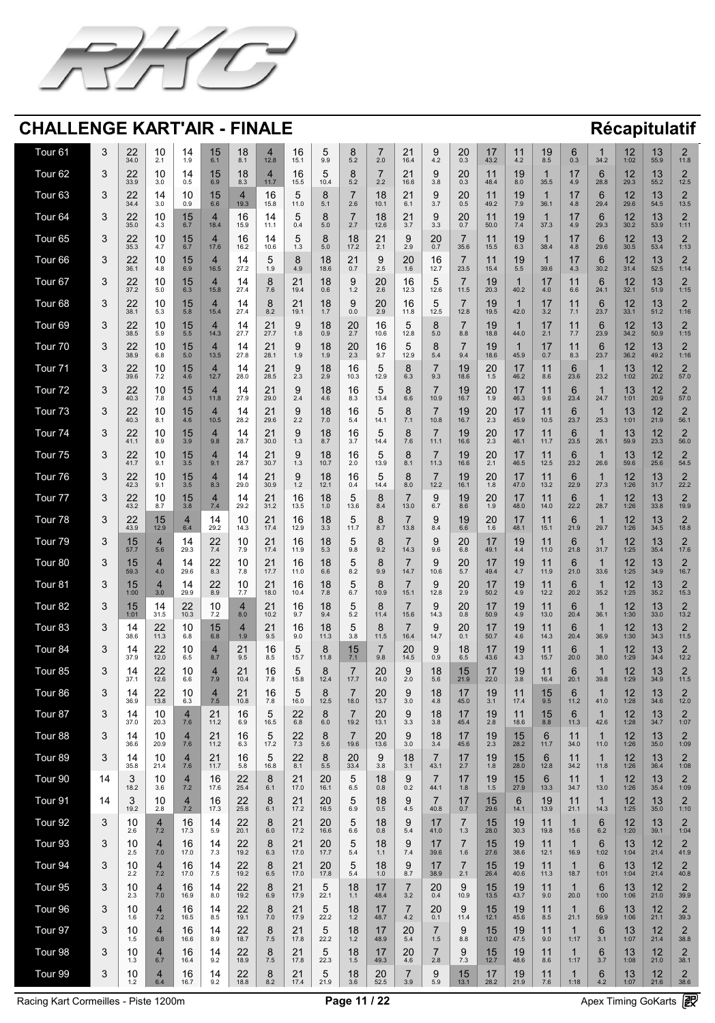![](_page_10_Picture_0.jpeg)

| Tour 61        |                                               | 22<br>34.0                                   | $\Lambda$<br>,U<br>2.1                                     | 14<br>1.9                                      | 15<br>6.1                                                       | 18<br>8.1                       | 12.8                                                              | 16<br>15.1                                               | $\overline{\mathbf{v}}$<br>9.9                | 5.2                                                       | 2.0                                                                       | 21<br>$\angle$<br>16.4                        | 4.2                                                         | 20<br>0.3                        | $\overline{4}$<br>$\blacksquare$<br>43.2  | 4.2                          | 19<br>8.5                                                    | 0.3                                     | 34.2                                        | 12<br>$\blacksquare$<br>1:02                                     | 13<br>55.9                             | $\bigcap$<br><u>ransme</u><br>11.8                                                                                                                                                                                                                        |
|----------------|-----------------------------------------------|----------------------------------------------|------------------------------------------------------------|------------------------------------------------|-----------------------------------------------------------------|---------------------------------|-------------------------------------------------------------------|----------------------------------------------------------|-----------------------------------------------|-----------------------------------------------------------|---------------------------------------------------------------------------|-----------------------------------------------|-------------------------------------------------------------|----------------------------------|-------------------------------------------|------------------------------|--------------------------------------------------------------|-----------------------------------------|---------------------------------------------|------------------------------------------------------------------|----------------------------------------|-----------------------------------------------------------------------------------------------------------------------------------------------------------------------------------------------------------------------------------------------------------|
| Tour 62        |                                               | 22<br>33.9                                   | 10<br>3.0                                                  | 14<br>0.5                                      | 15<br>6.9                                                       | 18<br>8.3                       | 11.7                                                              | 16<br>15.5                                               | $\overline{\mathbf{v}}$<br>10.4               | $5.2$                                                     | 2.2                                                                       | 21<br>16.6                                    | 3.8                                                         | 20<br>0.3                        | 11<br>48.4                                | 19<br>8.0                    | 35.5                                                         | $\overline{1}$<br>$\blacksquare$<br>4.9 | 6<br>28.8                                   | 12<br>$\blacksquare$<br>29.3                                     | 13<br>55.2                             | $\bigcap$<br><u>r – 15 meter</u><br>12.5                                                                                                                                                                                                                  |
| Tour 63        |                                               | 22<br>34.4                                   | 3.0                                                        | 10<br>0.9                                      | 15<br>6.6                                                       | 19.3                            | 16<br>15.8                                                        | h<br>$\overline{\mathbf{v}}$<br>11.0                     | $\blacktriangleright$<br>5.1                  | 2.6                                                       | 18<br>10.1                                                                | 21<br>6.1                                     | 3.7                                                         | 20<br>0.5                        | 11<br>49.2                                | 19<br>7.9                    | 36.1                                                         | 4.8                                     | 6<br>29.4                                   | 12<br>29.6                                                       | 13<br>54.5                             | $\bigcap$<br>$\sqrt{2}$<br>13.5                                                                                                                                                                                                                           |
| Tour 64        |                                               | つつ<br>$\leftarrow$ $\leftarrow$<br>35.0      | $\Lambda$<br>,U<br>4.3                                     | 15<br>6.7                                      | 18.4                                                            | 16<br>15.9                      | 14<br>11.1                                                        | $\blacktriangleright$<br>$\overline{\mathbf{v}}$<br>0.4  | 5.0                                           | 2.7                                                       | 18<br>12.6                                                                | $\bigcap$<br>$\mathbf{Z}$<br>3.7              | 3.3                                                         | 20<br>0.7                        | $\overline{4}\overline{4}$<br>50.0        | 19<br>7.4                    | 37.3                                                         | $\overline{1}$<br>4.9                   | 29.3                                        | $1^{\circ}$<br>30.2                                              | 13<br>53.9                             | $\bigcap$<br><u>Anno 1888 - Carlos III anno 1888 - Carlos III ann an I</u><br>1:11                                                                                                                                                                        |
| Tour 65        |                                               | 22<br>35.3                                   | $\Lambda$<br>, U<br>4.7                                    | 15<br>6.7                                      | 17.6                                                            | 16<br>16.2                      | 14<br>10.6                                                        | $\blacktriangleright$<br>$\overline{\mathbf{v}}$<br>1.3  | $\mathcal{R}$<br>$\blacktriangleright$<br>5.0 | 18<br>17.2                                                | 21<br>2.1                                                                 | $\bigcap$<br>2.9                              | 20<br>0.7                                                   | 35.6                             | 11<br>15.5                                | 19<br>6.3                    | 38.4                                                         | $\blacksquare$<br>4.8                   | 29.6                                        | 12<br>30.5                                                       | 13<br>53.4                             | $\bigcap$<br><u> Anno 1</u><br>1:13                                                                                                                                                                                                                       |
| Tour 66        |                                               | 22<br>36.1                                   | $\Lambda$<br>$\overline{\mathsf{U}}$<br>4.8                | 15<br>6.9                                      | 16.5                                                            | 14<br>27.2                      | $\blacktriangleright$<br>1.9                                      | 8<br>4.9                                                 | 18<br>18.6                                    | 21<br>0.7                                                 | 9<br>2.5                                                                  | 20<br>1.6                                     | 16<br>12.7                                                  | 23.5                             | 11<br>15.4                                | 19<br>5.5                    | 39.6                                                         | $\blacksquare$<br>4.3                   | 6<br>30.2                                   | 12<br>31.4                                                       | 13<br>52.5                             | $\bigcap$<br><u>ransmessä on kunnan on kunnan on kunnan on kunnan on kunnan on kunnan on kunnan on kunnan on kunnan on kunnan </u><br>1:14                                                                                                                |
| <b>Tour 67</b> | $\blacktriangledown$                          | 22<br>$\leftarrow$ $\leftarrow$<br>37.2      | $\overline{\phantom{a}}$<br>$\overline{\mathsf{U}}$<br>5.0 | $\overline{A}$ and $\overline{A}$<br>15<br>6.3 | 15.8                                                            | $\blacksquare$<br>14<br>27.4    | $\rightarrow$<br>$\mathbf U$<br>$\blacktriangledown$<br>7.6       | $\sim$ $\sim$<br>21<br>19.4                              | $\overline{1}$<br>18<br>0.6                   | $\rightarrow$<br>Y<br>1.2                                 | $\begin{array}{c} \n\bullet \quad \bullet \quad \end{array}$<br>20<br>2.6 | $\overline{1}$<br>16<br>12.3                  | 12.6                                                        | $\overline{\phantom{0}}$<br>11.5 | 19<br>20.3                                | 40.2                         | $\overline{A}$ and $\overline{A}$<br>$\blacksquare$<br>4.0   | $\blacksquare$<br>6.6                   | $\overline{\phantom{a}}$<br>6<br>24.1       | $\overline{1}$<br>$\left( 1, 1 \right)$<br>▘ <del></del><br>32.1 | $\overline{1}$<br>13<br>51.9           | $\overline{\phantom{a}}$<br>$\sqrt{2}$<br>1:15                                                                                                                                                                                                            |
| Tour 68        |                                               | 22<br>38.1                                   | $\overline{\mathcal{L}}$<br>5.3                            | 15<br>5.8                                      | 15.4                                                            | 14<br>27.4                      | $\blacktriangledown$<br>8.2                                       | 21<br>19.1                                               | 18<br>1.7                                     | 9<br>0.0                                                  | 20<br>2.9                                                                 | 16<br>11.8                                    | 12.5                                                        | 12.8                             | 19<br>19.5                                | 42.0                         | 47<br>3.2                                                    | 7.1                                     | 6<br>23.7                                   | 1つ<br>33.1                                                       | 13<br>51.2                             | $\bigcap$<br><u> Anno 1</u><br>1:16                                                                                                                                                                                                                       |
| Tour 69        |                                               | 22<br>38.5                                   | $\overline{\mathsf{U}}$<br>5.9                             | 15<br>$5.\overline{5}$                         | 14.3                                                            | 14<br>27.7                      | 21<br>27.7                                                        | $\mathbf{Q}$<br>$\overline{\mathbf{v}}$<br>1.8           | 18<br>0.9                                     | 20<br>2.7                                                 | 16<br>10.6                                                                | 12.8                                          | 5.0                                                         | 8.8                              | 19<br>18.8                                | 44.0                         | $4 -$<br>$\blacksquare$<br>2.1                               | 7.7                                     | 6<br>23.9                                   | 12<br>$\overline{\phantom{a}}$<br>34.2                           | 13<br>50.9                             | $\bigcap$<br><u>ransmessä on kunnan on kunnan on kunnan on kunnan on kunnan on kunnan on kunnan on kunnan on kunnan on kunnan </u><br>1:15                                                                                                                |
| Tour 70        | $\mathbf{\Omega}$<br>$\blacktriangledown$     | 22<br>LL<br>38.9                             | 1 <sup>0</sup><br>I U<br>6.8                               | 15<br>5.0                                      | 13.5                                                            | 14<br>27.8                      | $\bigcap$<br>$\angle$<br>28.1                                     | $\Omega$<br>$\overline{\mathbf{v}}$<br>1.9               | 1Q<br>IO.<br>1.9                              | 20<br>ZU<br>2.3                                           | 16<br>9.7                                                                 | $\sqrt{2}$<br>$\overline{\mathbf{v}}$<br>12.9 | 5.4                                                         | $\overline{\phantom{0}}$<br>9.4  | 19<br>18.6                                | 45.9                         | 17<br>$\mathbf{I}$<br>0.7                                    | $\begin{array}{c} 1 \end{array}$<br>8.3 | $\mathbf{C}$<br>$\mathbf U$<br>23.7         | 10<br>$\sqrt{2}$<br>36.2                                         | 12<br><u>IJ</u><br>49.2                | $\bigcap$<br>$\sqrt{2}$<br>1:16                                                                                                                                                                                                                           |
| Tour 71        |                                               | 22<br>$\leftarrow$ $\leftarrow$<br>39.6      | $\Lambda$<br>, U<br>7.2                                    | 15<br>4.6                                      | 12.7                                                            | 14<br>28.0                      | 21<br>28.5                                                        | $\mathbf Q$<br>$\overline{\mathbf{v}}$<br>2.3            | 18<br>2.9                                     | 16<br>10.3                                                | $\blacktriangleright$<br>$\overline{\mathbf{U}}$<br>12.9                  | 6.3                                           | 9.3                                                         | 19<br>18.6                       | 20<br>1.5                                 | 46.2                         | $\begin{array}{c} 1 \end{array}$<br>8.6                      | <b>G</b><br>23.6                        | 23.2                                        | 13<br>1:02                                                       | 12<br>20.2                             | $\bigcap$<br>57.0                                                                                                                                                                                                                                         |
| Tour 72        |                                               | 22<br>40.3                                   | $\Lambda$<br>,U<br>7.8                                     | 15<br>4.3                                      | 11.8                                                            | $14$<br>$27.9$                  | 21<br>29.0                                                        | $\mathbf Q$<br>$\overline{\mathbf{v}}$<br>2.4            | 18<br>4.6                                     | 16<br>8.3                                                 | $\blacktriangleright$<br>$\overline{\mathbf{U}}$<br>13.4                  | 6.6                                           | 10.9                                                        | 19<br>16.7                       | 20<br>1.9                                 | 46.3                         | $\begin{array}{c} 1 \end{array}$<br>9.6                      | 23.4                                    | 24.7                                        | 13<br>1:01                                                       | 12<br>20.9                             | $\bigcap$<br>57.0                                                                                                                                                                                                                                         |
| Tour 73        | $\overline{\phantom{0}}$                      | $\Omega$<br>$\sim$<br>40.3                   | 10<br>$\blacksquare$<br>8.1                                | 15<br>4.6                                      | 10.5                                                            | 14<br><u>a matana a</u><br>28.2 | $\bigcap$<br>$\sqrt{2}$<br>29.6                                   | $\Omega$<br>$\overline{\mathbf{v}}$<br>2.2               | 18<br>7.0                                     | 16<br>5.4                                                 | $\blacktriangleright$<br>14.1                                             | 71                                            | 10.8                                                        | 19<br>16.7                       | 20<br>2.3                                 | $\blacksquare$<br>45.9       | $\begin{array}{c} 4 \\ 4 \end{array}$<br>. .<br>10.5         | <b>6</b><br>23.7                        | 25.3                                        | 13<br>1:01                                                       | 12<br>$\overline{\phantom{a}}$<br>21.9 | $\Box$<br>$\overline{\phantom{a}}$<br>56.1                                                                                                                                                                                                                |
| Tour 74        |                                               | 22<br>41.1                                   | 10<br>8.9                                                  | 15<br>3.9                                      | 9.8                                                             | 14<br>28.7                      | 21<br>30.0                                                        | $\mathbf Q$<br>$\overline{\mathbf{v}}$<br>1.3            | 18<br>8.7                                     | 16<br>3.7                                                 | $\mathbf{M}$<br>$\overline{\mathbf{U}}$<br>14.4                           | 7.6                                           | 11.1                                                        | 19<br>16.6                       | 20<br>2.3                                 | 46.1                         | 11<br>11.7                                                   | <b>G</b><br>23.5                        | 26.1                                        | 13<br>59.9                                                       | 12<br>23.3                             | $\bigcap$<br><u>Anno 1888 ann am Bàrdain </u><br>56.0                                                                                                                                                                                                     |
| Tour 75        |                                               | 22<br>41.7                                   | $\Lambda$<br>IU<br>9.1                                     | 15<br>3.5                                      | 9.1                                                             | 14<br>28.7                      | 21<br>30.7                                                        | $\mathbf Q$<br>$\overline{\mathbf{v}}$<br>1.3            | 18<br>10.7                                    | 16<br>2.0                                                 | $\blacktriangle$<br>$\overline{\mathbf{U}}$<br>13.9                       | 8.1                                           | 11.3                                                        | 19<br>16.6                       | 20<br>2.1                                 | 46.5                         | 11<br>12.5                                                   | <b>R</b><br>23.2                        | 26.6                                        | 13<br>59.6                                                       | 12<br>25.6                             | $\bigcap$<br>$\sqrt{2}$<br>54.5                                                                                                                                                                                                                           |
| Tour 76        |                                               | 22<br>42.3                                   | 10<br>9.1                                                  | 15<br>3.5                                      | 8.3                                                             | 14<br>29.0                      | 21<br>30.9                                                        | 9<br>1.2                                                 | 18<br>12.1                                    | 16<br>0.4                                                 | $\mathbf{M}$<br>$\overline{\mathsf{v}}$<br>14.4                           | 8.0                                           | 12.2                                                        | 19<br>16.1                       | 20<br>1.8                                 | 47.0                         | $\begin{array}{c} 1 \end{array}$<br>13.2                     | <b>R</b><br>22.9                        | 27.3                                        | 12<br>1:26                                                       | 13<br>31.7                             | $\bigcap$<br><u>ransmessä on kunnan on kunnan on kunnan on kunnan on kunnan on kunnan on kunnan on kunnan on kunnan on kunnan </u><br>22.2                                                                                                                |
| Tour 77        |                                               | 22<br>43.2                                   | $\Lambda$<br>,U<br>8.7                                     | 15<br>3.8                                      | 7.4                                                             | 14<br>29.2                      | 21<br>$\sum$<br>31.2                                              | 16<br>13.5                                               | 18<br>1.0                                     | $\mathbf{\dot{O}}$<br>13.6                                | 8.4                                                                       | 13.0                                          | 6.7                                                         | 19<br>8.6                        | 20<br>1.9                                 | 48.0                         | $\begin{array}{c} 1 \\ 4 \end{array}$<br>14.0                | 22.2                                    | 28.7                                        | 12<br>1:26                                                       | 13<br>33.8                             | $\bigcap$<br>19.9                                                                                                                                                                                                                                         |
| Tour 78        |                                               | 22<br>43.9                                   | 15<br>12.9                                                 | 6.4                                            | 29.2                                                            | 10<br>14.3                      | 21<br>$\sqrt{2}$<br>17.4                                          | 16<br>12.9                                               | 18<br>3.3                                     | $\bm{5}$<br>11.7                                          | 8.7                                                                       | 13.8                                          | 8.4                                                         | 19<br>6.6                        | 20<br>1.6                                 | 48.1                         | 11<br>15.1                                                   | 21.9                                    | 29.7                                        | 12<br>1:26                                                       | 13<br>34.5                             | $\bigcap$<br><u>r – 15 meter</u><br>18.8                                                                                                                                                                                                                  |
| Tour 79        |                                               | 15<br>57.7                                   | 5.6                                                        | 14<br>29.3                                     | 22<br>7.4                                                       | 10<br>7.9                       | 21<br>17.4                                                        | 16<br>11.9                                               | 18<br>5.3                                     | $\overline{ }$<br>$\overline{\bm{5}}$<br>9.8              | $\overline{O}$<br>9.2                                                     | 14.3                                          | 9.6                                                         | 20<br>6.8                        | 17<br>49.1                                | 19<br>4.4                    | $\begin{array}{c} 1 \end{array}$<br>11.0                     | <b>R</b><br>21.8                        | 31.7                                        | 12<br>1:25                                                       | 13<br>35.4                             | $\bigcap$<br><u>r – 15 meter</u><br>17.6                                                                                                                                                                                                                  |
| Tour 80        |                                               | 15<br>59.3                                   | 4.0                                                        | 14<br>29.6                                     | 22<br>8.3                                                       | 10<br>7.8                       | 21<br>17.7                                                        | 16<br>11.0                                               | 18<br>6.6                                     | $\mathbf 5$<br>8.2                                        | 9.9                                                                       | 14.7                                          | 10.6                                                        | 20<br>5.7                        | 17<br>49.4                                | 19<br>4.7                    | 11<br>11.9                                                   | 21.0                                    | 33.6                                        | 12<br>1:25                                                       | 13<br>34.9                             | $\bigcap$<br>16.7                                                                                                                                                                                                                                         |
| Tour 81        |                                               | 15<br>1:00                                   | 3.0                                                        | 14<br>29.9                                     | 22<br>8.9                                                       | 10<br>7.7                       | 21<br>18.0                                                        | 16<br>10.4                                               | 18<br>7.8                                     | $\mathbf{\dot{O}}$<br>6.7                                 | 10.9                                                                      | 15.1                                          | 12.8                                                        | 20<br>2.9                        | 17<br>50.2                                | 19<br>4.9                    | 11<br>12.2                                                   | 20.2                                    | 35.2                                        | 12<br>1:25                                                       | 13<br>35.2                             | $\bigcap$<br>15.3                                                                                                                                                                                                                                         |
| Tour 82        |                                               | 15<br>1:01                                   | 14<br>31.5                                                 | 22<br>10.3                                     | 10<br>7.2                                                       | 8.0                             | 21<br>10.2                                                        | 16<br>9.7                                                | 18<br>9.4                                     | 5.2                                                       | 11.4                                                                      | 15.6                                          | 14.3                                                        | 20<br>0.8                        | 17<br>50.9                                | 19<br>4.9                    | 11<br>13.0                                                   | 20.4                                    | 36.1                                        | 12<br>1:30                                                       | 13<br>33.0                             | $\bigcap$<br>13.2                                                                                                                                                                                                                                         |
| Tour 83        |                                               | 38.6                                         | 22<br>$112$                                                | 10<br>6.8                                      | 15<br>6.8                                                       | 1.9                             | 21<br>$\sqrt{2}$<br>9.5                                           | 16<br>9.0                                                | 18<br>11.3                                    | $\overline{\phantom{0}}$<br>3.8                           | 11.5                                                                      | 16.4                                          | 14.7                                                        | 20<br>0.1                        | 17<br>$\blacksquare$<br>50.7              | 19<br>4.6                    | 44<br>14.3                                                   | հ<br>20.4                               | 36.9                                        | 12<br>1:30                                                       | 13<br>34.3                             | $\bigcap$<br>11.5                                                                                                                                                                                                                                         |
| Tour 84        |                                               | 37.9                                         | 22<br>12.0                                                 | 10<br>6.5                                      | 8.7                                                             | 21<br>$\leftarrow$<br>9.5       | 16<br>8.5                                                         | $\blacktriangleright$<br>$\overline{\mathbf{v}}$<br>15.7 | $\boldsymbol{\mathsf{R}}$<br>11.8             | $\overline{\mathsf{L}}$<br>7.1                            | 9.8                                                                       | 20<br>14.5                                    | 0.9                                                         | 18<br>6.5                        | 17<br>$\blacksquare$<br>43.6              | 19<br>4.3                    | 11<br>15.7                                                   | 20.0                                    | 38.0                                        | 12<br>1:29                                                       | 13<br>34.4                             | $\bigcap$<br>$\sqrt{2}$<br>12.2                                                                                                                                                                                                                           |
| Tour 85        |                                               | 37.                                          | 22<br>12.6                                                 | 10<br>6.6                                      | 7.9                                                             | 21<br>$\leftarrow$<br>10.4      | 16<br>7.8                                                         | $\blacktriangleright$<br>$\overline{\mathbf{v}}$<br>15.8 | 12.4                                          | 17.7                                                      | 20<br>14.0                                                                | 2.0                                           | 18<br>5.6                                                   | 15<br>21.9                       | 17<br>22.0                                | 19<br>3.8                    | 11<br>16.4                                                   | 20.1                                    | 39.8                                        | 12<br>1:29                                                       | 13<br>34.9                             | $\bigcap$<br><u>ransmessä on kunnan on kunnan on kunnan on kunnan on kunnan on kunnan on kunnan on kunnan on kunnan on kunnan </u><br>11.5                                                                                                                |
| Tour 86        |                                               | 14<br>36.9                                   | 22<br>13.8                                                 | 10<br>6.3                                      | 7.5                                                             | 21<br>10.8                      | 16<br>7.8                                                         | $\blacktriangleright$<br>$\overline{\mathbf{v}}$<br>16.0 | 12.5                                          | 18.0                                                      | 20<br>13.7                                                                | 3.0                                           | 18<br>4.8                                                   | 45.0                             | 19<br>3.1                                 | 17.4                         | 15<br>9.5                                                    | 11.2                                    | 41.0                                        | 12<br>$\overline{\phantom{a}}$<br>1:28                           | 13<br>34.6                             | $\bigcap$<br><u>Anno 1888 ann am Bàrdain </u><br>12.0                                                                                                                                                                                                     |
| Tour 87        |                                               | 14<br>37.0                                   | $\Lambda$<br>IU.<br>20.3                                   | 7.6                                            | 21<br>11.2                                                      | 16<br>6.9                       | $\overline{\phantom{0}}$<br>h<br>$\overline{\mathbf{v}}$<br>16.5  | 22<br>6.8                                                | $\mathbf{Q}$<br>6.0                           | 19.2                                                      | 20<br>13.1                                                                | $\bigcap$<br>3.3                              | 18<br>3.8                                                   | $\overline{1}$<br>45.4           | 19<br>2.8                                 | 18.6                         | $\begin{array}{c} 15 \\ 8.8 \end{array}$                     | 6<br>11.3                               | 42.6                                        | 12<br>$\overline{\phantom{a}}$<br>1:28                           | 13<br>34.7                             | $\bigcap$<br><u>Anno 1888 ann am Bàrdain </u><br>1:07                                                                                                                                                                                                     |
| Tour 88        |                                               | 36.6                                         | $\Lambda$<br>,U<br>20.9                                    | 7.6                                            | 21<br>11.2                                                      | 16<br>6.3                       | $\overline{\phantom{0}}$<br>h<br>$\overline{\phantom{0}}$<br>17.2 | 22<br>7.3                                                | 5.6                                           | 19.6                                                      | 20<br>13.6                                                                | $\bigcap$<br>3.0                              | 18<br>3.4                                                   | 1 7<br>45.6                      | 19<br>2.3                                 | 15<br>28.2                   | 6<br>11.7                                                    | 34.0                                    | 11.0                                        | 12<br>1:26                                                       | 13<br>35.0                             | $\bigcap$<br><u>Anno 1888 ann am Bàrdain an Dùbhachd ann an Dùbhachd ann an Dùbhachd ann an Dùbhachd ann an Dùbhachd ann an Dùbhachd ann an Dùbhachd ann an Dùbhachd ann an Dùbhachd ann an Dùbhachd ann an Dùbhachd ann an Dùbhachd ann an D</u><br>1:09 |
| Tour 89        |                                               | 35.8                                         | $\overline{\mathsf{U}}$<br>21.4                            | 7.6                                            | 21<br>11.7                                                      | 16<br>5.8                       | h<br>$\blacktriangleright$<br>16.8                                | 22<br>8.1                                                | $\blacktriangleright$<br>5.5                  | 20<br>33.4                                                | 9<br>3.8                                                                  | 18<br>3.1                                     | 43.1                                                        | $\overline{1}$<br>2.7            | 19<br>1.8                                 | <b>C I</b><br>28.0           | 12.8                                                         | 34.2                                    | 11.8                                        | 12<br>1:26                                                       | 13<br>36.4                             | $\bigcap$<br>1:08                                                                                                                                                                                                                                         |
| Tour 90        | $\overline{4}$                                | $\bigcap$<br>$\boldsymbol{\cup}$<br>18.2     | <b>J</b><br>3.6                                            | 7.2                                            | 16<br>17.6                                                      | 22<br>25.4                      | $\mathbf O$<br>$\blacktriangleright$<br>6.1                       | 21<br>17.0                                               | 20<br>16.1                                    | $\bm{5}$<br>6.5                                           | 18<br>0.8                                                                 | 0.2                                           | 44.1                                                        | 1.8                              | 19<br>1.5                                 | 15<br>27.9                   | 13.3                                                         | 34.7                                    | 13.0                                        | 12<br>1:26                                                       | 13<br>35.4                             | $\bigcap$<br><u>Anno 1888 - Carlos Barnett, control</u><br>1:09                                                                                                                                                                                           |
| Tour 91        | $\overline{4}$                                | $\bigcap$<br>$\overline{\mathbf{v}}$<br>19.2 | $\overline{\mathsf{U}}$<br>2.8                             | 7.2                                            | 16<br>17.3                                                      | 22<br>25.8                      | $\mathbf O$<br>$\blacktriangledown$<br>6.1                        | 21<br>17.2                                               | 20<br>16.5                                    | $\overline{\phantom{0}}$<br>$\bm{5}$<br>6.9               | 18<br>0.5                                                                 | 4.5                                           | 40.8                                                        | 0.7                              | 15<br>$\overline{\mathsf{U}}$<br>29.6     | 14.1                         | 19<br>13.9                                                   | 21.1                                    | 14.3                                        | 12<br>1:25                                                       | 13<br>35.0                             | $\bigcap$<br><u>ransmessä on kunnan on kunnan on kunnan on kunnan on kunnan on kunnan on kunnan on kunnan on kunnan on kunnan </u><br>1:10                                                                                                                |
| Tour 92        |                                               | 10<br>$\overline{U}$<br>2.6                  | 7.2                                                        | 16<br>17.3                                     | 14<br>5.9                                                       | 22<br>20.1                      | $\blacktriangledown$<br>6.0                                       | 21<br>17.2                                               | 20<br>16.6                                    | $\mathbf{\dot{O}}$<br>6.6                                 | $\overline{1}$<br>18<br>0.8                                               | 5.4                                           | $\overline{A}$ and $\overline{A}$<br>$\blacksquare$<br>41.0 | 1.3                              | $\overline{\phantom{a}}$<br>15<br>28.0    | $\overline{1}$<br>19<br>30.3 | $\overline{A}$ $\overline{A}$<br>11<br>19.8                  | 15.6                                    | $\overline{\phantom{a}}$<br><b>6</b><br>6.2 | $\overline{1}$<br>$\bigcup$<br>$\overline{\phantom{a}}$<br>1:20  | $\overline{1}$<br>13<br>39.1           | <u>Anno 1888 - Septembri de la provincia de la provincia de la provincia de la provincia de la provincia de la p</u><br>1:04                                                                                                                              |
| Tour 93        |                                               | $\Lambda$ $\Lambda$<br>$\bigcup$<br>2.5      | 7.0                                                        | 16<br>17.0                                     | 14<br>7.3                                                       | 22<br>19.2                      | $\mathbf O$<br>$\blacktriangledown$<br>6.3                        | 21<br>17.0                                               | 20<br>17.7                                    | $\overline{\phantom{0}}$<br>$\bm{5}$<br>5.4               | 18<br>1.1                                                                 | 7.4                                           | $\overline{4}$<br>39.6                                      | 1.6                              | 15<br>27.6                                | 19<br>38.6                   | $\begin{array}{c} 1 \\ 4 \end{array}$<br>12.1                | 16.9                                    | 1:02                                        | 13<br>1:04                                                       | 12<br>21.4                             | $\bigcap$<br><u>r – 15 meter</u><br>41.9                                                                                                                                                                                                                  |
| Tour 94        |                                               | $\Lambda$ $\Lambda$<br>$\bigcup$<br>2.2      | 7.2                                                        | 16<br>17.0                                     | 14<br>7.5                                                       | 22<br>19.2                      | $\mathbf O$<br>$\blacktriangledown$<br>6.5                        | 21<br>17.0                                               | 20<br>17.8                                    | $\overline{\phantom{0}}$<br>$\overline{O}$<br>5.4         | 18<br>1.0                                                                 | 8.7                                           | 17<br>38.9                                                  | 2.1                              | 15<br>26.4                                | 19<br>40.6                   | $\begin{array}{c} 1 \\ 4 \end{array}$<br>11.3                | 18.7                                    | 1:01                                        | 13<br>1:04                                                       | 12<br>21.4                             | $\bigcap$<br><u>ransmessä on kunnan on kunnan on kunnan on kunnan on kunnan on kunnan on kunnan on kunnan on kunnan on kunnan </u><br>40.8                                                                                                                |
| Tour 95        | $\mathbf \Omega$<br>$\boldsymbol{\cup}$       | 1 <sup>0</sup><br>$\overline{U}$<br>2.3      | 7.0                                                        | 1 <sup>C</sup><br>10<br>16.9                   | $\begin{array}{c} 4 \\ 4 \end{array}$<br>$\overline{14}$<br>8.0 | 22<br>19.2                      | $\Omega$<br>$\mathbf O$<br>6.9                                    | $\bigcap$<br>K I<br>17.9                                 | $\sqrt{2}$<br>$\bigcup$<br>22.7               | 1Q<br><b>IO</b><br>$\begin{array}{cc} \hline \end{array}$ | 17<br>48.4                                                                | 3.2                                           | 20<br>ZU<br>0.4                                             | 10.9                             | 15<br>13.5                                | 10<br>I J<br>43.7            | 11<br>9.0                                                    | 20.0                                    | $\mathbf{C}$<br>$\mathbf U$<br>1:00         | 12<br>1:06                                                       | 10<br>$\overline{L}$<br>21.0           | $\bigcap$<br>$\sqrt{2}$<br>39.9                                                                                                                                                                                                                           |
| Tour 96        |                                               | $\bigcup$<br>1.6                             | 7.2                                                        | 16<br>16.5                                     | 14<br>8.5                                                       | 22<br>19.1                      | $\mathbf O$<br>$\blacktriangledown$<br>7.0                        | 21<br>17.9                                               | $\bm{5}$<br>22.2                              | 18<br>1.2                                                 | $\overline{4}$ $\overline{7}$<br>48.7                                     | 4.2                                           | 20<br>0.1                                                   | 11.4                             | 15<br>12.1                                | 19<br>45.6                   | 8.5                                                          | 21.1                                    | 59.9                                        | 13<br>1:06                                                       | 12<br>21.1                             | $\bigcap$<br>39.3                                                                                                                                                                                                                                         |
| Tour 97        |                                               | $\overline{\mathbf{U}}$<br>1.5               | 6.8                                                        | 16<br>16.6                                     | 14<br>8.9                                                       | 22<br>18.7                      | $\mathbf O$<br>$\blacktriangledown$<br>7.5                        | 21<br>17.8                                               | $\bigcup$<br>22.2                             | 18<br>1.2                                                 | 47<br>48.9                                                                | 20<br>5.4                                     | .5                                                          | 8.8                              | 15<br>12.0                                | 19<br>47.5                   | 9.0                                                          | 1:17                                    | 3.1                                         | 13<br>1:07                                                       | 12<br>21.4                             | $\bigcap$<br>38.8                                                                                                                                                                                                                                         |
| Tour 98        | $\mathbf{\Omega}$<br>$\overline{\phantom{a}}$ | $\Lambda$ $\Lambda$<br>$\blacksquare$<br>1.3 | 6.7                                                        | 16<br>$\blacksquare$<br>16.4                   | 14<br>$\mathbf{r}$ , $\mathbf{r}$<br>9.2                        | 22<br>18.9                      | $\mathbf O$<br>$\overline{\phantom{a}}$<br>7.5                    | $\bigcap$ 1<br>$\sim$ $\blacksquare$<br>17.8             | $\overline{\phantom{a}}$<br>22.3              | 18<br>1.5                                                 | 17<br>$\blacksquare$<br>49.3                                              | 20 <sub>1</sub><br>LU<br>4.6                  | 2.8                                                         | $\blacktriangledown$<br>7.3      | 15<br>12.7                                | 19<br>48.6                   | $\begin{array}{c} 4 \\ 4 \end{array}$<br>$\mathbf{L}$<br>8.6 | 1:17                                    | $\mathbf{U}$<br>3.7                         | 13<br>1:08                                                       | 12<br>$\overline{\phantom{a}}$<br>21.0 | $\bigcap$<br>$\overline{\phantom{a}}$<br>38.1                                                                                                                                                                                                             |
| Tour 99        |                                               | 10<br>$1.2$                                  | 6.4                                                        | 16<br>16.7                                     | $\begin{array}{c} 14 \\ 9.2 \end{array}$                        | $22$<br>18.8                    | 8<br>8.2                                                          | $\frac{21}{17.4}$                                        | $\begin{array}{c} 5 \\ 21.9 \end{array}$      | $\begin{array}{c} 18 \\ 3.6 \end{array}$                  | $20$<br>$52.5$                                                            | 3.9                                           | 9<br>5.9                                                    | 15<br>13.1                       | $\begin{array}{c} 17 \\ 28.2 \end{array}$ | 19<br>21.9                   | $\begin{array}{c} 11 \\ 7.6 \end{array}$                     | 1:18                                    | 6<br>$\overline{4.2}$                       | 13                                                               | 12<br>21.6                             | $\mathcal{D}$<br>$\left  \right $<br>38.6                                                                                                                                                                                                                 |

Racing Kart Cormeilles - Piste 1200m<br>
Page 11 / 22 Apex Timing GoKarts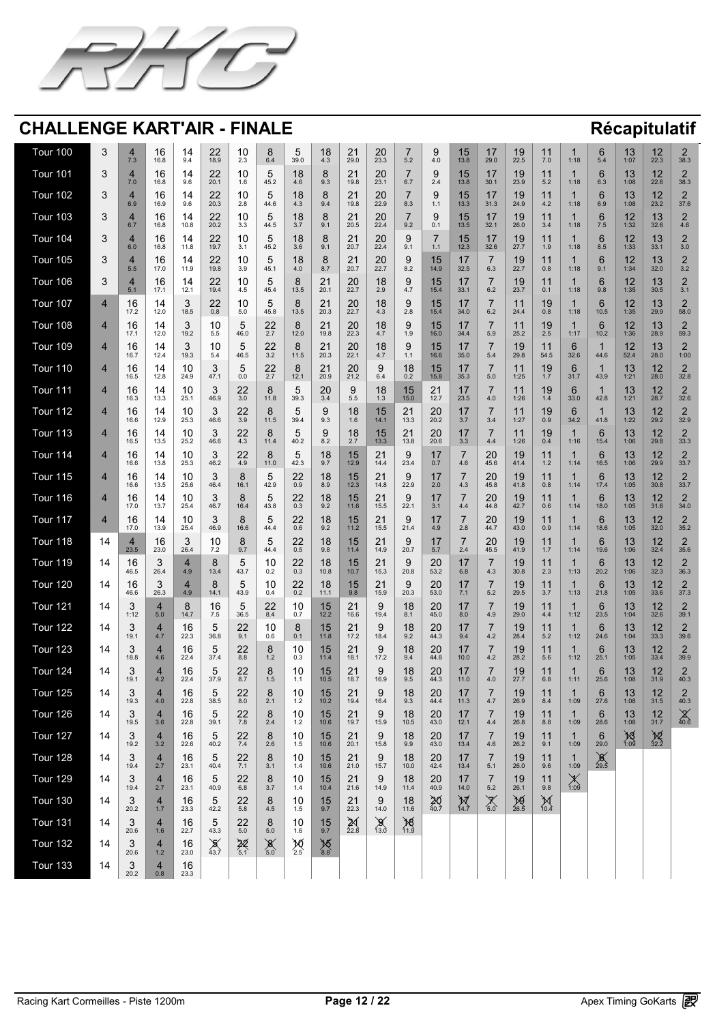![](_page_11_Picture_0.jpeg)

| Tour 100        |                      | 7.3                                                 | 16<br>16.8                   | 14<br>9.4                                    | 22<br>18.9                                               | 10<br>2.3                                       | 6.4                                                  | $\overline{\phantom{a}}$<br>$\bm{5}$<br>39.0           | 18<br>4.3                                      | 21<br>29.0                 | 20<br>23.3                                                    | 5.2                                            | 4.0                                                                   | 15<br>13.8                                        | 17<br>29.0                                                             | 19<br>22.5                   | 11<br>7.0                                  | 1:18                             | 5.4                                   | 12<br>$\overline{\mathsf{L}}$<br>1:07                | 12<br>22.3                                                         | $\Box$<br>38.3                             |
|-----------------|----------------------|-----------------------------------------------------|------------------------------|----------------------------------------------|----------------------------------------------------------|-------------------------------------------------|------------------------------------------------------|--------------------------------------------------------|------------------------------------------------|----------------------------|---------------------------------------------------------------|------------------------------------------------|-----------------------------------------------------------------------|---------------------------------------------------|------------------------------------------------------------------------|------------------------------|--------------------------------------------|----------------------------------|---------------------------------------|------------------------------------------------------|--------------------------------------------------------------------|--------------------------------------------|
| Tour 101        |                      | 7.0                                                 | 16<br>16.8                   | 14<br>9.6                                    | 22<br>20.1                                               | 10<br>1.6                                       | $\bm{5}$<br>45.2                                     | 18<br>4.6                                              | $\overline{O}$<br>$\overline{O}$<br>9.3        | 21<br>19.8                 | 20<br>23.1                                                    | 6.7                                            | $\Omega$<br>2.4                                                       | 15<br>13.8                                        | 17<br>30.1                                                             | 19<br>23.9                   | 11<br>5.2                                  | 1:18                             | 6.3                                   | 13<br>1:08                                           | 12<br>22.6                                                         | $\bigcap$<br>38.3                          |
| Tour 102        |                      | 6.9                                                 | 16<br>16.9                   | 14<br>9.6                                    | 22<br>20.3                                               | 10<br>2.8                                       | 44.6                                                 | 18<br>4.3                                              | $\overline{O}$<br>$\mathbf O$<br>9.4           | 21<br>19.8                 | 20<br>22.9                                                    | 8.3                                            | 1.1                                                                   | 15<br>13.3                                        | 17<br>31.3                                                             | 19<br>24.9                   | 11<br>4.2                                  | 1:18                             | 6.9                                   | 13<br>1:08                                           | 12<br>23.2                                                         | $\bigcap$<br>37.6                          |
| <b>Tour 103</b> |                      | 6.7                                                 | 16<br>16.8                   | 14<br>10.8                                   | 22<br>20.2                                               | 10<br>3.3                                       | 44.5                                                 | 18<br>3.7                                              | 9.1                                            | 21<br>$\mathbb{Z}$<br>20.5 | 20<br>22.4                                                    | 9.2                                            | 0.1                                                                   | 15<br>13.5                                        | $\overline{47}$<br>32.1                                                | 19<br>26.0                   | 11<br>3.4                                  | 1:18                             | 7.5                                   | 17<br>1:32                                           | 32.6                                                               | 4.6                                        |
| Tour 104        |                      | 6.0                                                 | 16<br>16.8                   | 14<br>11.8                                   | 22<br>19.7                                               | 10<br>3.1                                       | 45.2                                                 | 18<br>3.6                                              | $\overline{O}$<br>9.1                          | $21$<br>$20.7$             | 20<br>22.4                                                    | 9.1                                            | 1.1                                                                   | 12.3                                              | 17<br>32.6                                                             | 19<br>27.7                   | 11<br>1.9                                  | 1:18                             | 8.5                                   | 12<br>1:33                                           | 13<br>33.1                                                         | $\bigcap$<br>3.0                           |
| Tour 105        |                      | 5.5                                                 | 16<br>17.0                   | 14<br>11.9                                   | 22<br>19.8                                               | 10<br>3.9                                       | 45.1                                                 | 18<br>4.0                                              | $\overline{O}$<br>8.7                          | 21<br>$\angle$<br>20.7     | 20<br>22.7                                                    | 8.2                                            | 15<br>14.9                                                            | 32.5                                              | 6.3                                                                    | 19<br>22.7                   | 11<br>0.8                                  | 1:18                             | 9.1                                   | 12<br>1:34                                           | 13<br>32.0                                                         | $\Box$<br>3.2                              |
| Tour 106        |                      | 5.1                                                 | $\overline{A}$<br>16<br>17.1 | 14<br>12.1                                   | $\bigwedge$<br>22<br>19.4                                | $\blacksquare$<br>10<br>4.5                     | $\overline{\phantom{a}}$<br>45.4                     | $\sim$<br>13.5                                         | $\sim$ $\sim$<br>$\angle$<br>20.1              | 20<br>22.7                 | 18<br>2.9                                                     | 4.7                                            | $\overline{\phantom{a}}$<br>15<br>15.4                                | $\overline{A}$ and $\overline{A}$<br>33.1         | $\rightarrow$<br>6.2                                                   | $\overline{1}$<br>19<br>23.7 | $\overline{A}$ $\overline{A}$<br>11<br>0.1 | 1:18                             | $\sim$<br>$\blacktriangledown$<br>9.8 | $\overline{1}$<br><b>1</b><br>$\blacksquare$<br>1:35 | $\overline{A}$<br><b>1 · J</b><br>$\overline{\phantom{a}}$<br>30.5 | $\overline{\phantom{a}}$<br>3.1            |
| Tour 107        |                      | 16<br>17.2                                          | 12.0                         | $\bullet$<br>18.5                            | 22<br>0.8                                                | 10<br>5.0                                       | 45.8                                                 | 13.5                                                   | $\bigcap$ 1<br>$\angle$<br>20.3                | 20<br>22.7                 | 18<br>4.3                                                     | 2.8                                            | 15<br>15.4                                                            | 34.0                                              | 6.2                                                                    | 24.4                         | 19<br>0.8                                  | 1:18                             | 10.5                                  | 12<br>1:35                                           | $\overline{1}$<br>$\overline{\phantom{a}}$<br>29.9                 | 58.0                                       |
| Tour 108        |                      | 16<br>17.1                                          | 12.0                         | $\bigcap$<br>19.2                            | 10<br>5.5                                                | $\overline{\mathbf{v}}$<br>46.0                 | 22<br>2.7                                            | 12.0                                                   | $\bigcirc$ 1<br>$\angle$<br>19.8               | 20<br>22.3                 | 18<br>4.7                                                     | 1.9                                            | 15<br>16.0                                                            | 34.4                                              | 5.9                                                                    | 25.2                         | 19<br>2.5                                  | 1:17                             | 10.2                                  | 12<br>1:36                                           | 13<br>28.9                                                         | 59.3                                       |
| Tour 109        |                      | 16<br>16.7                                          | $\vert 4$<br>12.4            | $\Omega$<br>$\overline{\mathbf{v}}$<br>19.3  | 1 <sup>0</sup><br>$\overline{\mathsf{U}}$<br>5.4         | $\sqrt{2}$<br>$\overline{\mathbf{v}}$<br>46.5   | 22<br>LL<br>3.2                                      | $\Omega$<br><b>O</b><br>11.5                           | 21<br>$\mathbb{Z}$<br>20.3                     | 20<br><b>ZU</b><br>22.1    | 18<br>4.7                                                     | 11                                             | 15<br>$\overline{\mathsf{U}}$<br>16.6                                 | 17<br>35.0                                        | $\overline{\phantom{a}}$<br>5.4                                        | 10<br>19<br>29.8             | 11<br>$\mathbf{I}$<br>54.5                 | $\mathcal{L}$<br>32.6            | 44.6                                  | 12<br>$\overline{L}$<br>52.4                         | 12<br>$\overline{\phantom{a}}$<br>28.0                             | 1:00                                       |
| Tour 110        |                      | 16<br>16.5                                          | 12.8                         | 10<br>24.9                                   | $\bigcap$<br>$\blacktriangledown$<br>47.1                | $\overline{\mathbf{U}}$<br>0.0                  | 22<br>2.7                                            | 12.1                                                   | 21<br>20.9                                     | 20<br>21.2                 | 6.4                                                           | 18<br>0.2                                      | 15<br>15.8                                                            | 35.3                                              | 5.0                                                                    | 1:25                         | 19<br>1.7                                  | 31.7                             | 43.9                                  | 13<br>1:21                                           | 12<br>28.0                                                         | 32.8                                       |
| Tour 111        |                      | 16<br>16.3                                          | 13.3                         | 10<br>25.1                                   | $\boldsymbol{\Omega}$<br>$\blacktriangledown$<br>46.9    | 22<br>3.0                                       | 11.8                                                 | $\bm{5}$<br>39.3                                       | 20<br>3.4                                      | 5.5                        | 18<br>1.3                                                     | 15<br>15.0                                     | 21<br>$\leftarrow$<br>12.7                                            | 23.5                                              | 4.0                                                                    | 1:26                         | 19<br>1.4                                  | 33.0                             | 42.8                                  | 13<br>1:21                                           | 12<br>28.7                                                         | $\Box$<br>32.6                             |
| Tour 112        |                      | 16<br>16.6                                          | 14<br>12.9                   | 10<br>25.3                                   | $\bullet$<br>46.6                                        | 22<br>$\frac{25}{3.9}$                          | 11.5                                                 | $\blacktriangle$<br>39.4                               | $\mathbf Q$<br>9.3                             | 18<br>1.6                  | 15<br>14.1                                                    | $\bigcirc$<br>$\overline{\phantom{a}}$<br>13.3 | 20<br>20.2                                                            | . .<br>3.7                                        | 3.4                                                                    | . .<br>1:27                  | 19<br>0.9                                  | 34.2                             | 41.8                                  | 12<br>$\overline{\phantom{a}}$<br>1:22               | $\bigcap$<br>$\overline{\phantom{a}}$<br>29.2                      | $\Box$<br>$\overline{\phantom{a}}$<br>32.9 |
| Tour 113        |                      | 16<br>16.5                                          | 13.5                         | 10<br>25.2                                   | $\mathbf O$<br>$\boldsymbol{\cup}$<br>46.6               | 22<br>4.3                                       | 11.4                                                 | $\bm{5}$<br>40.2                                       | 8.2                                            | 18<br>2.7                  | 15<br>13.3                                                    | $\bigcap$ 1<br>$\angle$<br>13.8                | 20<br>20.6                                                            | 3.3                                               | 4.4                                                                    | 1:26                         | 19<br>0.4                                  | 1:16                             | 15.4                                  | 12<br>I J<br>1:06                                    | 12<br>29.8                                                         | $\bigcap$<br>33.3                          |
| Tour 114        |                      | 16<br>16.6                                          | 13.8                         | 10<br>25.3                                   | $\mathbf{Q}$<br>$\boldsymbol{\cup}$<br>46.2              | 22<br>4.9                                       | 11.0                                                 | $\overline{\phantom{0}}$<br>$\bm{5}$<br>42.3           | 18<br>9.7                                      | 15<br>12.9                 | 21<br>$\sqrt{2}$<br>14.4                                      | 23.4                                           | 17<br>$\blacksquare$<br>0.7                                           | 4.6                                               | 20<br>45.6                                                             | 19<br>41.4                   | 11<br>$1.2$                                | 1:14                             | 16.5                                  | 13<br>1:06                                           | 12<br>29.9                                                         | $\bigcap$<br>33.7                          |
| Tour 115        |                      | 16<br>16.6                                          | 14<br>13.5                   | 10<br>25.6                                   | $\mathbf O$<br>46.4                                      | 16.1                                            | 42.9                                                 | 22<br>0.9                                              | 18<br>8.9                                      | 15<br>12.3                 | 21<br>$\leftarrow$<br>14.8                                    | 22.9                                           | 17<br>2.0                                                             | 4.3                                               | 20<br>45.8                                                             | 19<br>41.8                   | 11<br>0.8                                  | 1:14                             | 17.4                                  | 13<br>1:05                                           | 12<br>30.8                                                         | $\bigcap$<br>33.7                          |
| Tour 116        |                      | 16<br>17.0                                          | 13.7                         | 10<br>25.4                                   | $\blacktriangledown$<br>46.7                             | $\mathbf O$<br>16.4                             | $\overline{\mathsf{v}}$<br>43.8                      | 22<br>0.3                                              | 18<br>9.2                                      | 15<br>11.6                 | 21<br>$\sqrt{2}$<br>15.5                                      | 22.1                                           | 17<br>3.1                                                             | 4.4                                               | 20<br>44.8                                                             | 19<br>42.7                   | 11<br>0.6                                  | 1:14                             | 18.0                                  | 13<br>1:05                                           | 12<br>31.6                                                         | $\Box$<br>34.0                             |
| Tour 117        |                      | 16<br>17.0                                          | 13.9                         | 10<br>25.4                                   | $\mathbf \Omega$<br>$\blacktriangledown$<br>46.9         | $\mathbf O$<br>16.6                             | $\bm{5}$<br>44.4                                     | 22<br>0.6                                              | 18<br>9.2                                      | 15<br>11.2                 | 21<br>$\leftarrow$<br>15.5                                    | 21.4                                           | I <i>I</i><br>4.9                                                     | 2.8                                               | 20<br>44.7                                                             | 19<br>43.0                   | 11<br>0.9                                  | 1:14                             | 18.6                                  | 12<br><b>IV</b><br>1:05                              | 12<br>32.0                                                         | $\Box$<br>35.2                             |
| Tour 118        | 14                   | 23.5                                                | 16<br>23.0                   | $\mathbf{z}$<br>$\blacktriangledown$<br>26.4 | 10<br>$72$<br>$\blacksquare$                             | 8<br>9.7                                        | $\bigcup$<br>44.4                                    | 22<br>0.5                                              | 18<br>9.8                                      | 15<br>11.4                 | 21<br>$\leftarrow$<br>14.9                                    | 20.7                                           | 17<br>$\blacksquare$<br><b>67</b><br>$\mathsf{U}$ . $\mathsf{\Gamma}$ | 2.4                                               | 20<br>45.5                                                             | 19<br>41.9                   | 11<br>1.7                                  | 1:14                             | 19.6                                  | 12<br>IV<br>1:06                                     | 12<br>32.4                                                         | $\Box$<br>35.6                             |
| Tour 119        | 14                   | 16<br>46.5                                          | 26.4                         | 4.9                                          | 13.4                                                     | $\mathbf{M}$<br>$\overline{\mathbf{v}}$<br>43.7 | 10<br>0.2                                            | 22<br>0.3                                              | 18<br>10.8                                     | 15<br>10.7                 | 21<br>$\sqrt{2}$<br>15.3                                      | Q.<br>20.8                                     | 20<br>53.2                                                            | 6.8                                               | 4.3                                                                    | 19<br>30.8                   | 11<br>2.3                                  | 1:13                             | 20.2                                  | 12<br>I J<br>1:06                                    | 12<br>$\overline{L}$<br>32.3                                       | $\Box$<br>36.3                             |
| <b>Tour 120</b> | 14                   | 16<br>46.6                                          | 26.3                         | 4.9                                          | $\blacktriangleright$<br>14.1                            | $\bigcirc$<br>43.9                              | 10<br>0.4                                            | 22<br>0.2                                              | 18<br>11.1                                     | 15<br>9.8                  | 21<br>$\sum$<br>15.9                                          | Q.<br>20.3                                     | 20<br>53.0                                                            | 7.1                                               | 5.2                                                                    | 19<br>29.5                   | 11<br>3.7                                  | 1:13                             | 21.8                                  | 13<br>1:05                                           | 1つ<br>$\overline{2}$<br>33.6                                       | 37.3                                       |
| Tour 121        | 14                   | $\bigcap$<br>$\mathbf v$<br>1:12                    | 5.0                          | 14.7                                         | 16<br>7.5                                                | $\sqrt{2}$<br>$\overline{\mathbf{U}}$<br>36.5   | 22<br>8.4                                            | 10<br>0.7                                              | 15<br>12.2                                     | 21<br>$\angle$<br>16.6     | 19.4                                                          | 18<br>8.1                                      | 20<br>45.0                                                            | 8.0                                               | 4.9                                                                    | 19<br>29.0                   | 11<br>4.4                                  | 1:12                             | 23.5                                  | 13<br>1:04                                           | 12<br>32.6                                                         | $\bigcap$<br>39.1                          |
| <b>Tour 122</b> | 14                   | $\overline{\mathbf{v}}$<br>19.1                     | 4.7                          | 16<br>22.3                                   | $\blacktriangleright$<br>36.8                            | 22<br>9.1                                       | 10<br>0.6                                            | 0.1                                                    | 15<br>$\overline{\mathsf{L}}$<br>11.8          | 21<br>$\leftarrow$<br>17.2 | 18.4                                                          | 18<br>9.2                                      | 20<br>44.3                                                            | 9.4                                               | 4.2                                                                    | 19<br>28.4                   | 11<br>5.2                                  | 1:12                             | 24.6                                  | 13<br>1:04                                           | 1 つ<br>$\overline{L}$<br>33.3                                      | 39.6                                       |
| <b>Tour 123</b> | 14                   | $\bullet$<br>18.8                                   | 4.6                          | 16<br>22.4                                   | $\blacktriangleright$<br>$\overline{\mathsf{v}}$<br>37.4 | 22<br>8.8                                       | 8<br>1.2                                             | $\Lambda$<br>$\overline{\mathbf{U}}$<br>0.3            | 15<br>11.4                                     | 21<br>$\angle$<br>18.1     | 17.2                                                          | 18<br>9.4                                      | 20<br>44.8                                                            | 10.0                                              | 4.2                                                                    | 19<br>28.2                   | 11<br>5.6                                  | 1:12                             | 25.1                                  | 13<br>1:05                                           | 12<br>33.4                                                         | $\Box$<br>39.9                             |
| <b>Tour 124</b> | 14                   | $\overline{\mathbf{v}}$<br>19.1                     | 4.2                          | 16<br>22.4                                   | h<br>$\overline{\mathsf{v}}$<br>37.9                     | 22<br>8.7                                       | 8<br>1.5                                             | $\Lambda$<br>$\overline{\mathbf{U}}$                   | 15<br>10.5                                     | 21<br>$\leftarrow$<br>18.7 | 16.9                                                          | 18<br>9.5                                      | 20<br>44.3                                                            | 11.0                                              | 4.0                                                                    | 19<br>27.7                   | 11<br>6.8                                  | 1:11                             | 25.6                                  | 13<br>1:08                                           | 1つ<br>$\overline{L}$<br>31.9                                       | $\Box$<br>40.3                             |
| <b>Tour 125</b> | 14                   | $\overline{\mathbf{U}}$<br>19.3                     | 4.0                          | 16<br>22.8                                   | h<br>$\overline{\mathsf{v}}$<br>38.5                     | 22<br>8.0                                       | $\mathbf O$<br>2.1                                   | $\Lambda$<br>$\overline{\mathbf{U}}$<br>1 <sup>2</sup> | 15<br>10.2                                     | 21<br>19.4                 | 16.4                                                          | 18<br>9.3                                      | 20<br>44.4                                                            | 11.3                                              | 4.7                                                                    | 19<br>26.9                   | $\begin{array}{c} 1 \end{array}$<br>8.4    | 1:09                             | 27.6                                  | 13<br>1:08                                           | 12<br>31.5                                                         | $\bigcap$<br>40.3                          |
| <b>Tour 126</b> | 14                   | $\bigcap$<br>$\overline{\mathbf{v}}$<br>19.5        | 3.6                          | 16<br>22.8                                   | 仄<br>$\overline{\mathsf{v}}$<br>39.1                     | 22<br>7.8                                       | 8<br>2.4                                             | $\Lambda$<br>IU<br>12<br>$\blacksquare$                | 15<br>10.6                                     | 21<br>19.7                 | 15.9                                                          | 18<br>10.5                                     | 20<br>43.0                                                            | $\blacktriangleleft$ $\blacktriangledown$<br>12.1 | $\overline{\phantom{0}}$<br>4.4                                        | 19<br>26.8                   | 11<br>8.8                                  | 1:09                             | 6<br>28.6                             | 13<br>1:08                                           | 12<br>31.7                                                         | $\sqrt{\alpha}$<br>40.6                    |
| <b>Tour 127</b> | 14                   | $\bigcap$<br>$\overline{\mathbf{v}}$<br>19.2        | 3.2                          | 16<br>22.6                                   | $\blacktriangleright$<br>$\overline{\mathsf{v}}$<br>40.2 | 22<br>7.4                                       | 8<br>2.6                                             | 1 <sup>0</sup><br>IU<br>1.5                            | 15<br>10.6                                     | 21<br>20.1                 | 15.8                                                          | 18<br>9.9                                      | 20<br>43.0                                                            | 13.4                                              | 4.6                                                                    | 19<br>26.2                   | 11<br>9.1                                  | 1:09                             | 6<br>29.0                             | 1.09                                                 | $\begin{array}{c}\n 2 \\  32.2\n \end{array}$                      |                                            |
| <b>Tour 128</b> | 14                   | $\bigcap$<br>$\overline{\mathbf{U}}$<br>19.4        | 2.7                          | 16<br>23.1                                   | h<br>$\overline{\mathsf{v}}$<br>40.4                     | 22<br>7.1                                       | 8<br>3.1                                             | $\Lambda$<br>$\overline{\phantom{a}}$<br>1.4           | 15<br>10.6                                     | 21<br>$\angle$<br>21.0     | 15.7                                                          | 18<br>10.0                                     | 20<br>42.4                                                            | 13.4                                              | 5.1                                                                    | 19<br>26.0                   | 11<br>9.6                                  | 1:09                             | $\infty$<br>29.5                      |                                                      |                                                                    |                                            |
| <b>Tour 129</b> | 14                   | $\overline{\mathbf{v}}$<br>19.4                     | 2.7                          | 16<br>23.1                                   | h<br>$\overline{\mathsf{v}}$<br>40.9                     | 22<br>6.8                                       | 8<br>3.7                                             | $\Lambda$<br>,U<br>$\overline{1.4}$                    | 15<br>10.4                                     | 21<br>21.6                 | 14.9                                                          | 18<br>11.4                                     | 20<br>40.9                                                            | 14.0                                              | 5.2                                                                    | 19<br>26.1                   | 11<br>9.8                                  | $\sqrt{1}$<br>$\angle$ N<br>1:09 |                                       |                                                      |                                                                    |                                            |
| <b>Tour 130</b> | 14                   | $\overline{\mathbf{U}}$<br>20.2                     | 1.7                          | 16<br>23.3                                   | $\bm{5}$<br>42.2                                         | 22<br>5.8                                       | 8<br>4.5                                             | $\Lambda$<br>,U                                        | 15<br>9.7                                      | 21<br>22.3                 | 14.0                                                          | 18<br>11.6                                     | 20                                                                    | W<br>$14.\overline{7}$                            | $\blacktriangledown$<br>$\begin{array}{c} \sqrt{ } \\ 5.0 \end{array}$ | <b>AS</b><br>26.5            | N<br>$10.\overline{4}$                     |                                  |                                       |                                                      |                                                                    |                                            |
| Tour 131        | $\blacksquare$<br>14 | $\blacktriangle$<br>$\overline{\mathbf{v}}$<br>20.6 | 1.6                          | $\overline{\phantom{a}}$<br>16<br>22.7       | $\overline{\phantom{a}}$<br>$\mathbf 5$<br>43.3          | 22<br>5.0                                       | $\rightarrow$<br>$\mathbf O$<br>5.0                  | $\overline{1}$<br>IU<br>1.6                            | $\overline{A}$ and $\overline{A}$<br>15<br>9.7 | 22.8                       | $\sim$<br>$\overline{\phantom{a}}$<br>$13.\overrightarrow{0}$ | 78<br>11.9                                     |                                                                       |                                                   |                                                                        |                              |                                            |                                  |                                       |                                                      |                                                                    |                                            |
| <b>Tour 132</b> | 14                   | $\bigcap$<br>$\overline{\mathbf{v}}$<br>20.6        | 1.2                          | 16<br>23.0                                   | <b>D</b><br>$\overline{43.7}$                            | $22\n5.1$                                       | $\infty$<br>$\overbrace{5.0}^{\textcircled{\qquad}}$ | X<br>2.5                                               | 76.8                                           |                            |                                                               |                                                |                                                                       |                                                   |                                                                        |                              |                                            |                                  |                                       |                                                      |                                                                    |                                            |
| <b>Tour 133</b> | 14                   | $\bigcap$<br>$\overline{\mathbf{v}}$<br>20.2        | 0.8                          | 16<br>23.3                                   |                                                          |                                                 |                                                      |                                                        |                                                |                            |                                                               |                                                |                                                                       |                                                   |                                                                        |                              |                                            |                                  |                                       |                                                      |                                                                    |                                            |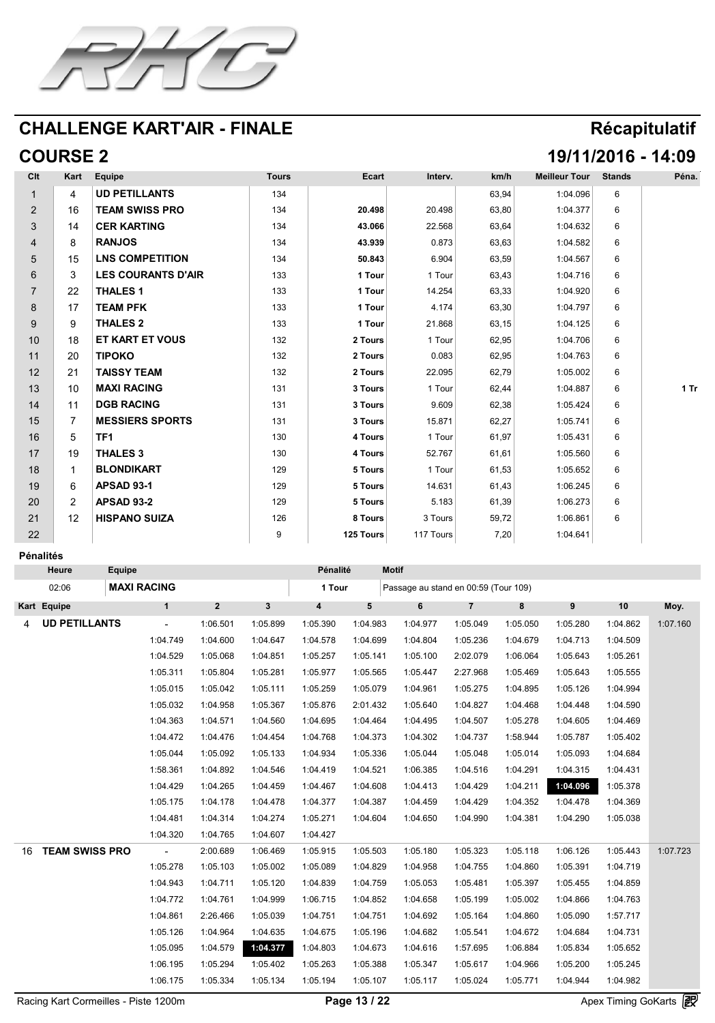![](_page_12_Picture_0.jpeg)

# **COURSE 2 19/11/2016 - 14:09**

| CIt                                  | Kart                                      | <b>Equipe</b>          | <b>Tours</b> | <b>Ecart</b>                              | Interv. | km/h  | <b>Meilleur Tour</b> | <b>Stands</b>                | Péna. |
|--------------------------------------|-------------------------------------------|------------------------|--------------|-------------------------------------------|---------|-------|----------------------|------------------------------|-------|
|                                      |                                           | UD PETILLANTS          | 134          |                                           |         | 63,94 | 1:04.096             | 6                            |       |
| $\sqrt{2}$                           | 16                                        | <b>TEAM SWISS PRO</b>  | 134          | 20.498                                    | 20.498  | 63,80 | 1:04.377             | 6                            |       |
| $\bigcap$<br>$\overline{\mathbf{v}}$ | 14                                        | CER KARTING            | 134          | 43.066                                    | 22.568  | 63,64 | 1:04.632             | 6                            |       |
| 4                                    |                                           | RANJOS                 | 134          | 43.939                                    | 0.873   | 63,63 | 1:04.582             | 6                            |       |
| $\mathbf C$                          | 15                                        | <b>LNS COMPETITION</b> | 134          | 50.843                                    | 6.904   | 63,59 | 1:04.567             | 6                            |       |
|                                      |                                           | LES COURANTS D'AIR     | 133          | Tour                                      | Tour    | 63,43 | 1:04.716             | 6                            |       |
|                                      | 22<br>$\overline{\phantom{a}}$            | THALES 1               | 133          | Tour                                      | 14.254  | 63,33 | 1:04.920             | 6                            |       |
| 8                                    | $\overline{A}$                            | TEAM PFK               | 133          | $\overline{A}$ and $\overline{A}$<br>Tour | 4.174   | 63,30 | 1:04.797             | 6                            |       |
| Y                                    |                                           | <b>THALES 2</b>        | 133          | Tour                                      | 21.868  | 63,15 | 1:04.125             | 6                            |       |
| 10                                   | 18                                        | ET KART ET VOUS        | 132          | 2 Tours                                   | Tour    | 62,95 | 1:04.706             | 6                            |       |
|                                      | 20                                        | TIPOKO                 | 132          | 2 Tours                                   | 0.083   | 62,95 | 1:04.763             | 6                            |       |
| 10<br>$\mathsf{L}$                   | $\mathcal{Q}$<br>$\overline{\phantom{a}}$ | TAISSY TEAM            | 132          | 2 Tours                                   | 22.095  | 62,79 | 1:05.002             | A<br>$\overline{\mathbf{U}}$ |       |
| 12<br>I U                            | 10                                        | MAXI RACING            | 131          | 3 Tours                                   | Tour    | 62,44 | 1:04.887             | $\mathbf U$                  | 1 Tr  |
| 14                                   |                                           | DGB RACING             | 131          | 3 Tours                                   | 9.609   | 62,38 | 1:05.424             | 6                            |       |
| 15                                   |                                           | <b>MESSIERS SPORTS</b> | 131          | 3 Tours                                   | 15.871  | 62,27 | 1:05.741             | 6                            |       |
| 16                                   |                                           | ſF1                    | 130          | <b>Tours</b>                              | Tour    | 61,97 | 1:05.431             | $\bigcap$                    |       |
| 17                                   | 19                                        | THALES 3               | 130          | 4 Tours                                   | 52.767  | 61,61 | 1:05.560             | 6                            |       |
| 18                                   |                                           | BLONDIKART             | 129          | 5 Tours                                   | Tour    | 61,53 | 1:05.652             | 6                            |       |
| 19                                   |                                           | <b>APSAD 93-1</b>      | 129          | 5 Tours                                   | 14.631  | 61,43 | 1:06.245             | 6                            |       |
| 20                                   |                                           | <b>APSAD 93-2</b>      | 129          | 5 Tours                                   | 5.183   | 61,39 | 1:06.273             | 6                            |       |

| $\bigcap$ 1<br>$\sqrt{2}$ | $\Lambda$<br>$\overline{L}$ | HISPANO SUIZA | 126 | <b>Tours</b>     | 2 Tours         | 59,72 | 1:06.861 |  |
|---------------------------|-----------------------------|---------------|-----|------------------|-----------------|-------|----------|--|
| $\Omega$<br>$\sqrt{2}$    |                             |               |     | <b>125 Tours</b> | 117T<br>l ours, | 7,20  | 1:04.641 |  |

#### **Pénalités**

|    | <b>Heure</b>          | <b>Equipe</b> |             |          |          | Pénalité |          | <b>Motif</b>                         |          |          |          |          |            |
|----|-----------------------|---------------|-------------|----------|----------|----------|----------|--------------------------------------|----------|----------|----------|----------|------------|
|    | 02:06                 |               | MAXI RACING |          |          | Tour     |          | Passage au stand en 00:59 (Tour 109) |          |          |          |          |            |
|    | Kart Equipe           |               |             |          |          |          |          |                                      |          |          |          | 10       | Moy.       |
|    | UD PETILLANTS         |               | $\sim 100$  | 1:06.501 | 1:05.899 | 1:05.390 | 1:04.983 | 1:04.977                             | 1:05.049 | 1:05.050 | 1:05.280 | 1:04.862 | 1:07.160   |
|    |                       |               | 1:04.749    | 1:04.600 | 1:04.647 | 1:04.578 | 1:04.699 | 1:04.804                             | 1:05.236 | 1:04.679 | 1:04.713 | 1:04.509 |            |
|    |                       |               | 1:04.529    | 1:05.068 | 1:04.851 | 1:05.257 | 1:05.141 | 1:05.100                             | 2:02.079 | 1:06.064 | 1:05.643 | 1:05.261 |            |
|    |                       |               | 1:05.311    | 1:05.804 | 1:05.281 | 1:05.977 | 1:05.565 | 1:05.447                             | 2:27.968 | 1:05.469 | 1:05.643 | 1:05.555 |            |
|    |                       |               | 1:05.015    | 1:05.042 | 1:05.111 | 1:05.259 | 1:05.079 | 1:04.961                             | 1:05.275 | 1:04.895 | 1:05.126 | 1:04.994 |            |
|    |                       |               | 1:05.032    | 1:04.958 | 1:05.367 | 1:05.876 | 2:01.432 | 1:05.640                             | 1:04.827 | 1:04.468 | 1:04.448 | 1:04.590 |            |
|    |                       |               | 1:04.363    | 1:04.571 | 1:04.560 | 1:04.695 | 1:04.464 | 1:04.495                             | 1:04.507 | 1:05.278 | 1:04.605 | 1:04.469 |            |
|    |                       |               | 1:04.472    | 1:04.476 | 1:04.454 | 1:04.768 | 1:04.373 | 1:04.302                             | 1:04.737 | 1:58.944 | 1:05.787 | 1:05.402 |            |
|    |                       |               | 1:05.044    | 1:05.092 | 1:05.133 | 1:04.934 | 1:05.336 | 1:05.044                             | 1:05.048 | 1:05.014 | 1:05.093 | 1:04.684 |            |
|    |                       |               | 1:58.361    | 1:04.892 | 1:04.546 | 1:04.419 | 1:04.521 | 1:06.385                             | 1:04.516 | 1:04.291 | 1:04.315 | 1:04.431 |            |
|    |                       |               | 1:04.429    | 1:04.265 | 1:04.459 | 1:04.467 | 1:04.608 | 1:04.413                             | 1:04.429 | 1:04.211 | 1:04.096 | 1:05.378 |            |
|    |                       |               | 1:05.175    | 1:04.178 | 1:04.478 | 1:04.377 | 1:04.387 | 1:04.459                             | 1:04.429 | 1:04.352 | 1:04.478 | 1:04.369 |            |
|    |                       |               | 1:04.481    | 1:04.314 | 1:04.274 | 1:05.271 | 1:04.604 | 1:04.650                             | 1:04.990 | 1:04.381 | 1:04.290 | 1:05.038 |            |
|    |                       |               | 1:04.320    | 1:04.765 | 1:04.607 | 1:04.427 |          |                                      |          |          |          |          |            |
| 16 | <b>TEAM SWISS PRO</b> |               | $\sim$      | 2:00.689 | 1:06.469 | 1:05.915 | 1:05.503 | 1:05.180                             | 1:05.323 | 1:05.118 | 1:06.126 | 1:05.443 | 1:07.723   |
|    |                       |               | 1:05.278    | 1:05.103 | 1:05.002 | 1:05.089 | 1:04.829 | 1:04.958                             | 1:04.755 | 1:04.860 | 1:05.391 | 1:04.719 |            |
|    |                       |               | 1:04.943    | 1:04.711 | 1:05.120 | 1:04.839 | 1:04.759 | 1:05.053                             | 1:05.481 | 1:05.397 | 1:05.455 | 1:04.859 |            |
|    |                       |               | 1:04.772    | 1:04.761 |          |          |          |                                      |          |          | 1:04.866 | 1:04.763 |            |
|    |                       |               | 1:04.861    | 2:26.466 | 1:05.039 | 1:04.751 | 1:04.751 | 1:04.692                             | 1:05.164 | 1:04.860 | 1:05.090 | 1:57.717 |            |
|    |                       |               | 1:05.126    | 1:04.964 | 1:04.635 | 1:04.675 | 1:05.196 | 1:04.682                             | 1:05.541 | 1:04.672 | 1:04.684 | 1:04.731 |            |
|    |                       |               | 1:05.095    | 1:04.579 | 1:04.377 | 1:04.803 | 1:04.673 | 1:04.616                             | 1:57.695 | 1:06.884 | 1:05.834 | 1:05.652 |            |
|    |                       |               | 1:06.195    | 1:05.294 | 1:05.402 | 1:05.263 | 1:05.388 | 1:05.347                             | 1:05.617 | 1:04.966 | 1:05.200 | 1:05.245 |            |
|    |                       |               | 1:06.175    | 1:05.334 | 1:05.134 | 1:05.194 | 1:05.107 | 1:05.117                             | 1:05.024 | 1:05.771 | 1:04.944 | 1:04.982 |            |
|    |                       |               |             |          |          |          |          |                                      |          |          |          |          | $\sqrt{2}$ |

Racing Kart Cormeilles - Piste 1200m **Page 13 / 22** Apex Timing GoKarts **in Apex**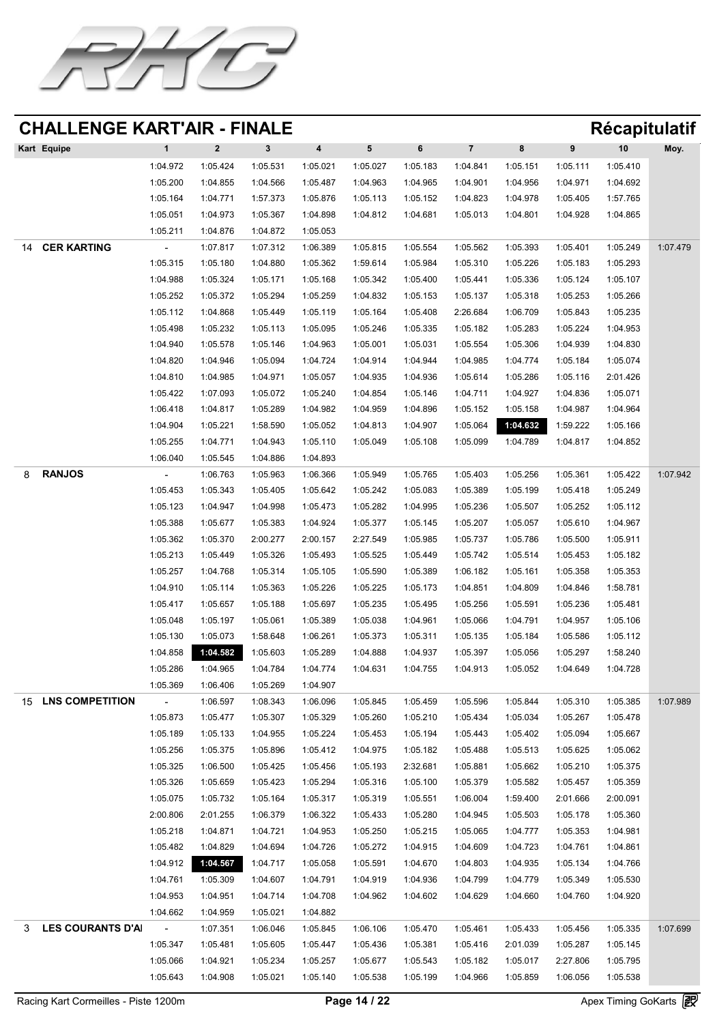![](_page_13_Picture_0.jpeg)

| Kart Equipe              |          |          |          | 4        | 5        | 6        |          |          | 9        | 10       | Moy.     |
|--------------------------|----------|----------|----------|----------|----------|----------|----------|----------|----------|----------|----------|
|                          | 1:04.972 | 1:05.424 | 1:05.531 | 1:05.021 | 1:05.027 | 1:05.183 | 1:04.841 | 1:05.151 | 1:05.111 | 1:05.410 |          |
|                          | 1:05.200 | 1:04.855 | 1:04.566 | 1:05.487 | 1:04.963 | 1:04.965 | 1:04.901 | 1:04.956 | 1:04.971 | 1:04.692 |          |
|                          | 1:05.164 | 1:04.771 | 1:57.373 | 1:05.876 | 1:05.113 | 1:05.152 | 1:04.823 | 1:04.978 | 1:05.405 | 1:57.765 |          |
|                          | 1:05.051 | 1:04.973 | 1:05.367 | 1:04.898 | 1:04.812 | 1:04.681 | 1:05.013 | 1:04.801 | 1:04.928 | 1:04.865 |          |
|                          | 1:05.211 | 1:04.876 | 1:04.872 | 1:05.053 |          |          |          |          |          |          |          |
| <b>CER KARTING</b><br>14 | $\sim$   | 1:07.817 | 1:07.312 | 1:06.389 | 1:05.815 | 1:05.554 | 1:05.562 | 1:05.393 | 1:05.401 | 1:05.249 | 1:07.479 |

|    |                   | 1:05.315          | 1:05.180                   | 1:04.880 | 1:05.362 | 1:59.614          | 1:05.984 | 1:05.310          | 1:05.226          | 1:05.183 | 1:05.293 |          |
|----|-------------------|-------------------|----------------------------|----------|----------|-------------------|----------|-------------------|-------------------|----------|----------|----------|
|    |                   | 1:04.988          | 1:05.324                   | 1:05.171 | 1:05.168 | 1:05.342          | 1:05.400 | 1:05.441          | 1:05.336          | 1:05.124 | 1:05.107 |          |
|    |                   | 1:05.252          | 1:05.372                   | 1:05.294 | 1:05.259 | 1:04.832          | 1:05.153 | 1:05.137          | 1:05.318          | 1:05.253 | 1:05.266 |          |
|    |                   | 1:05.112          | 1:04.868                   | 1:05.449 | 1:05.119 | 1:05.164          | 1:05.408 | 2:26.684          | 1:06.709          | 1:05.843 | 1:05.235 |          |
|    |                   | 1:05.498          | 1:05.232                   | 1:05.113 | 1:05.095 | 1:05.246          | 1:05.335 | 1:05.182          | 1:05.283          | 1:05.224 | 1:04.953 |          |
|    |                   | 1:04.940          | 1:05.578                   | 1:05.146 | 1:04.963 | 1:05.001          | 1:05.031 | 1:05.554          | 1:05.306          | 1:04.939 | 1:04.830 |          |
|    |                   | 1:04.820          | 1:04.946                   | 1:05.094 | 1:04.724 | 1:04.914          | 1:04.944 | 1:04.985          | 1:04.774          | 1:05.184 | 1:05.074 |          |
|    |                   | 1:04.810          | 1:04.985                   | 1:04.971 | 1:05.057 | 1:04.935          | 1:04.936 | 1:05.614          | 1:05.286          | 1:05.116 | 2:01.426 |          |
|    |                   | 1:05.422          | 1:07.093                   | 1:05.072 |          | 1:05.240 1:04.854 |          | 1:05.146 1:04.711 | 1:04.927          | 1:04.836 | 1:05.071 |          |
|    |                   | 1:06.418          | 1:04.817                   | 1:05.289 | 1:04.982 | 1:04.959          | 1:04.896 | 1:05.152          | 1:05.158          | 1:04.987 | 1:04.964 |          |
|    |                   | 1:04.904          | 1:05.221                   | 1:58.590 | 1:05.052 | 1:04.813          | 1:04.907 | 1:05.064          | 1:04.632          | 1:59.222 | 1:05.166 |          |
|    |                   | 1:05.255          | 1:04.771                   | 1:04.943 | 1:05.110 | 1:05.049          | 1:05.108 | 1:05.099          | 1:04.789          | 1:04.817 | 1:04.852 |          |
|    |                   | 1:06.040          | 1:05.545                   | 1:04.886 | 1:04.893 |                   |          |                   |                   |          |          |          |
|    | <b>RANJOS</b>     | $\sim$ 1000 $\mu$ | 1:06.763                   | 1:05.963 | 1:06.366 | 1:05.949          | 1:05.765 | 1:05.403          | 1:05.256          | 1:05.361 | 1:05.422 | 1:07.942 |
|    |                   | 1:05.453          | 1:05.343                   | 1:05.405 | 1:05.642 | 1:05.242          | 1:05.083 | 1:05.389          | 1:05.199          | 1:05.418 | 1:05.249 |          |
|    |                   | 1:05.123          | 1:04.947                   | 1:04.998 | 1:05.473 | 1:05.282          | 1:04.995 | 1:05.236          | 1:05.507          | 1:05.252 | 1:05.112 |          |
|    |                   | 1:05.388          | 1:05.677                   | 1:05.383 | 1:04.924 | 1:05.377          | 1:05.145 | 1:05.207          | 1:05.057          | 1:05.610 | 1:04.967 |          |
|    |                   | 1:05.362          | 1:05.370                   | 2:00.277 | 2:00.157 | 2:27.549          | 1:05.985 | 1:05.737          | 1:05.786          | 1:05.500 | 1:05.911 |          |
|    |                   | 1:05.213          | 1:05.449                   | 1:05.326 | 1:05.493 | 1:05.525          | 1:05.449 | 1:05.742          | 1:05.514          | 1:05.453 | 1:05.182 |          |
|    |                   | 1:05.257          | 1:04.768                   | 1:05.314 | 1:05.105 | 1:05.590          | 1:05.389 | 1:06.182          | 1:05.161          | 1:05.358 | 1:05.353 |          |
|    |                   | 1:04.910          | 1:05.114                   | 1:05.363 | 1:05.226 | 1:05.225          | 1:05.173 | 1:04.851          | 1:04.809          | 1:04.846 | 1:58.781 |          |
|    |                   | 1:05.417          | 1:05.657                   | 1:05.188 | 1:05.697 | 1:05.235          | 1:05.495 | 1:05.256          | 1:05.591          | 1:05.236 | 1:05.481 |          |
|    |                   | 1:05.048          | 1:05.197                   | 1:05.061 | 1:05.389 | 1:05.038          | 1:04.961 | 1:05.066          | 1:04.791          | 1:04.957 | 1:05.106 |          |
|    |                   | 1:05.130          | 1:05.073                   | 1:58.648 | 1:06.261 | 1:05.373          | 1:05.311 | 1:05.135          | 1:05.184          | 1:05.586 | 1:05.112 |          |
|    |                   | 1:04.858          | 1:04.582                   | 1:05.603 | 1:05.289 | 1:04.888          | 1:04.937 | 1:05.397          | 1:05.056          | 1:05.297 | 1:58.240 |          |
|    |                   | 1:05.286          | 1:04.965                   | 1:04.784 | 1:04.774 | 1:04.631          | 1:04.755 | 1:04.913          | 1:05.052          | 1:04.649 | 1:04.728 |          |
|    |                   | 1:05.369          | 1:06.406                   | 1:05.269 | 1:04.907 |                   |          |                   |                   |          |          |          |
| 15 | LNS COMPETITION   | $\sim$            | 1:06.597                   | 1:08.343 | 1:06.096 | 1:05.845          | 1:05.459 | 1:05.596          | 1:05.844          | 1:05.310 | 1:05.385 | 1:07.989 |
|    |                   | 1:05.873          | 1:05.477                   | 1:05.307 | 1:05.329 | 1:05.260          | 1:05.210 | 1:05.434          | 1:05.034          | 1:05.267 | 1:05.478 |          |
|    |                   | 1:05.189          | 1:05.133                   | 1:04.955 | 1:05.224 | 1:05.453          | 1:05.194 | 1:05.443          | 1:05.402          | 1:05.094 | 1:05.667 |          |
|    |                   | 1:05.256          | 1:05.375                   | 1:05.896 | 1:05.412 | 1:04.975          | 1:05.182 | 1:05.488          | 1:05.513          | 1:05.625 | 1:05.062 |          |
|    |                   | 1:05.325          | 1:06.500                   | 1:05.425 | 1:05.456 | 1:05.193          | 2:32.681 | 1:05.881          | 1:05.662          | 1:05.210 | 1:05.375 |          |
|    |                   | 1:05.326          | 1:05.659                   | 1:05.423 | 1:05.294 | 1:05.316          | 1:05.100 | 1:05.379          | 1:05.582          | 1:05.457 | 1:05.359 |          |
|    |                   | 1:05.075          | 1:05.732                   |          |          |                   |          |                   | 1:59.400 2:01.666 |          | 2:00.091 |          |
|    |                   | 2:00.806          | 2:01.255                   | 1:06.379 | 1:06.322 | 1:05.433          | 1:05.280 | 1:04.945          | 1:05.503          | 1:05.178 | 1:05.360 |          |
|    |                   | 1:05.218          | 1:04.871                   | 1:04.721 | 1:04.953 | 1:05.250          | 1:05.215 | 1:05.065          | 1:04.777          | 1:05.353 | 1:04.981 |          |
|    |                   | 1:05.482          | 1:04.829                   | 1:04.694 | 1:04.726 | 1:05.272          | 1:04.915 | 1:04.609          | 1:04.723          | 1:04.761 | 1:04.861 |          |
|    |                   |                   | 1:04.912 1:04.567 1:04.717 |          | 1:05.058 | 1:05.591          | 1:04.670 | 1:04.803          | 1:04.935          | 1:05.134 | 1:04.766 |          |
|    |                   | 1:04.761          | 1:05.309                   | 1:04.607 | 1:04.791 | 1:04.919          | 1:04.936 | 1:04.799          | 1:04.779          | 1:05.349 | 1:05.530 |          |
|    |                   | 1:04.953          | 1:04.951                   | 1:04.714 | 1:04.708 | 1:04.962          | 1:04.602 | 1:04.629          | 1:04.660          | 1:04.760 | 1:04.920 |          |
|    |                   | 1:04.662          | 1:04.959                   | 1:05.021 | 1:04.882 |                   |          |                   |                   |          |          |          |
|    | LES COURANTS D'AI |                   | 1:07.351                   | 1:06.046 | 1:05.845 | 1:06.106          | 1:05.470 | 1:05.461          | 1:05.433          | 1:05.456 | 1:05.335 | 1:07.699 |
|    |                   | 1:05.347          | 1:05.481                   | 1:05.605 | 1:05.447 | 1:05.436          | 1:05.381 | 1:05.416          | 2:01.039          | 1:05.287 | 1:05.145 |          |
|    |                   | 1:05.066          | 1:04.921                   | 1:05.234 | 1:05.257 | 1:05.677          | 1:05.543 | 1:05.182          | 1:05.017          | 2:27.806 | 1:05.795 |          |
|    |                   | 1:05.643          | 1:04.908                   | 1:05.021 | 1:05.140 | 1:05.538          | 1:05.199 | 1:04.966          | 1:05.859          | 1:06.056 | 1:05.538 |          |

Racing Kart Cormeilles - Piste 1200m **Page 14 / 22** Apex Timing GoKarts **图**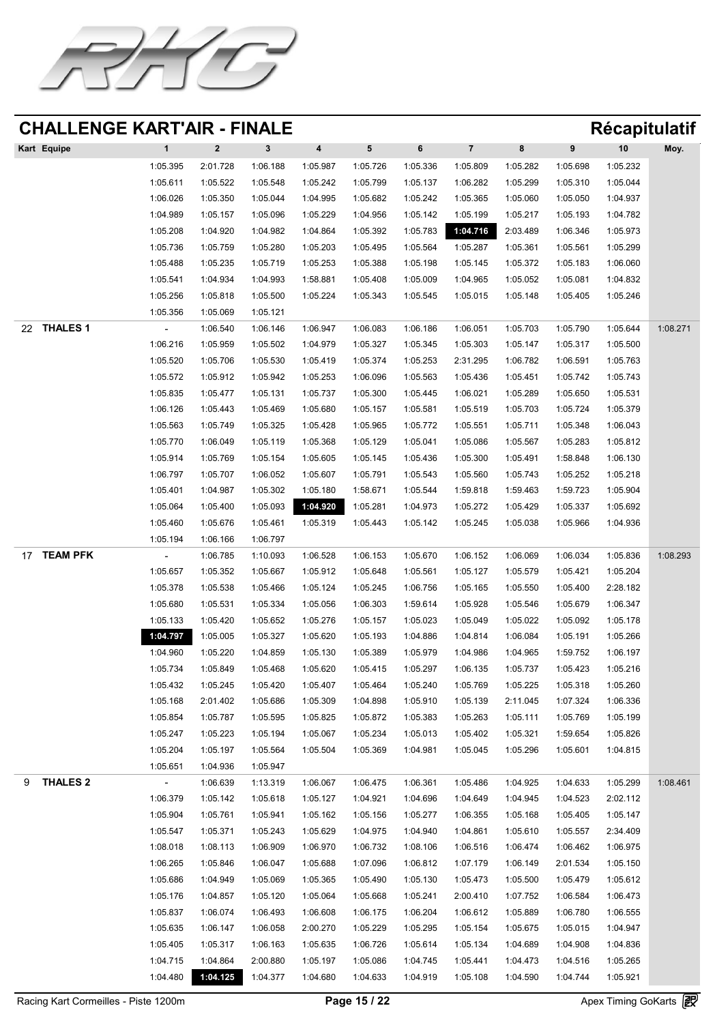![](_page_14_Picture_0.jpeg)

| Kart Equipe |          |          |          | 4        |          |          |          | 8        |          | 10       | Moy. |
|-------------|----------|----------|----------|----------|----------|----------|----------|----------|----------|----------|------|
|             | 1:05.395 | 2:01.728 | 1:06.188 | 1:05.987 | 1:05.726 | 1:05.336 | 1:05.809 | 1:05.282 | 1:05.698 | 1:05.232 |      |
|             | 1:05.611 | 1:05.522 | 1:05.548 | 1:05.242 | 1:05.799 | 1:05.137 | 1:06.282 | 1:05.299 | 1:05.310 | 1:05.044 |      |
|             | 1:06.026 | 1:05.350 | 1:05.044 | 1:04.995 | 1:05.682 | 1:05.242 | 1:05.365 | 1:05.060 | 1:05.050 | 1:04.937 |      |
|             | 1:04.989 | 1:05.157 | 1:05.096 | 1:05.229 | 1:04.956 | 1:05.142 | 1:05.199 | 1:05.217 | 1:05.193 | 1:04.782 |      |
|             | 1:05.208 | 1:04.920 | 1:04.982 | 1:04.864 | 1:05.392 | 1:05.783 | 1:04.716 | 2:03.489 | 1:06.346 | 1:05.973 |      |
|             | 1:05.736 | 1:05.759 | 1:05.280 | 1:05.203 | 1:05.495 | 1:05.564 | 1:05.287 | 1:05.361 | 1:05.561 | 1:05.299 |      |

|             | 1:05.488         | 1:05.235 | 1:05.719 | 1:05.253 | 1:05.388 | 1:05.198 | 1:05.145 | 1:05.372 | 1:05.183 | 1:06.060 |          |
|-------------|------------------|----------|----------|----------|----------|----------|----------|----------|----------|----------|----------|
|             | 1:05.541         | 1:04.934 | 1:04.993 | 1:58.881 | 1:05.408 | 1:05.009 | 1:04.965 | 1:05.052 | 1:05.081 | 1:04.832 |          |
|             | 1:05.256         | 1:05.818 | 1:05.500 | 1:05.224 | 1:05.343 | 1:05.545 | 1:05.015 | 1:05.148 | 1:05.405 | 1:05.246 |          |
|             | 1:05.356         | 1:05.069 | 1:05.121 |          |          |          |          |          |          |          |          |
| 22 THALES 1 | $\sim$ 100 $\pm$ | 1:06.540 | 1:06.146 | 1:06.947 | 1:06.083 | 1:06.186 | 1:06.051 | 1:05.703 | 1:05.790 | 1:05.644 | 1:08.271 |
|             | 1:06.216         | 1:05.959 | 1:05.502 | 1:04.979 | 1:05.327 | 1:05.345 | 1:05.303 | 1:05.147 | 1:05.317 | 1:05.500 |          |
|             | 1:05.520         | 1:05.706 | 1:05.530 | 1:05.419 | 1:05.374 | 1:05.253 | 2:31.295 | 1:06.782 | 1:06.591 | 1:05.763 |          |
|             | 1:05.572         | 1:05.912 | 1:05.942 | 1:05.253 | 1:06.096 | 1:05.563 | 1:05.436 | 1:05.451 | 1:05.742 | 1:05.743 |          |
|             | 1:05.835         | 1:05.477 | 1:05.131 | 1:05.737 | 1:05.300 | 1:05.445 | 1:06.021 | 1:05.289 | 1:05.650 | 1:05.531 |          |
|             | 1:06.126         | 1:05.443 | 1:05.469 | 1:05.680 | 1:05.157 | 1:05.581 | 1:05.519 | 1:05.703 | 1:05.724 | 1:05.379 |          |
|             | 1:05.563         | 1:05.749 | 1:05.325 | 1:05.428 | 1:05.965 | 1:05.772 | 1:05.551 | 1:05.711 | 1:05.348 | 1:06.043 |          |
|             | 1:05.770         | 1:06.049 | 1:05.119 | 1:05.368 | 1:05.129 | 1:05.041 | 1:05.086 | 1:05.567 | 1:05.283 | 1:05.812 |          |
|             | 1:05.914         | 1:05.769 | 1:05.154 | 1:05.605 | 1:05.145 | 1:05.436 | 1:05.300 | 1:05.491 | 1:58.848 | 1:06.130 |          |
|             | 1:06.797         | 1:05.707 | 1:06.052 | 1:05.607 | 1:05.791 | 1:05.543 | 1:05.560 | 1:05.743 | 1:05.252 | 1:05.218 |          |
|             | 1:05.401         | 1:04.987 | 1:05.302 | 1:05.180 | 1:58.671 | 1:05.544 | 1:59.818 | 1:59.463 | 1:59.723 | 1:05.904 |          |
|             | 1:05.064         | 1:05.400 | 1:05.093 | 1:04.920 | 1:05.281 | 1:04.973 | 1:05.272 | 1:05.429 | 1:05.337 | 1:05.692 |          |

1:05.460 1:05.676 1:05.461 1:05.319 1:05.443 1:05.142 1:05.245 1:05.038 1:05.966 1:04.936

1:05.194 1:06.166 1:06.797

17 TEAM PFK

| TEAM PFK   | $\sim$   | 1:06.785 | 1:10.093 | 1:06.528 | 1:06.153 | 1:05.670 | 1:06.152 | 1:06.069 | 1:06.034 | 1:05.836 | 1:08.293 |
|------------|----------|----------|----------|----------|----------|----------|----------|----------|----------|----------|----------|
|            | 1:05.657 | 1:05.352 | 1:05.667 | 1:05.912 | 1:05.648 | 1:05.561 | 1:05.127 | 1:05.579 | 1:05.421 | 1:05.204 |          |
|            | 1:05.378 | 1:05.538 | 1:05.466 | 1:05.124 | 1:05.245 | 1:06.756 | 1:05.165 | 1:05.550 | 1:05.400 | 2:28.182 |          |
|            | 1:05.680 | 1:05.531 | 1:05.334 | 1:05.056 | 1:06.303 | 1:59.614 | 1:05.928 | 1:05.546 | 1:05.679 | 1:06.347 |          |
|            | 1:05.133 | 1:05.420 | 1:05.652 | 1:05.276 | 1:05.157 | 1:05.023 | 1:05.049 | 1:05.022 | 1:05.092 | 1:05.178 |          |
|            | 1:04.797 | 1:05.005 | 1:05.327 | 1:05.620 | 1:05.193 | 1:04.886 | 1:04.814 | 1:06.084 | 1:05.191 | 1:05.266 |          |
|            | 1:04.960 | 1:05.220 | 1:04.859 | 1:05.130 | 1:05.389 | 1:05.979 | 1:04.986 | 1:04.965 | 1:59.752 | 1:06.197 |          |
|            | 1:05.734 | 1:05.849 | 1:05.468 | 1:05.620 | 1:05.415 | 1:05.297 | 1:06.135 | 1:05.737 | 1:05.423 | 1:05.216 |          |
|            | 1:05.432 | 1:05.245 | 1:05.420 | 1:05.407 | 1:05.464 | 1:05.240 | 1:05.769 | 1:05.225 | 1:05.318 | 1:05.260 |          |
|            | 1:05.168 | 2:01.402 | 1:05.686 | 1:05.309 | 1:04.898 | 1:05.910 | 1:05.139 | 2:11.045 | 1:07.324 | 1:06.336 |          |
|            | 1:05.854 | 1:05.787 | 1:05.595 | 1:05.825 | 1:05.872 | 1:05.383 | 1:05.263 | 1:05.111 | 1:05.769 | 1:05.199 |          |
|            | 1:05.247 | 1:05.223 | 1:05.194 | 1:05.067 | 1:05.234 | 1:05.013 | 1:05.402 | 1:05.321 | 1:59.654 | 1:05.826 |          |
|            | 1:05.204 | 1:05.197 | 1:05.564 | 1:05.504 | 1:05.369 | 1:04.981 | 1:05.045 | 1:05.296 | 1:05.601 | 1:04.815 |          |
|            | 1:05.651 | 1:04.936 | 1:05.947 |          |          |          |          |          |          |          |          |
| 9 THALES 2 | $\sim$   | 1:06.639 | 1:13.319 | 1:06.067 | 1:06.475 | 1:06.361 | 1:05.486 | 1:04.925 | 1:04.633 | 1:05.299 | 1:08.461 |
|            | 1:06.379 | 1:05.142 | 1:05.618 | 1:05.127 | 1:04.921 | 1:04.696 | 1:04.649 | 1:04.945 | 1:04.523 | 2:02.112 |          |
|            | 1:05.904 | 1:05.761 | 1:05.941 | 1:05.162 | 1:05.156 | 1:05.277 | 1:06.355 | 1:05.168 | 1:05.405 | 1:05.147 |          |
|            | 1:05.547 | 1:05.371 | 1:05.243 | 1:05.629 | 1:04.975 | 1:04.940 | 1:04.861 | 1:05.610 | 1:05.557 | 2:34.409 |          |
|            | 1:08.018 | 1:08.113 | 1:06.909 | 1:06.970 | 1:06.732 | 1:08.106 | 1:06.516 | 1:06.474 | 1:06.462 | 1:06.975 |          |
|            | 1:06.265 | 1:05.846 | 1:06.047 | 1:05.688 | 1:07.096 | 1:06.812 | 1:07.179 | 1:06.149 | 2:01.534 | 1:05.150 |          |
|            | 1:05.686 | 1:04.949 | 1:05.069 | 1:05.365 | 1:05.490 | 1:05.130 | 1:05.473 | 1:05.500 | 1:05.479 | 1:05.612 |          |
|            | 1:05.176 | 1:04.857 | 1:05.120 | 1:05.064 | 1:05.668 | 1:05.241 | 2:00.410 | 1:07.752 | 1:06.584 | 1:06.473 |          |
|            | 1:05.837 | 1:06.074 | 1:06.493 | 1:06.608 | 1:06.175 | 1:06.204 | 1:06.612 | 1:05.889 | 1:06.780 | 1:06.555 |          |
|            | 1:05.635 | 1:06.147 | 1:06.058 | 2:00.270 | 1:05.229 | 1:05.295 | 1:05.154 | 1:05.675 | 1:05.015 | 1:04.947 |          |
|            | 1:05.405 | 1:05.317 | 1:06.163 | 1:05.635 | 1:06.726 | 1:05.614 | 1:05.134 | 1:04.689 | 1:04.908 | 1:04.836 |          |
|            | 1:04.715 | 1:04.864 | 2:00.880 | 1:05.197 | 1:05.086 | 1:04.745 | 1:05.441 | 1:04.473 | 1:04.516 | 1:05.265 |          |
|            | 1:04.480 | 1:04.125 | 1:04.377 | 1:04.680 | 1:04.633 | 1:04.919 | 1:05.108 | 1:04.590 | 1:04.744 | 1:05.921 |          |
|            |          |          |          |          |          |          |          |          |          |          |          |

Racing Kart Cormeilles - Piste 1200m **Page 15 / 22** Apex Timing GoKarts **图**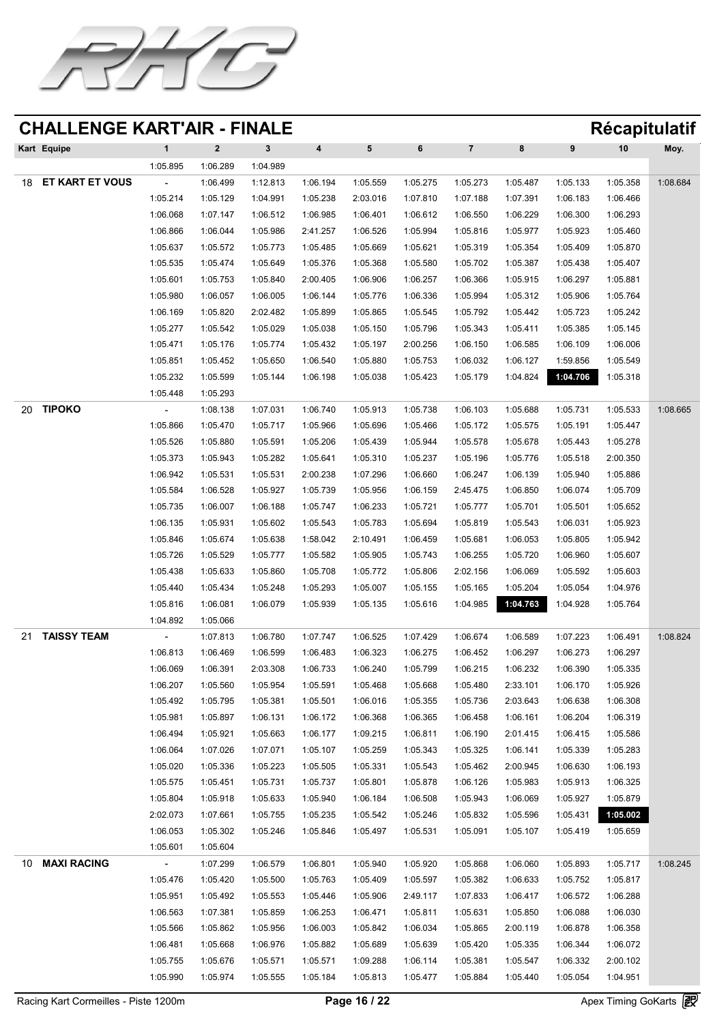![](_page_15_Picture_0.jpeg)

|    | Kart Equipe     |                |          |          | 4        |          |          |          |          |          | 10       | Moy.     |
|----|-----------------|----------------|----------|----------|----------|----------|----------|----------|----------|----------|----------|----------|
|    |                 | 1:05.895       | 1:06.289 | 1:04.989 |          |          |          |          |          |          |          |          |
| 18 | ET KART ET VOUS | $\blacksquare$ | 1:06.499 | 1:12.813 | 1:06.194 | 1:05.559 | 1:05.275 | 1:05.273 | 1:05.487 | 1:05.133 | 1:05.358 | 1:08.684 |
|    |                 | 1:05.214       | 1:05.129 | 1:04.991 | 1:05.238 | 2:03.016 | 1:07.810 | 1:07.188 | 1:07.391 | 1:06.183 | 1:06.466 |          |
|    |                 | 1:06.068       | 1:07.147 | 1:06.512 | 1:06.985 | 1:06.401 | 1:06.612 | 1:06.550 | 1:06.229 | 1:06.300 | 1:06.293 |          |
|    |                 | 1:06.866       | 1:06.044 | 1:05.986 | 2:41.257 | 1:06.526 | 1:05.994 | 1:05.816 | 1:05.977 | 1:05.923 | 1:05.460 |          |
|    |                 | 1:05.637       | 1:05.572 | 1:05.773 | 1:05.485 | 1:05.669 | 1:05.621 | 1:05.319 | 1:05.354 | 1:05.409 | 1:05.870 |          |

|    |             | 1:05.535 | 1:05.474 | 1:05.649 | 1:05.376 | 1:05.368 | 1:05.580 | 1:05.702 | 1:05.387 | 1:05.438 | 1:05.407 |          |
|----|-------------|----------|----------|----------|----------|----------|----------|----------|----------|----------|----------|----------|
|    |             | 1:05.601 | 1:05.753 | 1:05.840 | 2:00.405 | 1:06.906 | 1:06.257 | 1:06.366 | 1:05.915 | 1:06.297 | 1:05.881 |          |
|    |             | 1:05.980 | 1:06.057 | 1:06.005 | 1:06.144 | 1:05.776 | 1:06.336 | 1:05.994 | 1:05.312 | 1:05.906 | 1:05.764 |          |
|    |             | 1:06.169 | 1:05.820 | 2:02.482 | 1:05.899 | 1:05.865 | 1:05.545 | 1:05.792 | 1:05.442 | 1:05.723 | 1:05.242 |          |
|    |             | 1:05.277 | 1:05.542 | 1:05.029 | 1:05.038 | 1:05.150 | 1:05.796 | 1:05.343 | 1:05.411 | 1:05.385 | 1:05.145 |          |
|    |             | 1:05.471 | 1:05.176 | 1:05.774 | 1:05.432 | 1:05.197 | 2:00.256 | 1:06.150 | 1:06.585 | 1:06.109 | 1:06.006 |          |
|    |             | 1:05.851 | 1:05.452 | 1:05.650 | 1:06.540 | 1:05.880 | 1:05.753 | 1:06.032 | 1:06.127 | 1:59.856 | 1:05.549 |          |
|    |             | 1:05.232 | 1:05.599 | 1:05.144 | 1:06.198 | 1:05.038 | 1:05.423 | 1:05.179 | 1:04.824 | 1:04.706 | 1:05.318 |          |
|    |             | 1:05.448 | 1:05.293 |          |          |          |          |          |          |          |          |          |
| 20 | TIPOKO      | $\sim$   | 1:08.138 | 1:07.031 | 1:06.740 | 1:05.913 | 1:05.738 | 1:06.103 | 1:05.688 | 1:05.731 | 1:05.533 | 1:08.665 |
|    |             | 1:05.866 | 1:05.470 | 1:05.717 | 1:05.966 | 1:05.696 | 1:05.466 | 1:05.172 | 1:05.575 | 1:05.191 | 1:05.447 |          |
|    |             | 1:05.526 | 1:05.880 | 1:05.591 | 1:05.206 | 1:05.439 | 1:05.944 | 1:05.578 | 1:05.678 | 1:05.443 | 1:05.278 |          |
|    |             | 1:05.373 | 1:05.943 | 1:05.282 | 1:05.641 | 1:05.310 | 1:05.237 | 1:05.196 | 1:05.776 | 1:05.518 | 2:00.350 |          |
|    |             | 1:06.942 | 1:05.531 | 1:05.531 | 2:00.238 | 1:07.296 | 1:06.660 | 1:06.247 | 1:06.139 | 1:05.940 | 1:05.886 |          |
|    |             | 1:05.584 | 1:06.528 | 1:05.927 | 1:05.739 | 1:05.956 | 1:06.159 | 2:45.475 | 1:06.850 | 1:06.074 | 1:05.709 |          |
|    |             | 1:05.735 | 1:06.007 | 1:06.188 | 1:05.747 | 1:06.233 | 1:05.721 | 1:05.777 | 1:05.701 | 1:05.501 | 1:05.652 |          |
|    |             | 1:06.135 | 1:05.931 | 1:05.602 | 1:05.543 | 1:05.783 | 1:05.694 | 1:05.819 | 1:05.543 | 1:06.031 | 1:05.923 |          |
|    |             | 1:05.846 | 1:05.674 | 1:05.638 | 1:58.042 | 2:10.491 | 1:06.459 | 1:05.681 | 1:06.053 | 1:05.805 | 1:05.942 |          |
|    |             | 1:05.726 | 1:05.529 | 1:05.777 | 1:05.582 | 1:05.905 | 1:05.743 | 1:06.255 | 1:05.720 | 1:06.960 | 1:05.607 |          |
|    |             | 1:05.438 | 1:05.633 | 1:05.860 | 1:05.708 | 1:05.772 | 1:05.806 | 2:02.156 | 1:06.069 | 1:05.592 | 1:05.603 |          |
|    |             | 1:05.440 | 1:05.434 | 1:05.248 | 1:05.293 | 1:05.007 | 1:05.155 | 1:05.165 | 1:05.204 | 1:05.054 | 1:04.976 |          |
|    |             | 1:05.816 | 1:06.081 | 1:06.079 | 1:05.939 | 1:05.135 | 1:05.616 | 1:04.985 | 1:04.763 | 1:04.928 | 1:05.764 |          |
|    |             | 1:04.892 | 1:05.066 |          |          |          |          |          |          |          |          |          |
| 21 | TAISSY TEAM | $\sim$   | 1:07.813 | 1:06.780 | 1:07.747 | 1:06.525 | 1:07.429 | 1:06.674 | 1:06.589 | 1:07.223 | 1:06.491 | 1:08.824 |
|    |             | 1:06.813 | 1:06.469 | 1:06.599 | 1:06.483 | 1:06.323 | 1:06.275 | 1:06.452 | 1:06.297 | 1:06.273 | 1:06.297 |          |
|    |             | 1:06.069 | 1:06.391 | 2:03.308 | 1:06.733 | 1:06.240 | 1:05.799 | 1:06.215 | 1:06.232 | 1:06.390 | 1:05.335 |          |
|    |             | 1:06.207 | 1:05.560 | 1:05.954 | 1:05.591 | 1:05.468 | 1:05.668 | 1:05.480 | 2:33.101 | 1:06.170 | 1:05.926 |          |
|    |             | 1:05.492 | 1:05.795 | 1:05.381 | 1:05.501 | 1:06.016 | 1:05.355 | 1:05.736 | 2:03.643 | 1:06.638 | 1:06.308 |          |
|    |             | 1:05.981 | 1:05.897 | 1:06.131 | 1:06.172 | 1:06.368 | 1:06.365 | 1:06.458 | 1:06.161 | 1:06.204 | 1:06.319 |          |
|    |             | 1:06.494 | 1:05.921 | 1:05.663 | 1:06.177 | 1:09.215 | 1:06.811 | 1:06.190 | 2:01.415 | 1:06.415 | :05.586  |          |
|    |             | 1:06.064 | 1:07.026 | 1:07.071 | 1:05.107 | 1:05.259 | 1:05.343 | 1:05.325 | 1:06.141 | 1:05.339 | 1:05.283 |          |
|    |             | 1:05.020 | 1:05.336 | 1:05.223 | 1:05.505 | 1:05.331 | 1:05.543 | 1:05.462 | 2:00.945 | 1:06.630 | 1:06.193 |          |
|    |             | 1:05.575 | 1:05.451 | 1:05.731 | 1:05.737 | 1:05.801 | 1:05.878 | 1:06.126 | 1:05.983 | 1:05.913 | 1:06.325 |          |
|    |             | 1:05.804 | 1:05.918 | 1:05.633 | 1:05.940 | 1:06.184 | 1:06.508 | 1:05.943 | 1:06.069 | 1:05.927 | 1:05.879 |          |
|    |             | 2:02.073 | 1:07.661 | 1:05.755 | 1:05.235 | 1:05.542 | 1:05.246 | 1:05.832 | 1:05.596 | 1:05.431 | 1:05.002 |          |
|    |             | 1:06.053 | 1:05.302 | 1:05.246 | 1:05.846 | 1:05.497 | 1:05.531 | 1:05.091 | 1:05.107 | 1:05.419 | 1:05.659 |          |
|    |             | 1:05.601 | 1:05.604 |          |          |          |          |          |          |          |          |          |
| 10 | MAXI RACING |          | 1:07.299 | 1:06.579 | 1:06.801 | 1:05.940 | 1:05.920 | 1:05.868 | 1:06.060 | 1:05.893 | 1:05.717 | 1:08.245 |
|    |             | 1:05.476 | 1:05.420 | 1:05.500 | 1:05.763 | 1:05.409 | 1:05.597 | 1:05.382 | 1:06.633 | 1:05.752 | 1:05.817 |          |
|    |             | 1:05.951 | 1:05.492 | 1:05.553 | 1:05.446 | 1:05.906 | 2:49.117 | 1:07.833 | 1:06.417 | 1:06.572 | 1:06.288 |          |
|    |             | 1:06.563 | 1:07.381 | 1:05.859 | 1:06.253 | 1:06.471 | 1:05.811 | 1:05.631 | 1:05.850 | 1:06.088 | 1:06.030 |          |
|    |             | 1:05.566 | 1:05.862 | 1:05.956 | 1:06.003 | 1:05.842 | 1:06.034 | 1:05.865 | 2:00.119 | 1:06.878 | 1:06.358 |          |
|    |             | 1:06.481 | 1:05.668 | 1:06.976 | 1:05.882 | 1:05.689 | 1:05.639 | 1:05.420 | 1:05.335 | 1:06.344 | 1:06.072 |          |
|    |             | 1:05.755 | 1:05.676 | 1:05.571 | 1:05.571 | 1:09.288 | 1:06.114 | 1:05.381 | 1:05.547 | 1:06.332 | 2:00.102 |          |
|    |             | 1:05.990 | 1:05.974 | 1:05.555 | 1:05.184 | 1:05.813 | 1:05.477 | 1:05.884 | 1:05.440 | 1:05.054 | 1:04.951 |          |

Racing Kart Cormeilles - Piste 1200m **Page 16 / 22** Apex Timing GoKarts **图**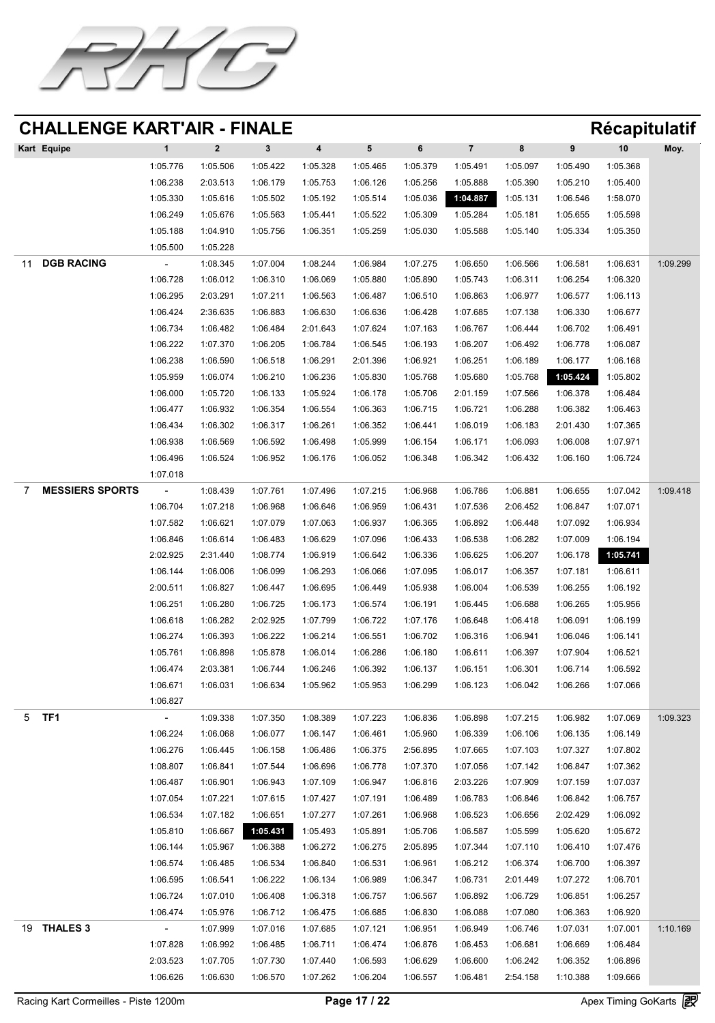![](_page_16_Picture_0.jpeg)

| Kart Equipe |           |                                                          |          | 4        |          |          |          | 8        |          | 10       | Moy. |
|-------------|-----------|----------------------------------------------------------|----------|----------|----------|----------|----------|----------|----------|----------|------|
|             | 1:05.776  | 1:05.506                                                 | 1:05.422 | 1:05.328 | 1:05.465 | 1:05.379 | 1:05.491 | 1:05.097 | 1:05.490 | 1:05.368 |      |
|             | 1:06.238  | 2:03.513                                                 | 1:06.179 | 1:05.753 | 1:06.126 | 1:05.256 | 1:05.888 | 1:05.390 | 1:05.210 | 1:05.400 |      |
|             | 1:05.330  | 1:05.616                                                 | 1:05.502 | 1:05.192 | 1:05.514 | 1:05.036 | 1:04.887 | 1:05.131 | 1:06.546 | 1:58.070 |      |
|             | 1:06.249  | 1:05.676                                                 | 1:05.563 | 1:05.441 | 1:05.522 | 1:05.309 | 1:05.284 | 1:05.181 | 1:05.655 | 1:05.598 |      |
|             | 1:05.188  | 1:04.910                                                 | 1:05.756 | 1:06.351 | 1:05.259 | 1:05.030 | 1:05.588 | 1:05.140 | 1:05.334 | 1:05.350 |      |
|             | $\bullet$ | $\mathbf{A} \mathbf{A} \mathbf{A} \mathbf{A} \mathbf{A}$ |          |          |          |          |          |          |          |          |      |

1:05.500 1:05.228

|                      | DGB RACING             | $\sim$   | 1:08.345 | 1:07.004          | 1:08.244 | 1:06.984 | 1:07.275 | 1:06.650 | 1:06.566 | 1:06.581 | 1:06.631 | 1:09.299 |
|----------------------|------------------------|----------|----------|-------------------|----------|----------|----------|----------|----------|----------|----------|----------|
|                      |                        | 1:06.728 | 1:06.012 | 1:06.310          | 1:06.069 | 1:05.880 | 1:05.890 | 1:05.743 | 1:06.311 | 1:06.254 | 1:06.320 |          |
|                      |                        | 1:06.295 | 2:03.291 | 1:07.211          | 1:06.563 | 1:06.487 | 1:06.510 | 1:06.863 | 1:06.977 | 1:06.577 | 1:06.113 |          |
|                      |                        | 1:06.424 | 2:36.635 | 1:06.883          | 1:06.630 | 1:06.636 | 1:06.428 | 1:07.685 | 1:07.138 | 1:06.330 | 1:06.677 |          |
|                      |                        | 1:06.734 | 1:06.482 | 1:06.484          | 2:01.643 | 1:07.624 | 1:07.163 | 1:06.767 | 1:06.444 | 1:06.702 | 1:06.491 |          |
|                      |                        | 1:06.222 | 1:07.370 | 1:06.205          | 1:06.784 | 1:06.545 | 1:06.193 | 1:06.207 | 1:06.492 | 1:06.778 | 1:06.087 |          |
|                      |                        | 1:06.238 | 1:06.590 | 1:06.518          | 1:06.291 | 2:01.396 | 1:06.921 | 1:06.251 | 1:06.189 | 1:06.177 | 1:06.168 |          |
|                      |                        | 1:05.959 | 1:06.074 | 1:06.210          | 1:06.236 | 1:05.830 | 1:05.768 | 1:05.680 | 1:05.768 | 1:05.424 | 1:05.802 |          |
|                      |                        | 1:06.000 | 1:05.720 | 1:06.133          | 1:05.924 | 1:06.178 | 1:05.706 | 2:01.159 | 1:07.566 | 1:06.378 | 1:06.484 |          |
|                      |                        | 1:06.477 | 1:06.932 | 1:06.354          | 1:06.554 | 1:06.363 | 1:06.715 | 1:06.721 | 1:06.288 | 1:06.382 | 1:06.463 |          |
|                      |                        | 1:06.434 | 1:06.302 | 1:06.317          | 1:06.261 | 1:06.352 | 1:06.441 | 1:06.019 | 1:06.183 | 2:01.430 | 1:07.365 |          |
|                      |                        | 1:06.938 | 1:06.569 | 1:06.592          | 1:06.498 | 1:05.999 | 1:06.154 | 1:06.171 | 1:06.093 | 1:06.008 | 1:07.971 |          |
|                      |                        | 1:06.496 | 1:06.524 | 1:06.952          | 1:06.176 | 1:06.052 | 1:06.348 | 1:06.342 | 1:06.432 | 1:06.160 | 1:06.724 |          |
|                      |                        | 1:07.018 |          |                   |          |          |          |          |          |          |          |          |
|                      | <b>MESSIERS SPORTS</b> | $\sim$   | 1:08.439 | 1:07.761          | 1:07.496 | 1:07.215 | 1:06.968 | 1:06.786 | 1:06.881 | 1:06.655 | 1:07.042 | 1:09.418 |
|                      |                        | 1:06.704 | 1:07.218 | 1:06.968          | 1:06.646 | 1:06.959 | 1:06.431 | 1:07.536 | 2:06.452 | 1:06.847 | 1:07.071 |          |
|                      |                        | 1:07.582 | 1:06.621 | 1:07.079          | 1:07.063 | 1:06.937 | 1:06.365 | 1:06.892 | 1:06.448 | 1:07.092 | 1:06.934 |          |
|                      |                        | 1:06.846 | 1:06.614 | 1:06.483          | 1:06.629 | 1:07.096 | 1:06.433 | 1:06.538 | 1:06.282 | 1:07.009 | 1:06.194 |          |
|                      |                        | 2:02.925 | 2:31.440 | 1:08.774          | 1:06.919 | 1:06.642 | 1:06.336 | 1:06.625 | 1:06.207 | 1:06.178 | 1:05.741 |          |
|                      |                        | 1:06.144 | 1:06.006 | 1:06.099          | 1:06.293 | 1:06.066 | 1:07.095 | 1:06.017 | 1:06.357 | 1:07.181 | 1:06.611 |          |
|                      |                        | 2:00.511 | 1:06.827 | 1:06.447          | 1:06.695 | 1:06.449 | 1:05.938 | 1:06.004 | 1:06.539 | 1:06.255 | 1:06.192 |          |
|                      |                        | 1:06.251 | 1:06.280 | 1:06.725          | 1:06.173 | 1:06.574 | 1:06.191 | 1:06.445 | 1:06.688 | 1:06.265 | 1:05.956 |          |
|                      |                        | 1:06.618 | 1:06.282 | 2:02.925          | 1:07.799 | 1:06.722 | 1:07.176 | 1:06.648 | 1:06.418 | 1:06.091 | 1:06.199 |          |
|                      |                        | 1:06.274 | 1:06.393 | 1:06.222          | 1:06.214 | 1:06.551 | 1:06.702 | 1:06.316 | 1:06.941 | 1:06.046 | 1:06.141 |          |
|                      |                        | 1:05.761 | 1:06.898 | 1:05.878          | 1:06.014 | 1:06.286 | 1:06.180 | 1:06.611 | 1:06.397 | 1:07.904 | 1:06.521 |          |
|                      |                        | 1:06.474 | 2:03.381 | 1:06.744          | 1:06.246 | 1:06.392 | 1:06.137 | 1:06.151 | 1:06.301 | 1:06.714 | 1:06.592 |          |
|                      |                        | 1:06.671 | 1:06.031 | 1:06.634          | 1:05.962 | 1:05.953 | 1:06.299 | 1:06.123 | 1:06.042 | 1:06.266 | 1:07.066 |          |
|                      |                        | 1:06.827 |          |                   |          |          |          |          |          |          |          |          |
| 5                    | TF1                    | $\sim$   | 1:09.338 | 1:07.350          | 1:08.389 | 1:07.223 | 1:06.836 | 1:06.898 | 1:07.215 | 1:06.982 | 1:07.069 | 1:09.323 |
|                      |                        | 1:06.224 | 1:06.068 | 1:06.077          | 1:06.147 | 1:06.461 | 1:05.960 | 1:06.339 | 1:06.106 | 1:06.135 | 1:06.149 |          |
|                      |                        | 1:06.276 | 1:06.445 | 1:06.158          | 1:06.486 | 1:06.375 | 2:56.895 | 1:07.665 | 1:07.103 | 1:07.327 | 1:07.802 |          |
|                      |                        | 1:08.807 | 1:06.841 | 1:07.544          | 1:06.696 | 1:06.778 | 1:07.370 | 1:07.056 | 1:07.142 | 1:06.847 | 1:07.362 |          |
|                      |                        | 1:06.487 | 1:06.901 | 1:06.943          | 1:07.109 | 1:06.947 | 1:06.816 | 2:03.226 | 1:07.909 | 1:07.159 | 1:07.037 |          |
|                      |                        | 1:07.054 | 1:07.221 | 1:07.615          | 1:07.427 | 1:07.191 | 1:06.489 | 1:06.783 | 1:06.846 | 1:06.842 | 1:06.757 |          |
|                      |                        | 1:06.534 | 1:07.182 | 1:06.651          | 1:07.277 | 1:07.261 | 1:06.968 | 1:06.523 | 1:06.656 | 2:02.429 | 1:06.092 |          |
|                      |                        | 1:05.810 | 1:06.667 | $\sqrt{1:05.431}$ | 1:05.493 | 1:05.891 | 1:05.706 | 1:06.587 | 1:05.599 | 1:05.620 | 1:05.672 |          |
|                      |                        | 1:06.144 | 1:05.967 | 1:06.388          | 1:06.272 | 1:06.275 | 2:05.895 | 1:07.344 | 1:07.110 | 1:06.410 | 1:07.476 |          |
|                      |                        | 1:06.574 | 1:06.485 | 1:06.534          | 1:06.840 | 1:06.531 | 1:06.961 | 1:06.212 | 1:06.374 | 1:06.700 | 1:06.397 |          |
|                      |                        | 1:06.595 | 1:06.541 | 1:06.222          | 1:06.134 | 1:06.989 | 1:06.347 | 1:06.731 | 2:01.449 | 1:07.272 | 1:06.701 |          |
|                      |                        | 1:06.724 | 1:07.010 | 1:06.408          | 1:06.318 | 1:06.757 | 1:06.567 | 1:06.892 | 1:06.729 | 1:06.851 | 1:06.257 |          |
|                      |                        | 1:06.474 | 1:05.976 | 1:06.712          | 1:06.475 | 1:06.685 | 1:06.830 | 1:06.088 | 1:07.080 | 1:06.363 | 1:06.920 |          |
| 19<br>$\blacksquare$ | THALES 3               |          | 1:07.999 | 1:07.016          | 1:07.685 | 1:07.121 | 1:06.951 | 1:06.949 | 1:06.746 | 1:07.031 | 1:07.001 | 1:10.169 |
|                      |                        | 1:07.828 | 1:06.992 | 1:06.485          | 1:06.711 | 1:06.474 | 1:06.876 | 1:06.453 | 1:06.681 | 1:06.669 | 1:06.484 |          |
|                      |                        | 2:03.523 | 1:07.705 | 1:07.730          | 1:07.440 | 1:06.593 | 1:06.629 | 1:06.600 | 1:06.242 | 1:06.352 | 1:06.896 |          |
|                      |                        | 1:06.626 | 1:06.630 | 1:06.570          | 1:07.262 | 1:06.204 | 1:06.557 | 1:06.481 | 2:54.158 | 1:10.388 | 1:09.666 |          |

Racing Kart Cormeilles - Piste 1200m **Page 17 / 22** Apex Timing GoKarts **图**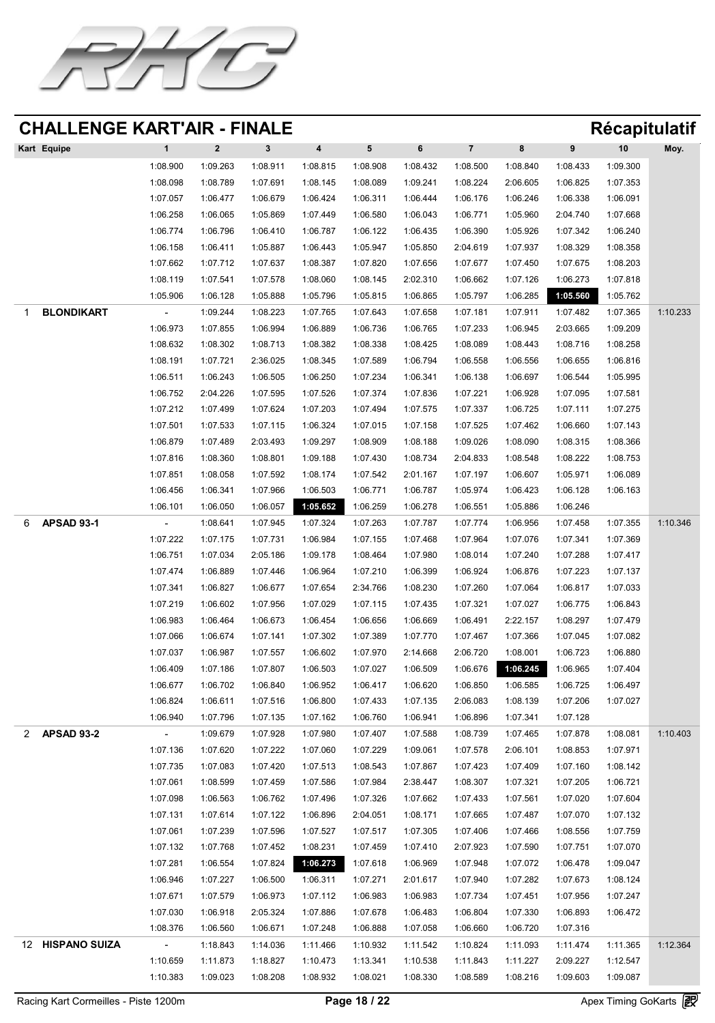![](_page_17_Picture_0.jpeg)

| <b>Kart Equipe</b> |          |          |          | 4        |          |          |          |          |          | 10       | Moy. |
|--------------------|----------|----------|----------|----------|----------|----------|----------|----------|----------|----------|------|
|                    | 1:08.900 | 1:09.263 | 1:08.911 | 1:08.815 | 1:08.908 | 1:08.432 | 1:08.500 | 1:08.840 | 1:08.433 | 1:09.300 |      |
|                    | 1:08.098 | 1:08.789 | 1:07.691 | 1:08.145 | 1:08.089 | 1:09.241 | 1:08.224 | 2:06.605 | 1:06.825 | 1:07.353 |      |
|                    | 1:07.057 | 1:06.477 | 1:06.679 | 1:06.424 | 1:06.311 | 1:06.444 | 1:06.176 | 1:06.246 | 1:06.338 | 1:06.091 |      |
|                    | 1:06.258 | 1:06.065 | 1:05.869 | 1:07.449 | 1:06.580 | 1:06.043 | 1:06.771 | 1:05.960 | 2:04.740 | 1:07.668 |      |
|                    | 1:06.774 | 1:06.796 | 1:06.410 | 1:06.787 | 1:06.122 | 1:06.435 | 1:06.390 | 1:05.926 | 1:07.342 | 1:06.240 |      |
|                    | 1:06.158 | 1:06.411 | 1:05.887 | 1:06.443 | 1:05.947 | 1:05.850 | 2:04.619 | 1:07.937 | 1:08.329 | 1:08.358 |      |

|    |                      | 1:07.662                 | 1:07.712 | 1:07.637 | 1:08.387                            | 1:07.820                   | 1:07.656          | 1:07.677 | 1:07.450          | 1:07.675          | 1:08.203 |          |
|----|----------------------|--------------------------|----------|----------|-------------------------------------|----------------------------|-------------------|----------|-------------------|-------------------|----------|----------|
|    |                      | 1:08.119                 | 1:07.541 | 1:07.578 | 1:08.060                            | 1:08.145                   | 2:02.310          | 1:06.662 | 1:07.126          | 1:06.273          | 1:07.818 |          |
|    |                      | 1:05.906                 | 1:06.128 | 1:05.888 | 1:05.796                            | 1:05.815                   | 1:06.865          | 1:05.797 | 1:06.285          | 1:05.560          | 1:05.762 |          |
|    | BLONDIKART           | $\blacksquare$           | 1:09.244 | 1:08.223 | 1:07.765                            | 1:07.643                   | 1:07.658          | 1:07.181 | 1:07.911          | 1:07.482          | 1:07.365 | 1:10.233 |
|    |                      | 1:06.973                 | 1:07.855 | 1:06.994 | 1:06.889                            | 1:06.736                   | 1:06.765          | 1:07.233 | 1:06.945          | 2:03.665          | 1:09.209 |          |
|    |                      | 1:08.632                 | 1:08.302 | 1:08.713 | 1:08.382                            | 1:08.338                   | 1:08.425          | 1:08.089 | 1:08.443          | 1:08.716          | 1:08.258 |          |
|    |                      | 1:08.191                 | 1:07.721 | 2:36.025 | 1:08.345                            | 1:07.589                   | 1:06.794          | 1:06.558 | 1:06.556          | 1:06.655          | 1:06.816 |          |
|    |                      | 1:06.511                 | 1:06.243 | 1:06.505 | 1:06.250                            | 1:07.234                   | 1:06.341          | 1:06.138 | 1:06.697          | 1:06.544          | 1:05.995 |          |
|    |                      | 1:06.752                 | 2:04.226 | 1:07.595 | 1:07.526                            | 1:07.374                   | 1:07.836          | 1:07.221 | 1:06.928          | 1:07.095          | 1:07.581 |          |
|    |                      | 1:07.212                 | 1:07.499 | 1:07.624 | 1:07.203                            | 1:07.494                   | 1:07.575          | 1:07.337 | 1:06.725          | 1:07.111          | 1:07.275 |          |
|    |                      | 1:07.501                 | 1:07.533 | 1:07.115 | 1:06.324                            | 1:07.015                   | 1:07.158          | 1:07.525 | 1:07.462          | 1:06.660          | 1:07.143 |          |
|    |                      | 1:06.879                 | 1:07.489 | 2:03.493 | 1:09.297                            | 1:08.909                   | 1:08.188          | 1:09.026 | 1:08.090          | 1:08.315          | 1:08.366 |          |
|    |                      | 1:07.816                 | 1:08.360 | 1:08.801 | 1:09.188 1:07.430                   |                            | 1:08.734 2:04.833 |          | 1:08.548          | 1:08.222 1:08.753 |          |          |
|    |                      | 1:07.851                 | 1:08.058 | 1:07.592 | 1:08.174                            | 1:07.542                   | 2:01.167          | 1:07.197 | 1:06.607          | 1:05.971          | 1:06.089 |          |
|    |                      | 1:06.456                 | 1:06.341 | 1:07.966 | 1:06.503                            | 1:06.771                   | 1:06.787          | 1:05.974 | 1:06.423          | 1:06.128          | 1:06.163 |          |
|    |                      | 1:06.101                 | 1:06.050 | 1:06.057 | 1:05.652                            | 1:06.259                   | 1:06.278          | 1:06.551 | 1:05.886          | 1:06.246          |          |          |
|    | <b>APSAD 93-1</b>    | $\overline{\phantom{a}}$ | 1:08.641 | 1:07.945 | 1:07.324                            | 1:07.263                   | 1:07.787          | 1:07.774 | 1:06.956          | 1:07.458          | 1:07.355 | 1:10.346 |
|    |                      | 1:07.222                 | 1:07.175 | 1:07.731 | 1:06.984                            | 1:07.155                   | 1:07.468          | 1:07.964 | 1:07.076          | 1:07.341          | 1:07.369 |          |
|    |                      | 1:06.751                 | 1:07.034 | 2:05.186 | 1:09.178                            | 1:08.464                   | 1:07.980          | 1:08.014 | 1:07.240          | 1:07.288          | 1:07.417 |          |
|    |                      | 1:07.474                 | 1:06.889 | 1:07.446 | 1:06.964                            | 1:07.210                   | 1:06.399          | 1:06.924 | 1:06.876          | 1:07.223          | 1:07.137 |          |
|    |                      | 1:07.341                 | 1:06.827 | 1:06.677 | 1:07.654                            | 2:34.766                   | 1:08.230          | 1:07.260 | 1:07.064          | 1:06.817          | 1:07.033 |          |
|    |                      | 1:07.219                 | 1:06.602 | 1:07.956 | 1:07.029                            | 1:07.115                   | 1:07.435          | 1:07.321 | 1:07.027          | 1:06.775          | 1:06.843 |          |
|    |                      | 1:06.983                 | 1:06.464 | 1:06.673 | 1:06.454                            | 1:06.656                   | 1:06.669          | 1:06.491 | 2:22.157          | 1:08.297          | 1:07.479 |          |
|    |                      | 1:07.066                 | 1:06.674 | 1:07.141 | 1:07.302                            | 1:07.389                   | 1:07.770          | 1:07.467 | 1:07.366          | 1:07.045          | 1:07.082 |          |
|    |                      | 1:07.037                 | 1:06.987 | 1:07.557 | 1:06.602                            | 1:07.970                   | 2:14.668          | 2:06.720 | 1:08.001          | 1:06.723          | 1:06.880 |          |
|    |                      | 1:06.409                 | 1:07.186 | 1:07.807 | 1:06.503                            | 1:07.027                   | 1:06.509          | 1:06.676 | 1:06.245          | 1:06.965          | 1:07.404 |          |
|    |                      | 1:06.677                 | 1:06.702 | 1:06.840 | 1:06.952                            | 1:06.417                   | 1:06.620          | 1:06.850 | 1:06.585          | 1:06.725          | 1:06.497 |          |
|    |                      | 1:06.824                 | 1:06.611 | 1:07.516 | 1:06.800                            | 1:07.433                   | 1:07.135          | 2:06.083 | 1:08.139          | 1:07.206          | 1:07.027 |          |
|    |                      | 1:06.940                 | 1:07.796 | 1:07.135 | 1:07.162                            | 1:06.760                   | 1:06.941          | 1:06.896 | 1:07.341          | 1:07.128          |          |          |
|    | <b>APSAD 93-2</b>    | $\blacksquare$           | 1:09.679 | 1:07.928 | 1:07.980                            | 1:07.407                   | 1:07.588          | 1:08.739 | 1:07.465          | 1:07.878          | 1:08.081 | 1:10.403 |
|    |                      | 1:07.136                 | 1:07.620 | 1:07.222 | 1:07.060                            | 1:07.229                   | 1:09.061          | 1:07.578 | 2:06.101          | 1:08.853          | 1:07.971 |          |
|    |                      | 1:07.735                 | 1:07.083 | 1:07.420 | 1:07.513                            | 1:08.543                   | 1:07.867          | 1:07.423 | 1:07.409          | 1:07.160          | 1:08.142 |          |
|    |                      | 1:07.061                 | 1:08.599 | 1:07.459 | 1:07.586                            | 1:07.984                   | 2:38.447          | 1:08.307 | 1:07.321          | 1:07.205          | 1:06.721 |          |
|    |                      | 1:07.098                 | 1:06.563 | 1:06.762 |                                     | 1:07.496 1:07.326 1:07.662 |                   | 1:07.433 | 1:07.561          | 1:07.020          | 1:07.604 |          |
|    |                      | 1:07.131                 | 1:07.614 | 1:07.122 | 1:06.896                            | 2:04.051                   | 1:08.171          | 1:07.665 | 1:07.487          | 1:07.070          | 1:07.132 |          |
|    |                      | 1:07.061                 | 1:07.239 | 1:07.596 | 1:07.527                            | 1:07.517                   | 1:07.305          | 1:07.406 | 1:07.466          | 1:08.556          | 1:07.759 |          |
|    |                      | 1:07.132                 | 1:07.768 | 1:07.452 | 1:08.231                            | 1:07.459                   | 1:07.410          | 2:07.923 | 1:07.590          | 1:07.751          | 1:07.070 |          |
|    |                      | 1:07.281                 | 1:06.554 |          | 1:07.824 1:06.278 1:07.618 1:06.969 |                            |                   | 1:07.948 | 1:07.072 1:06.478 |                   | 1:09.047 |          |
|    |                      | 1:06.946                 | 1:07.227 | 1:06.500 | 1:06.311                            | 1:07.271                   | 2:01.617          | 1:07.940 | 1:07.282          | 1:07.673          | 1:08.124 |          |
|    |                      | 1:07.671                 | 1:07.579 | 1:06.973 | 1:07.112                            | 1:06.983                   | 1:06.983          | 1:07.734 | 1:07.451          | 1:07.956          | 1:07.247 |          |
|    |                      | 1:07.030                 | 1:06.918 | 2:05.324 | 1:07.886                            | 1:07.678                   | 1:06.483          | 1:06.804 | 1:07.330          | 1:06.893          | 1:06.472 |          |
|    |                      | 1:08.376                 | 1:06.560 | 1:06.671 | 1:07.248                            | 1:06.888                   | 1:07.058          | 1:06.660 | 1:06.720          | 1:07.316          |          |          |
| 12 | <b>HISPANO SUIZA</b> | $\overline{\phantom{a}}$ | 1:18.843 | 1:14.036 | 1:11.466                            | 1:10.932                   | 1:11.542          | 1:10.824 | 1:11.093          | 1:11.474          | 1:11.365 | 1:12.364 |
|    |                      | 1:10.659                 | 1:11.873 | 1:18.827 | 1:10.473                            | 1:13.341                   | 1:10.538          | 1:11.843 | 1:11.227          | 2:09.227          | 1:12.547 |          |
|    |                      | 1:10.383                 | 1:09.023 | 1:08.208 | 1:08.932                            | 1:08.021                   | 1:08.330          | 1:08.589 | 1:08.216          | 1:09.603          | 1:09.087 |          |

Racing Kart Cormeilles - Piste 1200m **Page 18 / 22** Apex Timing GoKarts **图**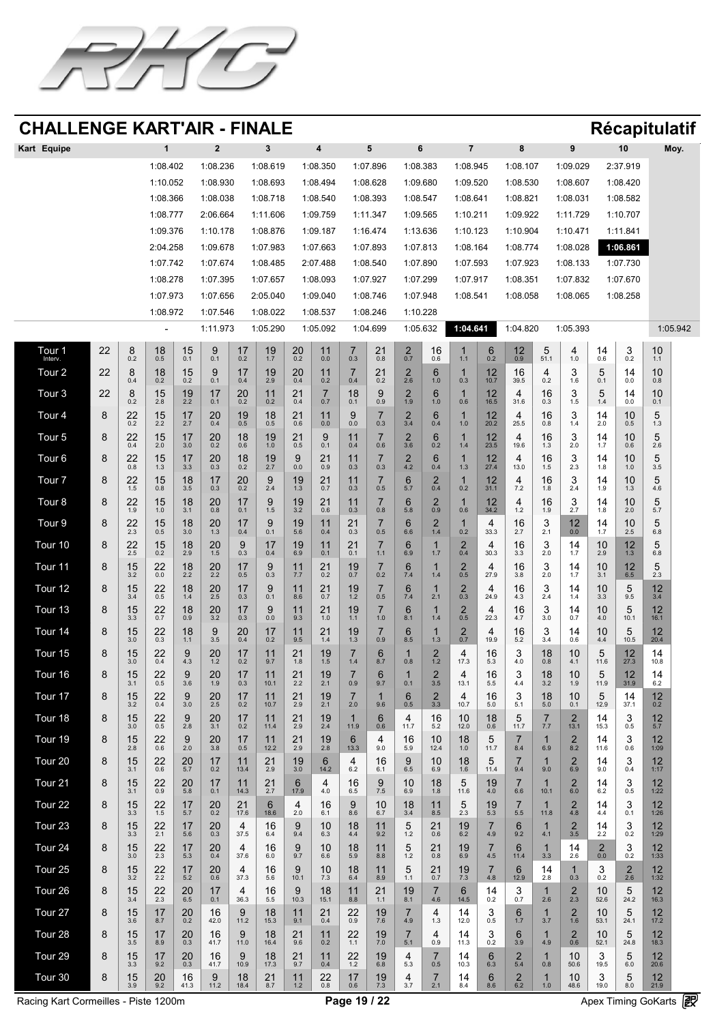![](_page_18_Picture_0.jpeg)

| Kart Equipe       |                                      |                                  |                                                                                                                                                                                                                                                                                                                                                                                                                                                      |                                                  | $\mathbf{2}$                              |                                                          |                                                                                                                                                                                                                                             |                                                                                                                                                                                                                                             | 4                                                                                        |                                         |                                                            | 6                                            |                  |                                                                          |                                              | 8                                                     |                                                               | 9                                                                                                                                                                                                                                                  |                                                                                    | 10                                                              | Moy.                                                                                                                                                                                                                                        |
|-------------------|--------------------------------------|----------------------------------|------------------------------------------------------------------------------------------------------------------------------------------------------------------------------------------------------------------------------------------------------------------------------------------------------------------------------------------------------------------------------------------------------------------------------------------------------|--------------------------------------------------|-------------------------------------------|----------------------------------------------------------|---------------------------------------------------------------------------------------------------------------------------------------------------------------------------------------------------------------------------------------------|---------------------------------------------------------------------------------------------------------------------------------------------------------------------------------------------------------------------------------------------|------------------------------------------------------------------------------------------|-----------------------------------------|------------------------------------------------------------|----------------------------------------------|------------------|--------------------------------------------------------------------------|----------------------------------------------|-------------------------------------------------------|---------------------------------------------------------------|----------------------------------------------------------------------------------------------------------------------------------------------------------------------------------------------------------------------------------------------------|------------------------------------------------------------------------------------|-----------------------------------------------------------------|---------------------------------------------------------------------------------------------------------------------------------------------------------------------------------------------------------------------------------------------|
|                   |                                      |                                  | 1:08.402                                                                                                                                                                                                                                                                                                                                                                                                                                             |                                                  | 1:08.236                                  |                                                          | 1:08.619                                                                                                                                                                                                                                    |                                                                                                                                                                                                                                             | 1:08.350                                                                                 |                                         | 1:07.896                                                   | 1:08.383                                     |                  | 1:08.945                                                                 |                                              | 1:08.107                                              |                                                               | 1:09.029                                                                                                                                                                                                                                           |                                                                                    | 2:37.919                                                        |                                                                                                                                                                                                                                             |
|                   |                                      |                                  | 1:10.052                                                                                                                                                                                                                                                                                                                                                                                                                                             |                                                  | 1:08.930                                  |                                                          | 1:08.693                                                                                                                                                                                                                                    |                                                                                                                                                                                                                                             | 1:08.494                                                                                 |                                         | 1:08.628                                                   | 1:09.680                                     |                  | 1:09.520                                                                 |                                              | 1:08.530                                              |                                                               | 1:08.607                                                                                                                                                                                                                                           |                                                                                    | 1:08.420                                                        |                                                                                                                                                                                                                                             |
|                   |                                      |                                  | 1:08.366                                                                                                                                                                                                                                                                                                                                                                                                                                             |                                                  | 1:08.038                                  |                                                          | 1:08.718                                                                                                                                                                                                                                    |                                                                                                                                                                                                                                             | 1:08.540                                                                                 |                                         | 1:08.393                                                   | 1:08.547                                     |                  | 1:08.641                                                                 |                                              | 1:08.821                                              |                                                               | 1:08.031                                                                                                                                                                                                                                           |                                                                                    | 1:08.582                                                        |                                                                                                                                                                                                                                             |
|                   |                                      |                                  | 1:08.777                                                                                                                                                                                                                                                                                                                                                                                                                                             |                                                  | 2:06.664                                  |                                                          | 1:11.606                                                                                                                                                                                                                                    |                                                                                                                                                                                                                                             | 1:09.759                                                                                 |                                         | 1:11.347                                                   | 1:09.565                                     |                  | 1:10.211                                                                 |                                              | 1:09.922                                              |                                                               | 1:11.729                                                                                                                                                                                                                                           |                                                                                    | 1:10.707                                                        |                                                                                                                                                                                                                                             |
|                   |                                      |                                  | 1:09.376                                                                                                                                                                                                                                                                                                                                                                                                                                             |                                                  | 1:10.178                                  |                                                          | 1:08.876                                                                                                                                                                                                                                    |                                                                                                                                                                                                                                             | 1:09.187                                                                                 |                                         | 1:16.474                                                   | 1:13.636                                     |                  | 1:10.123                                                                 |                                              | 1:10.904                                              |                                                               | 1:10.471                                                                                                                                                                                                                                           |                                                                                    | 1:11.841                                                        |                                                                                                                                                                                                                                             |
|                   |                                      |                                  | 2:04.258                                                                                                                                                                                                                                                                                                                                                                                                                                             |                                                  | 1:09.678                                  |                                                          | 1:07.983                                                                                                                                                                                                                                    |                                                                                                                                                                                                                                             | 1:07.663                                                                                 |                                         | 1:07.893                                                   | 1:07.813                                     |                  | 1:08.164                                                                 |                                              | 1:08.774                                              |                                                               | 1:08.028                                                                                                                                                                                                                                           |                                                                                    | 1:06.861                                                        |                                                                                                                                                                                                                                             |
|                   |                                      |                                  | 1:07.742                                                                                                                                                                                                                                                                                                                                                                                                                                             |                                                  | 1:07.674                                  |                                                          | 1:08.485                                                                                                                                                                                                                                    |                                                                                                                                                                                                                                             | 2:07.488                                                                                 |                                         | 1:08.540                                                   | 1:07.890                                     |                  | 1:07.593                                                                 |                                              | 1:07.923                                              |                                                               | 1:08.133                                                                                                                                                                                                                                           |                                                                                    | 1:07.730                                                        |                                                                                                                                                                                                                                             |
|                   |                                      |                                  | 1:08.278                                                                                                                                                                                                                                                                                                                                                                                                                                             |                                                  | 1:07.395                                  |                                                          | 1:07.657                                                                                                                                                                                                                                    |                                                                                                                                                                                                                                             | 1:08.093                                                                                 |                                         | 1:07.927                                                   |                                              | 1:07.299         | 1:07.917                                                                 |                                              | 1:08.351                                              |                                                               | 1:07.832                                                                                                                                                                                                                                           |                                                                                    | 1:07.670                                                        |                                                                                                                                                                                                                                             |
|                   |                                      |                                  | 1:07.973                                                                                                                                                                                                                                                                                                                                                                                                                                             |                                                  | 1:07.656                                  |                                                          | 2:05.040                                                                                                                                                                                                                                    |                                                                                                                                                                                                                                             | 1:09.040                                                                                 |                                         | 1:08.746                                                   | 1:07.948                                     |                  | 1:08.541                                                                 |                                              | 1:08.058                                              |                                                               | 1:08.065                                                                                                                                                                                                                                           |                                                                                    | 1:08.258                                                        |                                                                                                                                                                                                                                             |
|                   |                                      |                                  | 1:08.972                                                                                                                                                                                                                                                                                                                                                                                                                                             |                                                  | 1:07.546                                  |                                                          | 1:08.022                                                                                                                                                                                                                                    |                                                                                                                                                                                                                                             | 1:08.537                                                                                 |                                         | 1:08.246                                                   | 1:10.228                                     |                  |                                                                          |                                              |                                                       |                                                               |                                                                                                                                                                                                                                                    |                                                                                    |                                                                 |                                                                                                                                                                                                                                             |
|                   |                                      |                                  | $\sim$                                                                                                                                                                                                                                                                                                                                                                                                                                               |                                                  | 1:11.973                                  |                                                          | 1:05.290                                                                                                                                                                                                                                    |                                                                                                                                                                                                                                             | 1:05.092                                                                                 |                                         | 1:04.699                                                   |                                              | 1:05.632         | 1:04.641                                                                 |                                              | 1:04.820                                              |                                                               | 1:05.393                                                                                                                                                                                                                                           |                                                                                    |                                                                 | 1:05.942                                                                                                                                                                                                                                    |
| Tour 1<br>Interv. | 22                                   | 8<br>0.2                         | 18<br>0.5                                                                                                                                                                                                                                                                                                                                                                                                                                            | 15<br>0.1                                        | $\mathbf{Q}$<br>0.1                       | 0.2                                                      | 19<br>1.7                                                                                                                                                                                                                                   | 20<br>0.2                                                                                                                                                                                                                                   | 0.0                                                                                      | 0.3                                     | $\bigcap$<br>0.8                                           | 0.7                                          | 16<br>0.6        |                                                                          | 0.2                                          | 0.9                                                   | $\overline{ }$<br>$\bigwedge$<br>$\blacktriangledown$<br>51.1 | 1.0                                                                                                                                                                                                                                                | $\boldsymbol{A}$ $\boldsymbol{A}$<br>$\overline{14}$<br>0.6                        | $\Omega$<br>$\overline{\phantom{a}}$ . $\overline{\phantom{a}}$ | 10<br>1.1                                                                                                                                                                                                                                   |
| Tour 2            | 22                                   | 8                                | 18                                                                                                                                                                                                                                                                                                                                                                                                                                                   | 15                                               | $\Omega$                                  |                                                          | 19                                                                                                                                                                                                                                          | 20                                                                                                                                                                                                                                          |                                                                                          |                                         | $\bigcap$<br>$\blacktriangle$                              |                                              |                  |                                                                          |                                              | 16                                                    | $\leftarrow$                                                  | $\bigcap$                                                                                                                                                                                                                                          | $\overline{\phantom{a}}$<br>$\overline{O}$                                         | 14                                                              | 10                                                                                                                                                                                                                                          |
| Tour 3            | 22                                   | 0.4<br>8                         | 0.2<br>15                                                                                                                                                                                                                                                                                                                                                                                                                                            | 0.2<br>19                                        | 0.1<br>17                                 | 0.4<br>20                                                | 2.9<br>$\begin{array}{c} 1 \end{array}$                                                                                                                                                                                                     | 0.4<br><b>01</b>                                                                                                                                                                                                                            | 0.2                                                                                      | 0.4<br>18                               | 0.2                                                        | 2.6                                          | 1.0              | 0.3                                                                      | 10.7                                         | 39.5<br>$\leftarrow$                                  | 0.2<br>16                                                     | 1.6<br>$\bigcap$                                                                                                                                                                                                                                   | 0.1<br>$\overline{\phantom{a}}$<br>$\mathbf 5$                                     | 0.0<br>14                                                       | 0.8<br>10                                                                                                                                                                                                                                   |
|                   |                                      | 0.2                              | 2.8<br>$\overline{\phantom{a}}$ , $\overline{\phantom{a}}$ , $\overline{\phantom{a}}$ , $\overline{\phantom{a}}$ , $\overline{\phantom{a}}$ , $\overline{\phantom{a}}$ , $\overline{\phantom{a}}$ , $\overline{\phantom{a}}$ , $\overline{\phantom{a}}$ , $\overline{\phantom{a}}$ , $\overline{\phantom{a}}$ , $\overline{\phantom{a}}$ , $\overline{\phantom{a}}$ , $\overline{\phantom{a}}$ , $\overline{\phantom{a}}$ , $\overline{\phantom{a}}$ | 2.2                                              | 0.1<br>$\sim$ $\sim$ $\sim$ $\sim$ $\sim$ | 0.2                                                      | 0.2<br><u>and the second contract of the second contract of the second contract of the second contract of the second contract of the second contract of the second contract of the second contract of the second contract of the second</u> | 0.4<br><u>and the state of the state of the state of the state of the state of the state of the state of the state of the state of the state of the state of the state of the state of the state of the state of the state of the state</u> | 0.7                                                                                      | 0.1                                     | $\blacktriangledown$<br>0.9<br>$\sim$ $\sim$ $\sim$ $\sim$ | 1.9                                          | 1.0              | 0.6                                                                      | 16.5                                         | 31.6                                                  | 0.3<br>$\mathbf{r}$ and $\mathbf{r}$ and $\mathbf{r}$         | 1.5<br>$\sim$ $\sim$ $\sim$                                                                                                                                                                                                                        | 1.4<br>$\mathbf{A}$ and $\mathbf{A}$ and $\mathbf{A}$                              |                                                                 | 0.1<br><u>and the second contract of the second second in the second second second in the second second second in the second second second in the second second second second in the second second second second second second second s</u> |
| I our 4           | $\mathbf Q$<br>$\blacktriangleright$ | $\Omega$<br>0.2                  | $\overline{\mathsf{U}}$<br>2.2                                                                                                                                                                                                                                                                                                                                                                                                                       | 2.7                                              | 20<br>0.4                                 | 19<br>0.5                                                | 18<br>0.5                                                                                                                                                                                                                                   | <b>COM</b><br>$\overline{\phantom{a}}$<br>0.6                                                                                                                                                                                               | 0.0                                                                                      | 0.0                                     | 0.3                                                        | 3.4                                          | 0.4              | 1.0                                                                      | 20.2                                         | 25.5                                                  | 16<br>8.0                                                     | 1.4                                                                                                                                                                                                                                                | $\blacksquare$<br>$\vert 4 \vert$<br>2.0                                           | 10                                                              | $\blacktriangleright$<br>$\overline{\mathbf{v}}$<br>1 <sub>2</sub><br>$\mathsf{L}$ . J                                                                                                                                                      |
| Tour 5            | 8                                    | つつ<br>0.4                        | 15<br>I V<br>2.0                                                                                                                                                                                                                                                                                                                                                                                                                                     | 47<br>3.0                                        | 20<br>0.2                                 | 18<br>0.6                                                | 19<br>1.0                                                                                                                                                                                                                                   | 21<br>— I<br>0.5                                                                                                                                                                                                                            | $\overline{\phantom{a}}$<br>$\blacktriangleright$<br>0.1                                 | 0.4                                     | 0.6                                                        | 3.6                                          | 0.2              | 1.4                                                                      | 23.5                                         | 19.6                                                  | 16<br>1.3                                                     | 2.0                                                                                                                                                                                                                                                | 14<br>$17$<br>$\blacksquare$                                                       | 10<br>0.6                                                       | 5<br>2.6                                                                                                                                                                                                                                    |
| Tour 6            | 8                                    | つつ                               | 15                                                                                                                                                                                                                                                                                                                                                                                                                                                   | $\overline{4}$                                   | 20                                        | 18                                                       | 19                                                                                                                                                                                                                                          | $\blacktriangleright$<br>$\overline{\mathbf{v}}$                                                                                                                                                                                            | <b>71</b><br>$\overline{\phantom{a}}$                                                    |                                         |                                                            |                                              |                  |                                                                          |                                              |                                                       | 16                                                            | n n                                                                                                                                                                                                                                                | 14                                                                                 | 10                                                              | 5                                                                                                                                                                                                                                           |
| Tour 7            | $\mathbf{O}$<br>$\mathbf O$          | 0.8<br>$\Omega$                  | 1.3<br>4E<br>I J                                                                                                                                                                                                                                                                                                                                                                                                                                     | 3.3<br>10<br>I O                                 | 0.3<br>$\overline{47}$                    | 0.2<br>$\Omega$<br>ZU                                    | 2.7<br>$\mathbf Q$<br>$\overline{\mathbf{v}}$                                                                                                                                                                                               | 0.0<br>10<br>I J                                                                                                                                                                                                                            | 0.9<br>$\bigcap$<br>$\blacktriangle$                                                     | 0.3<br>$\begin{array}{c} 1 \end{array}$ | 0.3<br>$\overline{\phantom{a}}$                            | 4.2<br>$\mathbb{C}$                          | 0.4<br>$\bigcap$ | 1.3                                                                      | 27.4<br>$\bigcap$                            | 13.0<br>$\left  \right $                              | 1.5<br>AC<br>10                                               | <b>2.3</b><br>$\bigcap$                                                                                                                                                                                                                            | 1.8<br>14                                                                          | 1.0<br>10                                                       | 3.5<br>5                                                                                                                                                                                                                                    |
|                   |                                      | 1.5<br>つつ                        | 0.8                                                                                                                                                                                                                                                                                                                                                                                                                                                  | 3.5                                              | 0.3                                       | 0.2                                                      | 2.4                                                                                                                                                                                                                                         | 1.3                                                                                                                                                                                                                                         | 0.7                                                                                      | 0.3                                     | 0.5                                                        | 5.7                                          | 0.4              | 0.2                                                                      | 31.1                                         | 7.2                                                   | 1.8                                                           | 2.4<br>$\bigcap$                                                                                                                                                                                                                                   | 1.9                                                                                | 1.3                                                             | 4.6                                                                                                                                                                                                                                         |
| Tour 8            | 8                                    | 1.9                              | 15<br>1.0                                                                                                                                                                                                                                                                                                                                                                                                                                            | 18<br>3.1                                        | 20<br>0.8                                 | 0.1                                                      | $\blacktriangleright$<br>1.5                                                                                                                                                                                                                | 19<br>3.2                                                                                                                                                                                                                                   | <b>つ</b> 1<br>0.6                                                                        | 0.3                                     | 0.8                                                        | 5.8                                          | 0.9              | 0.6                                                                      | 34.2                                         | $\leftarrow$<br>1.2                                   | 16<br>1.9                                                     | 2.7                                                                                                                                                                                                                                                | 14<br>1.8                                                                          | 10<br>2.0                                                       | 5<br>5.7                                                                                                                                                                                                                                    |
| Tour 9            | 8                                    | つつ<br>2.3                        | 15<br>0.5                                                                                                                                                                                                                                                                                                                                                                                                                                            | 18<br>3.0                                        | 20<br>1.3                                 | 0.4                                                      | $\blacktriangleright$<br>0.1                                                                                                                                                                                                                | 19<br>5.6                                                                                                                                                                                                                                   | 0.4                                                                                      | $\bigcap$<br>0.3                        | 0.5                                                        | 6.6                                          | 1.4              | 0.2                                                                      | 33.3                                         | 16<br>2.7                                             | 2.1                                                           | 10<br>0.0                                                                                                                                                                                                                                          | 14<br>$17$<br>$\blacksquare$                                                       | 10<br>2.5                                                       | 5<br>6.8                                                                                                                                                                                                                                    |
| Tour 10           | $\Omega$<br>$\overline{\mathbf{v}}$  | 22<br>$\leftarrow$ $\leftarrow$  | 15                                                                                                                                                                                                                                                                                                                                                                                                                                                   | 18                                               | 20                                        | $\bigcap$<br>$\blacktriangleright$<br>$\bullet$          | $\overline{1}$                                                                                                                                                                                                                              | 19<br>I V                                                                                                                                                                                                                                   | $\begin{array}{c} \begin{array}{c} \begin{array}{c} \end{array} \end{array} \end{array}$ | $\bigcap$<br>— 1                        | $\overline{\phantom{0}}$                                   | $\overline{\mathbf{v}}$                      |                  |                                                                          | $\mathbf{L}$                                 | 16                                                    | $\bigcap$<br>$\overline{\mathbf{v}}$                          | 14<br>$17$                                                                                                                                                                                                                                         | 10                                                                                 | $\bigcap$<br>$\blacksquare$                                     | $\sqrt{2}$<br>$\overline{\mathbf{v}}$                                                                                                                                                                                                       |
| Tour 11           | 8                                    | 2.5<br>15                        | 0.2<br>22                                                                                                                                                                                                                                                                                                                                                                                                                                            | 2.9<br>18                                        | 1.5<br>20                                 | 0.3<br>$\overline{4}$ $\overline{7}$                     | 0.4<br>$\Omega$                                                                                                                                                                                                                             | 6.9                                                                                                                                                                                                                                         | 0.1<br>21<br>$\blacktriangle$                                                            | 0.1<br>19                               | 1.1                                                        | 6.9                                          | 1.7              | 0.4                                                                      | 30.3<br>4                                    | 3.3<br>16                                             | 2.0<br>$\bigcap$                                              | $\blacksquare$<br>14                                                                                                                                                                                                                               | 2.9<br>10                                                                          | 1.3<br>12                                                       | 6.8<br>5                                                                                                                                                                                                                                    |
| Tour 12           | 8                                    | 3.2<br>15                        | 0.0<br>22                                                                                                                                                                                                                                                                                                                                                                                                                                            | 2.2<br>18                                        | 2.2<br>20                                 | 0.5<br>$\overline{4}$                                    | 0.3<br>$\mathbf{Q}$                                                                                                                                                                                                                         | 7.7                                                                                                                                                                                                                                         | 0.2<br>21                                                                                | 0.7<br>19                               | 0.2                                                        | 7.4                                          | 1.4              | 0.5                                                                      | 27.9<br>4                                    | 3.8<br>16                                             | 2.0<br>$\mathbf{R}$                                           | 1.7<br>14                                                                                                                                                                                                                                          | 3.1<br>10                                                                          | 6.5<br>$\overline{\phantom{0}}$<br>$\blacktriangle$             | 2.3<br>12                                                                                                                                                                                                                                   |
|                   |                                      | 3.4                              | 0.5                                                                                                                                                                                                                                                                                                                                                                                                                                                  | 1.4                                              | 2.5                                       | 0.3                                                      | 0.1                                                                                                                                                                                                                                         | 8.6                                                                                                                                                                                                                                         | <b>__</b>  <br>0.7                                                                       | 1.2                                     | 0.5<br>$\overline{\phantom{0}}$                            | 7.4                                          | 2.1              | 0.3                                                                      | 24.9                                         | 4.3                                                   | 2.4                                                           | 1.4                                                                                                                                                                                                                                                | 3.3                                                                                | 9.5                                                             | 3.4                                                                                                                                                                                                                                         |
| Tour 13           | 8                                    | 15<br>3.3                        | 22<br>0.7                                                                                                                                                                                                                                                                                                                                                                                                                                            | 18<br>0.9                                        | 20<br>3.2                                 | 17<br>0.3                                                | $\overline{Q}$<br>$\overline{\mathbf{v}}$<br>0.0                                                                                                                                                                                            | $\begin{array}{c} \n \text{A} \n \end{array}$<br>9.3                                                                                                                                                                                        | 21<br>$\overline{0}$ .                                                                   | 19                                      | 1.0                                                        | 8.1                                          | 1.4              | 0.5                                                                      | 4<br>22.3                                    | 16<br>4.7                                             | 3<br>3.0                                                      | 14                                                                                                                                                                                                                                                 | 10<br>4.0                                                                          | $\sqrt{2}$<br>10.1                                              | 12<br>16.1                                                                                                                                                                                                                                  |
| Tour 14           | 8                                    | 15<br>3.0                        | 22<br>0.3                                                                                                                                                                                                                                                                                                                                                                                                                                            | 18<br>1.1                                        | 9<br>3.5                                  | 20<br>0.4                                                | $\overline{1}$<br>0.2                                                                                                                                                                                                                       | 9.5                                                                                                                                                                                                                                         | 21<br>1.4                                                                                | 19<br>1.3                               | 0.9                                                        | 8.5                                          | 1.3              | 0.7                                                                      | $\leftarrow$<br>19.9                         | 16<br>5.2                                             | $\bigcap$<br>$\blacktriangleright$<br>3.4                     | 14<br>0.6                                                                                                                                                                                                                                          | 10<br>4.4                                                                          | $\overline{\phantom{0}}$<br>$\mathbf{L}$<br>10.5                | 12<br>20.4                                                                                                                                                                                                                                  |
| Tour 15           | 8                                    | 15<br>3.0                        | 22<br>0.4                                                                                                                                                                                                                                                                                                                                                                                                                                            | $\mathsf{Q}$<br>$\overline{\mathbf{v}}$<br>4.3   | 20<br>1.2                                 | $\sim$<br>0.2                                            | 9.7                                                                                                                                                                                                                                         | $\mathcal{D}$ 1<br>1.8                                                                                                                                                                                                                      | 19<br>1.5                                                                                |                                         | 8.7                                                        | 0.8                                          | 1.2              | $\leftarrow$<br>17.3                                                     | 16<br>5.3                                    | $\bigcap$<br>4.0                                      | 18<br>0.8                                                     | 10<br>4.1                                                                                                                                                                                                                                          | $\sqrt{2}$<br>$\boldsymbol{\mathcal{U}}$<br>11.6                                   | 10<br>27.3                                                      | 14<br>10.8                                                                                                                                                                                                                                  |
| Tour 16           | 8                                    | 15                               | 22<br>L                                                                                                                                                                                                                                                                                                                                                                                                                                              | $\mathsf{Q}$<br>$\overline{\mathbf{v}}$          | 20                                        | $\overline{4}$                                           |                                                                                                                                                                                                                                             | $\mathcal{D}$ 1                                                                                                                                                                                                                             | 19                                                                                       | $\overline{1.4}$                        |                                                            |                                              |                  | 4                                                                        | 16                                           | $\bigcap$                                             | 18                                                            | 10                                                                                                                                                                                                                                                 | $\sqrt{2}$                                                                         | 10<br>$\mathsf{Z}$                                              | 14                                                                                                                                                                                                                                          |
| Four 17           | 8                                    | $\bigcap$ $\bigcap$<br>J.1<br>15 | 0.5<br>22                                                                                                                                                                                                                                                                                                                                                                                                                                            | $\Omega$<br>3.0<br>$\overline{Q}$                | 1.9<br>20                                 | $\bigcap$<br>U.3<br>$\overline{4}$                       | 10.1                                                                                                                                                                                                                                        | $\bigcap$<br>$\angle$ . $\angle$<br>21                                                                                                                                                                                                      | $\bigcap$ $\bigcap$<br>$\mathsf{Z}$ . I<br>19                                            | 0.9                                     | 9.7                                                        | 0.1                                          | 3.5              | $\Lambda$ $\Omega$ $\Lambda$<br><u>IJ. I</u><br>$\overline{\phantom{a}}$ | 5.5<br>16                                    | $\boldsymbol{A}$ $\boldsymbol{A}$<br>4.4<br>$\bigcap$ | $\Omega$<br>3.2<br>18                                         | 1.9<br>10                                                                                                                                                                                                                                          | $\bigwedge$ $\bigwedge$<br>11.9<br>5                                               | 31.9<br>14                                                      | 6.2<br>12                                                                                                                                                                                                                                   |
|                   |                                      | 3.2                              | 0.4                                                                                                                                                                                                                                                                                                                                                                                                                                                  | $\overline{\mathbf{v}}$<br>3.0                   | 2.5                                       | 0.2                                                      | 10.7                                                                                                                                                                                                                                        | —<br>—<br>2.9                                                                                                                                                                                                                               | 2.1                                                                                      | 2.0                                     | 9.6                                                        | 0.5                                          | 3.3              | 10.7                                                                     | 5.0                                          | 5.1                                                   | 5.0                                                           | 0.1                                                                                                                                                                                                                                                | 12.9                                                                               | 37.1<br>$\bigcap$                                               | 0.2                                                                                                                                                                                                                                         |
| Tour 18           | 8                                    | 15<br>3.0                        | 22<br>0.5                                                                                                                                                                                                                                                                                                                                                                                                                                            | $\overline{Q}$<br>$\overline{\mathbf{v}}$<br>2.8 | 20<br>3.1                                 | $\overline{4}$<br>0.2                                    | 11.4                                                                                                                                                                                                                                        | 21<br>— I<br>2.9                                                                                                                                                                                                                            | 19<br>2.4                                                                                | 11.9                                    | 0.6                                                        | 4<br>$\boxed{11.7}$                          | 16<br>5.2        | 10<br>12.0                                                               | 18<br>0.6                                    | $\blacktriangleright$<br>11.7                         | 7.7                                                           | 13.1                                                                                                                                                                                                                                               | $\begin{array}{cc} \mathbf{A} & \mathbf{A} \end{array}$<br>$\overline{14}$<br>15.3 |                                                                 | 12<br>5.7                                                                                                                                                                                                                                   |
| Tour 19           | 8                                    | 15<br>2.8                        | 22<br>0.6                                                                                                                                                                                                                                                                                                                                                                                                                                            | $\mathsf{Q}$<br>$\overline{\mathbf{v}}$<br>2.0   | 20<br>3.8                                 | $\overline{1}$<br>0.5                                    | 12.2                                                                                                                                                                                                                                        | 21<br>— I<br>2.9                                                                                                                                                                                                                            | 19<br>2.8                                                                                | 13.3                                    | 4<br>9.0                                                   | 16<br>5.9                                    | 10<br>12.4       | 18<br>1.0                                                                | $\mathbf{b}$<br>$\blacktriangledown$<br>11.7 | 8.4                                                   | 6.9                                                           | 8.2                                                                                                                                                                                                                                                | $\begin{array}{cc} \mathbf{A} & \mathbf{A} \end{array}$<br>$\overline{14}$<br>11.6 | $\bigcap$<br>$\Omega$<br>$\bullet$ $\bullet$                    | 12<br>1:09                                                                                                                                                                                                                                  |
| Tour 20           | 8                                    | 15                               | 22                                                                                                                                                                                                                                                                                                                                                                                                                                                   | 20                                               | $\overline{1}$                            |                                                          | $\mathbf{\Omega}$                                                                                                                                                                                                                           | 19                                                                                                                                                                                                                                          | $\mathsf{G}$                                                                             | 4                                       | 16                                                         |                                              | 10               | 18                                                                       |                                              |                                                       |                                                               |                                                                                                                                                                                                                                                    | $\boldsymbol{A}$<br>l 4                                                            |                                                                 | 12                                                                                                                                                                                                                                          |
| Tour 21           | $\mathsf R$                          | 3.1<br>15                        | 0.6<br>22                                                                                                                                                                                                                                                                                                                                                                                                                                            | 5.7<br>20                                        | 0.2<br>$\overline{1}$                     | 13.4                                                     | 2.9<br>$\bigcap$                                                                                                                                                                                                                            | 3.0                                                                                                                                                                                                                                         | 14.2<br>4                                                                                | 6.2<br>16                               | 6.1<br>$\Omega$<br>$\blacktriangledown$                    | 6.5<br>10                                    | 6.9<br>18        | 1.6<br>$\overline{\phantom{a}}$<br>$\mathbf{b}$                          | 11.4<br>19                                   | 9.4                                                   | 9.0                                                           | 6.9                                                                                                                                                                                                                                                | 9.0<br>$\overline{A}$<br>$\overline{14}$                                           | 0.4                                                             | 1:17<br>12                                                                                                                                                                                                                                  |
| Tour 22           | $\mathsf R$                          | 3.1<br>15                        | 0.9<br>22                                                                                                                                                                                                                                                                                                                                                                                                                                            | 5.8<br>$\overline{4}$                            | 0.1<br>20                                 | 14.3<br>$\bigcap$                                        | 2.7<br>$\mathsf{R}$                                                                                                                                                                                                                         | 17.9<br>4                                                                                                                                                                                                                                   | 4.0<br>16                                                                                | 6.5<br>$\Omega$                         | 7.5<br>10                                                  | 6.9<br>18                                    | 1.8              | 11.6<br>$\overline{\phantom{0}}$<br>$\mathbf{h}$                         | 4.0<br>19                                    | 6.6                                                   | 10.1                                                          | 6.0                                                                                                                                                                                                                                                | 6.2<br>$\overline{A}$                                                              |                                                                 | 1:22<br>12                                                                                                                                                                                                                                  |
|                   |                                      | 3.3                              | 1.5                                                                                                                                                                                                                                                                                                                                                                                                                                                  | 5.7                                              | 0.2                                       | <b>∠_</b> i<br>17.6                                      | 18.6                                                                                                                                                                                                                                        | 2.0                                                                                                                                                                                                                                         | 6.1                                                                                      | 8.6                                     | 6.7                                                        | 3.4                                          | 8.5              | $\blacktriangleright$<br>2.3                                             | 5.3                                          | 5.5                                                   | 11.8                                                          | 4.8                                                                                                                                                                                                                                                | $\overline{14}$<br>4.4                                                             | $\bigcap$ $\bigcap$<br>U . I                                    | 1:26                                                                                                                                                                                                                                        |
| Tour 23           | 8                                    | 15<br>3.3                        | つつ<br>2.1                                                                                                                                                                                                                                                                                                                                                                                                                                            | $\overline{4}$<br>5.6                            | 20<br>0.3                                 | 4<br>37.5                                                | 16<br>$\overline{\mathbf{U}}$<br>6.4                                                                                                                                                                                                        | $\blacktriangleright$<br>$\boldsymbol{\cup}$<br>9.4                                                                                                                                                                                         | 10<br>6.3                                                                                | 18<br>4.4                               | 9.2                                                        | $\blacktriangleright$<br>1.2                 | 21<br>0.6        | 19<br>6.2                                                                | 4.9                                          | 9.2                                                   | 4.1                                                           | 3.5                                                                                                                                                                                                                                                | $\begin{array}{cc} \mathbf{A} & \mathbf{A} \end{array}$<br>$\overline{14}$<br>2.2  | 0.2                                                             | 12<br>1:29                                                                                                                                                                                                                                  |
| Tour 24           | 8                                    | 15<br>3.0                        | 22<br>2.3                                                                                                                                                                                                                                                                                                                                                                                                                                            | 17<br>5.3                                        | 20<br>0.4                                 | 4<br>37.6                                                | 16<br>6.0                                                                                                                                                                                                                                   | $\Omega$<br>$\overline{\mathbf{v}}$<br>9.7                                                                                                                                                                                                  | 10<br>6.6                                                                                | 18<br>5.9                               | 8.8                                                        | $\mathbf{M}$<br>$\blacktriangleright$<br>1.2 | 21<br>0.8        | 19<br>6.9                                                                | 4.5                                          | 11.4                                                  | 3.3                                                           | <i>A A</i><br>2.6                                                                                                                                                                                                                                  | 0.0                                                                                | 0.2                                                             | 12<br>1:33                                                                                                                                                                                                                                  |
| Tour 25           | 8                                    | 15                               | 22                                                                                                                                                                                                                                                                                                                                                                                                                                                   | 17                                               | 20                                        | 4                                                        | 16                                                                                                                                                                                                                                          | $\Omega$<br>$\overline{\mathbf{v}}$                                                                                                                                                                                                         | 10                                                                                       | 18                                      |                                                            | $\blacktriangle$<br>$\blacktriangleright$    | 21               | 19                                                                       |                                              |                                                       | 14                                                            |                                                                                                                                                                                                                                                    |                                                                                    | $\sqrt{2}$                                                      | 12                                                                                                                                                                                                                                          |
| Tour 26           | 8                                    | 3.2<br>15                        | 2.2<br>22                                                                                                                                                                                                                                                                                                                                                                                                                                            | 5.2<br>20                                        | 0.6<br>17                                 | 37.3                                                     | 5.6<br>16                                                                                                                                                                                                                                   | 10.1<br>$\mathbf{Q}$                                                                                                                                                                                                                        | 7.3<br>18                                                                                | 6.4                                     | 8.9<br>21                                                  | $\blacksquare$<br>19                         | 0.7              | 7.3                                                                      | 4.8<br>14                                    | 12.9                                                  | 2.8                                                           | 0.3                                                                                                                                                                                                                                                | 0.2<br>10                                                                          | 2.6<br>$\mathbf{L}$                                             | 1:32<br>12                                                                                                                                                                                                                                  |
|                   |                                      | 3.4                              | 2.3                                                                                                                                                                                                                                                                                                                                                                                                                                                  | 6.5                                              | 0.1                                       | 36.3                                                     | 5.5                                                                                                                                                                                                                                         | 10.3                                                                                                                                                                                                                                        | 15.1                                                                                     | 8.8                                     | 1.1                                                        | 8.1                                          | 4.6              | 14.5                                                                     | 0.2<br>$\bigcap$                             | 0.7                                                   | 2.6                                                           | 2.3                                                                                                                                                                                                                                                | 52.6                                                                               | 24.2                                                            | 16.3                                                                                                                                                                                                                                        |
| Tour 27           | 8                                    | 15<br>3.6                        | 17<br>8.7                                                                                                                                                                                                                                                                                                                                                                                                                                            | 20<br>0.2                                        | 16<br>42.0                                | 9<br>11.2                                                | 18<br>15.3                                                                                                                                                                                                                                  | 9.1                                                                                                                                                                                                                                         | 21<br>0.4                                                                                | 22<br>0.9                               | 19<br>7.6                                                  | 4.9                                          | 4<br>1.3         | 14<br>12.0                                                               | 0.5                                          | $\mathsf{R}$<br>1.7                                   | 3.7                                                           | 1.6                                                                                                                                                                                                                                                | 10<br>53.1                                                                         | $\sqrt{2}$<br>24.1                                              | 12<br>17.2                                                                                                                                                                                                                                  |
| Tour 28           | 8                                    | 15<br>3.5                        | 17<br>8.9                                                                                                                                                                                                                                                                                                                                                                                                                                            | 20<br>0.3                                        | 16<br>41.7                                | 9<br>11.0                                                | 18<br>16.4                                                                                                                                                                                                                                  | 21<br>9.6                                                                                                                                                                                                                                   | 11<br>0.2                                                                                | 22                                      | 19<br>7.0                                                  | 5.1                                          | 4<br>0.9         | 14<br>11.3                                                               | $\bigcap$<br>0.2                             | 3.9                                                   | 4.9                                                           | 0.6                                                                                                                                                                                                                                                | 10<br>52.1                                                                         | $\sqrt{2}$<br>24.8                                              | 12<br>18.3                                                                                                                                                                                                                                  |
| Tour 29           | 8                                    | 15<br>3.3                        | 9.2                                                                                                                                                                                                                                                                                                                                                                                                                                                  | 20<br>0.3                                        | 16<br>41.7                                | $\blacktriangleright$<br>$\overline{\mathbf{v}}$<br>10.9 | <u>and the second contract of the second second contract of the second second second second second second second</u><br>18<br>17.3                                                                                                          | $\sim$ $\sim$ $\sim$ $\sim$ $\sim$<br>21<br>9.7                                                                                                                                                                                             | 0.4                                                                                      | 22<br>1.2                               | 19<br>6.8                                                  | 4<br>5.3                                     | $\boxed{0.5}$    | 14<br>10.3                                                               | 6.3                                          | 5.4                                                   | 0.8                                                           | <u>and the second contract of the second second in the second second in the second second second in the second second second in the second second second in the second second second second second second second second second s</u><br>10<br>50.6 | $\overline{\mathbf{U}}$<br>19.5                                                    | 6.0                                                             | $12\n20.6$                                                                                                                                                                                                                                  |
| Tour 30           | 8                                    | 15<br>3.9                        | 20<br>9.2                                                                                                                                                                                                                                                                                                                                                                                                                                            | 16<br>41.3                                       | 9<br>11.2                                 | 18<br>18.4                                               | 21<br>8.7                                                                                                                                                                                                                                   | $\begin{array}{c} 1 \end{array}$<br>1.2                                                                                                                                                                                                     | 22<br>0.8                                                                                | 17<br>0.6                               | 19<br>7.3                                                  | 3.7                                          | 2.1              | 14<br>8.4                                                                | 8.6                                          | 6.2                                                   | 1.0                                                           | 10<br>48.6                                                                                                                                                                                                                                         | $\bigcirc$<br>$\boldsymbol{\cup}$<br>19.0                                          | 8.0                                                             | 12<br>21.9                                                                                                                                                                                                                                  |

Racing Kart Cormeilles - Piste 1200m **Page 19 / 22** Apex Timing GoKarts **图**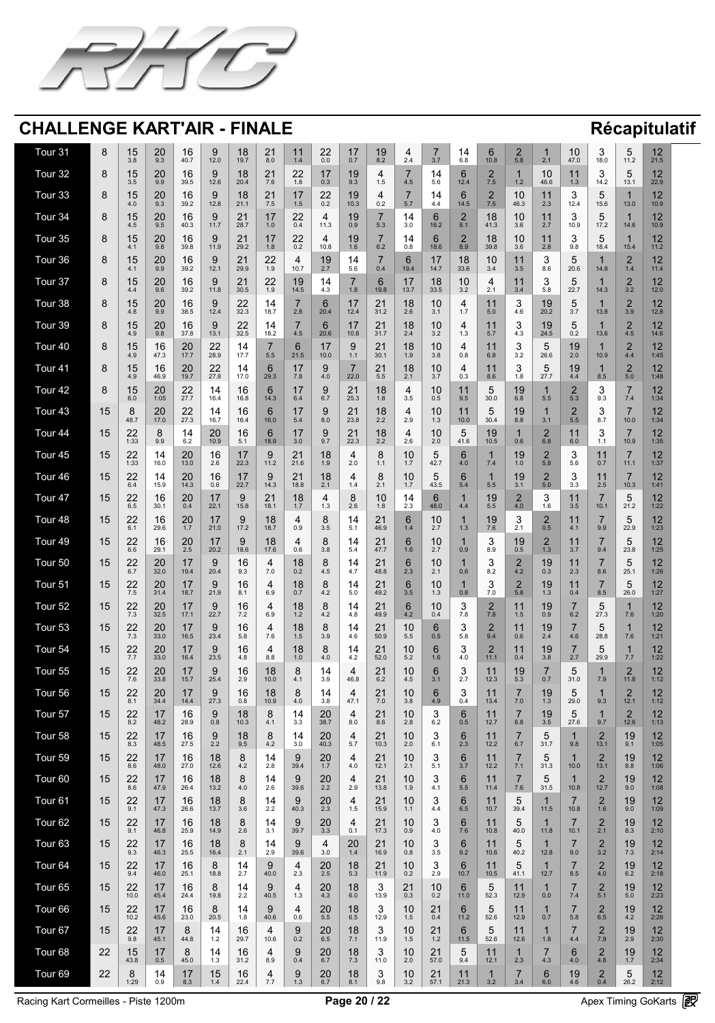![](_page_19_Picture_0.jpeg)

| <b>Tour 31</b>                                 |                                     | 15<br>3.8                                  | 20<br>9.3                    | 16<br>40.7                                   | 9<br>12.0                                    | 18<br>19.7                                                | 21<br>8.0                                      | 1.4                                                      | $\Omega$<br>$\leftarrow$ $\leftarrow$<br>0.0                                                                                       | $\overline{4}$<br>0.7                     | 19<br>8.2                                                | 2.4                                      | 3.7                                                           | $\overline{4}$<br>6.8                    | $\blacktriangledown$<br>10.8                                               | 5.8                                                            | 2.1                                                                                  | 10<br>47.0                       | 18.0                            | $\blacktriangledown$<br>11.2          | 10<br>$\mathsf{L}$<br>21.5                             |
|------------------------------------------------|-------------------------------------|--------------------------------------------|------------------------------|----------------------------------------------|----------------------------------------------|-----------------------------------------------------------|------------------------------------------------|----------------------------------------------------------|------------------------------------------------------------------------------------------------------------------------------------|-------------------------------------------|----------------------------------------------------------|------------------------------------------|---------------------------------------------------------------|------------------------------------------|----------------------------------------------------------------------------|----------------------------------------------------------------|--------------------------------------------------------------------------------------|----------------------------------|---------------------------------|---------------------------------------|--------------------------------------------------------|
| Tour 32                                        |                                     | 15<br>3.5                                  | 20<br>9.9                    | 16<br>39.5                                   | 9<br>12.6                                    | 18<br>20.4                                                | 21<br>7.6                                      | 22<br>1.8                                                | $\overline{4}$ $\overline{7}$<br>0.3                                                                                               | 19<br>9.3                                 | 1.5                                                      | $\rightarrow$<br>4.5                     | $14$<br>5.6                                                   | 12.4                                     | 7.5                                                                        | 1.2                                                            | 10<br>46.6                                                                           | 1.3                              | 14.2                            | h<br>$\blacktriangledown$<br>13.1     | 12<br>22.9                                             |
| Tour 33                                        |                                     | 15<br>4.0                                  | 20<br>9.3                    | 16<br>39.2                                   | 9<br>12.8                                    | 18<br>21.1                                                | 21<br>7.5                                      | $\blacksquare$<br>$\blacksquare$<br>1.5                  | $\Omega$<br>$\qquad \qquad \textcolor{red}{\blacktriangle} \textcolor{red}{\blacktriangle} \textcolor{red}{\blacktriangle}$<br>0.2 | 19<br>10.3                                | 0.2                                                      | $\overline{\phantom{a}}$<br>5.7          | 14<br>4.4                                                     | 14.5                                     | 7.5                                                                        | 10<br>46.3                                                     | 11<br>2.3                                                                            | 12.4                             | 15.6                            | 13.0                                  | 10<br>$\blacksquare$<br>10.9                           |
| Tour 34                                        |                                     | 15<br>4.5                                  | $\Omega$<br>ZU<br>9.5        | 16<br>40.3                                   | 11.7                                         | $\bigcap$<br>$\overline{\phantom{a}}$<br>28.7             | $\blacksquare$<br>1.0                          | $\Omega$<br>$\leftarrow$ $\leftarrow$<br>0.4             | 11.3                                                                                                                               | 19<br>0.9                                 | 5.3                                                      | 14<br>3.0                                | 16.2                                                          | 8.1                                      | 18<br>41.3                                                                 | 10<br>3.6                                                      | 2.7                                                                                  | 10.9                             | 17.2                            | 14.6                                  | $\Lambda$<br>$\blacksquare$<br>10.9                    |
| Tour 35                                        |                                     | 15<br>4.1                                  | $\Omega$<br>ZU<br>9.8        | 16<br>39.8                                   | 11.9                                         | $\bigcap$ $\bigwedge$<br>$\overline{\phantom{a}}$<br>29.2 | $\blacksquare$<br>1.8                          | $\Omega$<br>$\leftarrow$ $\leftarrow$<br>0.2             | 10.8                                                                                                                               | 19<br>1.6                                 | 6.2                                                      | 14<br>0.8                                | 18.6                                                          | 8.9                                      | 18<br>39.8                                                                 | 10<br>3.6                                                      | 2.8                                                                                  | 9.8                              | 18.4                            | 15.4                                  | $\Lambda$ $\Omega$<br>$\blacksquare$<br>11.2           |
| Tour 36                                        |                                     | 15<br>4.1                                  | $\cap$<br>ZU<br>9.9          | 16<br>39.2                                   | 12.1                                         | $\bigcap$<br>$\angle$<br>29.9                             | 22<br>1.9                                      | 4<br>10.7                                                | 19<br>つ フ                                                                                                                          | 5.6                                       | 0.4                                                      | 19.4                                     | 14.7                                                          | 18<br>33.6                               | 10<br>3.4                                                                  | $\begin{array}{cc} \textbf{1} & \textbf{1} \end{array}$<br>3.5 | $\bigcap$<br>$\blacktriangleright$<br>8.6                                            | 20.6                             | 14.8                            | 1.4                                   | $\overline{10}$<br>$\blacksquare$<br>11.4              |
| <b>All Property Property</b><br><b>Tour 37</b> | $\bullet$                           | $\overline{A}$ $\overline{C}$<br>15<br>4.4 | $\Omega$<br>ZU<br>9.6        | 16<br>39.2                                   | $\blacktriangle$<br>$\mathbf S$<br>11.8      | $\sim$ $\blacktriangle$<br><b>.</b><br>$\sqrt{2}$<br>30.5 | 22<br>1.9                                      | $\blacksquare$<br>19<br>14.5                             | <b>Service</b> Construction<br>4.3                                                                                                 | $\rightarrow$<br>1.8                      | $\sqrt{ }$<br>19.8                                       | $\overline{A}$<br>$\blacksquare$<br>13.7 | $\overline{A}$<br><b>TU.</b><br><b>IO</b><br>33.5             | $\overline{A}$<br>10<br>3.2              | 4<br>$\bigcap$ 1<br>$\mathbf{Z}$                                           | $\boldsymbol{A}$ $\boldsymbol{A}$<br>11<br>3.4                 | $\blacktriangle$<br>$\blacktriangleright$<br>5.8                                     | $\overline{\phantom{0}}$<br>22.7 | 14.3                            | $\sqrt{2}$<br>3.2                     | $\overline{1}$<br>$\blacksquare$<br>12.0               |
| Tour 38                                        |                                     | 15<br>4.8                                  | $\Omega$<br><u>ZU</u><br>9.9 | 16<br>38.5                                   | 9<br>12.4                                    | 22<br>32.3                                                | 14<br>18.7                                     | 2.8                                                      | 20.4                                                                                                                               | $\overline{\mathbf{1}}$<br>12.4           | 21<br>$\overline{\phantom{a}}$<br>31.2                   | 18<br>2.6                                | 1Λ<br><b>IV</b><br>3.1                                        |                                          | 5.0                                                                        | 4.6                                                            | 19<br>20.2                                                                           | 3.7                              | 13.8                            | 3.9                                   | $\Lambda$<br>$\blacksquare$<br>12.8                    |
| Tour 39                                        |                                     | 15<br>4.9                                  | $\cap$<br><b>ZU</b><br>9.8   | 16<br>37.8                                   | 9<br>13.1                                    | 22<br>32.5                                                | 14<br>18.2                                     | 4.5                                                      | 20.6                                                                                                                               | $\overline{\mathbf{1}}$<br>10.8           | 21<br>$\overline{\phantom{a}}$<br>31.7                   | 18<br>2.4                                | 10<br>$\overline{\phantom{a}}$<br>3.2                         |                                          | 5.7                                                                        | 4.3                                                            | 19<br>24.5                                                                           | 0.2                              | 13.6                            | 4.5                                   | $\Lambda$<br>$\blacksquare$<br>14.6                    |
| Tour 40                                        | $\Omega$                            | 15<br>I V<br>4.9                           | 16<br>IU<br>47.3             | 20<br>ZU<br>17.7                             | $\mathbf{C}$<br>22<br>28.9                   | 14<br>17.7                                                | $\overline{\phantom{0}}$<br>5.5                | $\mathcal{L}$<br>$\blacktriangledown$<br>21.5            | 17<br>10.0                                                                                                                         | $\Omega$<br>$\bigcup$<br>1.1              | 21<br>$\mathbf{Z}$<br>30.1                               | 1 <sub>Q</sub><br>I O<br>1.9             | 1 <sup>0</sup><br>$\overline{\mathsf{I}}$ $\mathsf{U}$<br>3.8 | 0.8                                      | 11<br>6.8                                                                  | $\bigcap$<br>$\overline{\mathbf{v}}$<br>3.2                    | $\overline{\phantom{0}}$<br>$\blacktriangleright$<br>$\overline{\mathsf{v}}$<br>26.6 | 10<br>19<br>2.0                  | 10.9                            | $\bigcap$<br><u>r </u><br>4.4         | 12<br>$\overline{L}$<br>1:45                           |
| Tour 41                                        |                                     | 15<br>4.9                                  | 16<br>46.9                   | 20<br>19.7                                   | 22<br>27.8                                   | 17.0                                                      | 29.3                                           | 7.8                                                      | 4.0                                                                                                                                | 22.0                                      | 21<br>$\overline{\phantom{a}}$<br>5.5                    | 18<br>2.1                                | 1 <sub>0</sub><br>I V<br>3.7                                  | 0.3                                      | 8.6                                                                        | 1.8                                                            | h<br>$\boldsymbol{\cup}$<br>27.7                                                     | 19<br>4.4                        | 8.5                             | 5.0                                   | $\Lambda$<br>$\blacksquare$<br>1:48                    |
| Tour 42                                        |                                     | 15<br>6.0                                  | 20<br>1:05                   | $\Omega$<br>$\sim$ $\sim$<br>27.7            | 14<br>16.4                                   | 16<br>16.8                                                | 14.3                                           | $\overline{\phantom{a}}$<br>6.4                          | 6.7                                                                                                                                | <b>71</b><br>$\sqrt{2}$<br>25.3           | 18<br>1.8                                                | 4<br>3.5                                 | IV<br>0.5                                                     | 9.5                                      | $\blacktriangle$<br>$\blacktriangleright$<br>30.0                          | 19<br>6.8                                                      | 5.5                                                                                  | 5.3                              | 9.3                             | 7.4                                   | $\Lambda$ $\Omega$<br>$\blacksquare$<br>1:34           |
| Tour 43                                        | 15                                  | 48.7                                       | 20<br>17.0                   | $\Omega$<br>$\overline{\phantom{a}}$<br>27.3 | 14<br>16.7                                   | 16<br>16.4                                                | 16.0                                           | $\overline{\phantom{a}}$<br>. .<br>5.4                   | 8.0                                                                                                                                | $\bigcap$ 1<br>-- 1<br>23.8               | 18<br>2.2                                                | 4<br>2.9                                 | $\blacksquare$<br>1 つ<br>$\mathsf{L}\cdot\mathsf{U}$          | $\blacksquare$<br>.<br>10.0              | $\blacktriangleright$<br>30.4                                              | 19<br>8.8                                                      | 3.1                                                                                  | 5.5                              | 8.7                             | 10.0                                  | $\Lambda$ $\Omega$<br>$\overline{\phantom{a}}$<br>1:34 |
| Tour 44                                        | 15                                  | つつ<br>$\angle \angle$<br>1:33              | 9.9                          | 14<br>6.2                                    | 20<br>10.9                                   | 16<br>5.1                                                 | 18.9                                           | $\overline{\phantom{a}}$<br>3.0                          | 9.7                                                                                                                                | $\bigcap$ $\bigcap$<br>$\sum$<br>22.3     | 18<br>2.2                                                | 4<br>2.6                                 | $\overline{\phantom{a}}$<br>2.0                               | 41.6                                     | 19<br>10.5                                                                 | 0.6                                                            | 6.8                                                                                  | 6.0                              |                                 | 10.9                                  | 10<br>$\blacksquare$<br>1:35                           |
| Tour 45                                        | 15                                  | 22<br>1:33                                 | 14<br>16.0                   | 20<br>13.0                                   | 16<br>2.6                                    | $\overline{4}$<br>22.3                                    | $\mathbf{O}$<br>$\boldsymbol{\bigcup}$<br>11.2 | 21<br>21.6                                               | 18<br>1.9                                                                                                                          | 4<br>2.0                                  |                                                          | 10                                       | $\blacktriangleright$<br>$\blacktriangleright$<br>42.7        | 4.0                                      | 7.4                                                                        | 19<br>1.0                                                      | $\mathbf \Omega$<br><u>r – </u><br>5.8                                               | $\bigcap$<br>5.6                 | 0.7                             | 11.1                                  | 10<br>$\blacksquare$<br>1:37                           |
| Tour 46                                        | 15                                  | 22<br>$\leftarrow$ $\leftarrow$<br>6.4     | 14<br>15.9                   | 20<br>14.3                                   | 16<br>0.6                                    | $\overline{4}$<br>22.7                                    | $\mathbf{O}$<br>14.3                           | 21<br>18.8                                               | 18<br>C 1<br><u> 4</u>                                                                                                             | 4                                         | $\bigcap$ $\bigcap$<br>$\sim$ .                          | 10                                       | $\blacktriangleright$<br>$\blacktriangleright$<br>43.5        | 5.4                                      | 5.5                                                                        | 19<br>$\overline{\mathsf{U}}$ . I                              | $\bigcap$<br>5.0                                                                     | 3.3                              | $\Omega$<br>C.J                 | 10.3                                  | 10<br>$\blacksquare$<br>1:41                           |
| Tour 47                                        | 15                                  | 22<br>6.5                                  | 16<br>30.1                   | 20<br>0.4                                    | $\sqrt{17}$<br>$\blacksquare$<br>22.1        | 15.8                                                      | 21<br>$\sqrt{2}$<br>18.1                       | 1 <sub>Q</sub><br>O<br>$\blacksquare$                    | .3                                                                                                                                 | 8<br>$\blacktriangleright$<br>2.6         | 10<br>1.8                                                | 14<br>2.3                                | 48.0                                                          | 4.4                                      | 19<br>5.5                                                                  | 4.0                                                            | $\blacksquare$<br>1.6                                                                | 3.5                              | 10.1                            | 21.2                                  | 10<br>$\overline{L}$<br>1:22                           |
| Tour 48                                        | 15                                  | 22<br>6.1                                  | 16<br>29.6                   | 20<br>1.7                                    | $\overline{17}$<br>21.0                      | 17.2                                                      | 18<br>18.7                                     | 4<br>0.9                                                 |                                                                                                                                    | 5.1                                       | 21<br>$\overline{\phantom{a}}$<br>46.9                   | 6<br>1.4                                 | $\bullet$<br>2.7                                              |                                          | 19<br>7.6                                                                  | $\bigcap$ $\bigcap$<br>$\mathbb{Z}$ .                          | <u>r – </u><br>0.5                                                                   | 4.1                              | 9.9                             | $\blacktriangleright$<br>22.9         | 10<br>$\mathsf{L}$<br>1:23                             |
| Tour 49                                        | 15                                  | 22<br>6.6                                  | 16<br>29.1                   | 20<br>2.5                                    | $\sqrt{17}$<br>$\blacksquare$<br>20.2        | 18.6                                                      | 18<br>17.6                                     | 4<br>0.6                                                 | 3.8                                                                                                                                | 5.4                                       | 21<br>$\overline{\phantom{a}}$<br>47.7                   | 6<br>1.6                                 | $\bullet$<br>27<br>$\mathsf{Z}$ .                             | 0.9                                      | $\bigcap$<br>$\blacktriangleright$<br>$\Omega$ $\Omega$<br>O.5             | 19<br>0.5                                                      | $\bigcap$<br><u>_</u><br>1.3                                                         | $3.7l$                           | 9.4                             | $\blacktriangleright$<br>23.8         | 10<br>L<br>1:25                                        |
| Tour 50                                        | 15                                  | 22<br>6.7                                  | 20<br>32.0                   | $\overline{\phantom{a}}$<br>19.4             | 20.4                                         | 16<br>9.3                                                 | 4<br>7.0                                       | 1 Q<br><b>O</b><br>0.2                                   | G. <del>P</del>                                                                                                                    | 4.7                                       | $\bigcap$<br>$\overline{\phantom{a}}$<br>48.8            | 6<br>2.3                                 | $\bullet$<br>2.1                                              | 0.6                                      | 8.2                                                                        | $\bigcap$<br>4.2                                               | 19<br>0.3                                                                            | 2.3                              | 8.6                             | 25.1                                  | 10<br>L<br>1:26                                        |
| Tour 51                                        | 15                                  | 22<br>7.5                                  | 20<br>31.4                   | 18.7                                         | 21.9                                         | 16<br>8.1                                                 | 4<br>6.9                                       | 18<br>0.7                                                | 4.2                                                                                                                                | 5.0                                       | つ1<br>$\overline{\phantom{a}}$<br>49.2                   | 6<br>3.5                                 | $\bullet$<br>1 <sub>2</sub><br>$\blacksquare$                 | 0.8                                      | $\blacktriangledown$<br>0.5                                                | 5.8                                                            | 19<br>1.3                                                                            | 0.4                              | 8.5                             | 26.0                                  | 10<br>$\overline{L}$<br>1:27                           |
| Tour 52                                        | 15                                  | 22<br>7.3                                  | 20<br>32.5                   | 17.1                                         | 22.7                                         | 16<br>7.2                                                 | 4<br>6.9                                       | 18<br>1 2<br>$\blacksquare$                              | 4.2                                                                                                                                | 4.8                                       | 21<br>$\overline{\phantom{a}}$<br>49.9                   | 6<br>4.2                                 | $\bullet$<br>0.4                                              | <b>70</b>                                | 7.8                                                                        | <b>1</b> 1<br>1.5                                              | 19<br>0.9                                                                            | 6.2                              | 27.3                            | 7.6                                   | $\Lambda$ $\Omega$<br>$\blacksquare$<br>1:20           |
| Tour 53                                        | 15                                  | 22<br>7.3                                  | 20<br>33.0                   | 16.5                                         | 23.4                                         | 16<br>5.8                                                 | 4<br>7.6                                       | 1 Q<br>I O<br>1.5                                        | <b>3 Q</b>                                                                                                                         | 4.6                                       | 21<br>$\overline{\phantom{0}}$<br>50.9                   | 10<br>5.5                                | 0.5                                                           | 5.8                                      | 9.4                                                                        | <b>1</b> 1<br>0.6                                              | 19<br>$\overline{2.4}$                                                               | 4.6                              | 28.8                            | 7.6                                   | $\Lambda$ $\Omega$<br>$\blacksquare$<br>1:21           |
| Tour 54                                        | 15                                  | 22<br>7.7                                  | 20<br>33.0                   | $\sqrt{7}$<br>16.4                           | 23.5                                         | 16<br>4.8                                                 | 4<br>8.8                                       | 18<br>1.0                                                | 4.0                                                                                                                                | 4.2                                       | 21<br>$\overline{\phantom{0}}$<br>52.0                   | 10<br>5.2                                | 1.6                                                           | 4.0                                      | 11.1                                                                       | 11<br>0.4                                                      | 19<br>3.8                                                                            | 2.7                              | 29.9                            | 7.7                                   | 10<br>$\blacksquare$<br>1:22                           |
| Tour 55                                        | 15                                  | 22<br>7.6                                  | 20<br>33.8                   | $\sqrt{7}$<br>15.7                           | 25.4                                         | 16<br>2.9                                                 | 18<br>10.0                                     | $\mathbf O$<br>$\blacktriangleright$<br>4.1              | $\sqrt{2}$<br>39<br>$\mathsf{U}\cdot\mathsf{U}$                                                                                    | 4<br>46.8                                 | 21<br>$\overline{\phantom{0}}$<br>6.2                    | 10<br>4.5                                | 3.1                                                           | $\cap$ $\mathcal{I}$<br>$\sim \cdot$ 1   | 12.3                                                                       | 19<br>5.3                                                      | 0.7                                                                                  | $\blacksquare$<br>31.0           | 7.9                             | 11.8                                  | $\Lambda$<br>$\blacksquare$<br>1:12                    |
| Tour 56                                        | 15                                  | つつ<br>22<br>8.1                            | 20<br>34.4                   | 14.4                                         | 27.3                                         | 16<br>0.8                                                 | 18<br>10.9                                     | $\mathbf C$<br>$\blacktriangleright$<br>4.0              | 3.8                                                                                                                                | 47.1                                      | $\bigcap$ $\bigwedge$<br>$\overline{\phantom{0}}$<br>7.0 | 10<br>3.8                                | 4.9                                                           | 0.4                                      | 13.4                                                                       | 7.0                                                            | 19<br>1.3                                                                            | 29.0                             | 9.3                             | 12.1                                  | $\Lambda$<br>$\blacksquare$<br>1:12                    |
| Four 57                                        | 15                                  | つつ<br>L<br>8.2                             | $\overline{4}$<br>48.2       | 16<br>28.9                                   | 9<br>0.8                                     | 18<br>10.3                                                | $\mathbf O$<br>4.1                             | $\overline{4}$<br>3.3                                    | 20<br>38.7                                                                                                                         | 4<br>8.0                                  | 21<br>$\overline{\phantom{0}}$<br>8.6                    | 10<br>2.8                                | $\blacksquare$<br>$\overline{\mathbf{v}}$<br>6.2              | 0.5                                      | 12.7                                                                       | 6.8                                                            | 19<br>3.5                                                                            | 27.6                             | 9.7                             | 12.6                                  | $1^{\circ}$<br>$\blacksquare$<br>1:13                  |
| Tour 58                                        | 15                                  | つつ<br>L<br>8.3                             | $\overline{4}$<br>48.5       | 16<br>27.5                                   | 9<br>2.2                                     | 18<br>9.5                                                 | $\mathbf O$<br>4.2                             | $\overline{4}$<br>3.0                                    | 20<br>40.3                                                                                                                         | 4<br>5.7                                  | 21<br>$\overline{\phantom{0}}$<br>10.3                   | 10<br>2.0                                | $\blacksquare$<br>$\blacktriangleright$<br>6.1                | 2.3                                      | 12.2                                                                       | 6.7                                                            | $\blacktriangleright$<br>31.7                                                        | 9.8                              | 13.1                            | 19<br>9.1                             | 12<br>L<br>1:05                                        |
| Tour 59                                        | 15                                  | つつ<br>L<br>8.6                             | 47<br>48.0                   | $\mathbf 1$<br>$\overline{6}$<br>27.0        | 18<br>12.6                                   | 4.2                                                       | 4<br>2.8                                       | $\overline{\phantom{a}}$<br>39.4                         | 20<br>$\overline{7}$                                                                                                               | 4<br>4.0                                  | $\bigcap$<br>$\overline{\phantom{a}}$<br>12.1            | 10<br>2.1                                | $\blacktriangleright$<br>5.1                                  | 3.7                                      | 12.2                                                                       | $\mathbf{I}$ . T                                               | $\blacktriangleright$<br>31.3                                                        | 10.0                             | 13.1                            | I J<br>8.8                            | 1つ<br>$\blacksquare$<br>1:06                           |
| Tour 60                                        | 15                                  | つつ<br>$\leftarrow$ $\leftarrow$<br>8.6     | $\overline{4}$<br>47.9       | 16<br>26.4                                   | 18<br>13.2                                   | 4.0                                                       | 14<br>2.6                                      | $\overline{\mathbf{u}}$<br>$\blacktriangleright$<br>39.6 | 20<br>2.2                                                                                                                          | 4<br>2.9                                  | 21<br>$\overline{\phantom{a}}$<br>13.8                   | 10<br>1.9                                | $\blacktriangleright$<br>4.1                                  | 5.5                                      | 11.4                                                                       | 7.6                                                            | $\blacktriangleright$<br>31.5                                                        | 10.8                             | 12.7                            | 19<br>9.0                             | 1 <sub>O</sub><br>$\overline{L}$<br>1:08               |
| Tour 61                                        | 15                                  | つつ<br>$\leftarrow$ $\leftarrow$<br>9.1     | 47<br>47.3                   | 16<br>26.6                                   | 18<br>13.7                                   | $\blacktriangleright$<br>3.6                              | 14<br>2.2                                      | $\blacktriangleright$<br>$\blacktriangleright$<br>40.3   | 20<br>2.3                                                                                                                          | 4<br><b>一 片</b><br>$\sqrt{1-\frac{1}{2}}$ | 21<br>$\sqrt{2}$<br>15.9                                 | 10<br>11                                 | $\blacktriangleright$<br>4.4                                  | 6.5                                      | 10.7                                                                       | 39.4                                                           | 11.5                                                                                 | 10.8                             | 1.6                             | 19<br>9.0                             | 12<br>$\overline{L}$<br>1:09                           |
| <b>Business</b><br>Tour 62                     | $\overline{A}$ $\overline{A}$<br>15 | 22<br>22<br>9.1                            | $\overline{A}$<br>46.8       | $\overline{\phantom{a}}$<br>16<br>25.9       | $\overline{\phantom{a}}$<br>18<br>14.9       | $\rightarrow$<br>$\blacktriangleright$<br>2.6             | $\blacksquare$<br>14<br>3.1                    | Ч<br>$\blacktriangleright$<br>39.7                       | 20<br>3.3                                                                                                                          | 4<br>0.1                                  | $\sim$ $\blacktriangle$<br>71<br>$\sqrt{2}$<br>17.3      | $\overline{1}$<br>10<br>0.9              | $\rightarrow$<br>$\blacktriangleright$<br>4.0                 | $\blacksquare$<br>7.6                    | $\blacksquare$<br>10.8                                                     | $\overline{\phantom{a}}$<br>40.0                               | 11.8                                                                                 | 10.1                             | 21<br>$\sim$ . 1                | $\overline{\phantom{a}}$<br>19<br>8.3 | $\overline{1}$<br>$\blacksquare$<br>2:10               |
| Tour 63                                        | 15                                  | つつ<br>L<br>9.3                             | 47<br>46.3                   | 16<br>25.5                                   | 18<br>16.4                                   | 2.1                                                       | 14<br>2.9                                      | 39.6                                                     | 3.0                                                                                                                                | 20<br>1.4                                 | 21<br>$\overline{\phantom{a}}$<br>16.9                   | 10<br>0.8                                | $\blacktriangleright$<br>3.5                                  | 9.2                                      | 10.6                                                                       | 40.2                                                           | 12.8                                                                                 | 9.0                              | $32$                            | 19<br>7.3                             | 12<br>$\overline{L}$<br>2:14                           |
| Tour 64                                        | 15                                  | つつ<br>L<br>9.4                             | 47<br>46.0                   | 16<br>25.1                                   | $\mathbf{Q}$<br>$\blacktriangledown$<br>18.8 | 2.7                                                       | $\mathbf Q$<br>$\overline{\mathbf{v}}$<br>40.0 | 4<br>2.3                                                 | 20<br>2.5                                                                                                                          | 18<br>5.3                                 | 21<br>$\overline{\phantom{a}}$<br>11.9                   | 10<br>0.2                                | $\bigcap$<br>$\blacktriangleright$<br>2.9                     | 10.7                                     | 10.5                                                                       | $\blacktriangleright$<br>41.1                                  | 12.7                                                                                 | 8.5                              | 4.0                             | 19<br>6.2                             | 12<br>$\overline{L}$<br>2:18                           |
| Tour 65                                        | 15<br>$\overline{\mathsf{U}}$       | 22<br>22<br>10.0                           | 17<br>45.4                   | 1 <sup>°</sup><br><b>IV</b><br>24.4          | $\Omega$<br>$\mathbf C$<br>19.8              | $\begin{array}{c} 1 \end{array}$<br>$\mathbf{I}$<br>2.2   | 9<br>40.5                                      | 4<br>1.3                                                 | 20<br>ZU<br>4.3                                                                                                                    | 1 <sub>Q</sub><br>I O<br>6.0              | $\bigcap$<br>$\overline{\mathbf{U}}$<br>13.9             | 21<br>$\angle$ 1<br>0.3                  | 1 <sup>0</sup><br>I V<br>0.2                                  | 11.0                                     | $\overline{ }$<br>$\blacktriangleright$<br>$\overline{\mathbf{v}}$<br>52.3 | 11<br>12.9                                                     | 0.0                                                                                  | $\overline{\phantom{a}}$<br>7.4  |                                 | 1 <sup>O</sup><br><u> I J</u><br>5.0  | 12<br>L<br>2:23                                        |
| Tour 66                                        | 15                                  | つつ<br>L<br>10.2                            | 47<br>45.6                   | 16<br>23.0                                   | $\boldsymbol{\cup}$<br>20.5                  | 1.8                                                       | $\mathbf Q$<br>$\overline{\mathbf{v}}$<br>40.6 | $\overline{4}$<br>0.6                                    | 20<br>5.5                                                                                                                          | 18<br>6.5                                 | 12.9                                                     | 10<br>1.5                                | $\bigcap$ 1<br>$\angle$<br>0.4                                | 11.2                                     | $\blacktriangleright$<br>52.6                                              | <b>A</b> A<br>12.9                                             | 0.7                                                                                  | 5.8                              | 6.5                             | 19<br>4.2                             | 12<br>$\blacksquare$<br>2:26                           |
| Four 67                                        | 15                                  | つつ<br>22<br>9.8                            | $\overline{1}$<br>45.1       | 44.8                                         | 14<br>1.2                                    | 16<br>29.7                                                | 4<br>10.6                                      | $\blacktriangleright$<br>$\overline{\phantom{a}}$<br>0.2 | 20<br>6.5                                                                                                                          | 18<br>7.1                                 | 11.9                                                     | 10<br>1.5                                | $\bigcap$ 1<br>$\angle$<br>イク<br>$\blacksquare$               | 11.5                                     | $\blacktriangleright$<br>52.6                                              | <b>A</b> A<br>12.6                                             | 1.8                                                                                  | 4.4                              | <b>7 Q</b><br><b>U.V</b>        | 19<br>2.9                             | 1 <sub>O</sub><br>$\overline{L}$<br>2:30               |
| Tour 68                                        | つつ<br>$\sim$                        | 15<br>43.8                                 | $\overline{1}$<br>0.5        | $\blacktriangledown$<br>45.0                 | 14<br>1.3                                    | 16<br>31.2                                                | 4<br>8.9                                       | $\mathbf Q$<br>$\overline{\phantom{a}}$<br>0.4           | 20<br>6.7                                                                                                                          | 18<br>7.3                                 | $\bigcap$<br>$\blacktriangledown$<br>11.0                | 10<br>2.0                                | $\bigcap$<br>$\overline{\phantom{a}}$<br>57.0                 | $\bullet$<br>9.4                         | 12.1                                                                       | 2.3                                                            | 4.3                                                                                  | $\overline{\phantom{a}}$<br>4.0  | $\overline{\phantom{a}}$<br>4.8 | 19<br>$\blacksquare$<br>1.7           | 10<br>$\overline{\phantom{a}}$<br>2:34                 |
| Tour 69                                        | 22                                  | 8<br>1:29                                  | 14<br>0.9                    | 47<br>8.3                                    | 15<br>1.4                                    | 16<br>22.4                                                | 4<br>7.7                                       | 9<br>1.3                                                 | 20<br>6.7                                                                                                                          | 18<br>8.1                                 | $\Omega$<br>$\overline{\mathbf{U}}$<br>9.8               | 10<br>3.2                                | 21<br>57.1                                                    | $\begin{array}{c} 1 \end{array}$<br>21.3 | $\blacksquare$<br>3.2                                                      | 3.4                                                            | 6<br>6.0                                                                             | 19<br>4.6                        | 0.4                             | 5<br>$\overline{\mathbf{v}}$<br>26.2  | 12<br>2:12                                             |

Racing Kart Cormeilles - Piste 1200m **Page 20 / 22** Apex Timing GoKarts (PR)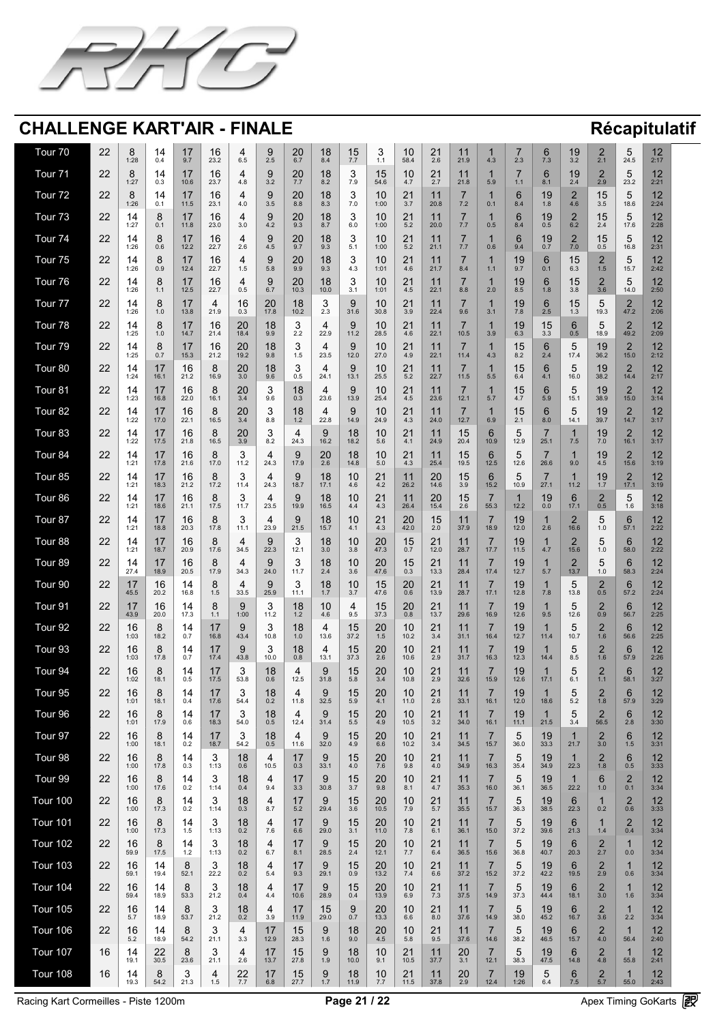![](_page_20_Picture_0.jpeg)

| Tour 70         | 22                             | 1:28                                                                                                                         | 0.4                                                             | 9.7                                               | 16<br>23.2                                          | 6.5                                   | 9<br>2.5                                            | 20<br>6.7                                   | 18<br>8.4                                             | 15<br>7.7                                | $\mathbf{I}$ .                        | 10<br>58.4                                                | 21<br>2.6                                             | 21.9                                                                                                                         | 4.3                              | 2.3                                                | $\blacktriangleright$<br>7.3                                 | 19<br>3.2                                                                               | 2.1                             | $\blacktriangledown$<br>24.5            | 12<br>$\mathsf{L}$<br>2:17                             |
|-----------------|--------------------------------|------------------------------------------------------------------------------------------------------------------------------|-----------------------------------------------------------------|---------------------------------------------------|-----------------------------------------------------|---------------------------------------|-----------------------------------------------------|---------------------------------------------|-------------------------------------------------------|------------------------------------------|---------------------------------------|-----------------------------------------------------------|-------------------------------------------------------|------------------------------------------------------------------------------------------------------------------------------|----------------------------------|----------------------------------------------------|--------------------------------------------------------------|-----------------------------------------------------------------------------------------|---------------------------------|-----------------------------------------|--------------------------------------------------------|
| Tour 71         | 22                             | 8<br>1:27                                                                                                                    | 0.3                                                             | $\overline{\phantom{a}}$<br>10.6                  | 16<br>23.7                                          | 4.8                                   | $\mathbf{Q}$<br>$\overline{\mathbf{v}}$<br>3.2      | 20<br>7.7                                   | 18<br>8.2                                             | $\Omega$<br>$\blacktriangleright$<br>7.9 | 15<br>54.6                            | 10<br>4.7                                                 | 21<br>2.7                                             | 21.8                                                                                                                         | 5.9                              | 1.1                                                | 8.1                                                          | 19<br>2.4                                                                               | 2.9                             | 仄<br>$\boldsymbol{\bigcup}$<br>23.2     | 12<br>2:21                                             |
| Tour 72         | 22                             | 1:26                                                                                                                         | 0.1                                                             | $\overline{\phantom{a}}$<br>11.5                  | 16<br>23.1                                          | 4.0                                   | $\mathbf{Q}$<br>$\boldsymbol{\cup}$<br>3.5          | 20<br>8.8                                   | 18<br>8.3                                             | $\bullet$<br>7.0                         | 10<br>1:00                            | 21<br>3.7                                                 | 20.8                                                  | 7.2                                                                                                                          | 0.1                              | 8.4                                                | 19<br>1.8                                                    | $\bigcap$<br>4.6                                                                        | 15<br>3.5                       | Г.<br>$\boldsymbol{\cup}$<br>18.6       | 12<br>2:24                                             |
| Tour 73         | 22                             | $\overline{ }$<br>1:27                                                                                                       | 0.1                                                             | 11.8                                              | 16<br>23.0                                          | 3.0                                   | $\boldsymbol{\cup}$<br>4.2                          | 20<br>9.3                                   | 18<br>8.7                                             | 6.0                                      | 10<br>1:00                            | 21<br>5.2                                                 | 20.0                                                  | 7.7                                                                                                                          | 0.5                              | 8.4                                                | 19<br>0.5                                                    | $\bigcap$<br>6.2                                                                        | 15<br>2.4                       | 17.6                                    | 12<br>2:28                                             |
| Tour 74         | 22                             | $\overline{ }$<br>1:26                                                                                                       | 0.6                                                             | $\overline{\phantom{a}}$<br>12.2                  | 16<br>22.7                                          | 2.6                                   | $\boldsymbol{\cup}$<br>4.5                          | 20<br>9.7                                   | 18<br>9.3                                             | 5.1                                      | 10<br>1:00                            | 21<br>5.2                                                 | 21.1                                                  | 7.7                                                                                                                          | 0.6                              | 9.4                                                | 19<br>0.7                                                    | $\bigcap$<br>7.0                                                                        | 15<br>0.5                       | h<br>16.8                               | 12<br>2:31                                             |
| Tour 75         | 22                             | $\overline{ }$<br>1:26                                                                                                       | 0.9                                                             | $\overline{\phantom{a}}$<br>12.4                  | 16<br>22.7                                          | .5                                    | $\boldsymbol{\cup}$<br>5.8                          | 20<br>9.9                                   | 18<br>9.3                                             | $\Omega$<br>4.3                          | 10<br>1:01                            | 21<br>4.6                                                 | 21.7                                                  | 8.4                                                                                                                          | 1.1                              | 19<br>9.7                                          | 0.1                                                          | 15<br>I V<br>6.3                                                                        | 1.5                             | $\blacktriangleright$<br>15.7           | 12<br>2:42                                             |
| Tour 76         | 22                             | $\overline{A}$ $\overline{A}$<br>14<br>1:26                                                                                  | $\blacksquare$<br>1.1                                           | $\overline{A}$<br>12.5                            | 16<br>22.7                                          | 0.5                                   | $\blacktriangle$<br>Y<br>6.7                        | 20<br>10.3                                  | $\overline{A}$<br><b>18</b><br>10.0                   | $\sqrt{ }$<br>3.1                        | $\overline{1}$<br>10<br>1:01          | $\sim$ $\blacktriangle$<br>$\cdot$ ) 1<br>$\angle$<br>4.5 | $\blacksquare$<br>22.1                                | <b>The Contract of the Contract of the Contract of the Contract of the Contract of the Contract of the Contract o</b><br>8.8 | 2.0                              | $\overline{1}$<br>19<br>8.5                        | $\blacksquare$<br>$\bigcup$<br>1.8                           | $\overline{A}$ and $\overline{A}$<br>15<br>3.8                                          | 3.6                             | 14.0                                    | $\overline{1}$<br>1 ' )<br>$\mathsf{L}$<br>2:50        |
| Tour 77         | 22                             | 14<br>1:26                                                                                                                   | 1.0                                                             | 13.8                                              | 21.9                                                | 16<br>0.3                             | 20<br>17.8                                          | 18<br>10.2                                  | 2.3                                                   | 31.6                                     | 10<br>30.8                            | 21<br>3.9                                                 | 22.4                                                  | 9.6                                                                                                                          | 3.1                              | 19<br>7.8                                          | R.<br>2.5                                                    | 15<br>1.3                                                                               | 19.3                            | 47.2                                    | 12<br>2:06                                             |
| Tour 78         | 22                             | 14<br>1:25                                                                                                                   | 1.0                                                             | 14.7                                              | 16<br>21.4                                          | 20<br>18.4                            | 18<br>9.9                                           | $\bigcap$<br>2.2                            | 22.9                                                  | 11.2                                     | 10<br>28.5                            | 21<br>4.6                                                 | 22.1                                                  | 10.5                                                                                                                         | 3.9                              | 19<br>6.3                                          | 15<br>3.3                                                    | 0.5                                                                                     | 18.9                            | 49.2                                    | 12<br>L<br>2:09                                        |
| Tour 79         | 22                             | 14<br>1:25                                                                                                                   | $\mathbf{Q}$<br>$\sqrt{0.7}$                                    | 17<br>15.3                                        | 1 <sup>°</sup><br>I O<br>21.2                       | 20<br>19.2                            | 18<br>9.8                                           | $\bigcap$<br>$\overline{\mathbf{U}}$<br>1.5 | 23.5                                                  | $\Omega$<br>$\bigcup$<br>12.0            | 10<br>IV<br>27.0                      | 21<br>$\angle$ 1<br>4.9                                   | 11<br>22.1                                            | 11.4                                                                                                                         | $\blacksquare$<br>4.3            | 15<br>I U<br>8.2                                   | $\boldsymbol{\mathsf{C}}$<br>$\mathbf U$<br>$\overline{2.4}$ | $\overline{\phantom{a}}$<br>$\overline{\phantom{a}}$<br>$\overline{\mathbf{U}}$<br>17.4 | 10<br>AJ<br>36.2                | $\bigcap$<br>$\leftarrow$<br>15.0       | 12<br>$\overline{L}$<br>2:12                           |
| Tour 80         | 22                             | 14<br>1:24                                                                                                                   | 16.1                                                            | 16<br>21.2                                        | 8<br>16.9                                           | 20<br>3.0                             | 18<br>9.6                                           | $\bigcap$<br>0.5                            | 24.1                                                  | 13.1                                     | 10<br>25.5                            | 21<br>5.2                                                 | 22.7                                                  | 11.5                                                                                                                         | 5.5                              | 15<br>6.4                                          | R.<br>$\sqrt{4.1}$                                           | 16.0                                                                                    | 19<br>38.2                      | 14.4                                    | 12<br>2:17                                             |
| Tour 81         | 22                             | 14<br>1:23                                                                                                                   | 16.8                                                            | 16<br>22.0                                        | 8<br>16.1                                           | 20<br>3.4                             | $\mathbf{\Omega}$<br>$\overline{\mathbf{U}}$<br>9.6 | 18<br>0.3                                   | 23.6                                                  | 13.9                                     | 10<br>25.4                            | 21<br>4.5                                                 | 23.6                                                  | 12.1                                                                                                                         | 5.7                              | 15<br>4.7                                          | 6<br>5.9                                                     | 15.1                                                                                    | 19<br>38.9                      | $\bigcap$<br>15.0                       | 12<br>3:14                                             |
| Tour 82         | 22<br>$\overline{\phantom{a}}$ | 14<br>1:22                                                                                                                   | $\begin{array}{c} 7 \\ 1 \end{array}$<br>$\blacksquare$<br>17.0 | 16<br>22.1                                        | 8<br>16.5                                           | 20<br>3.4                             | $\mathbf Q$<br>8.8                                  | 18<br>1.2                                   | 22.8                                                  | $\bullet$<br>14.9                        | 10<br>24.9                            | 21<br>$\overline{\phantom{a}}$<br>4.3                     | . .<br>24.0                                           | 12.7                                                                                                                         | 6.9                              | 15<br>2.1                                          | R.<br>8.0                                                    | $\blacktriangle$<br>14.7                                                                | 19<br>39.7                      | $\bigcap$<br>▀<br>14.7                  | $\bigcap$<br>$\overline{\phantom{a}}$<br>3:17          |
| Tour 83         | 22                             | $\overline{A}$<br>1:22                                                                                                       | 17.5                                                            | 16<br>21.8                                        | 8<br>16.5                                           | 20<br>3.9                             | $\mathbf{\Omega}$<br>$\overline{\mathbf{U}}$<br>8.2 | 24.3                                        | 16.2                                                  | 18<br>18.2                               | 10<br>5.6                             | 21<br>4.1                                                 | 24.9                                                  | 15<br>20.4                                                                                                                   | 10.9                             | 12.9                                               | 25.1                                                         | 7.5                                                                                     | 19<br>7.0                       | $\bigcap$<br>16.1                       | 12<br>3:17                                             |
| Tour 84         | 22                             | $\blacktriangleleft$ $\blacktriangleleft$<br>1:21                                                                            | 17.8                                                            | 16<br>21.6                                        | 8<br>17.0                                           | 11.2                                  | 4<br>24.3                                           | 17.9                                        | 20<br>2.6                                             | 18<br>14.8                               | 10<br>5.0                             | 21<br>4.3                                                 | 25.4                                                  | 15<br>19.5                                                                                                                   | 12.5                             | 12.6                                               | 26.6                                                         | 9.0                                                                                     | 19<br>4.5                       | $\bigcap$<br>15.6                       | 12<br>3:19                                             |
| Tour 85         | 22                             | $\blacktriangleleft$ $\blacktriangleleft$<br>1:21                                                                            | 18.3                                                            | 16<br>21.2                                        | 8<br>17.2                                           | 11.4                                  | 4<br>24.3                                           | 18.7                                        | 18<br>17.1                                            | 10<br>4.6                                | 21<br>4.2                             | 11<br>26.2                                                | 20<br>14.6                                            | 15<br>3.9                                                                                                                    | 15.2                             | 10.9                                               | 27.1                                                         | 11.2                                                                                    | 19                              | $\bigcap$<br>17.1                       | 12<br>3:19                                             |
| Tour 86         | 22                             | 14<br>1:21                                                                                                                   | 18.6                                                            | 16<br>21.1                                        | 8<br>17.5                                           | 11.7                                  | 4<br>23.5                                           | $\mathbf Q$<br>19.9                         | 18<br>16.5                                            | 10<br>4.4                                | 21<br>$\overline{\phantom{a}}$<br>4.3 | 11<br>26.4                                                | 20<br>15.4                                            | 15<br>2.6                                                                                                                    | 55.3                             | 12.2                                               | 19<br>0.0                                                    | 17.1                                                                                    | 0.5                             | $\blacktriangleright$<br>1.6            | 12<br>3:18                                             |
| <b>Tour 87</b>  | 22                             | 14<br>1:21                                                                                                                   | 18.8                                                            | 16<br>20.3                                        | 8<br>17.8                                           | 11.1                                  | 4<br>23.9                                           | $\mathbf Q$<br>21.5                         | 18<br>15.7                                            | 10<br>4.1                                | 21<br>4.3                             | 20<br>42.0                                                | 15<br>2.0                                             | 37.9                                                                                                                         | 18.9                             | 19<br>12.0                                         | 2.6                                                          | 16.6                                                                                    | 1.0                             | 6<br>57.1                               | 12<br>2:22                                             |
| Tour 88         | 22                             | 14<br>1:21                                                                                                                   | 18.7                                                            | 16<br>20.9                                        | 8<br>17.6                                           | 34.5                                  | $\mathbf{O}$<br>$\boldsymbol{\cup}$<br>22.3         | $\bigcap$<br>12.1                           | 18<br>3.0                                             | 10<br>3.8                                | 20<br>47.3                            | 15<br>0.7                                                 | 2 <sub>1</sub><br>$\sqrt{2}$<br>12.0                  | $\begin{array}{c} 4 \\ 4 \end{array}$<br>28.7                                                                                | 17.7                             | 19<br>11.5                                         | 4.7                                                          | 15.6                                                                                    | 1.0                             | 6<br>58.0                               | 12<br>2:22                                             |
| Tour 89         | 22                             | 27.4                                                                                                                         | 18.9                                                            | 16<br>20.5                                        | 8<br>17.9                                           | 34.3                                  | $\mathbf{O}$<br>24.0                                | 11.7                                        | 18<br>2.4                                             | 10<br>3.6                                | 20<br>47.6                            | 15<br>0.3                                                 | 21<br>13.3                                            | $\begin{array}{c} \begin{array}{c} \end{array} \end{array}$<br>28.4                                                          | 17.4                             | 19<br>12.7                                         | 5.7                                                          | $\Box$<br>13.7                                                                          | 1.0                             | 58.3                                    | $1^{\circ}$<br>$\overline{L}$<br>2:24                  |
| Tour 90         | 22                             | 45.5                                                                                                                         | 1 <sup>6</sup><br>20.2                                          | 14<br>16.8                                        | 8<br>1.5                                            | 33.5                                  | $\mathbf{O}$<br>25.9                                | 11.1                                        | 18<br>1.7                                             | 10<br>3.7                                | 15<br>47.6                            | 20<br>0.6                                                 | 21<br>13.9                                            | $\begin{array}{c} \begin{array}{c} \end{array} \end{array}$<br>28.7                                                          | 17.1                             | 19<br>12.8                                         | 7.8                                                          | 13.8                                                                                    | 0.5                             | 6<br>57.2                               | 12<br>L<br>2:24                                        |
| Tour 91         | 22                             | $\overline{4}$<br>43.9                                                                                                       | 1 <sup>6</sup><br>20.0                                          | 14<br>17.3                                        | 8<br>$\begin{array}{cc} 1 & 1 \\ 1 & 1 \end{array}$ | 1:00                                  | $\bigcap$<br>$\overline{\mathbf{U}}$<br>11.2        | 18<br>1.2                                   | 10<br>4.6                                             | 9.5                                      | 15<br>37.3                            | 20<br>0.8                                                 | 21<br>13.7                                            | $\begin{array}{c} \begin{array}{c} \end{array} \end{array}$<br>29.6                                                          | 16.9                             | 19<br>12.6                                         | 9.5                                                          | 12.6                                                                                    | 0.9                             | 6<br>56.7                               | $1^{\circ}$<br>L<br>2:25                               |
| Tour 92         | 22                             | 16<br>1:03                                                                                                                   | 18.2                                                            | $\overline{\mathcal{A}}$<br>0.7                   | $\overline{4}$<br>16.8                              | 43.4                                  | $\blacksquare$<br>$\overline{\mathbf{U}}$<br>10.8   | 18<br>1.0                                   | 13.6                                                  | 15<br>37.2                               | 20<br>1.5                             | 10<br>10.2                                                | 21<br>3.4                                             | 31.1                                                                                                                         | 16.4                             | 19<br>12.7                                         | 11.4                                                         | $\overline{\phantom{a}}$<br>10.7                                                        | 1.6                             | <b>հ</b><br>$\boldsymbol{\cup}$<br>56.6 | 12<br>2:25                                             |
| Tour 93         | 22                             | 16<br>1:03                                                                                                                   | 17.8                                                            | 14<br>0.7                                         | $\overline{4}$<br>17.4                              | 43.8                                  | $\bigcap$<br>$\overline{\mathbf{U}}$<br>10.0        | 18<br>0.8                                   | 13.1                                                  | 15<br>37.3                               | 20<br>2.6                             | 10<br>10.6                                                | 21<br>2.9                                             | $\begin{array}{c} \begin{array}{c} \end{array} \end{array}$<br>31.7                                                          | 16.3                             | 19<br>12.3                                         | 14.4                                                         | 8.5                                                                                     | 1.6                             | 6<br>57.9                               | 12<br>2:26                                             |
| Tour 94         | 22                             | 16<br>1:02                                                                                                                   | 18.1                                                            | 14<br>0.5                                         | $\overline{4}$ $\overline{7}$<br>17.5               | 53.8                                  | 18<br>0.6                                           | 4<br>12.5                                   | $\mathbf{Q}$<br>31.8                                  | 15<br>5.8                                | 20<br>3.4                             | 10<br>10.8                                                | 21<br>2.9                                             | $\begin{array}{c} \begin{array}{c} \end{array} \end{array}$<br>32.6                                                          | 15.9                             | 19<br>12.6                                         | 17.1                                                         | 6.1                                                                                     | 1.1                             | <b>R</b><br>$\boldsymbol{\cup}$<br>58.1 | 12<br>3:27                                             |
| Tour 95         | 22                             | 16<br>1:01                                                                                                                   | 18.1                                                            | $\overline{\mathcal{A}}$<br>0.4                   | 47<br>17.6                                          | 54.4                                  | 18<br>0.2                                           | 11.8                                        | 32.5                                                  | 15<br>5.9                                | 20<br>4.1                             | 10<br>11.0                                                | 21<br>2.6                                             | 33.1                                                                                                                         | 16.1                             | 19<br>12.0                                         | 18.6                                                         | $\overline{\phantom{a}}$<br>5.2                                                         | 1.8                             | U<br>57.9                               | 12<br><u>  Z</u><br>3:29                               |
| Tour 96         | 22                             | 16<br>1:01                                                                                                                   | 17.9                                                            | 14<br>0.6                                         | $\overline{4}$<br>18.3                              | 54.0                                  | 18<br>0.5                                           | 12.4                                        | $\mathbf Q$<br>31.4                                   | 15<br>5.5                                | 20<br>4.9                             | 10<br>10.5                                                | 21<br>3.2                                             | $\begin{array}{c} \begin{array}{c} \end{array} \end{array}$<br>34.0                                                          | 16.1                             | 19<br>11.1                                         | 21.5                                                         | 3.4                                                                                     | 56.5                            | 6<br>2.8                                | 12<br>3:30                                             |
| Tour 97         | 22                             | 16<br>1:00                                                                                                                   | 18.1                                                            | 14<br>0.2                                         | $\overline{4}$<br>18.7                              | 54.2                                  | 18<br>0.5                                           | 11.6                                        | $\mathbf{Q}$<br>32.0                                  | 15<br>4.9                                | 20<br>6.6                             | 10<br>10.2                                                | 21<br>3.4                                             | $\begin{array}{c} \begin{array}{c} \end{array} \end{array}$<br>34.5                                                          | 15.7                             | $\blacktriangle$<br>36.0                           | 19<br>33.3                                                   | 21.7                                                                                    | 3.0                             | 6<br>1.5                                | 12<br>3:31                                             |
| Tour 98         | 22                             | 16<br>1:00                                                                                                                   | 17.8                                                            | $\overline{\mathcal{A}}$<br>0.3                   | $\bigcap$<br>$\blacktriangleright$<br>1:13          | 18<br>0.6                             | $\rightarrow$<br>10.5                               | 0.3                                         | 33.1                                                  | 15<br>4.0                                | 20<br>7.6                             | 10<br>9.8                                                 | 2 <sup>1</sup><br>$\sum$<br>4.0                       | 34.9                                                                                                                         | 16.3                             | 35.4                                               | 19<br>34.9                                                   | 22.3                                                                                    | 1.8                             | 0.5                                     | $\Lambda$ $\gamma$<br>$\blacksquare$<br>3:33           |
| Tour 99         | 22                             | 16<br>1:00                                                                                                                   | 17.6                                                            | 14<br>0.2                                         | $\bigcap$<br>$\blacktriangleright$<br>1:14          | 18<br>0.4                             | 4<br>9.4                                            | 3.3                                         | 30.8                                                  | 15<br>3.7                                | 20<br>9.8                             | 10<br>8.1                                                 | 2 <sup>1</sup><br>$\angle$<br>4.7                     | 35.3                                                                                                                         | 16.0                             | $\blacktriangleright$<br>36.1                      | 19<br>36.5                                                   | 22.2                                                                                    | 1.0                             | 0.1                                     | 10<br>$\blacksquare$<br>3:34                           |
| Tour 100        | 22                             | 16<br>1:00                                                                                                                   | 17.3                                                            | 14<br>0.2                                         | $\bigcap$<br>$\blacktriangleright$<br>1:14          | 18<br>0.3                             | 4<br>8.7                                            | 5.2                                         | 29.4                                                  | 15<br>3.6                                | 20<br>10.5                            | 10<br>7.9                                                 | 2 <sup>1</sup><br>$\angle$<br>5.7                     | 35.5                                                                                                                         | 15.7                             | $\blacksquare$<br>36.3                             | 19<br>38.5                                                   | 22.3                                                                                    | 0.2                             | 0.6                                     | $\Lambda$<br>$\blacksquare$<br>3:33                    |
| <b>Four 101</b> | 22                             | $\overline{1}$<br>16<br>1:00                                                                                                 | $\bullet$<br>17.3                                               | $\blacksquare$<br>$\overline{\mathcal{A}}$<br>1.5 | $\blacktriangle$<br>$\blacktriangleright$<br>1:13   | $\overline{\phantom{a}}$<br>18<br>0.2 | $\leftarrow$<br>7.6                                 | $\overline{A}$ and $\overline{A}$<br>6.6    | $\blacktriangle$<br>29.0                              | $\overline{1}$<br>15<br>3.1              | 20<br>11.0                            | $\overline{1}$<br>10<br>7.8                               | $\sim$ $\sim$<br>$\angle$<br>6.1                      | $\boldsymbol{A}$ $\boldsymbol{A}$<br>$\blacksquare$<br>36.1                                                                  | 15.0                             | 37.2                                               | $\overline{1}$<br><b>19</b><br>39.6                          | $\overline{\phantom{a}}$<br>21.3                                                        |                                 | $\blacktriangleright$<br>0.4            | $\overline{1}$<br>$\blacksquare$<br>3:34               |
| <b>Tour 102</b> | 22                             | 16<br>59.9                                                                                                                   | 17.5                                                            | $\overline{\mathcal{A}}$<br>1.2                   | $\bigcap$<br>$\blacktriangleright$<br>1:13          | 18<br>0.2                             | $\rightarrow$<br>6.7                                | 8.1                                         | 28.5                                                  | 15<br>2.4                                | 20<br>12.1                            | 10<br>7.7                                                 | 21<br>6.4                                             | 36.5                                                                                                                         | 15.6                             | 36.8                                               | 19<br>40.7                                                   | 20.3                                                                                    | 2.7                             | 0.0                                     | $\Lambda$ $\Omega$<br>$\blacksquare$<br>3:34           |
| Tour 103        | 22                             | 16<br>59.1                                                                                                                   | 19.4                                                            | 52.1                                              | $\bigcap$<br>$\blacktriangleright$<br>22.2          | 18<br>0.2                             | $\leftarrow$<br>5.4                                 | 9.3                                         | 29.1                                                  | 15<br>0.9                                | 20<br>13.2                            | 10<br>7.4                                                 | 21<br>6.6                                             | 37.2                                                                                                                         | 15.2                             | $\blacktriangleright$<br>37.2                      | 19<br>42.2                                                   | 19.5                                                                                    | 2.9                             | 0.6                                     | $\Lambda$ $\Omega$<br>$\blacksquare$<br>3:34           |
| Tour 104        | 22                             | 16<br>I Q<br>59.4                                                                                                            | 14<br>18.9                                                      | $\mathbf O$<br>53.3                               | $\bigcap$<br>$\overline{\mathbf{v}}$<br>21.2        | 1 <sub>Q</sub><br>I O<br>0.4          | $\leftarrow$<br>4.4                                 | 17<br>$\blacksquare$<br>10.6                | $\Omega$<br>28.9                                      | 15<br>I J<br>0.4                         | $\Omega$<br>ZU<br>13.9                | 1 <sup>0</sup><br>I U<br>6.9                              | $\bigcirc$<br>$\mathbb{Z}$<br>7.3                     | 11<br>37.5                                                                                                                   | 14.9                             | $\sqrt{2}$<br>$\overline{\mathbf{U}}$<br>37.3      | 10<br>$\overline{1}$<br>44.4                                 | $\mathcal{L}$<br>$\overline{U}$<br>18.1                                                 | 3.0                             | 1.6                                     | 10<br>L<br>3:34                                        |
| Tour 105        | 22                             | 16<br>5.7                                                                                                                    | 18.9                                                            | 53.7                                              | $\blacktriangleright$<br>21.2                       | 18<br>0.2                             | $\blacktriangle$<br>3.9                             | 11.9                                        | 5<br>29.0                                             | 0.7                                      | 20<br>13.3                            | 10<br>6.6                                                 | 2 <sup>1</sup><br>$\angle$<br>8.0                     | 37.6                                                                                                                         | 14.9                             | $\blacktriangleright$<br>38.0                      | 19<br>45.2                                                   | 16.7                                                                                    | 3.6                             | 2.2                                     | $\Lambda$ $\Omega$<br>$\blacksquare$<br>3:34           |
| Tour 106        | 22                             | 16<br>5.2                                                                                                                    | 18.9                                                            | 54.2                                              | $\bigcap$<br>$\blacktriangleright$<br>21.1          | 3.3                                   | 12.9                                                | 15<br>I J<br>28.3                           | 1.6                                                   | 18<br>9.0                                | 20<br>4.5                             | 10<br>5.8                                                 | 2 <sup>1</sup><br>$\angle$<br>9.5                     | 37.6                                                                                                                         | 14.6                             | $\blacktriangleright$<br>38.2                      | 19<br>46.5                                                   | 15.7                                                                                    | 4.0                             | 56.4                                    | $\Lambda$ $\Omega$<br>$\blacksquare$<br>2:40           |
| Tour 107        | 16                             | 14<br>a kacamatan ing Kabupatèn Kabupatèn Kabupatèn Kabupatèn Kabupatèn Kabupatèn Kabupatèn Kabupatèn Kabupatèn Kabu<br>19.1 | $\Omega$<br>$\sim$<br>30.5                                      | $\mathbf O$<br>23.6                               | $\bigcap$<br>$\overline{\phantom{a}}$<br>21.1       | 2.6                                   | .<br>13.7                                           | 15<br>$\blacksquare$<br>27.8                | $\mathbf{Q}_\parallel$<br>$\blacktriangledown$<br>1.9 | 18<br>10.0                               | 10<br>9.1                             | $\bigcap$ 1<br>$\overline{\phantom{a}}$<br>10.5           | $\blacksquare$<br>37.7                                | 20<br>3.1                                                                                                                    | 12.1                             | $\blacksquare$<br>$\overline{\phantom{a}}$<br>38.3 | 19<br>47.5                                                   | $\overline{\phantom{a}}$<br>14.8                                                        | $\overline{\phantom{a}}$<br>4.8 | 55.8                                    | $\Lambda$ $\Omega$<br>$\overline{\phantom{a}}$<br>2:41 |
| <b>Tour 108</b> | 16                             | 14<br>19.3                                                                                                                   | 54.2                                                            | $\bigcap$<br>$\overline{\mathbf{U}}$<br>21.3      | 1.5                                                 | 22<br>7.7                             | 17<br>6.8                                           | 15<br>27.7                                  | 9<br>1.7                                              | 18<br>11.9                               | 10<br>7.7                             | 21<br>11.5                                                | $\begin{array}{c} 1 & 1 \\ 1 & 1 \end{array}$<br>37.8 | 20<br>2.9                                                                                                                    | $\overline{\phantom{a}}$<br>12.4 | 19<br>1:26                                         | 5<br>6.4                                                     | 6<br>7.5                                                                                | 5.7                             | 55.0                                    | 12<br>2:43                                             |

Racing Kart Cormeilles - Piste 1200m<br>
Page 21 / 22<br>
Page 21 / 22